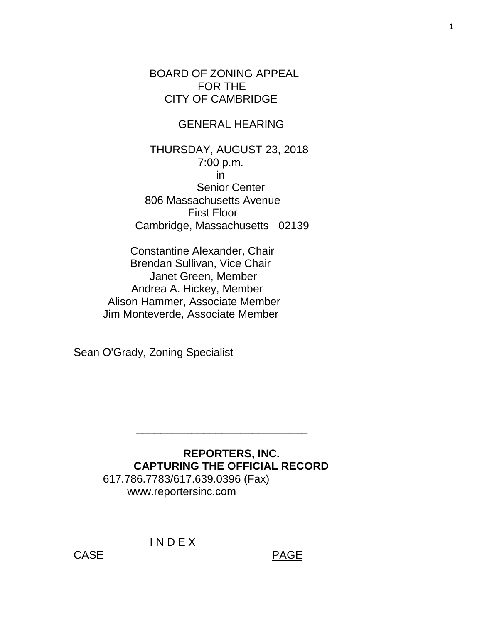BOARD OF ZONING APPEAL FOR THE CITY OF CAMBRIDGE

### GENERAL HEARING

 THURSDAY, AUGUST 23, 2018 7:00 p.m. in Senior Center 806 Massachusetts Avenue First Floor Cambridge, Massachusetts 02139

Constantine Alexander, Chair Brendan Sullivan, Vice Chair Janet Green, Member Andrea A. Hickey, Member Alison Hammer, Associate Member Jim Monteverde, Associate Member

Sean O'Grady, Zoning Specialist

## **REPORTERS, INC. CAPTURING THE OFFICIAL RECORD** 617.786.7783/617.639.0396 (Fax) www.reportersinc.com

 $\frac{1}{\sqrt{2}}$  ,  $\frac{1}{\sqrt{2}}$  ,  $\frac{1}{\sqrt{2}}$  ,  $\frac{1}{\sqrt{2}}$  ,  $\frac{1}{\sqrt{2}}$  ,  $\frac{1}{\sqrt{2}}$  ,  $\frac{1}{\sqrt{2}}$  ,  $\frac{1}{\sqrt{2}}$  ,  $\frac{1}{\sqrt{2}}$  ,  $\frac{1}{\sqrt{2}}$  ,  $\frac{1}{\sqrt{2}}$  ,  $\frac{1}{\sqrt{2}}$  ,  $\frac{1}{\sqrt{2}}$  ,  $\frac{1}{\sqrt{2}}$  ,  $\frac{1}{\sqrt{2}}$ 

I N D E X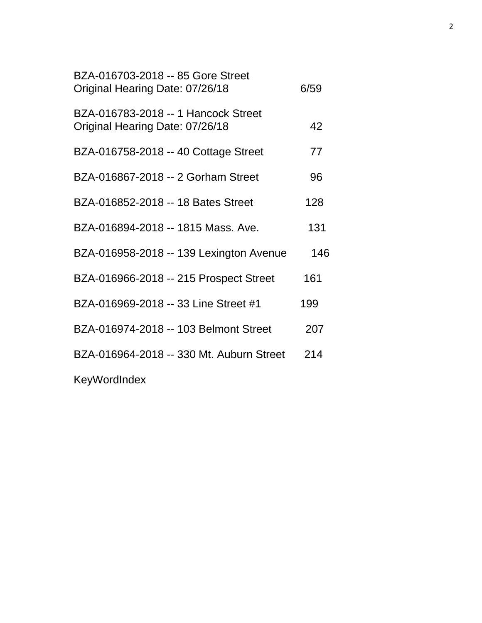| BZA-016703-2018 -- 85 Gore Street<br>Original Hearing Date: 07/26/18   | 6/59 |
|------------------------------------------------------------------------|------|
| BZA-016783-2018 -- 1 Hancock Street<br>Original Hearing Date: 07/26/18 | 42   |
| BZA-016758-2018 -- 40 Cottage Street                                   | 77   |
| BZA-016867-2018 -- 2 Gorham Street                                     | 96   |
| BZA-016852-2018 -- 18 Bates Street                                     | 128  |
| BZA-016894-2018 -- 1815 Mass, Ave.                                     | 131  |
| BZA-016958-2018 -- 139 Lexington Avenue                                | 146  |
| BZA-016966-2018 -- 215 Prospect Street                                 | 161  |
| BZA-016969-2018 -- 33 Line Street #1                                   | 199  |
| BZA-016974-2018 -- 103 Belmont Street                                  | 207  |
| BZA-016964-2018 -- 330 Mt. Auburn Street                               | 214  |
| KeyWordIndex                                                           |      |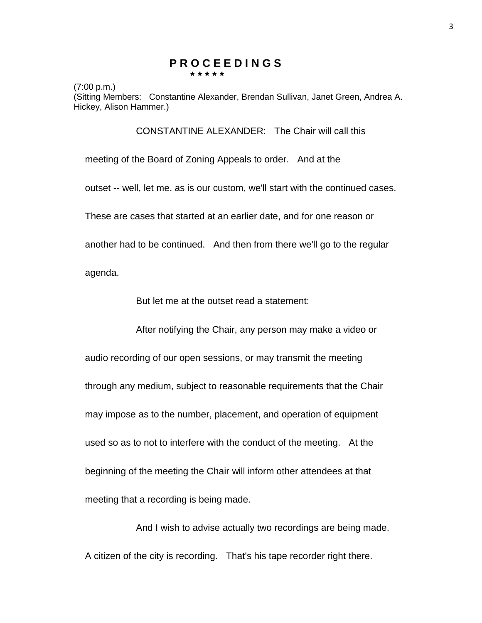#### **P R O C E E D I N G S \* \* \* \* \***

(7:00 p.m.)

(Sitting Members: Constantine Alexander, Brendan Sullivan, Janet Green, Andrea A. Hickey, Alison Hammer.)

CONSTANTINE ALEXANDER: The Chair will call this

meeting of the Board of Zoning Appeals to order. And at the

outset -- well, let me, as is our custom, we'll start with the continued cases.

These are cases that started at an earlier date, and for one reason or

another had to be continued. And then from there we'll go to the regular

agenda.

But let me at the outset read a statement:

After notifying the Chair, any person may make a video or

audio recording of our open sessions, or may transmit the meeting through any medium, subject to reasonable requirements that the Chair may impose as to the number, placement, and operation of equipment used so as to not to interfere with the conduct of the meeting. At the beginning of the meeting the Chair will inform other attendees at that meeting that a recording is being made.

And I wish to advise actually two recordings are being made. A citizen of the city is recording. That's his tape recorder right there.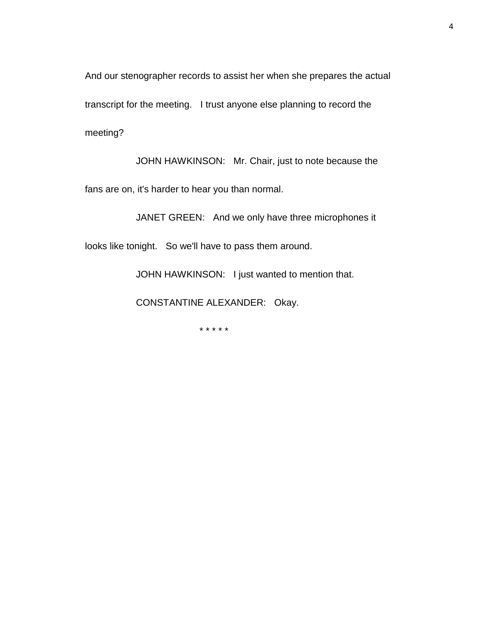And our stenographer records to assist her when she prepares the actual transcript for the meeting. I trust anyone else planning to record the meeting?

JOHN HAWKINSON: Mr. Chair, just to note because the fans are on, it's harder to hear you than normal.

JANET GREEN: And we only have three microphones it

looks like tonight. So we'll have to pass them around.

JOHN HAWKINSON: I just wanted to mention that.

CONSTANTINE ALEXANDER: Okay.

\* \* \* \* \*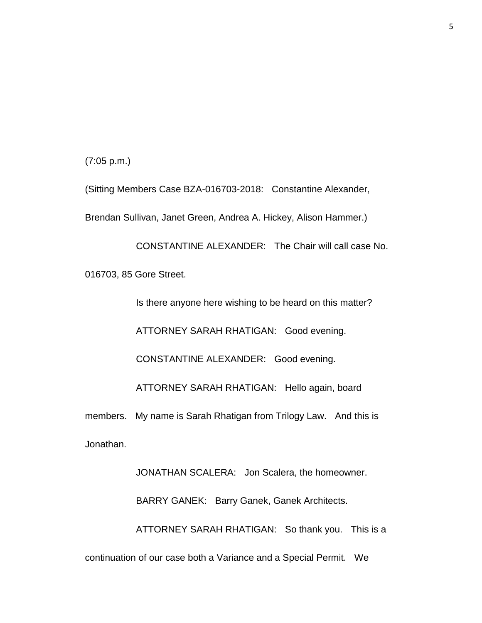(7:05 p.m.)

(Sitting Members Case BZA-016703-2018: Constantine Alexander, Brendan Sullivan, Janet Green, Andrea A. Hickey, Alison Hammer.)

CONSTANTINE ALEXANDER: The Chair will call case No. 016703, 85 Gore Street.

Is there anyone here wishing to be heard on this matter?

ATTORNEY SARAH RHATIGAN: Good evening.

CONSTANTINE ALEXANDER: Good evening.

ATTORNEY SARAH RHATIGAN: Hello again, board

members. My name is Sarah Rhatigan from Trilogy Law. And this is Jonathan.

JONATHAN SCALERA: Jon Scalera, the homeowner. BARRY GANEK: Barry Ganek, Ganek Architects. ATTORNEY SARAH RHATIGAN: So thank you. This is a

continuation of our case both a Variance and a Special Permit. We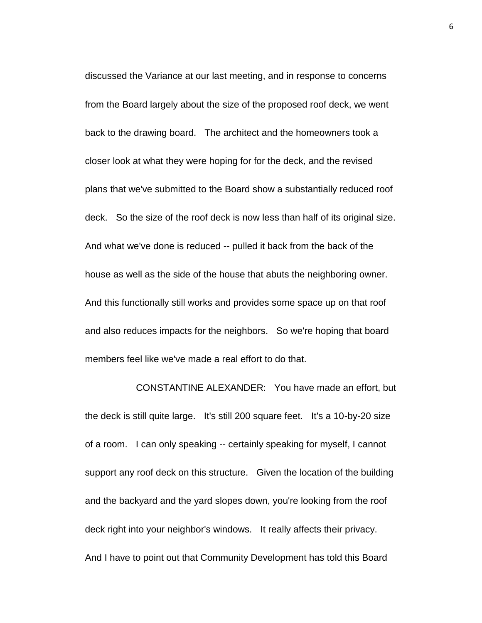discussed the Variance at our last meeting, and in response to concerns from the Board largely about the size of the proposed roof deck, we went back to the drawing board. The architect and the homeowners took a closer look at what they were hoping for for the deck, and the revised plans that we've submitted to the Board show a substantially reduced roof deck. So the size of the roof deck is now less than half of its original size. And what we've done is reduced -- pulled it back from the back of the house as well as the side of the house that abuts the neighboring owner. And this functionally still works and provides some space up on that roof and also reduces impacts for the neighbors. So we're hoping that board members feel like we've made a real effort to do that.

CONSTANTINE ALEXANDER: You have made an effort, but the deck is still quite large. It's still 200 square feet. It's a 10-by-20 size of a room. I can only speaking -- certainly speaking for myself, I cannot support any roof deck on this structure. Given the location of the building and the backyard and the yard slopes down, you're looking from the roof deck right into your neighbor's windows. It really affects their privacy. And I have to point out that Community Development has told this Board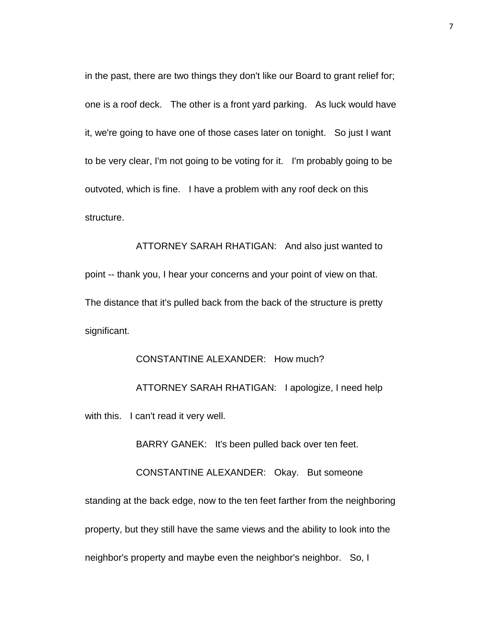in the past, there are two things they don't like our Board to grant relief for; one is a roof deck. The other is a front yard parking. As luck would have it, we're going to have one of those cases later on tonight. So just I want to be very clear, I'm not going to be voting for it. I'm probably going to be outvoted, which is fine. I have a problem with any roof deck on this structure.

ATTORNEY SARAH RHATIGAN: And also just wanted to point -- thank you, I hear your concerns and your point of view on that. The distance that it's pulled back from the back of the structure is pretty significant.

# CONSTANTINE ALEXANDER: How much? ATTORNEY SARAH RHATIGAN: I apologize, I need help with this. I can't read it very well.

BARRY GANEK: It's been pulled back over ten feet.

CONSTANTINE ALEXANDER: Okay. But someone

standing at the back edge, now to the ten feet farther from the neighboring property, but they still have the same views and the ability to look into the neighbor's property and maybe even the neighbor's neighbor. So, I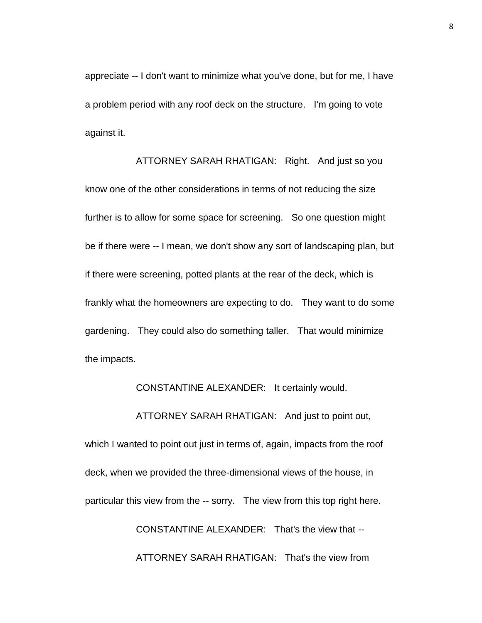appreciate -- I don't want to minimize what you've done, but for me, I have a problem period with any roof deck on the structure. I'm going to vote against it.

ATTORNEY SARAH RHATIGAN: Right. And just so you know one of the other considerations in terms of not reducing the size further is to allow for some space for screening. So one question might be if there were -- I mean, we don't show any sort of landscaping plan, but if there were screening, potted plants at the rear of the deck, which is frankly what the homeowners are expecting to do. They want to do some gardening. They could also do something taller. That would minimize the impacts.

CONSTANTINE ALEXANDER: It certainly would.

ATTORNEY SARAH RHATIGAN: And just to point out,

which I wanted to point out just in terms of, again, impacts from the roof deck, when we provided the three-dimensional views of the house, in particular this view from the -- sorry. The view from this top right here. CONSTANTINE ALEXANDER: That's the view that --

ATTORNEY SARAH RHATIGAN: That's the view from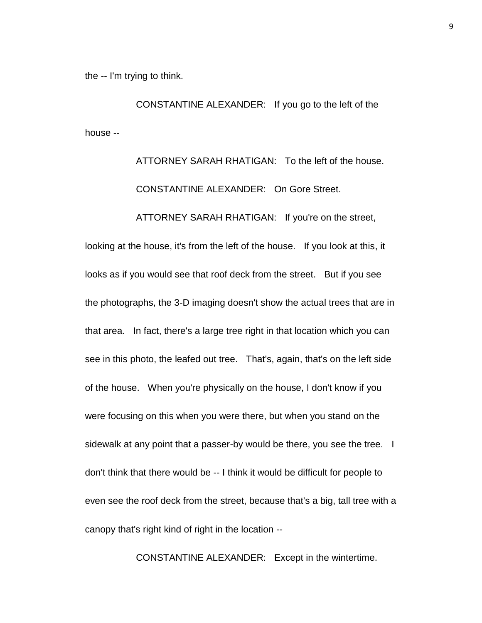the -- I'm trying to think.

CONSTANTINE ALEXANDER: If you go to the left of the house --

> ATTORNEY SARAH RHATIGAN: To the left of the house. CONSTANTINE ALEXANDER: On Gore Street.

ATTORNEY SARAH RHATIGAN: If you're on the street,

looking at the house, it's from the left of the house. If you look at this, it looks as if you would see that roof deck from the street. But if you see the photographs, the 3-D imaging doesn't show the actual trees that are in that area. In fact, there's a large tree right in that location which you can see in this photo, the leafed out tree. That's, again, that's on the left side of the house. When you're physically on the house, I don't know if you were focusing on this when you were there, but when you stand on the sidewalk at any point that a passer-by would be there, you see the tree. I don't think that there would be -- I think it would be difficult for people to even see the roof deck from the street, because that's a big, tall tree with a canopy that's right kind of right in the location --

CONSTANTINE ALEXANDER: Except in the wintertime.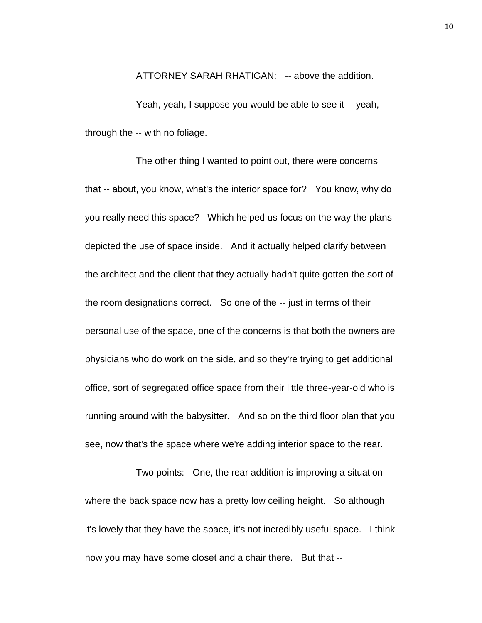ATTORNEY SARAH RHATIGAN: -- above the addition.

Yeah, yeah, I suppose you would be able to see it -- yeah, through the -- with no foliage.

The other thing I wanted to point out, there were concerns that -- about, you know, what's the interior space for? You know, why do you really need this space? Which helped us focus on the way the plans depicted the use of space inside. And it actually helped clarify between the architect and the client that they actually hadn't quite gotten the sort of the room designations correct. So one of the -- just in terms of their personal use of the space, one of the concerns is that both the owners are physicians who do work on the side, and so they're trying to get additional office, sort of segregated office space from their little three-year-old who is running around with the babysitter. And so on the third floor plan that you see, now that's the space where we're adding interior space to the rear.

Two points: One, the rear addition is improving a situation where the back space now has a pretty low ceiling height. So although it's lovely that they have the space, it's not incredibly useful space. I think now you may have some closet and a chair there. But that --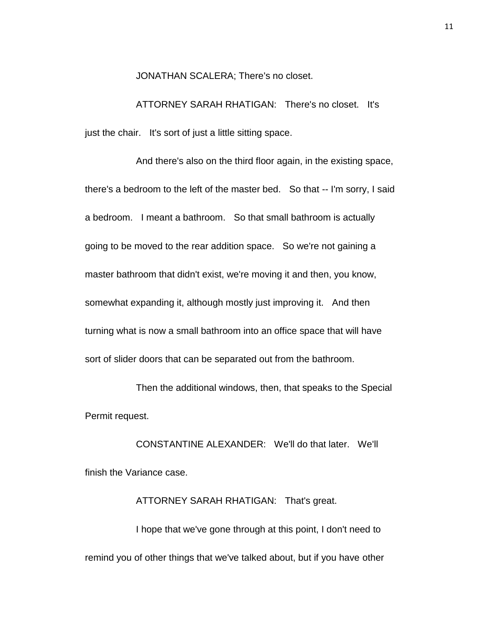JONATHAN SCALERA; There's no closet.

ATTORNEY SARAH RHATIGAN: There's no closet. It's just the chair. It's sort of just a little sitting space.

And there's also on the third floor again, in the existing space, there's a bedroom to the left of the master bed. So that -- I'm sorry, I said a bedroom. I meant a bathroom. So that small bathroom is actually going to be moved to the rear addition space. So we're not gaining a master bathroom that didn't exist, we're moving it and then, you know, somewhat expanding it, although mostly just improving it. And then turning what is now a small bathroom into an office space that will have sort of slider doors that can be separated out from the bathroom.

Then the additional windows, then, that speaks to the Special Permit request.

CONSTANTINE ALEXANDER: We'll do that later. We'll finish the Variance case.

ATTORNEY SARAH RHATIGAN: That's great. I hope that we've gone through at this point, I don't need to remind you of other things that we've talked about, but if you have other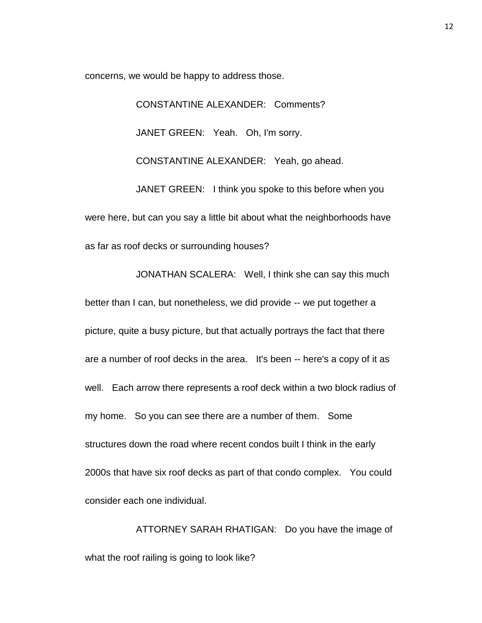concerns, we would be happy to address those.

CONSTANTINE ALEXANDER: Comments? JANET GREEN: Yeah. Oh, I'm sorry. CONSTANTINE ALEXANDER: Yeah, go ahead. JANET GREEN: I think you spoke to this before when you

were here, but can you say a little bit about what the neighborhoods have as far as roof decks or surrounding houses?

JONATHAN SCALERA: Well, I think she can say this much

better than I can, but nonetheless, we did provide -- we put together a picture, quite a busy picture, but that actually portrays the fact that there are a number of roof decks in the area. It's been -- here's a copy of it as well. Each arrow there represents a roof deck within a two block radius of my home. So you can see there are a number of them. Some structures down the road where recent condos built I think in the early 2000s that have six roof decks as part of that condo complex. You could consider each one individual.

ATTORNEY SARAH RHATIGAN: Do you have the image of what the roof railing is going to look like?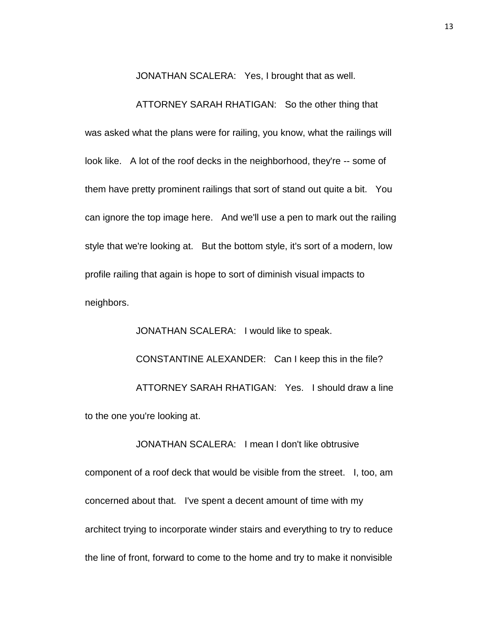JONATHAN SCALERA: Yes, I brought that as well.

ATTORNEY SARAH RHATIGAN: So the other thing that was asked what the plans were for railing, you know, what the railings will look like. A lot of the roof decks in the neighborhood, they're -- some of them have pretty prominent railings that sort of stand out quite a bit. You can ignore the top image here. And we'll use a pen to mark out the railing style that we're looking at. But the bottom style, it's sort of a modern, low profile railing that again is hope to sort of diminish visual impacts to neighbors.

JONATHAN SCALERA: I would like to speak. CONSTANTINE ALEXANDER: Can I keep this in the file? ATTORNEY SARAH RHATIGAN: Yes. I should draw a line to the one you're looking at.

JONATHAN SCALERA: I mean I don't like obtrusive

component of a roof deck that would be visible from the street. I, too, am concerned about that. I've spent a decent amount of time with my architect trying to incorporate winder stairs and everything to try to reduce the line of front, forward to come to the home and try to make it nonvisible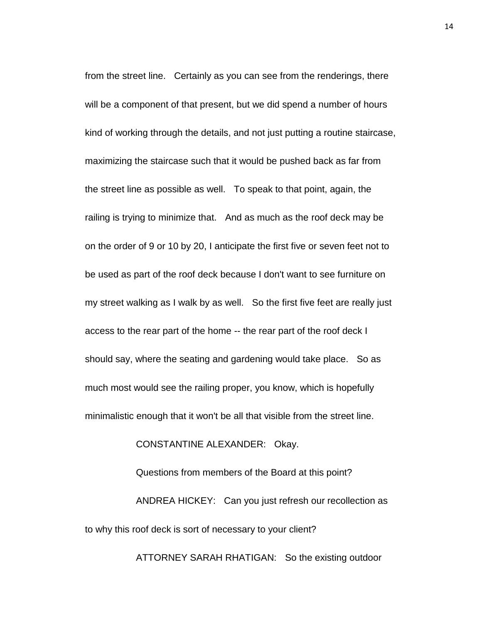from the street line. Certainly as you can see from the renderings, there will be a component of that present, but we did spend a number of hours kind of working through the details, and not just putting a routine staircase, maximizing the staircase such that it would be pushed back as far from the street line as possible as well. To speak to that point, again, the railing is trying to minimize that. And as much as the roof deck may be on the order of 9 or 10 by 20, I anticipate the first five or seven feet not to be used as part of the roof deck because I don't want to see furniture on my street walking as I walk by as well. So the first five feet are really just access to the rear part of the home -- the rear part of the roof deck I should say, where the seating and gardening would take place. So as much most would see the railing proper, you know, which is hopefully minimalistic enough that it won't be all that visible from the street line.

CONSTANTINE ALEXANDER: Okay.

Questions from members of the Board at this point? ANDREA HICKEY: Can you just refresh our recollection as to why this roof deck is sort of necessary to your client?

ATTORNEY SARAH RHATIGAN: So the existing outdoor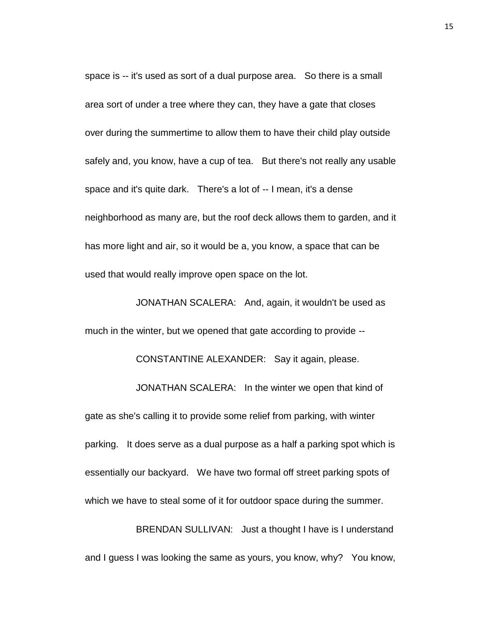space is -- it's used as sort of a dual purpose area. So there is a small area sort of under a tree where they can, they have a gate that closes over during the summertime to allow them to have their child play outside safely and, you know, have a cup of tea. But there's not really any usable space and it's quite dark. There's a lot of -- I mean, it's a dense neighborhood as many are, but the roof deck allows them to garden, and it has more light and air, so it would be a, you know, a space that can be used that would really improve open space on the lot.

JONATHAN SCALERA: And, again, it wouldn't be used as much in the winter, but we opened that gate according to provide --

CONSTANTINE ALEXANDER: Say it again, please.

JONATHAN SCALERA: In the winter we open that kind of gate as she's calling it to provide some relief from parking, with winter parking. It does serve as a dual purpose as a half a parking spot which is essentially our backyard. We have two formal off street parking spots of which we have to steal some of it for outdoor space during the summer.

BRENDAN SULLIVAN: Just a thought I have is I understand and I guess I was looking the same as yours, you know, why? You know,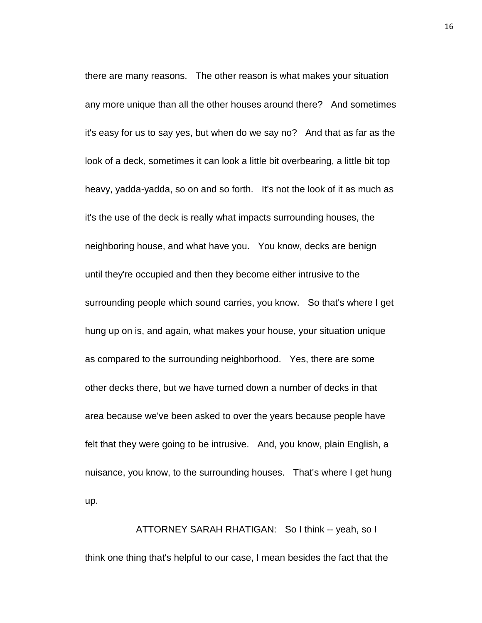there are many reasons. The other reason is what makes your situation any more unique than all the other houses around there? And sometimes it's easy for us to say yes, but when do we say no? And that as far as the look of a deck, sometimes it can look a little bit overbearing, a little bit top heavy, yadda-yadda, so on and so forth. It's not the look of it as much as it's the use of the deck is really what impacts surrounding houses, the neighboring house, and what have you. You know, decks are benign until they're occupied and then they become either intrusive to the surrounding people which sound carries, you know. So that's where I get hung up on is, and again, what makes your house, your situation unique as compared to the surrounding neighborhood. Yes, there are some other decks there, but we have turned down a number of decks in that area because we've been asked to over the years because people have felt that they were going to be intrusive. And, you know, plain English, a nuisance, you know, to the surrounding houses. That's where I get hung up.

## ATTORNEY SARAH RHATIGAN: So I think -- yeah, so I think one thing that's helpful to our case, I mean besides the fact that the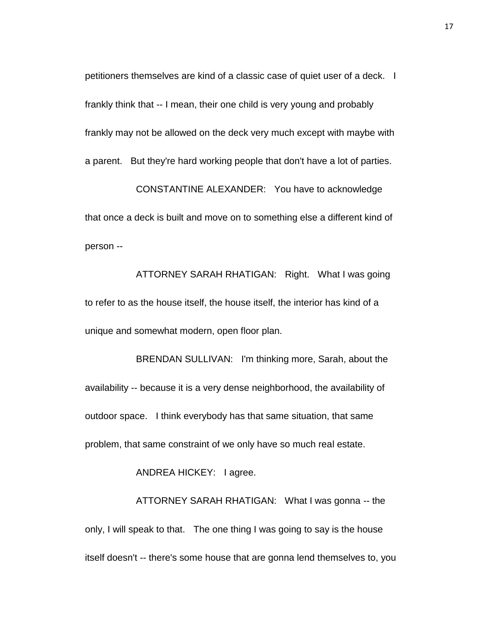petitioners themselves are kind of a classic case of quiet user of a deck. I frankly think that -- I mean, their one child is very young and probably frankly may not be allowed on the deck very much except with maybe with a parent. But they're hard working people that don't have a lot of parties.

CONSTANTINE ALEXANDER: You have to acknowledge that once a deck is built and move on to something else a different kind of person --

ATTORNEY SARAH RHATIGAN: Right. What I was going to refer to as the house itself, the house itself, the interior has kind of a unique and somewhat modern, open floor plan.

BRENDAN SULLIVAN: I'm thinking more, Sarah, about the availability -- because it is a very dense neighborhood, the availability of outdoor space. I think everybody has that same situation, that same problem, that same constraint of we only have so much real estate.

ANDREA HICKEY: I agree.

ATTORNEY SARAH RHATIGAN: What I was gonna -- the only, I will speak to that. The one thing I was going to say is the house itself doesn't -- there's some house that are gonna lend themselves to, you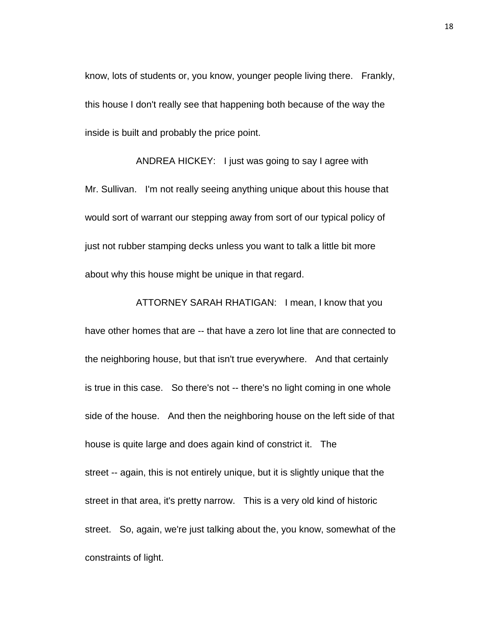know, lots of students or, you know, younger people living there. Frankly, this house I don't really see that happening both because of the way the inside is built and probably the price point.

ANDREA HICKEY: I just was going to say I agree with Mr. Sullivan. I'm not really seeing anything unique about this house that would sort of warrant our stepping away from sort of our typical policy of just not rubber stamping decks unless you want to talk a little bit more about why this house might be unique in that regard.

ATTORNEY SARAH RHATIGAN: I mean, I know that you have other homes that are -- that have a zero lot line that are connected to the neighboring house, but that isn't true everywhere. And that certainly is true in this case. So there's not -- there's no light coming in one whole side of the house. And then the neighboring house on the left side of that house is quite large and does again kind of constrict it. The street -- again, this is not entirely unique, but it is slightly unique that the street in that area, it's pretty narrow. This is a very old kind of historic street. So, again, we're just talking about the, you know, somewhat of the constraints of light.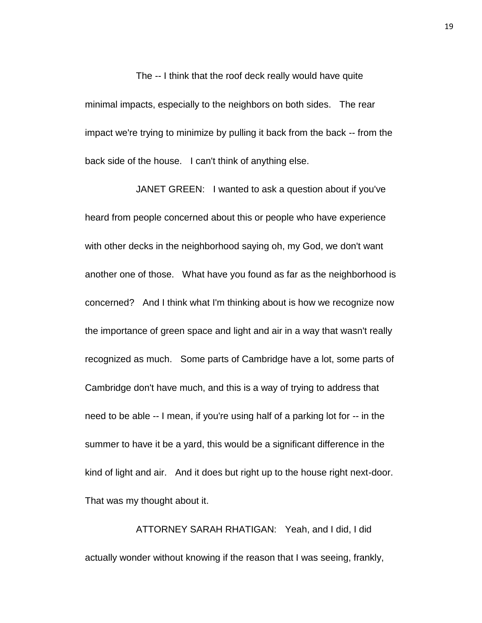The -- I think that the roof deck really would have quite minimal impacts, especially to the neighbors on both sides. The rear impact we're trying to minimize by pulling it back from the back -- from the back side of the house. I can't think of anything else.

JANET GREEN: I wanted to ask a question about if you've heard from people concerned about this or people who have experience with other decks in the neighborhood saying oh, my God, we don't want another one of those. What have you found as far as the neighborhood is concerned? And I think what I'm thinking about is how we recognize now the importance of green space and light and air in a way that wasn't really recognized as much. Some parts of Cambridge have a lot, some parts of Cambridge don't have much, and this is a way of trying to address that need to be able -- I mean, if you're using half of a parking lot for -- in the summer to have it be a yard, this would be a significant difference in the kind of light and air. And it does but right up to the house right next-door. That was my thought about it.

ATTORNEY SARAH RHATIGAN: Yeah, and I did, I did actually wonder without knowing if the reason that I was seeing, frankly,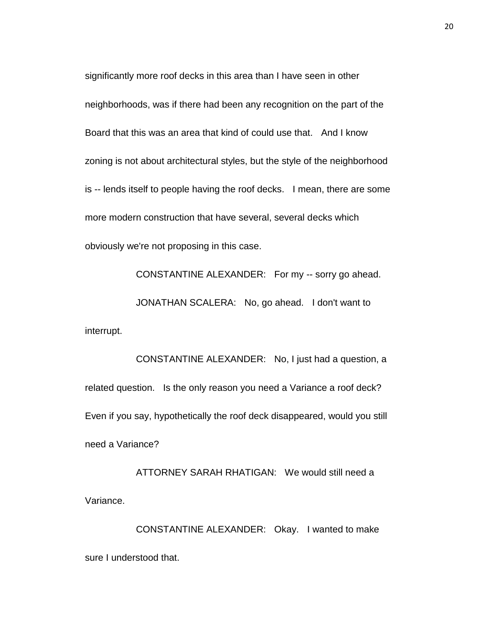significantly more roof decks in this area than I have seen in other neighborhoods, was if there had been any recognition on the part of the Board that this was an area that kind of could use that. And I know zoning is not about architectural styles, but the style of the neighborhood is -- lends itself to people having the roof decks. I mean, there are some more modern construction that have several, several decks which obviously we're not proposing in this case.

CONSTANTINE ALEXANDER: For my -- sorry go ahead. JONATHAN SCALERA: No, go ahead. I don't want to interrupt.

CONSTANTINE ALEXANDER: No, I just had a question, a related question. Is the only reason you need a Variance a roof deck? Even if you say, hypothetically the roof deck disappeared, would you still need a Variance?

ATTORNEY SARAH RHATIGAN: We would still need a Variance.

CONSTANTINE ALEXANDER: Okay. I wanted to make sure I understood that.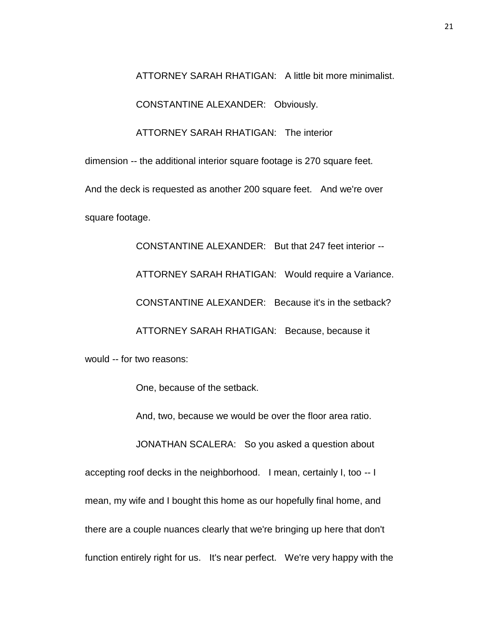ATTORNEY SARAH RHATIGAN: A little bit more minimalist.

CONSTANTINE ALEXANDER: Obviously.

ATTORNEY SARAH RHATIGAN: The interior

dimension -- the additional interior square footage is 270 square feet.

And the deck is requested as another 200 square feet. And we're over square footage.

CONSTANTINE ALEXANDER: But that 247 feet interior -- ATTORNEY SARAH RHATIGAN: Would require a Variance. CONSTANTINE ALEXANDER: Because it's in the setback? ATTORNEY SARAH RHATIGAN: Because, because it would -- for two reasons:

One, because of the setback.

And, two, because we would be over the floor area ratio.

JONATHAN SCALERA: So you asked a question about accepting roof decks in the neighborhood. I mean, certainly I, too -- I mean, my wife and I bought this home as our hopefully final home, and there are a couple nuances clearly that we're bringing up here that don't function entirely right for us. It's near perfect. We're very happy with the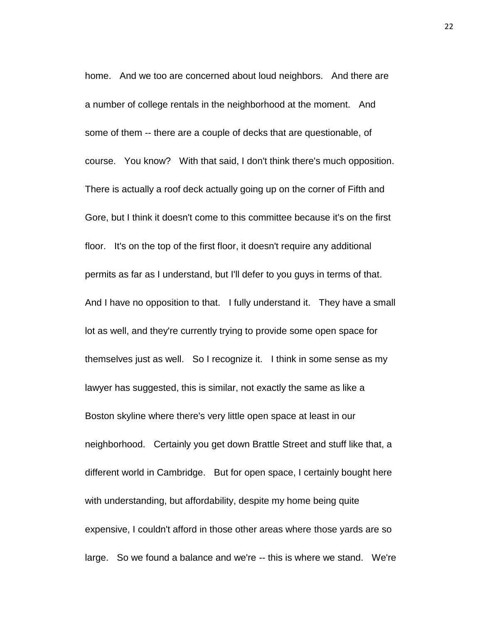home. And we too are concerned about loud neighbors. And there are a number of college rentals in the neighborhood at the moment. And some of them -- there are a couple of decks that are questionable, of course. You know? With that said, I don't think there's much opposition. There is actually a roof deck actually going up on the corner of Fifth and Gore, but I think it doesn't come to this committee because it's on the first floor. It's on the top of the first floor, it doesn't require any additional permits as far as I understand, but I'll defer to you guys in terms of that. And I have no opposition to that. I fully understand it. They have a small lot as well, and they're currently trying to provide some open space for themselves just as well. So I recognize it. I think in some sense as my lawyer has suggested, this is similar, not exactly the same as like a Boston skyline where there's very little open space at least in our neighborhood. Certainly you get down Brattle Street and stuff like that, a different world in Cambridge. But for open space, I certainly bought here with understanding, but affordability, despite my home being quite expensive, I couldn't afford in those other areas where those yards are so large. So we found a balance and we're -- this is where we stand. We're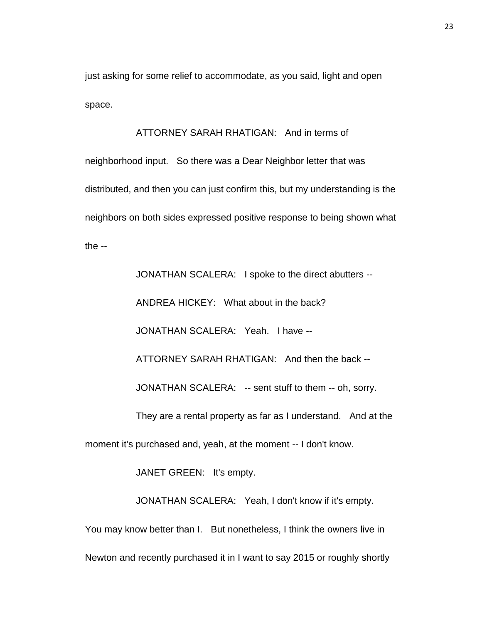just asking for some relief to accommodate, as you said, light and open space.

ATTORNEY SARAH RHATIGAN: And in terms of

neighborhood input. So there was a Dear Neighbor letter that was distributed, and then you can just confirm this, but my understanding is the neighbors on both sides expressed positive response to being shown what the  $-$ 

JONATHAN SCALERA: I spoke to the direct abutters -- ANDREA HICKEY: What about in the back? JONATHAN SCALERA: Yeah. I have -- ATTORNEY SARAH RHATIGAN: And then the back -- JONATHAN SCALERA: -- sent stuff to them -- oh, sorry. They are a rental property as far as I understand. And at the moment it's purchased and, yeah, at the moment -- I don't know. JANET GREEN: It's empty.

JONATHAN SCALERA: Yeah, I don't know if it's empty. You may know better than I. But nonetheless, I think the owners live in Newton and recently purchased it in I want to say 2015 or roughly shortly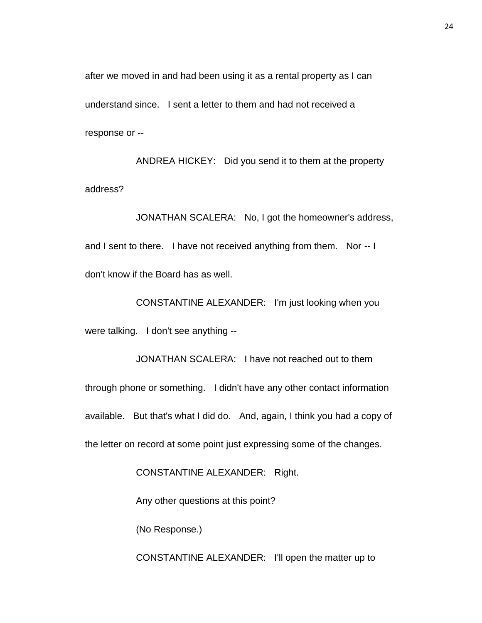after we moved in and had been using it as a rental property as I can understand since. I sent a letter to them and had not received a response or --

ANDREA HICKEY: Did you send it to them at the property address?

JONATHAN SCALERA: No, I got the homeowner's address, and I sent to there. I have not received anything from them. Nor -- I don't know if the Board has as well.

CONSTANTINE ALEXANDER: I'm just looking when you were talking. I don't see anything --

JONATHAN SCALERA: I have not reached out to them through phone or something. I didn't have any other contact information available. But that's what I did do. And, again, I think you had a copy of the letter on record at some point just expressing some of the changes.

CONSTANTINE ALEXANDER: Right.

Any other questions at this point?

(No Response.)

CONSTANTINE ALEXANDER: I'll open the matter up to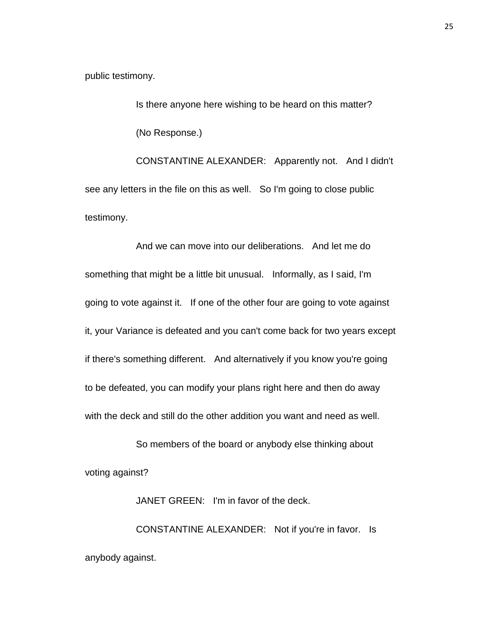public testimony.

Is there anyone here wishing to be heard on this matter? (No Response.) CONSTANTINE ALEXANDER: Apparently not. And I didn't

see any letters in the file on this as well. So I'm going to close public testimony.

And we can move into our deliberations. And let me do something that might be a little bit unusual. Informally, as I said, I'm going to vote against it. If one of the other four are going to vote against it, your Variance is defeated and you can't come back for two years except if there's something different. And alternatively if you know you're going to be defeated, you can modify your plans right here and then do away with the deck and still do the other addition you want and need as well.

So members of the board or anybody else thinking about voting against?

JANET GREEN: I'm in favor of the deck. CONSTANTINE ALEXANDER: Not if you're in favor. Is anybody against.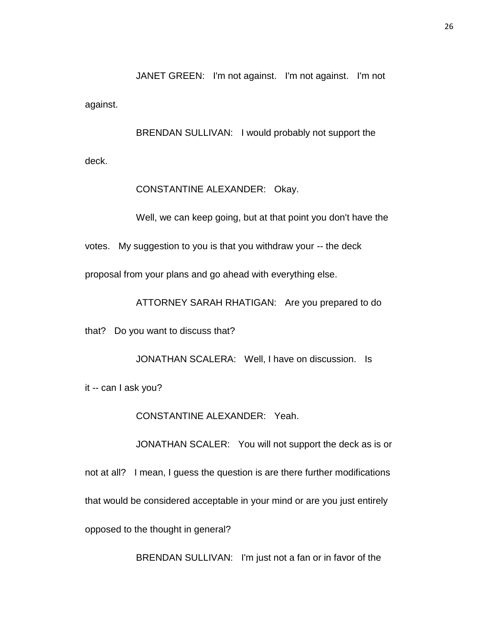JANET GREEN: I'm not against. I'm not against. I'm not against.

BRENDAN SULLIVAN: I would probably not support the deck.

CONSTANTINE ALEXANDER: Okay.

Well, we can keep going, but at that point you don't have the

votes. My suggestion to you is that you withdraw your -- the deck

proposal from your plans and go ahead with everything else.

ATTORNEY SARAH RHATIGAN: Are you prepared to do

that? Do you want to discuss that?

JONATHAN SCALERA: Well, I have on discussion. Is

it -- can I ask you?

CONSTANTINE ALEXANDER: Yeah.

JONATHAN SCALER: You will not support the deck as is or not at all? I mean, I guess the question is are there further modifications that would be considered acceptable in your mind or are you just entirely opposed to the thought in general?

BRENDAN SULLIVAN: I'm just not a fan or in favor of the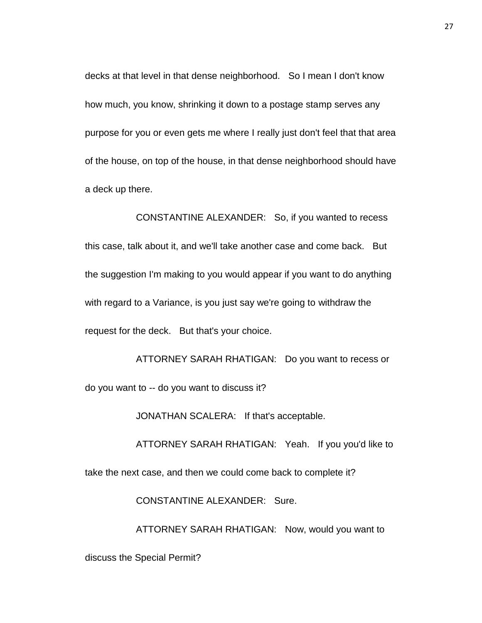decks at that level in that dense neighborhood. So I mean I don't know how much, you know, shrinking it down to a postage stamp serves any purpose for you or even gets me where I really just don't feel that that area of the house, on top of the house, in that dense neighborhood should have a deck up there.

CONSTANTINE ALEXANDER: So, if you wanted to recess this case, talk about it, and we'll take another case and come back. But the suggestion I'm making to you would appear if you want to do anything with regard to a Variance, is you just say we're going to withdraw the request for the deck. But that's your choice.

ATTORNEY SARAH RHATIGAN: Do you want to recess or do you want to -- do you want to discuss it?

JONATHAN SCALERA: If that's acceptable.

ATTORNEY SARAH RHATIGAN: Yeah. If you you'd like to take the next case, and then we could come back to complete it?

CONSTANTINE ALEXANDER: Sure.

ATTORNEY SARAH RHATIGAN: Now, would you want to

discuss the Special Permit?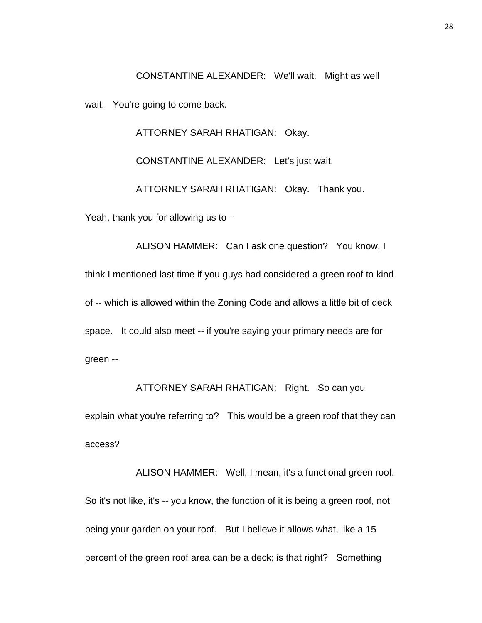CONSTANTINE ALEXANDER: We'll wait. Might as well wait. You're going to come back.

ATTORNEY SARAH RHATIGAN: Okay.

CONSTANTINE ALEXANDER: Let's just wait.

ATTORNEY SARAH RHATIGAN: Okay. Thank you.

Yeah, thank you for allowing us to --

ALISON HAMMER: Can I ask one question? You know, I think I mentioned last time if you guys had considered a green roof to kind of -- which is allowed within the Zoning Code and allows a little bit of deck space. It could also meet -- if you're saying your primary needs are for green --

ATTORNEY SARAH RHATIGAN: Right. So can you explain what you're referring to? This would be a green roof that they can access?

ALISON HAMMER: Well, I mean, it's a functional green roof. So it's not like, it's -- you know, the function of it is being a green roof, not being your garden on your roof. But I believe it allows what, like a 15 percent of the green roof area can be a deck; is that right? Something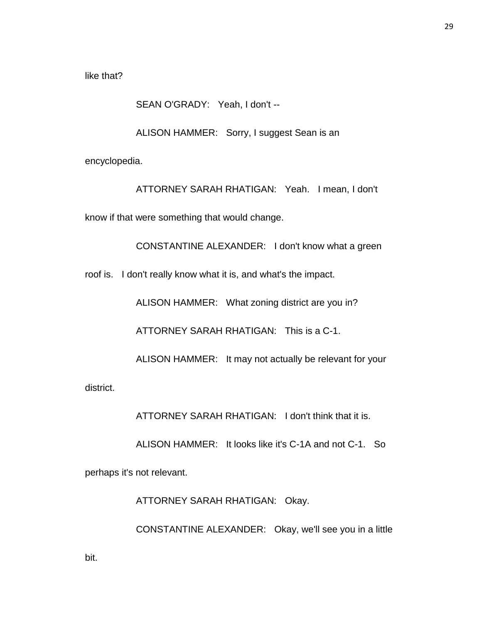like that?

### SEAN O'GRADY: Yeah, I don't --

ALISON HAMMER: Sorry, I suggest Sean is an

encyclopedia.

ATTORNEY SARAH RHATIGAN: Yeah. I mean, I don't

know if that were something that would change.

CONSTANTINE ALEXANDER: I don't know what a green

roof is. I don't really know what it is, and what's the impact.

ALISON HAMMER: What zoning district are you in?

ATTORNEY SARAH RHATIGAN: This is a C-1.

ALISON HAMMER: It may not actually be relevant for your

district.

ATTORNEY SARAH RHATIGAN: I don't think that it is.

ALISON HAMMER: It looks like it's C-1A and not C-1. So

perhaps it's not relevant.

ATTORNEY SARAH RHATIGAN: Okay.

CONSTANTINE ALEXANDER: Okay, we'll see you in a little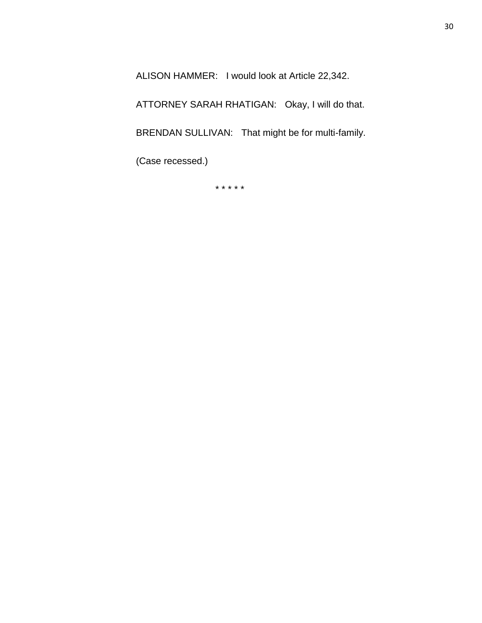ALISON HAMMER: I would look at Article 22,342.

ATTORNEY SARAH RHATIGAN: Okay, I will do that.

BRENDAN SULLIVAN: That might be for multi-family.

(Case recessed.)

\* \* \* \* \*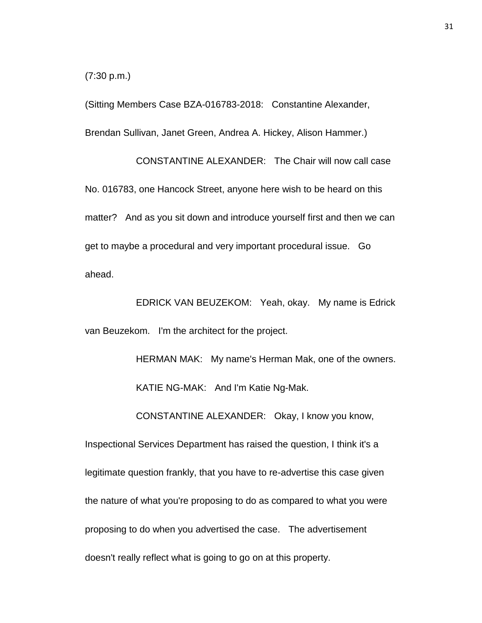(7:30 p.m.)

(Sitting Members Case BZA-016783-2018: Constantine Alexander, Brendan Sullivan, Janet Green, Andrea A. Hickey, Alison Hammer.)

CONSTANTINE ALEXANDER: The Chair will now call case No. 016783, one Hancock Street, anyone here wish to be heard on this matter? And as you sit down and introduce yourself first and then we can get to maybe a procedural and very important procedural issue. Go ahead.

EDRICK VAN BEUZEKOM: Yeah, okay. My name is Edrick van Beuzekom. I'm the architect for the project.

> HERMAN MAK: My name's Herman Mak, one of the owners. KATIE NG-MAK: And I'm Katie Ng-Mak.

CONSTANTINE ALEXANDER: Okay, I know you know,

Inspectional Services Department has raised the question, I think it's a legitimate question frankly, that you have to re-advertise this case given the nature of what you're proposing to do as compared to what you were proposing to do when you advertised the case. The advertisement doesn't really reflect what is going to go on at this property.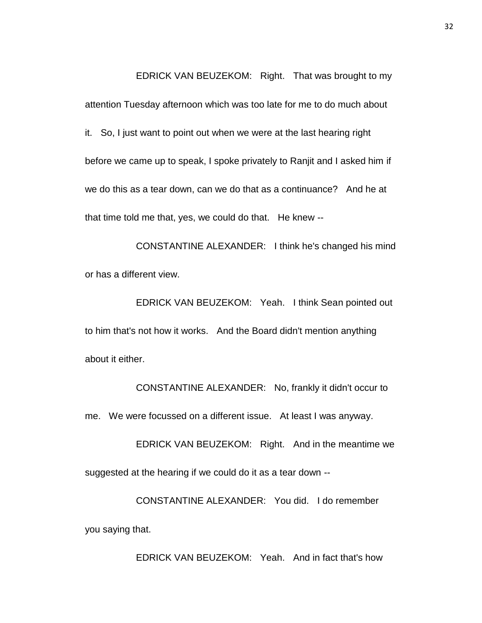EDRICK VAN BEUZEKOM: Right. That was brought to my attention Tuesday afternoon which was too late for me to do much about it. So, I just want to point out when we were at the last hearing right before we came up to speak, I spoke privately to Ranjit and I asked him if we do this as a tear down, can we do that as a continuance? And he at that time told me that, yes, we could do that. He knew --

CONSTANTINE ALEXANDER: I think he's changed his mind or has a different view.

EDRICK VAN BEUZEKOM: Yeah. I think Sean pointed out to him that's not how it works. And the Board didn't mention anything about it either.

CONSTANTINE ALEXANDER: No, frankly it didn't occur to me. We were focussed on a different issue. At least I was anyway.

EDRICK VAN BEUZEKOM: Right. And in the meantime we suggested at the hearing if we could do it as a tear down --

CONSTANTINE ALEXANDER: You did. I do remember you saying that.

EDRICK VAN BEUZEKOM: Yeah. And in fact that's how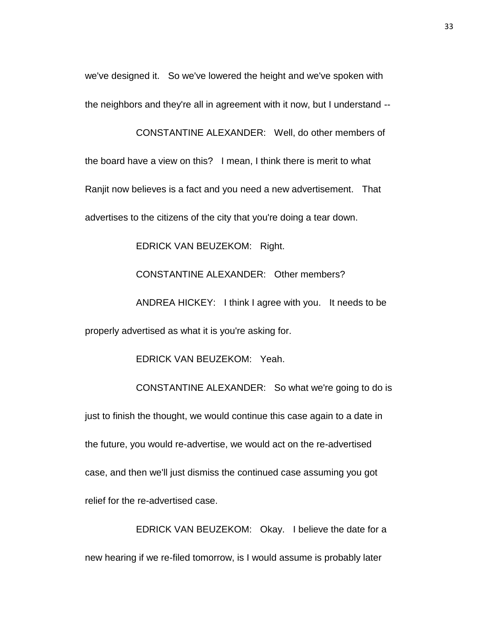we've designed it. So we've lowered the height and we've spoken with the neighbors and they're all in agreement with it now, but I understand --

CONSTANTINE ALEXANDER: Well, do other members of the board have a view on this? I mean, I think there is merit to what Ranjit now believes is a fact and you need a new advertisement. That advertises to the citizens of the city that you're doing a tear down.

EDRICK VAN BEUZEKOM: Right.

CONSTANTINE ALEXANDER: Other members?

ANDREA HICKEY: I think I agree with you. It needs to be properly advertised as what it is you're asking for.

EDRICK VAN BEUZEKOM: Yeah.

CONSTANTINE ALEXANDER: So what we're going to do is just to finish the thought, we would continue this case again to a date in the future, you would re-advertise, we would act on the re-advertised case, and then we'll just dismiss the continued case assuming you got relief for the re-advertised case.

EDRICK VAN BEUZEKOM: Okay. I believe the date for a new hearing if we re-filed tomorrow, is I would assume is probably later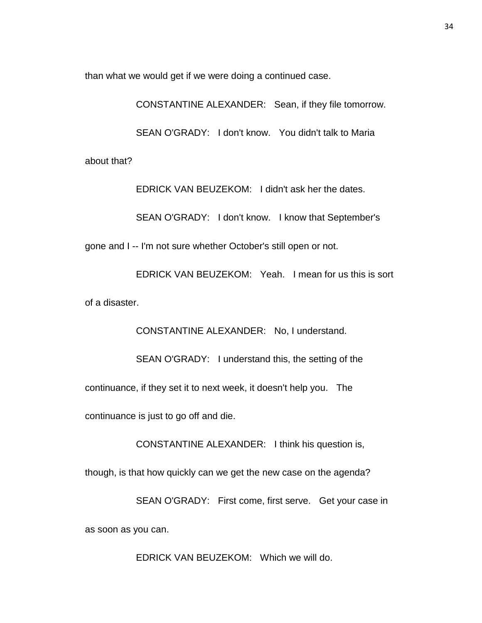than what we would get if we were doing a continued case.

CONSTANTINE ALEXANDER: Sean, if they file tomorrow. SEAN O'GRADY: I don't know. You didn't talk to Maria about that?

EDRICK VAN BEUZEKOM: I didn't ask her the dates.

SEAN O'GRADY: I don't know. I know that September's

gone and I -- I'm not sure whether October's still open or not.

EDRICK VAN BEUZEKOM: Yeah. I mean for us this is sort of a disaster.

CONSTANTINE ALEXANDER: No, I understand.

SEAN O'GRADY: I understand this, the setting of the

continuance, if they set it to next week, it doesn't help you. The

continuance is just to go off and die.

CONSTANTINE ALEXANDER: I think his question is,

though, is that how quickly can we get the new case on the agenda?

SEAN O'GRADY: First come, first serve. Get your case in as soon as you can.

EDRICK VAN BEUZEKOM: Which we will do.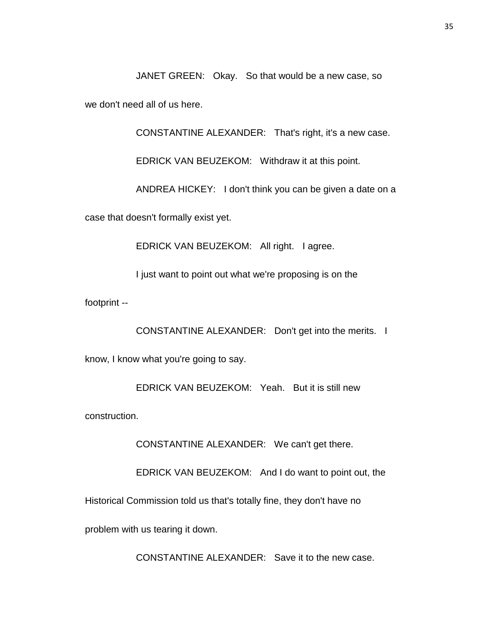JANET GREEN: Okay. So that would be a new case, so

we don't need all of us here.

CONSTANTINE ALEXANDER: That's right, it's a new case.

EDRICK VAN BEUZEKOM: Withdraw it at this point.

ANDREA HICKEY: I don't think you can be given a date on a

case that doesn't formally exist yet.

EDRICK VAN BEUZEKOM: All right. I agree.

I just want to point out what we're proposing is on the

footprint --

CONSTANTINE ALEXANDER: Don't get into the merits. I

know, I know what you're going to say.

EDRICK VAN BEUZEKOM: Yeah. But it is still new

construction.

CONSTANTINE ALEXANDER: We can't get there.

EDRICK VAN BEUZEKOM: And I do want to point out, the

Historical Commission told us that's totally fine, they don't have no

problem with us tearing it down.

CONSTANTINE ALEXANDER: Save it to the new case.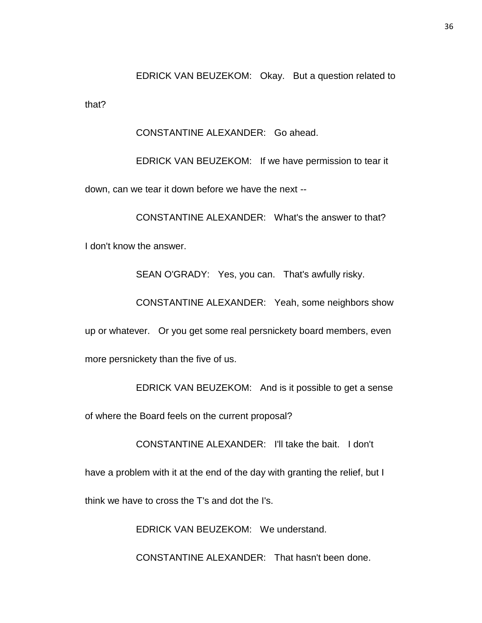EDRICK VAN BEUZEKOM: Okay. But a question related to

that?

CONSTANTINE ALEXANDER: Go ahead.

EDRICK VAN BEUZEKOM: If we have permission to tear it down, can we tear it down before we have the next --

CONSTANTINE ALEXANDER: What's the answer to that? I don't know the answer.

SEAN O'GRADY: Yes, you can. That's awfully risky.

CONSTANTINE ALEXANDER: Yeah, some neighbors show

up or whatever. Or you get some real persnickety board members, even more persnickety than the five of us.

EDRICK VAN BEUZEKOM: And is it possible to get a sense

of where the Board feels on the current proposal?

CONSTANTINE ALEXANDER: I'll take the bait. I don't

have a problem with it at the end of the day with granting the relief, but I

think we have to cross the T's and dot the I's.

EDRICK VAN BEUZEKOM: We understand.

CONSTANTINE ALEXANDER: That hasn't been done.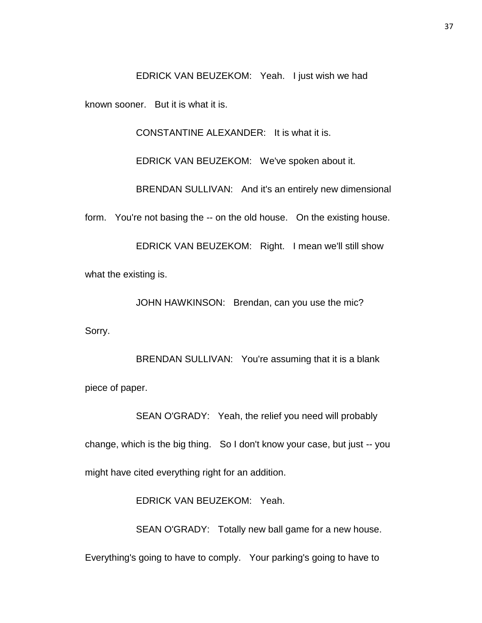EDRICK VAN BEUZEKOM: Yeah. I just wish we had

known sooner. But it is what it is.

CONSTANTINE ALEXANDER: It is what it is.

EDRICK VAN BEUZEKOM: We've spoken about it.

BRENDAN SULLIVAN: And it's an entirely new dimensional

form. You're not basing the -- on the old house. On the existing house.

EDRICK VAN BEUZEKOM: Right. I mean we'll still show what the existing is.

JOHN HAWKINSON: Brendan, can you use the mic?

Sorry.

BRENDAN SULLIVAN: You're assuming that it is a blank piece of paper.

SEAN O'GRADY: Yeah, the relief you need will probably change, which is the big thing. So I don't know your case, but just -- you might have cited everything right for an addition.

EDRICK VAN BEUZEKOM: Yeah.

SEAN O'GRADY: Totally new ball game for a new house.

Everything's going to have to comply. Your parking's going to have to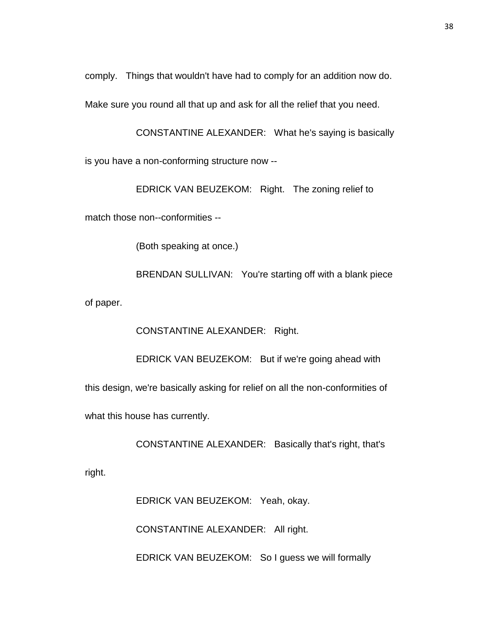comply. Things that wouldn't have had to comply for an addition now do.

Make sure you round all that up and ask for all the relief that you need.

CONSTANTINE ALEXANDER: What he's saying is basically is you have a non-conforming structure now --

EDRICK VAN BEUZEKOM: Right. The zoning relief to

match those non--conformities --

(Both speaking at once.)

BRENDAN SULLIVAN: You're starting off with a blank piece of paper.

CONSTANTINE ALEXANDER: Right.

EDRICK VAN BEUZEKOM: But if we're going ahead with

this design, we're basically asking for relief on all the non-conformities of

what this house has currently.

CONSTANTINE ALEXANDER: Basically that's right, that's

right.

EDRICK VAN BEUZEKOM: Yeah, okay.

CONSTANTINE ALEXANDER: All right.

EDRICK VAN BEUZEKOM: So I guess we will formally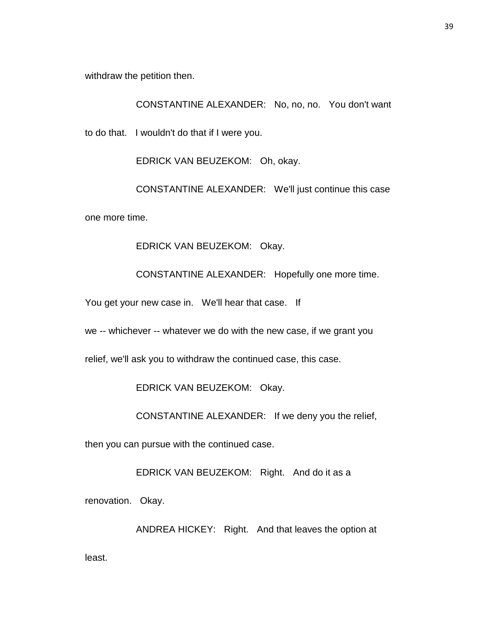withdraw the petition then.

CONSTANTINE ALEXANDER: No, no, no. You don't want

to do that. I wouldn't do that if I were you.

EDRICK VAN BEUZEKOM: Oh, okay.

CONSTANTINE ALEXANDER: We'll just continue this case one more time.

EDRICK VAN BEUZEKOM: Okay.

CONSTANTINE ALEXANDER: Hopefully one more time.

You get your new case in. We'll hear that case. If

we -- whichever -- whatever we do with the new case, if we grant you

relief, we'll ask you to withdraw the continued case, this case.

EDRICK VAN BEUZEKOM: Okay.

CONSTANTINE ALEXANDER: If we deny you the relief,

then you can pursue with the continued case.

EDRICK VAN BEUZEKOM: Right. And do it as a

renovation. Okay.

ANDREA HICKEY: Right. And that leaves the option at

least.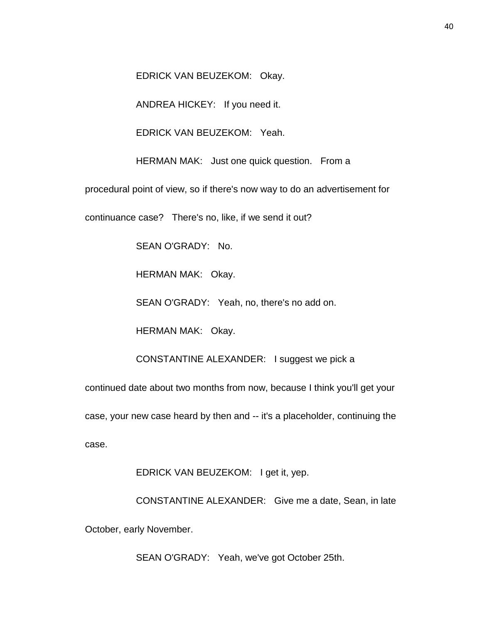EDRICK VAN BEUZEKOM: Okay.

ANDREA HICKEY: If you need it.

EDRICK VAN BEUZEKOM: Yeah.

HERMAN MAK: Just one quick question. From a

procedural point of view, so if there's now way to do an advertisement for

continuance case? There's no, like, if we send it out?

SEAN O'GRADY: No.

HERMAN MAK: Okay.

SEAN O'GRADY: Yeah, no, there's no add on.

HERMAN MAK: Okay.

CONSTANTINE ALEXANDER: I suggest we pick a

continued date about two months from now, because I think you'll get your

case, your new case heard by then and -- it's a placeholder, continuing the case.

EDRICK VAN BEUZEKOM: I get it, yep.

CONSTANTINE ALEXANDER: Give me a date, Sean, in late October, early November.

SEAN O'GRADY: Yeah, we've got October 25th.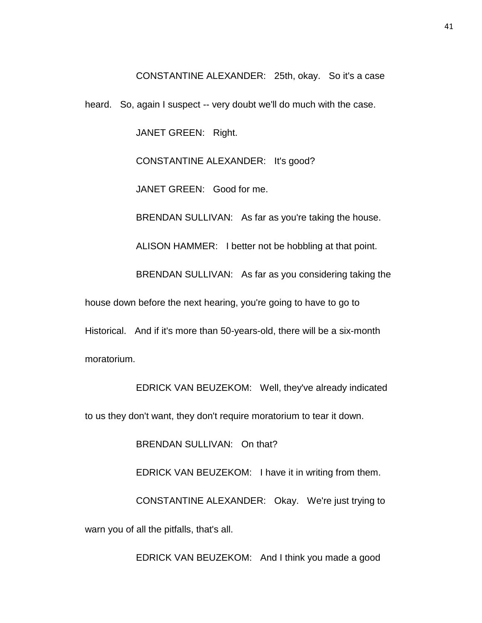CONSTANTINE ALEXANDER: 25th, okay. So it's a case

heard. So, again I suspect -- very doubt we'll do much with the case.

JANET GREEN: Right.

CONSTANTINE ALEXANDER: It's good?

JANET GREEN: Good for me.

BRENDAN SULLIVAN: As far as you're taking the house.

ALISON HAMMER: I better not be hobbling at that point.

BRENDAN SULLIVAN: As far as you considering taking the

house down before the next hearing, you're going to have to go to

Historical. And if it's more than 50-years-old, there will be a six-month

moratorium.

EDRICK VAN BEUZEKOM: Well, they've already indicated

to us they don't want, they don't require moratorium to tear it down.

BRENDAN SULLIVAN: On that?

EDRICK VAN BEUZEKOM: I have it in writing from them.

CONSTANTINE ALEXANDER: Okay. We're just trying to

warn you of all the pitfalls, that's all.

EDRICK VAN BEUZEKOM: And I think you made a good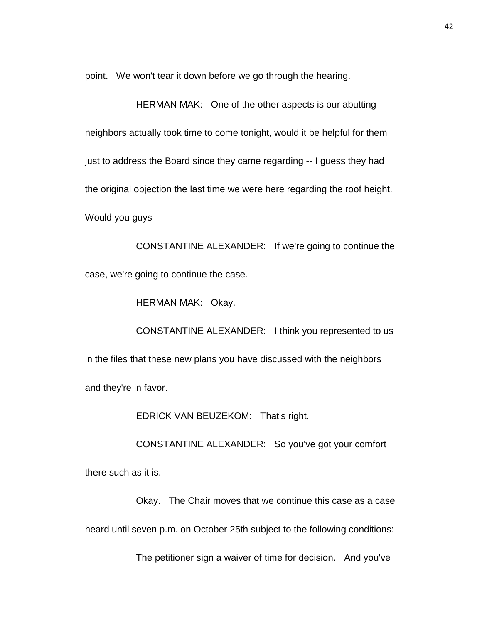point. We won't tear it down before we go through the hearing.

HERMAN MAK: One of the other aspects is our abutting neighbors actually took time to come tonight, would it be helpful for them just to address the Board since they came regarding -- I guess they had the original objection the last time we were here regarding the roof height. Would you guys --

CONSTANTINE ALEXANDER: If we're going to continue the case, we're going to continue the case.

HERMAN MAK: Okay.

CONSTANTINE ALEXANDER: I think you represented to us in the files that these new plans you have discussed with the neighbors and they're in favor.

EDRICK VAN BEUZEKOM: That's right.

CONSTANTINE ALEXANDER: So you've got your comfort

there such as it is.

Okay. The Chair moves that we continue this case as a case heard until seven p.m. on October 25th subject to the following conditions:

The petitioner sign a waiver of time for decision. And you've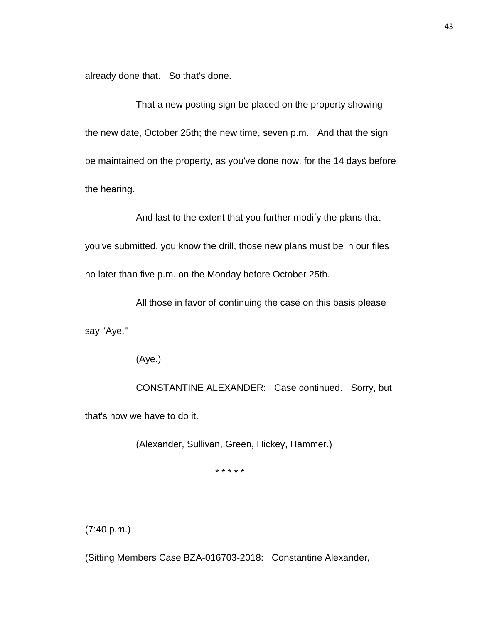already done that. So that's done.

That a new posting sign be placed on the property showing the new date, October 25th; the new time, seven p.m. And that the sign be maintained on the property, as you've done now, for the 14 days before the hearing.

And last to the extent that you further modify the plans that you've submitted, you know the drill, those new plans must be in our files no later than five p.m. on the Monday before October 25th.

All those in favor of continuing the case on this basis please

say "Aye."

(Aye.)

CONSTANTINE ALEXANDER: Case continued. Sorry, but that's how we have to do it.

(Alexander, Sullivan, Green, Hickey, Hammer.)

\* \* \* \* \*

(7:40 p.m.)

(Sitting Members Case BZA-016703-2018: Constantine Alexander,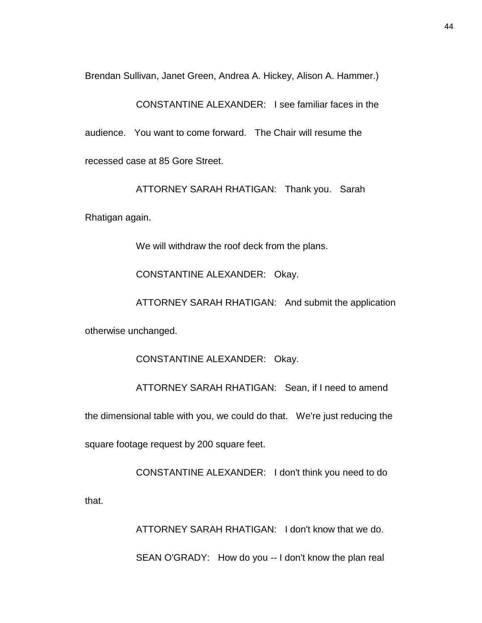Brendan Sullivan, Janet Green, Andrea A. Hickey, Alison A. Hammer.)

CONSTANTINE ALEXANDER: I see familiar faces in the audience. You want to come forward. The Chair will resume the recessed case at 85 Gore Street.

ATTORNEY SARAH RHATIGAN: Thank you. Sarah

Rhatigan again.

We will withdraw the roof deck from the plans.

CONSTANTINE ALEXANDER: Okay.

ATTORNEY SARAH RHATIGAN: And submit the application

otherwise unchanged.

CONSTANTINE ALEXANDER: Okay.

ATTORNEY SARAH RHATIGAN: Sean, if I need to amend

the dimensional table with you, we could do that. We're just reducing the square footage request by 200 square feet.

CONSTANTINE ALEXANDER: I don't think you need to do

that.

ATTORNEY SARAH RHATIGAN: I don't know that we do.

SEAN O'GRADY: How do you -- I don't know the plan real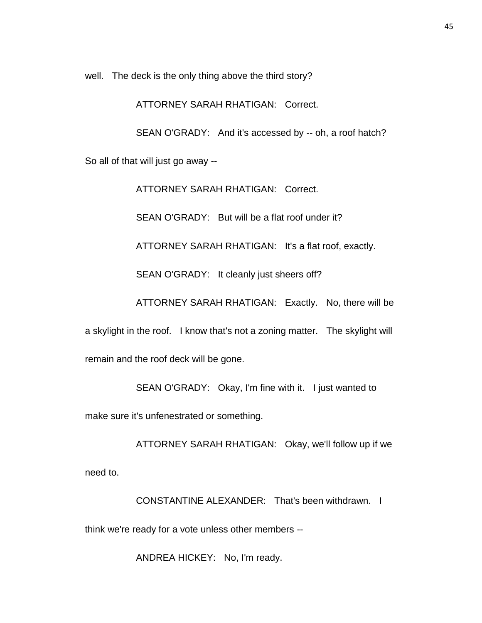well. The deck is the only thing above the third story?

ATTORNEY SARAH RHATIGAN: Correct.

SEAN O'GRADY: And it's accessed by -- oh, a roof hatch? So all of that will just go away --

> ATTORNEY SARAH RHATIGAN: Correct. SEAN O'GRADY: But will be a flat roof under it? ATTORNEY SARAH RHATIGAN: It's a flat roof, exactly. SEAN O'GRADY: It cleanly just sheers off? ATTORNEY SARAH RHATIGAN: Exactly. No, there will be

a skylight in the roof. I know that's not a zoning matter. The skylight will remain and the roof deck will be gone.

SEAN O'GRADY: Okay, I'm fine with it. I just wanted to

make sure it's unfenestrated or something.

ATTORNEY SARAH RHATIGAN: Okay, we'll follow up if we need to.

CONSTANTINE ALEXANDER: That's been withdrawn. I

think we're ready for a vote unless other members --

ANDREA HICKEY: No, I'm ready.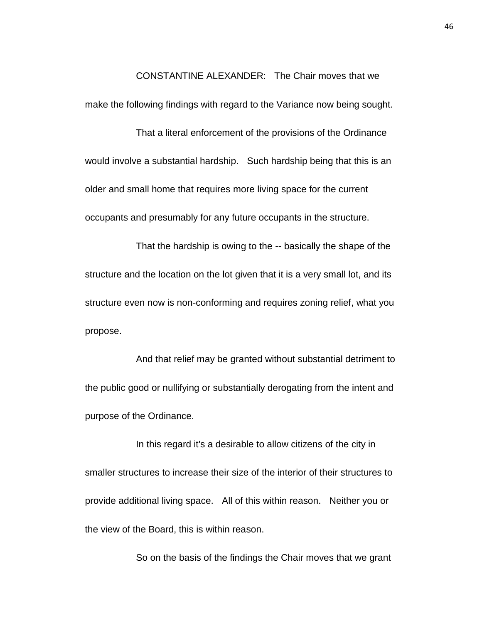CONSTANTINE ALEXANDER: The Chair moves that we

make the following findings with regard to the Variance now being sought.

That a literal enforcement of the provisions of the Ordinance would involve a substantial hardship. Such hardship being that this is an older and small home that requires more living space for the current occupants and presumably for any future occupants in the structure.

That the hardship is owing to the -- basically the shape of the structure and the location on the lot given that it is a very small lot, and its structure even now is non-conforming and requires zoning relief, what you propose.

And that relief may be granted without substantial detriment to the public good or nullifying or substantially derogating from the intent and purpose of the Ordinance.

In this regard it's a desirable to allow citizens of the city in smaller structures to increase their size of the interior of their structures to provide additional living space. All of this within reason. Neither you or the view of the Board, this is within reason.

So on the basis of the findings the Chair moves that we grant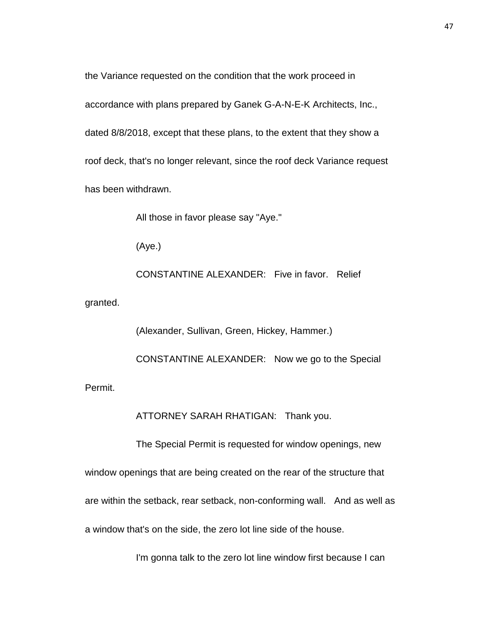the Variance requested on the condition that the work proceed in accordance with plans prepared by Ganek G-A-N-E-K Architects, Inc., dated 8/8/2018, except that these plans, to the extent that they show a roof deck, that's no longer relevant, since the roof deck Variance request has been withdrawn.

All those in favor please say "Aye."

(Aye.)

CONSTANTINE ALEXANDER: Five in favor. Relief

granted.

(Alexander, Sullivan, Green, Hickey, Hammer.) CONSTANTINE ALEXANDER: Now we go to the Special Permit.

ATTORNEY SARAH RHATIGAN: Thank you.

The Special Permit is requested for window openings, new

window openings that are being created on the rear of the structure that are within the setback, rear setback, non-conforming wall. And as well as a window that's on the side, the zero lot line side of the house.

I'm gonna talk to the zero lot line window first because I can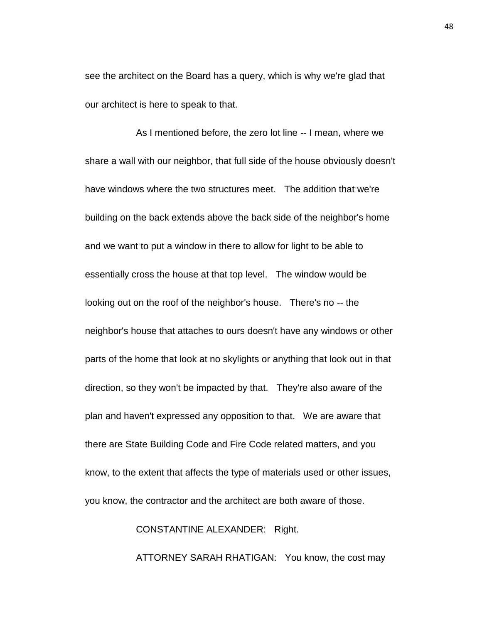see the architect on the Board has a query, which is why we're glad that our architect is here to speak to that.

As I mentioned before, the zero lot line -- I mean, where we share a wall with our neighbor, that full side of the house obviously doesn't have windows where the two structures meet. The addition that we're building on the back extends above the back side of the neighbor's home and we want to put a window in there to allow for light to be able to essentially cross the house at that top level. The window would be looking out on the roof of the neighbor's house. There's no -- the neighbor's house that attaches to ours doesn't have any windows or other parts of the home that look at no skylights or anything that look out in that direction, so they won't be impacted by that. They're also aware of the plan and haven't expressed any opposition to that. We are aware that there are State Building Code and Fire Code related matters, and you know, to the extent that affects the type of materials used or other issues, you know, the contractor and the architect are both aware of those.

CONSTANTINE ALEXANDER: Right.

ATTORNEY SARAH RHATIGAN: You know, the cost may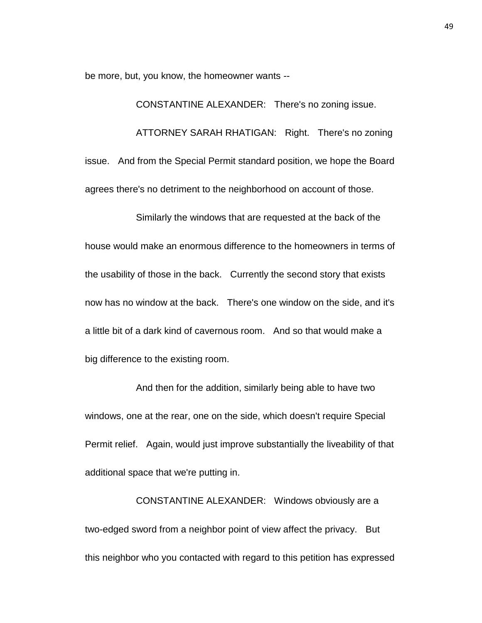be more, but, you know, the homeowner wants --

CONSTANTINE ALEXANDER: There's no zoning issue. ATTORNEY SARAH RHATIGAN: Right. There's no zoning issue. And from the Special Permit standard position, we hope the Board agrees there's no detriment to the neighborhood on account of those.

Similarly the windows that are requested at the back of the house would make an enormous difference to the homeowners in terms of the usability of those in the back. Currently the second story that exists now has no window at the back. There's one window on the side, and it's a little bit of a dark kind of cavernous room. And so that would make a big difference to the existing room.

And then for the addition, similarly being able to have two windows, one at the rear, one on the side, which doesn't require Special Permit relief. Again, would just improve substantially the liveability of that additional space that we're putting in.

CONSTANTINE ALEXANDER: Windows obviously are a two-edged sword from a neighbor point of view affect the privacy. But this neighbor who you contacted with regard to this petition has expressed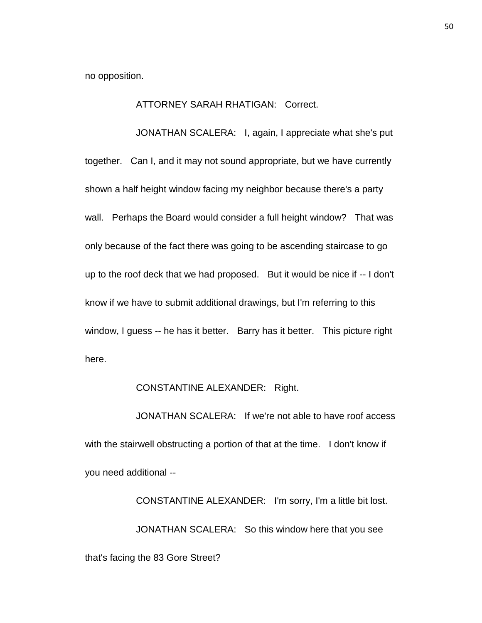no opposition.

## ATTORNEY SARAH RHATIGAN: Correct.

JONATHAN SCALERA: I, again, I appreciate what she's put together. Can I, and it may not sound appropriate, but we have currently shown a half height window facing my neighbor because there's a party wall. Perhaps the Board would consider a full height window? That was only because of the fact there was going to be ascending staircase to go up to the roof deck that we had proposed. But it would be nice if -- I don't know if we have to submit additional drawings, but I'm referring to this window, I guess -- he has it better. Barry has it better. This picture right here.

## CONSTANTINE ALEXANDER: Right.

JONATHAN SCALERA: If we're not able to have roof access with the stairwell obstructing a portion of that at the time. I don't know if you need additional --

CONSTANTINE ALEXANDER: I'm sorry, I'm a little bit lost. JONATHAN SCALERA: So this window here that you see that's facing the 83 Gore Street?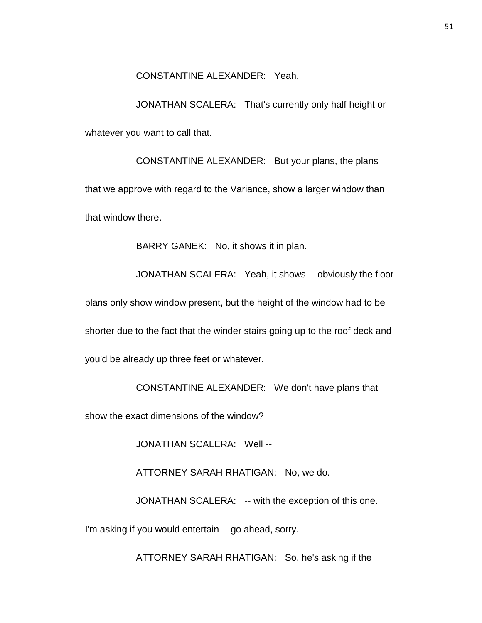## CONSTANTINE ALEXANDER: Yeah.

JONATHAN SCALERA: That's currently only half height or whatever you want to call that.

CONSTANTINE ALEXANDER: But your plans, the plans that we approve with regard to the Variance, show a larger window than that window there.

BARRY GANEK: No, it shows it in plan.

JONATHAN SCALERA: Yeah, it shows -- obviously the floor

plans only show window present, but the height of the window had to be

shorter due to the fact that the winder stairs going up to the roof deck and

you'd be already up three feet or whatever.

CONSTANTINE ALEXANDER: We don't have plans that

show the exact dimensions of the window?

JONATHAN SCALERA: Well --

ATTORNEY SARAH RHATIGAN: No, we do.

JONATHAN SCALERA: -- with the exception of this one.

I'm asking if you would entertain -- go ahead, sorry.

ATTORNEY SARAH RHATIGAN: So, he's asking if the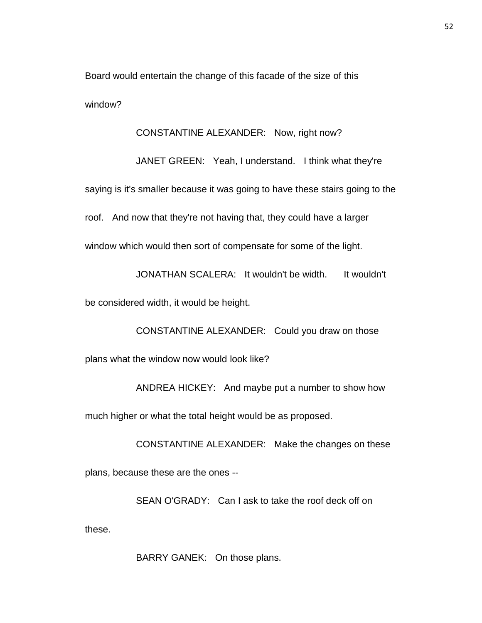Board would entertain the change of this facade of the size of this window?

CONSTANTINE ALEXANDER: Now, right now?

JANET GREEN: Yeah, I understand. I think what they're saying is it's smaller because it was going to have these stairs going to the roof. And now that they're not having that, they could have a larger window which would then sort of compensate for some of the light.

JONATHAN SCALERA: It wouldn't be width. It wouldn't

be considered width, it would be height.

CONSTANTINE ALEXANDER: Could you draw on those plans what the window now would look like?

ANDREA HICKEY: And maybe put a number to show how

much higher or what the total height would be as proposed.

CONSTANTINE ALEXANDER: Make the changes on these plans, because these are the ones --

SEAN O'GRADY: Can I ask to take the roof deck off on these.

BARRY GANEK: On those plans.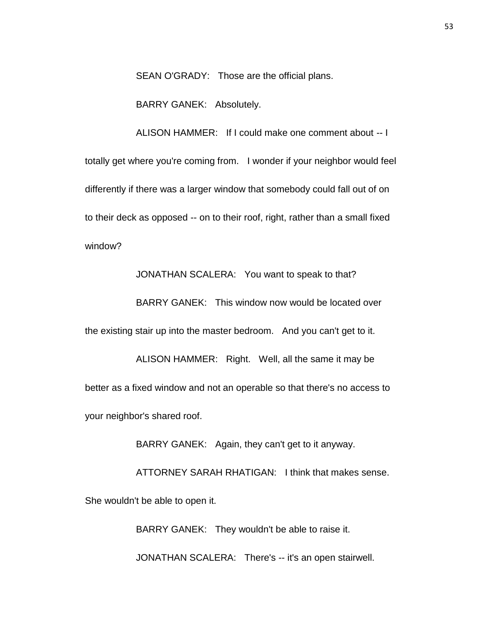SEAN O'GRADY: Those are the official plans.

BARRY GANEK: Absolutely.

ALISON HAMMER: If I could make one comment about -- I totally get where you're coming from. I wonder if your neighbor would feel differently if there was a larger window that somebody could fall out of on to their deck as opposed -- on to their roof, right, rather than a small fixed window?

JONATHAN SCALERA: You want to speak to that?

BARRY GANEK: This window now would be located over

the existing stair up into the master bedroom. And you can't get to it.

ALISON HAMMER: Right. Well, all the same it may be better as a fixed window and not an operable so that there's no access to your neighbor's shared roof.

BARRY GANEK: Again, they can't get to it anyway.

ATTORNEY SARAH RHATIGAN: I think that makes sense. She wouldn't be able to open it.

BARRY GANEK: They wouldn't be able to raise it.

JONATHAN SCALERA: There's -- it's an open stairwell.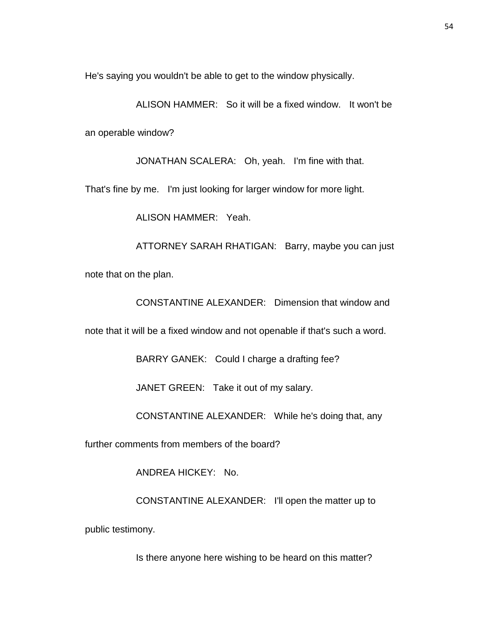He's saying you wouldn't be able to get to the window physically.

ALISON HAMMER: So it will be a fixed window. It won't be an operable window?

JONATHAN SCALERA: Oh, yeah. I'm fine with that.

That's fine by me. I'm just looking for larger window for more light.

ALISON HAMMER: Yeah.

ATTORNEY SARAH RHATIGAN: Barry, maybe you can just note that on the plan.

CONSTANTINE ALEXANDER: Dimension that window and

note that it will be a fixed window and not openable if that's such a word.

BARRY GANEK: Could I charge a drafting fee?

JANET GREEN: Take it out of my salary.

CONSTANTINE ALEXANDER: While he's doing that, any

further comments from members of the board?

ANDREA HICKEY: No.

CONSTANTINE ALEXANDER: I'll open the matter up to

public testimony.

Is there anyone here wishing to be heard on this matter?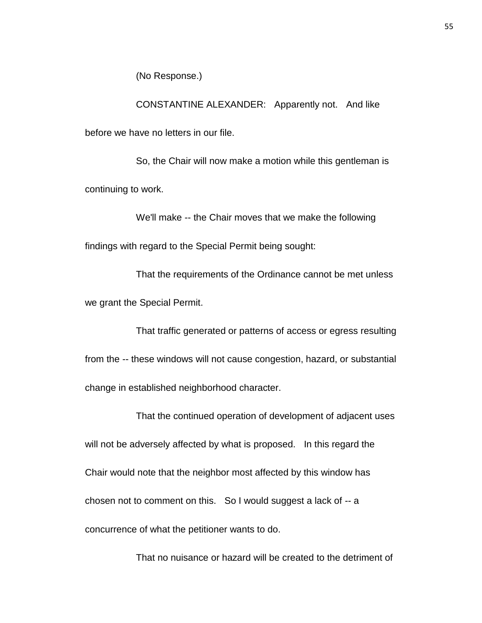(No Response.)

CONSTANTINE ALEXANDER: Apparently not. And like before we have no letters in our file.

So, the Chair will now make a motion while this gentleman is continuing to work.

We'll make -- the Chair moves that we make the following findings with regard to the Special Permit being sought:

That the requirements of the Ordinance cannot be met unless we grant the Special Permit.

That traffic generated or patterns of access or egress resulting from the -- these windows will not cause congestion, hazard, or substantial change in established neighborhood character.

That the continued operation of development of adjacent uses will not be adversely affected by what is proposed. In this regard the Chair would note that the neighbor most affected by this window has chosen not to comment on this. So I would suggest a lack of -- a concurrence of what the petitioner wants to do.

That no nuisance or hazard will be created to the detriment of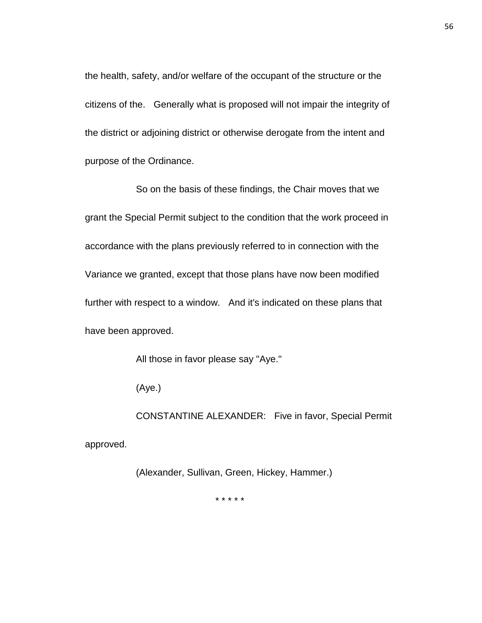the health, safety, and/or welfare of the occupant of the structure or the citizens of the. Generally what is proposed will not impair the integrity of the district or adjoining district or otherwise derogate from the intent and purpose of the Ordinance.

So on the basis of these findings, the Chair moves that we grant the Special Permit subject to the condition that the work proceed in accordance with the plans previously referred to in connection with the Variance we granted, except that those plans have now been modified further with respect to a window. And it's indicated on these plans that have been approved.

All those in favor please say "Aye."

(Aye.)

CONSTANTINE ALEXANDER: Five in favor, Special Permit approved.

(Alexander, Sullivan, Green, Hickey, Hammer.)

\* \* \* \* \*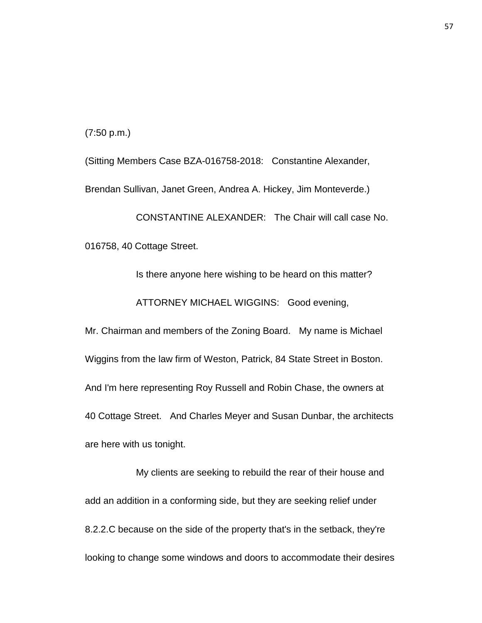(7:50 p.m.)

(Sitting Members Case BZA-016758-2018: Constantine Alexander, Brendan Sullivan, Janet Green, Andrea A. Hickey, Jim Monteverde.)

CONSTANTINE ALEXANDER: The Chair will call case No. 016758, 40 Cottage Street.

Is there anyone here wishing to be heard on this matter? ATTORNEY MICHAEL WIGGINS: Good evening, Mr. Chairman and members of the Zoning Board. My name is Michael

Wiggins from the law firm of Weston, Patrick, 84 State Street in Boston. And I'm here representing Roy Russell and Robin Chase, the owners at 40 Cottage Street. And Charles Meyer and Susan Dunbar, the architects are here with us tonight.

My clients are seeking to rebuild the rear of their house and add an addition in a conforming side, but they are seeking relief under 8.2.2.C because on the side of the property that's in the setback, they're looking to change some windows and doors to accommodate their desires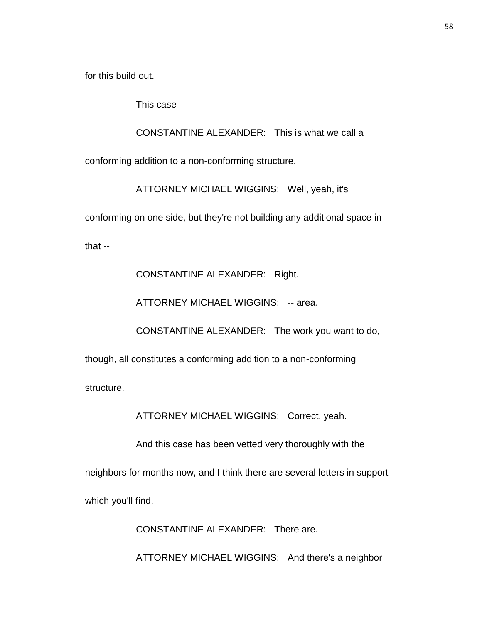for this build out.

This case --

CONSTANTINE ALEXANDER: This is what we call a

conforming addition to a non-conforming structure.

ATTORNEY MICHAEL WIGGINS: Well, yeah, it's

conforming on one side, but they're not building any additional space in

that --

CONSTANTINE ALEXANDER: Right.

ATTORNEY MICHAEL WIGGINS: -- area.

CONSTANTINE ALEXANDER: The work you want to do,

though, all constitutes a conforming addition to a non-conforming

structure.

ATTORNEY MICHAEL WIGGINS: Correct, yeah.

And this case has been vetted very thoroughly with the

neighbors for months now, and I think there are several letters in support

which you'll find.

CONSTANTINE ALEXANDER: There are.

ATTORNEY MICHAEL WIGGINS: And there's a neighbor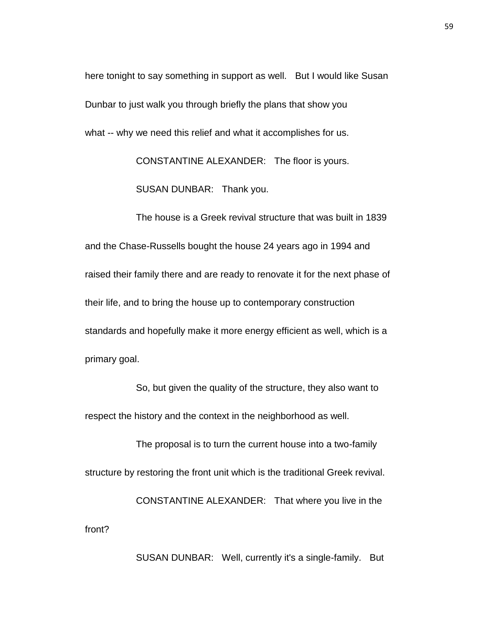here tonight to say something in support as well. But I would like Susan Dunbar to just walk you through briefly the plans that show you what -- why we need this relief and what it accomplishes for us.

CONSTANTINE ALEXANDER: The floor is yours.

SUSAN DUNBAR: Thank you.

The house is a Greek revival structure that was built in 1839 and the Chase-Russells bought the house 24 years ago in 1994 and raised their family there and are ready to renovate it for the next phase of their life, and to bring the house up to contemporary construction standards and hopefully make it more energy efficient as well, which is a primary goal.

So, but given the quality of the structure, they also want to respect the history and the context in the neighborhood as well.

The proposal is to turn the current house into a two-family structure by restoring the front unit which is the traditional Greek revival. CONSTANTINE ALEXANDER: That where you live in the front?

SUSAN DUNBAR: Well, currently it's a single-family. But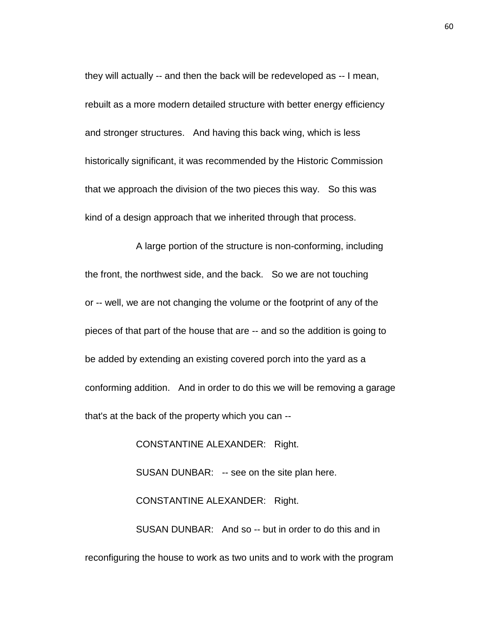they will actually -- and then the back will be redeveloped as -- I mean, rebuilt as a more modern detailed structure with better energy efficiency and stronger structures. And having this back wing, which is less historically significant, it was recommended by the Historic Commission that we approach the division of the two pieces this way. So this was kind of a design approach that we inherited through that process.

A large portion of the structure is non-conforming, including the front, the northwest side, and the back. So we are not touching or -- well, we are not changing the volume or the footprint of any of the pieces of that part of the house that are -- and so the addition is going to be added by extending an existing covered porch into the yard as a conforming addition. And in order to do this we will be removing a garage that's at the back of the property which you can --

CONSTANTINE ALEXANDER: Right.

SUSAN DUNBAR: -- see on the site plan here.

CONSTANTINE ALEXANDER: Right.

SUSAN DUNBAR: And so -- but in order to do this and in reconfiguring the house to work as two units and to work with the program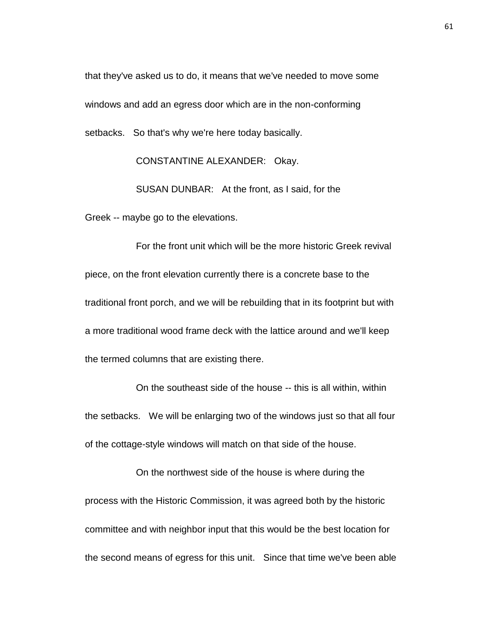that they've asked us to do, it means that we've needed to move some windows and add an egress door which are in the non-conforming setbacks. So that's why we're here today basically.

CONSTANTINE ALEXANDER: Okay.

SUSAN DUNBAR: At the front, as I said, for the Greek -- maybe go to the elevations.

For the front unit which will be the more historic Greek revival piece, on the front elevation currently there is a concrete base to the traditional front porch, and we will be rebuilding that in its footprint but with a more traditional wood frame deck with the lattice around and we'll keep the termed columns that are existing there.

On the southeast side of the house -- this is all within, within the setbacks. We will be enlarging two of the windows just so that all four of the cottage-style windows will match on that side of the house.

On the northwest side of the house is where during the process with the Historic Commission, it was agreed both by the historic committee and with neighbor input that this would be the best location for the second means of egress for this unit. Since that time we've been able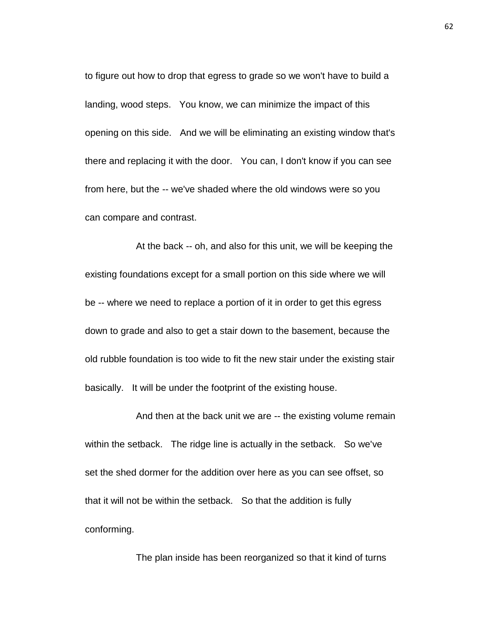to figure out how to drop that egress to grade so we won't have to build a landing, wood steps. You know, we can minimize the impact of this opening on this side. And we will be eliminating an existing window that's there and replacing it with the door. You can, I don't know if you can see from here, but the -- we've shaded where the old windows were so you can compare and contrast.

At the back -- oh, and also for this unit, we will be keeping the existing foundations except for a small portion on this side where we will be -- where we need to replace a portion of it in order to get this egress down to grade and also to get a stair down to the basement, because the old rubble foundation is too wide to fit the new stair under the existing stair basically. It will be under the footprint of the existing house.

And then at the back unit we are -- the existing volume remain within the setback. The ridge line is actually in the setback. So we've set the shed dormer for the addition over here as you can see offset, so that it will not be within the setback. So that the addition is fully conforming.

The plan inside has been reorganized so that it kind of turns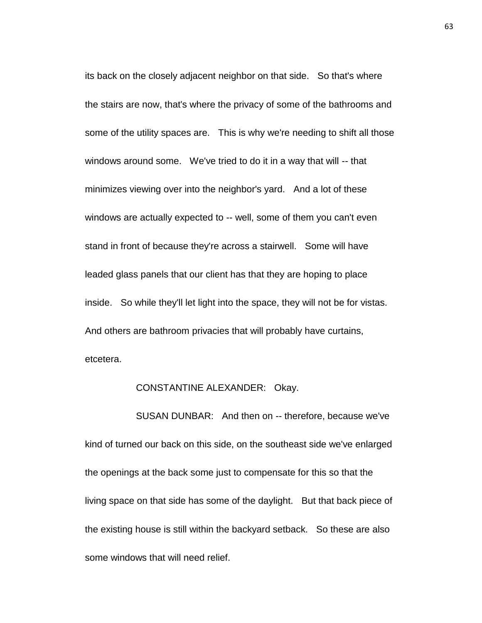its back on the closely adjacent neighbor on that side. So that's where the stairs are now, that's where the privacy of some of the bathrooms and some of the utility spaces are. This is why we're needing to shift all those windows around some. We've tried to do it in a way that will -- that minimizes viewing over into the neighbor's yard. And a lot of these windows are actually expected to -- well, some of them you can't even stand in front of because they're across a stairwell. Some will have leaded glass panels that our client has that they are hoping to place inside. So while they'll let light into the space, they will not be for vistas. And others are bathroom privacies that will probably have curtains, etcetera.

## CONSTANTINE ALEXANDER: Okay.

SUSAN DUNBAR: And then on -- therefore, because we've kind of turned our back on this side, on the southeast side we've enlarged the openings at the back some just to compensate for this so that the living space on that side has some of the daylight. But that back piece of the existing house is still within the backyard setback. So these are also some windows that will need relief.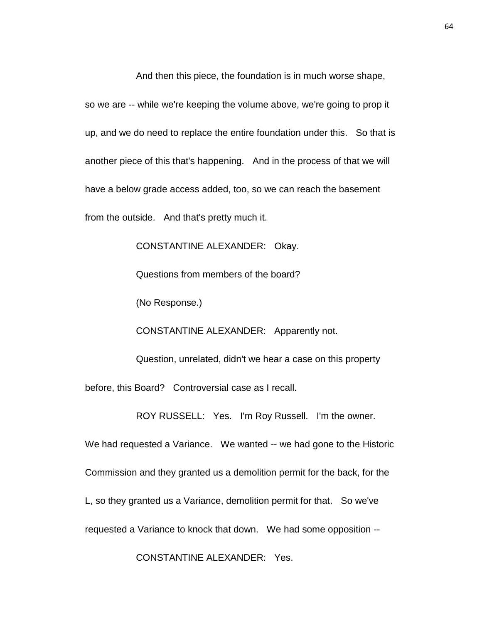And then this piece, the foundation is in much worse shape,

so we are -- while we're keeping the volume above, we're going to prop it up, and we do need to replace the entire foundation under this. So that is another piece of this that's happening. And in the process of that we will have a below grade access added, too, so we can reach the basement from the outside. And that's pretty much it.

CONSTANTINE ALEXANDER: Okay.

Questions from members of the board?

(No Response.)

CONSTANTINE ALEXANDER: Apparently not.

Question, unrelated, didn't we hear a case on this property before, this Board? Controversial case as I recall.

ROY RUSSELL: Yes. I'm Roy Russell. I'm the owner.

We had requested a Variance. We wanted -- we had gone to the Historic

Commission and they granted us a demolition permit for the back, for the

L, so they granted us a Variance, demolition permit for that. So we've

requested a Variance to knock that down. We had some opposition --

CONSTANTINE ALEXANDER: Yes.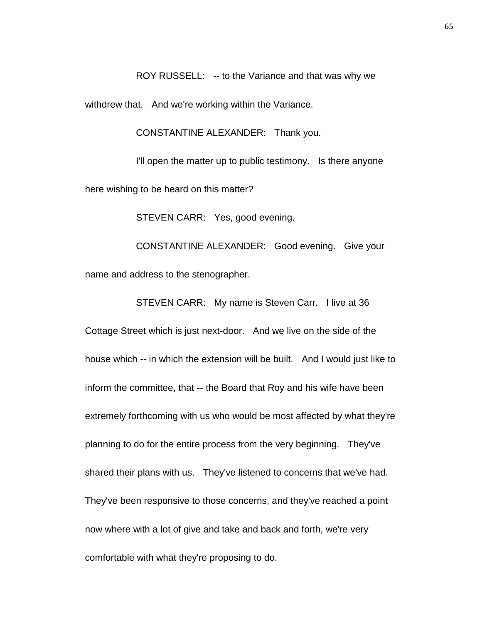ROY RUSSELL: -- to the Variance and that was why we

withdrew that. And we're working within the Variance.

CONSTANTINE ALEXANDER: Thank you.

I'll open the matter up to public testimony. Is there anyone here wishing to be heard on this matter?

STEVEN CARR: Yes, good evening.

CONSTANTINE ALEXANDER: Good evening. Give your name and address to the stenographer.

STEVEN CARR: My name is Steven Carr. I live at 36

Cottage Street which is just next-door. And we live on the side of the house which -- in which the extension will be built. And I would just like to inform the committee, that -- the Board that Roy and his wife have been extremely forthcoming with us who would be most affected by what they're planning to do for the entire process from the very beginning. They've shared their plans with us. They've listened to concerns that we've had. They've been responsive to those concerns, and they've reached a point now where with a lot of give and take and back and forth, we're very comfortable with what they're proposing to do.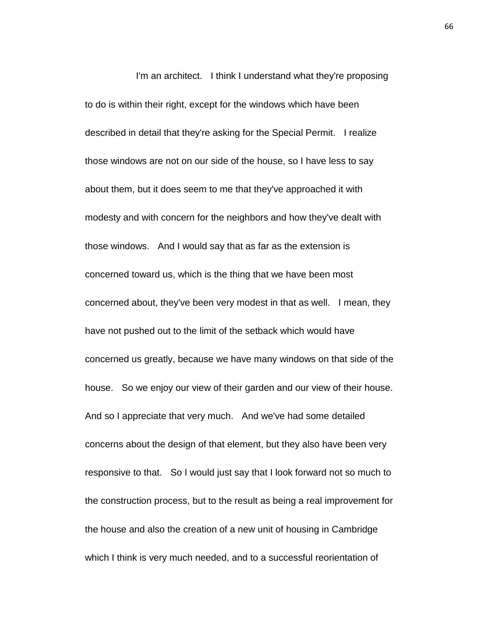I'm an architect. I think I understand what they're proposing to do is within their right, except for the windows which have been described in detail that they're asking for the Special Permit. I realize those windows are not on our side of the house, so I have less to say about them, but it does seem to me that they've approached it with modesty and with concern for the neighbors and how they've dealt with those windows. And I would say that as far as the extension is concerned toward us, which is the thing that we have been most concerned about, they've been very modest in that as well. I mean, they have not pushed out to the limit of the setback which would have concerned us greatly, because we have many windows on that side of the house. So we enjoy our view of their garden and our view of their house. And so I appreciate that very much. And we've had some detailed concerns about the design of that element, but they also have been very responsive to that. So I would just say that I look forward not so much to the construction process, but to the result as being a real improvement for the house and also the creation of a new unit of housing in Cambridge which I think is very much needed, and to a successful reorientation of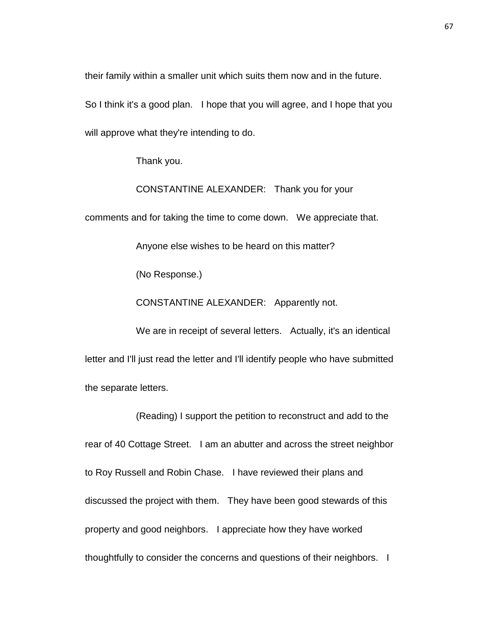their family within a smaller unit which suits them now and in the future.

So I think it's a good plan. I hope that you will agree, and I hope that you will approve what they're intending to do.

Thank you.

CONSTANTINE ALEXANDER: Thank you for your

comments and for taking the time to come down. We appreciate that.

Anyone else wishes to be heard on this matter?

(No Response.)

CONSTANTINE ALEXANDER: Apparently not.

We are in receipt of several letters. Actually, it's an identical letter and I'll just read the letter and I'll identify people who have submitted the separate letters.

(Reading) I support the petition to reconstruct and add to the rear of 40 Cottage Street. I am an abutter and across the street neighbor to Roy Russell and Robin Chase. I have reviewed their plans and discussed the project with them. They have been good stewards of this property and good neighbors. I appreciate how they have worked thoughtfully to consider the concerns and questions of their neighbors. I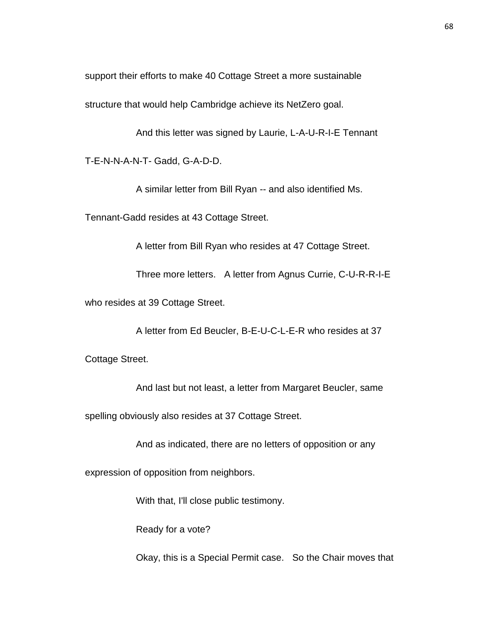support their efforts to make 40 Cottage Street a more sustainable

structure that would help Cambridge achieve its NetZero goal.

And this letter was signed by Laurie, L-A-U-R-I-E Tennant

T-E-N-N-A-N-T- Gadd, G-A-D-D.

A similar letter from Bill Ryan -- and also identified Ms.

Tennant-Gadd resides at 43 Cottage Street.

A letter from Bill Ryan who resides at 47 Cottage Street.

Three more letters. A letter from Agnus Currie, C-U-R-R-I-E

who resides at 39 Cottage Street.

A letter from Ed Beucler, B-E-U-C-L-E-R who resides at 37

Cottage Street.

And last but not least, a letter from Margaret Beucler, same

spelling obviously also resides at 37 Cottage Street.

And as indicated, there are no letters of opposition or any

expression of opposition from neighbors.

With that, I'll close public testimony.

Ready for a vote?

Okay, this is a Special Permit case. So the Chair moves that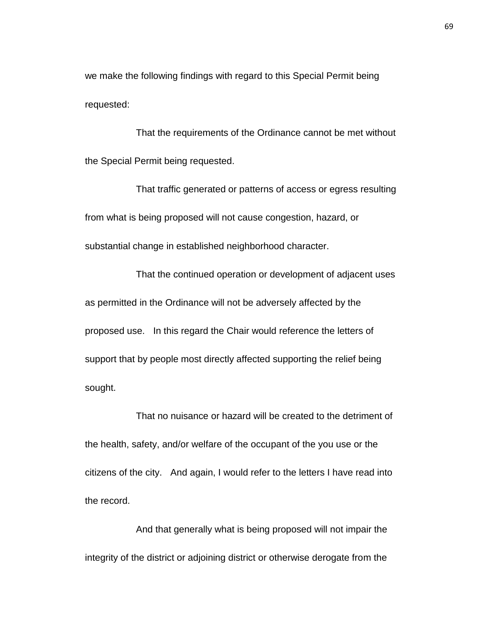we make the following findings with regard to this Special Permit being requested:

That the requirements of the Ordinance cannot be met without the Special Permit being requested.

That traffic generated or patterns of access or egress resulting from what is being proposed will not cause congestion, hazard, or substantial change in established neighborhood character.

That the continued operation or development of adjacent uses as permitted in the Ordinance will not be adversely affected by the proposed use. In this regard the Chair would reference the letters of support that by people most directly affected supporting the relief being sought.

That no nuisance or hazard will be created to the detriment of the health, safety, and/or welfare of the occupant of the you use or the citizens of the city. And again, I would refer to the letters I have read into the record.

And that generally what is being proposed will not impair the integrity of the district or adjoining district or otherwise derogate from the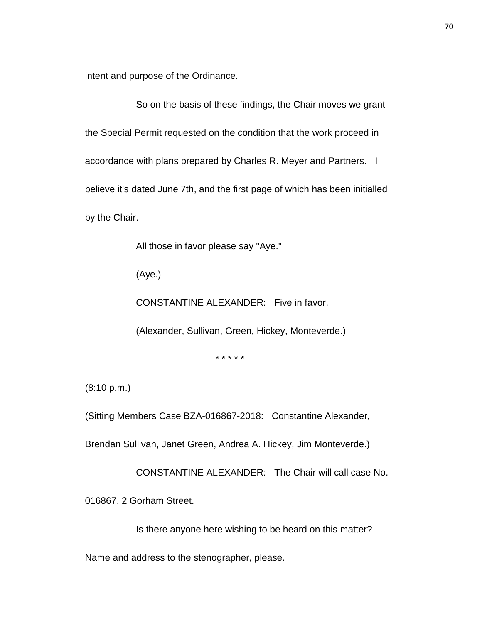intent and purpose of the Ordinance.

So on the basis of these findings, the Chair moves we grant the Special Permit requested on the condition that the work proceed in accordance with plans prepared by Charles R. Meyer and Partners. I believe it's dated June 7th, and the first page of which has been initialled by the Chair.

All those in favor please say "Aye."

(Aye.)

CONSTANTINE ALEXANDER: Five in favor.

(Alexander, Sullivan, Green, Hickey, Monteverde.)

\* \* \* \* \*

(8:10 p.m.)

(Sitting Members Case BZA-016867-2018: Constantine Alexander,

Brendan Sullivan, Janet Green, Andrea A. Hickey, Jim Monteverde.)

CONSTANTINE ALEXANDER: The Chair will call case No.

016867, 2 Gorham Street.

Is there anyone here wishing to be heard on this matter?

Name and address to the stenographer, please.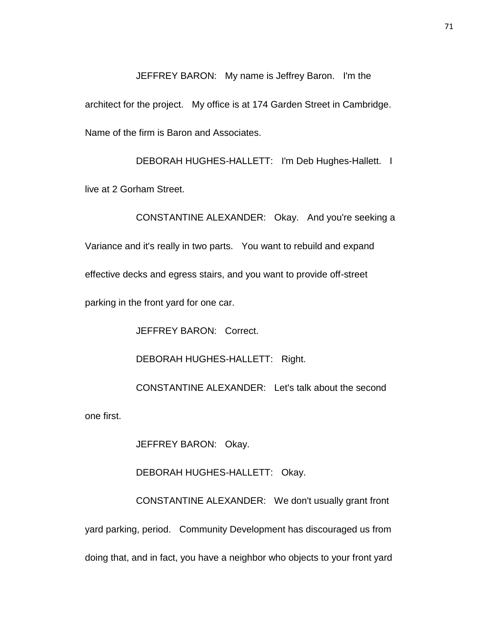JEFFREY BARON: My name is Jeffrey Baron. I'm the architect for the project. My office is at 174 Garden Street in Cambridge. Name of the firm is Baron and Associates.

DEBORAH HUGHES-HALLETT: I'm Deb Hughes-Hallett. I live at 2 Gorham Street.

CONSTANTINE ALEXANDER: Okay. And you're seeking a Variance and it's really in two parts. You want to rebuild and expand effective decks and egress stairs, and you want to provide off-street parking in the front yard for one car.

JEFFREY BARON: Correct.

DEBORAH HUGHES-HALLETT: Right.

CONSTANTINE ALEXANDER: Let's talk about the second

one first.

JEFFREY BARON: Okay.

DEBORAH HUGHES-HALLETT: Okay.

CONSTANTINE ALEXANDER: We don't usually grant front yard parking, period. Community Development has discouraged us from doing that, and in fact, you have a neighbor who objects to your front yard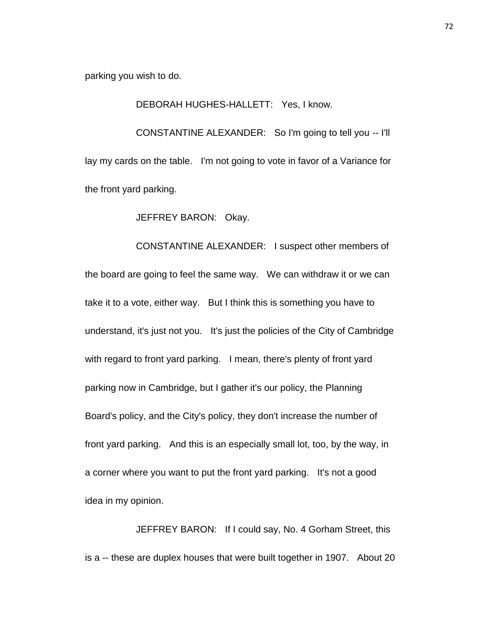parking you wish to do.

DEBORAH HUGHES-HALLETT: Yes, I know.

CONSTANTINE ALEXANDER: So I'm going to tell you -- I'll lay my cards on the table. I'm not going to vote in favor of a Variance for the front yard parking.

JEFFREY BARON: Okay.

CONSTANTINE ALEXANDER: I suspect other members of the board are going to feel the same way. We can withdraw it or we can take it to a vote, either way. But I think this is something you have to understand, it's just not you. It's just the policies of the City of Cambridge with regard to front yard parking. I mean, there's plenty of front yard parking now in Cambridge, but I gather it's our policy, the Planning Board's policy, and the City's policy, they don't increase the number of front yard parking. And this is an especially small lot, too, by the way, in a corner where you want to put the front yard parking. It's not a good idea in my opinion.

JEFFREY BARON: If I could say, No. 4 Gorham Street, this is a -- these are duplex houses that were built together in 1907. About 20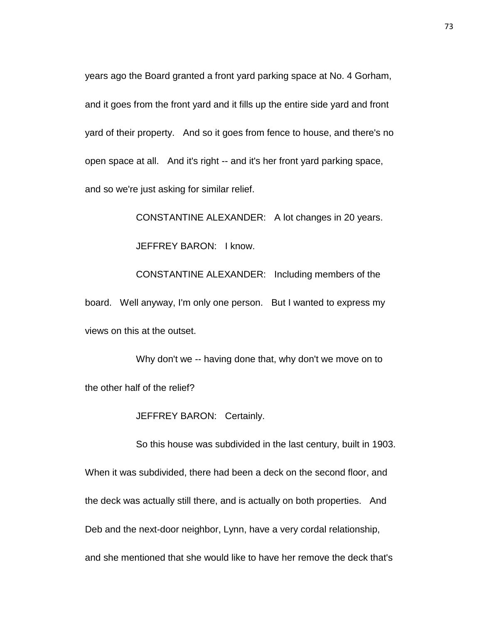years ago the Board granted a front yard parking space at No. 4 Gorham, and it goes from the front yard and it fills up the entire side yard and front yard of their property. And so it goes from fence to house, and there's no open space at all. And it's right -- and it's her front yard parking space, and so we're just asking for similar relief.

CONSTANTINE ALEXANDER: A lot changes in 20 years. JEFFREY BARON: I know. CONSTANTINE ALEXANDER: Including members of the board. Well anyway, I'm only one person. But I wanted to express my views on this at the outset.

Why don't we -- having done that, why don't we move on to the other half of the relief?

JEFFREY BARON: Certainly.

So this house was subdivided in the last century, built in 1903. When it was subdivided, there had been a deck on the second floor, and the deck was actually still there, and is actually on both properties. And Deb and the next-door neighbor, Lynn, have a very cordal relationship, and she mentioned that she would like to have her remove the deck that's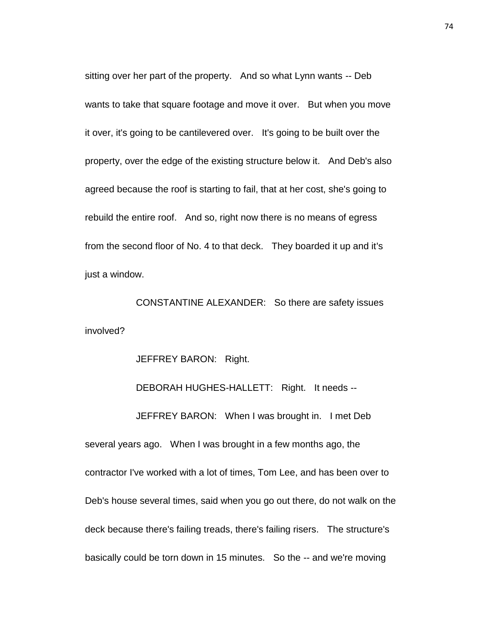sitting over her part of the property. And so what Lynn wants -- Deb wants to take that square footage and move it over. But when you move it over, it's going to be cantilevered over. It's going to be built over the property, over the edge of the existing structure below it. And Deb's also agreed because the roof is starting to fail, that at her cost, she's going to rebuild the entire roof. And so, right now there is no means of egress from the second floor of No. 4 to that deck. They boarded it up and it's just a window.

CONSTANTINE ALEXANDER: So there are safety issues involved?

JEFFREY BARON: Right.

DEBORAH HUGHES-HALLETT: Right. It needs --

JEFFREY BARON: When I was brought in. I met Deb

several years ago. When I was brought in a few months ago, the contractor I've worked with a lot of times, Tom Lee, and has been over to Deb's house several times, said when you go out there, do not walk on the deck because there's failing treads, there's failing risers. The structure's basically could be torn down in 15 minutes. So the -- and we're moving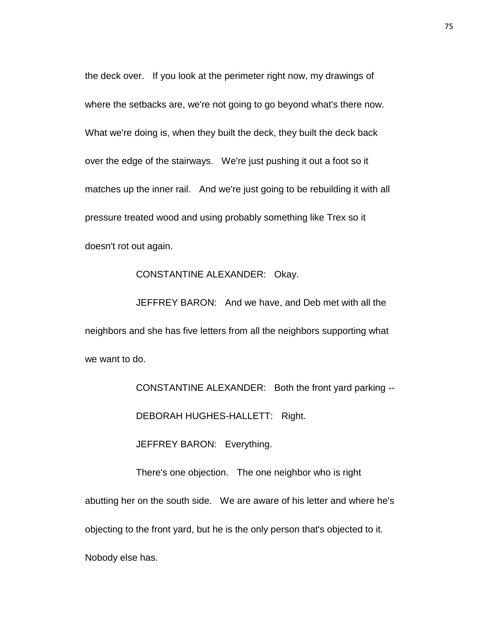the deck over. If you look at the perimeter right now, my drawings of where the setbacks are, we're not going to go beyond what's there now. What we're doing is, when they built the deck, they built the deck back over the edge of the stairways. We're just pushing it out a foot so it matches up the inner rail. And we're just going to be rebuilding it with all pressure treated wood and using probably something like Trex so it doesn't rot out again.

## CONSTANTINE ALEXANDER: Okay.

JEFFREY BARON: And we have, and Deb met with all the neighbors and she has five letters from all the neighbors supporting what we want to do.

CONSTANTINE ALEXANDER: Both the front yard parking --

DEBORAH HUGHES-HALLETT: Right.

JEFFREY BARON: Everything.

There's one objection. The one neighbor who is right abutting her on the south side. We are aware of his letter and where he's objecting to the front yard, but he is the only person that's objected to it. Nobody else has.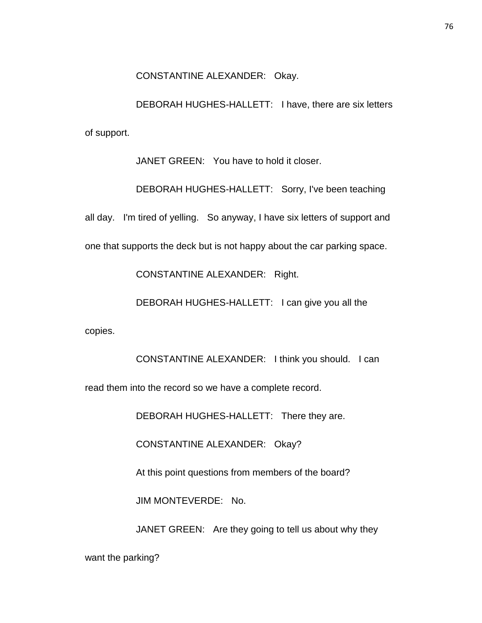CONSTANTINE ALEXANDER: Okay.

DEBORAH HUGHES-HALLETT: I have, there are six letters of support.

JANET GREEN: You have to hold it closer.

DEBORAH HUGHES-HALLETT: Sorry, I've been teaching

all day. I'm tired of yelling. So anyway, I have six letters of support and

one that supports the deck but is not happy about the car parking space.

CONSTANTINE ALEXANDER: Right.

DEBORAH HUGHES-HALLETT: I can give you all the

copies.

CONSTANTINE ALEXANDER: I think you should. I can

read them into the record so we have a complete record.

DEBORAH HUGHES-HALLETT: There they are.

CONSTANTINE ALEXANDER: Okay?

At this point questions from members of the board?

JIM MONTEVERDE: No.

JANET GREEN: Are they going to tell us about why they

want the parking?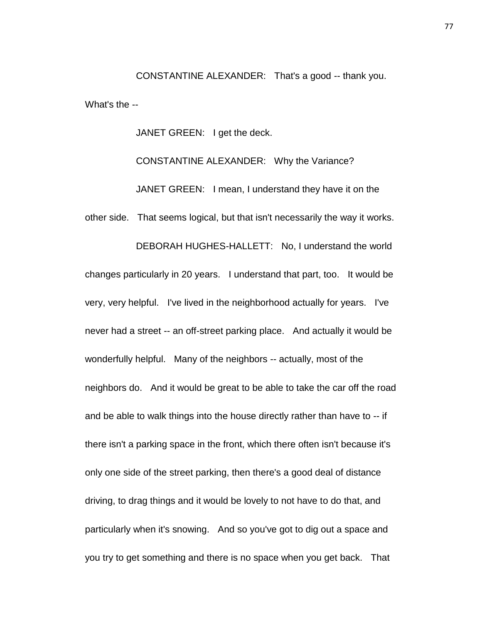CONSTANTINE ALEXANDER: That's a good -- thank you. What's the --

JANET GREEN: I get the deck.

CONSTANTINE ALEXANDER: Why the Variance? JANET GREEN: I mean, I understand they have it on the other side. That seems logical, but that isn't necessarily the way it works. DEBORAH HUGHES-HALLETT: No, I understand the world changes particularly in 20 years. I understand that part, too. It would be very, very helpful. I've lived in the neighborhood actually for years. I've never had a street -- an off-street parking place. And actually it would be wonderfully helpful. Many of the neighbors -- actually, most of the neighbors do. And it would be great to be able to take the car off the road and be able to walk things into the house directly rather than have to -- if there isn't a parking space in the front, which there often isn't because it's only one side of the street parking, then there's a good deal of distance driving, to drag things and it would be lovely to not have to do that, and particularly when it's snowing. And so you've got to dig out a space and you try to get something and there is no space when you get back. That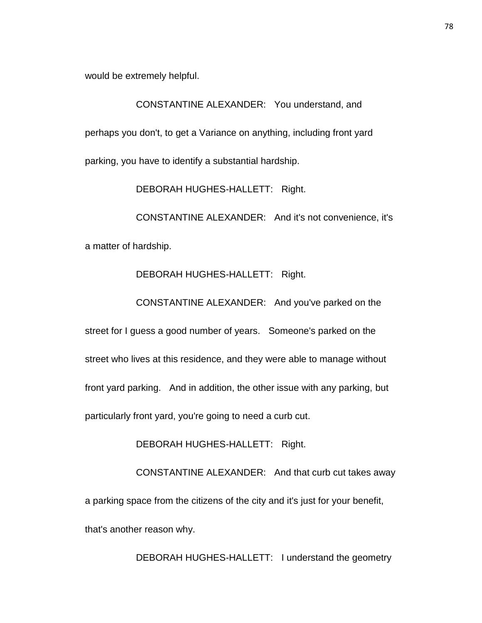would be extremely helpful.

CONSTANTINE ALEXANDER: You understand, and perhaps you don't, to get a Variance on anything, including front yard parking, you have to identify a substantial hardship.

DEBORAH HUGHES-HALLETT: Right.

CONSTANTINE ALEXANDER: And it's not convenience, it's a matter of hardship.

## DEBORAH HUGHES-HALLETT: Right.

CONSTANTINE ALEXANDER: And you've parked on the

street for I guess a good number of years. Someone's parked on the street who lives at this residence, and they were able to manage without front yard parking. And in addition, the other issue with any parking, but particularly front yard, you're going to need a curb cut.

DEBORAH HUGHES-HALLETT: Right.

CONSTANTINE ALEXANDER: And that curb cut takes away a parking space from the citizens of the city and it's just for your benefit, that's another reason why.

DEBORAH HUGHES-HALLETT: I understand the geometry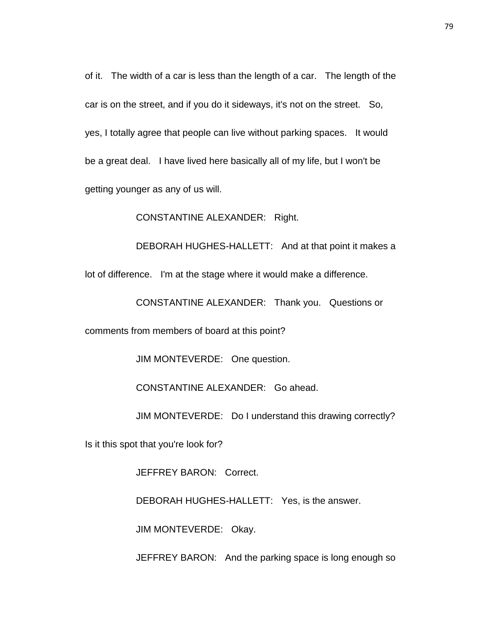of it. The width of a car is less than the length of a car. The length of the car is on the street, and if you do it sideways, it's not on the street. So, yes, I totally agree that people can live without parking spaces. It would be a great deal. I have lived here basically all of my life, but I won't be getting younger as any of us will.

CONSTANTINE ALEXANDER: Right.

DEBORAH HUGHES-HALLETT: And at that point it makes a lot of difference. I'm at the stage where it would make a difference.

CONSTANTINE ALEXANDER: Thank you. Questions or

comments from members of board at this point?

JIM MONTEVERDE: One question.

CONSTANTINE ALEXANDER: Go ahead.

JIM MONTEVERDE: Do I understand this drawing correctly?

Is it this spot that you're look for?

JEFFREY BARON: Correct.

DEBORAH HUGHES-HALLETT: Yes, is the answer.

JIM MONTEVERDE: Okay.

JEFFREY BARON: And the parking space is long enough so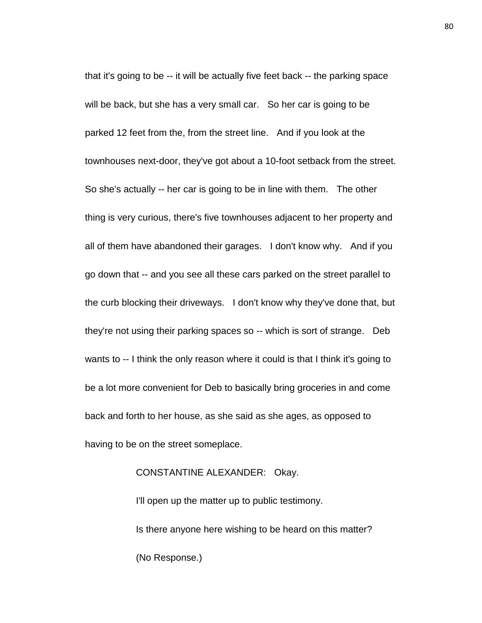that it's going to be -- it will be actually five feet back -- the parking space will be back, but she has a very small car. So her car is going to be parked 12 feet from the, from the street line. And if you look at the townhouses next-door, they've got about a 10-foot setback from the street. So she's actually -- her car is going to be in line with them. The other thing is very curious, there's five townhouses adjacent to her property and all of them have abandoned their garages. I don't know why. And if you go down that -- and you see all these cars parked on the street parallel to the curb blocking their driveways. I don't know why they've done that, but they're not using their parking spaces so -- which is sort of strange. Deb wants to -- I think the only reason where it could is that I think it's going to be a lot more convenient for Deb to basically bring groceries in and come back and forth to her house, as she said as she ages, as opposed to having to be on the street someplace.

## CONSTANTINE ALEXANDER: Okay.

I'll open up the matter up to public testimony. Is there anyone here wishing to be heard on this matter? (No Response.)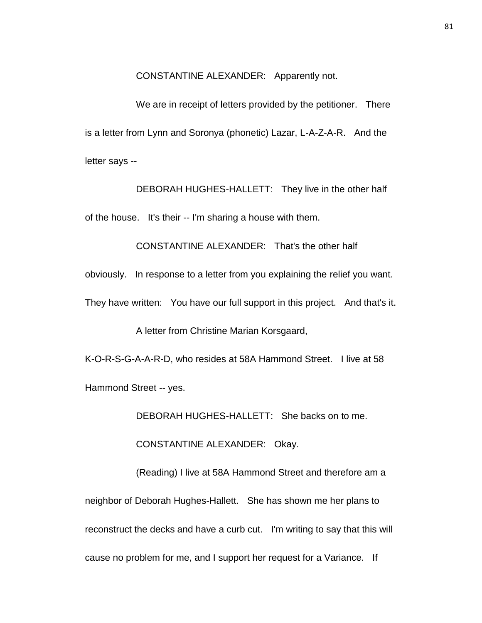CONSTANTINE ALEXANDER: Apparently not.

We are in receipt of letters provided by the petitioner. There is a letter from Lynn and Soronya (phonetic) Lazar, L-A-Z-A-R. And the letter says --

DEBORAH HUGHES-HALLETT: They live in the other half of the house. It's their -- I'm sharing a house with them.

CONSTANTINE ALEXANDER: That's the other half

obviously. In response to a letter from you explaining the relief you want.

They have written: You have our full support in this project. And that's it.

A letter from Christine Marian Korsgaard,

K-O-R-S-G-A-A-R-D, who resides at 58A Hammond Street. I live at 58

Hammond Street -- yes.

DEBORAH HUGHES-HALLETT: She backs on to me.

CONSTANTINE ALEXANDER: Okay.

(Reading) I live at 58A Hammond Street and therefore am a neighbor of Deborah Hughes-Hallett. She has shown me her plans to reconstruct the decks and have a curb cut. I'm writing to say that this will cause no problem for me, and I support her request for a Variance. If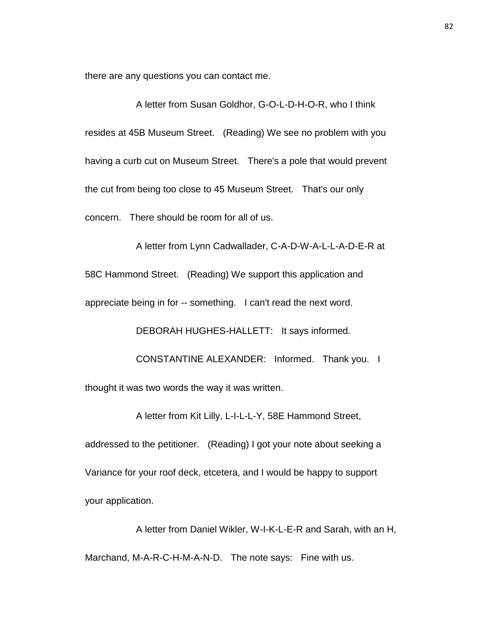there are any questions you can contact me.

A letter from Susan Goldhor, G-O-L-D-H-O-R, who I think resides at 45B Museum Street. (Reading) We see no problem with you having a curb cut on Museum Street. There's a pole that would prevent the cut from being too close to 45 Museum Street. That's our only concern. There should be room for all of us.

A letter from Lynn Cadwallader, C-A-D-W-A-L-L-A-D-E-R at 58C Hammond Street. (Reading) We support this application and appreciate being in for -- something. I can't read the next word.

DEBORAH HUGHES-HALLETT: It says informed.

CONSTANTINE ALEXANDER: Informed. Thank you. I thought it was two words the way it was written.

A letter from Kit Lilly, L-I-L-L-Y, 58E Hammond Street,

addressed to the petitioner. (Reading) I got your note about seeking a Variance for your roof deck, etcetera, and I would be happy to support your application.

A letter from Daniel Wikler, W-I-K-L-E-R and Sarah, with an H, Marchand, M-A-R-C-H-M-A-N-D. The note says: Fine with us.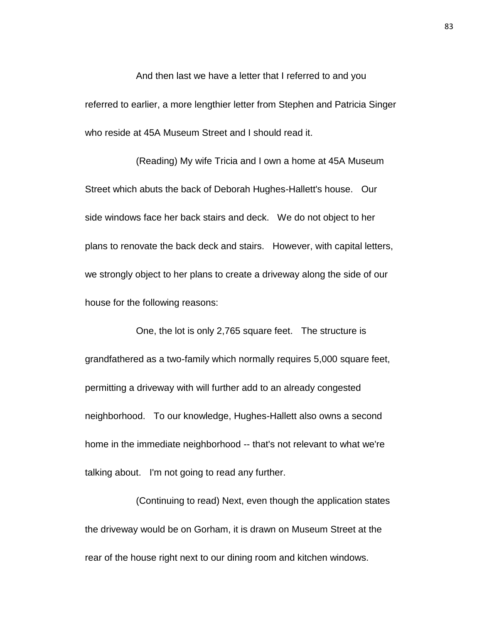And then last we have a letter that I referred to and you referred to earlier, a more lengthier letter from Stephen and Patricia Singer who reside at 45A Museum Street and I should read it.

(Reading) My wife Tricia and I own a home at 45A Museum Street which abuts the back of Deborah Hughes-Hallett's house. Our side windows face her back stairs and deck. We do not object to her plans to renovate the back deck and stairs. However, with capital letters, we strongly object to her plans to create a driveway along the side of our house for the following reasons:

One, the lot is only 2,765 square feet. The structure is grandfathered as a two-family which normally requires 5,000 square feet, permitting a driveway with will further add to an already congested neighborhood. To our knowledge, Hughes-Hallett also owns a second home in the immediate neighborhood -- that's not relevant to what we're talking about. I'm not going to read any further.

(Continuing to read) Next, even though the application states the driveway would be on Gorham, it is drawn on Museum Street at the rear of the house right next to our dining room and kitchen windows.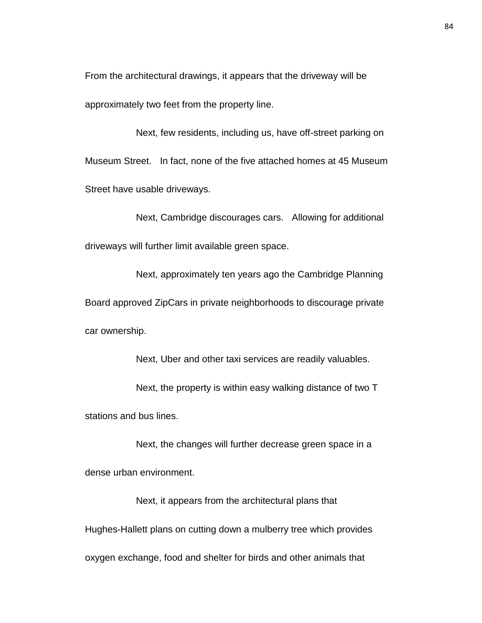From the architectural drawings, it appears that the driveway will be approximately two feet from the property line.

Next, few residents, including us, have off-street parking on Museum Street. In fact, none of the five attached homes at 45 Museum Street have usable driveways.

Next, Cambridge discourages cars. Allowing for additional driveways will further limit available green space.

Next, approximately ten years ago the Cambridge Planning Board approved ZipCars in private neighborhoods to discourage private car ownership.

Next, Uber and other taxi services are readily valuables.

Next, the property is within easy walking distance of two T stations and bus lines.

Next, the changes will further decrease green space in a dense urban environment.

Next, it appears from the architectural plans that Hughes-Hallett plans on cutting down a mulberry tree which provides oxygen exchange, food and shelter for birds and other animals that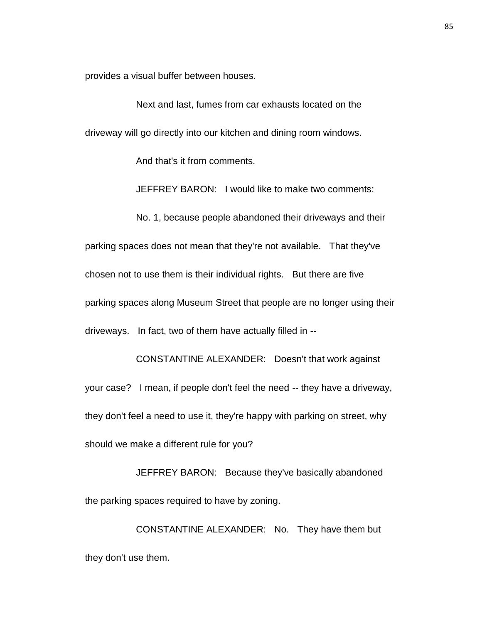provides a visual buffer between houses.

Next and last, fumes from car exhausts located on the driveway will go directly into our kitchen and dining room windows.

And that's it from comments.

JEFFREY BARON: I would like to make two comments:

No. 1, because people abandoned their driveways and their parking spaces does not mean that they're not available. That they've chosen not to use them is their individual rights. But there are five parking spaces along Museum Street that people are no longer using their driveways. In fact, two of them have actually filled in --

CONSTANTINE ALEXANDER: Doesn't that work against your case? I mean, if people don't feel the need -- they have a driveway, they don't feel a need to use it, they're happy with parking on street, why should we make a different rule for you?

JEFFREY BARON: Because they've basically abandoned the parking spaces required to have by zoning.

CONSTANTINE ALEXANDER: No. They have them but they don't use them.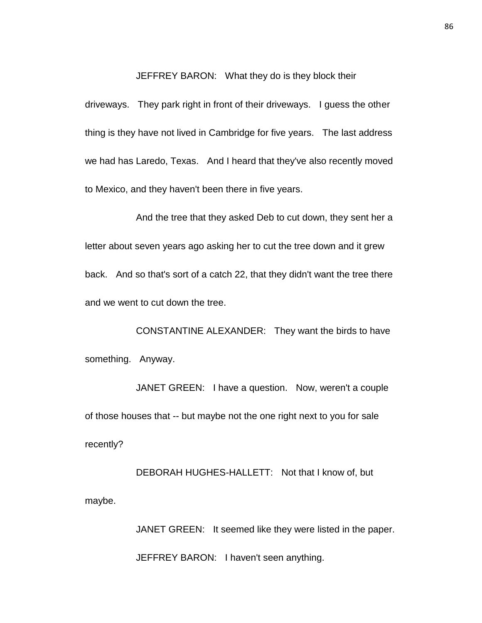JEFFREY BARON: What they do is they block their

driveways. They park right in front of their driveways. I guess the other thing is they have not lived in Cambridge for five years. The last address we had has Laredo, Texas. And I heard that they've also recently moved to Mexico, and they haven't been there in five years.

And the tree that they asked Deb to cut down, they sent her a letter about seven years ago asking her to cut the tree down and it grew back. And so that's sort of a catch 22, that they didn't want the tree there and we went to cut down the tree.

CONSTANTINE ALEXANDER: They want the birds to have something. Anyway.

JANET GREEN: I have a question. Now, weren't a couple of those houses that -- but maybe not the one right next to you for sale recently?

DEBORAH HUGHES-HALLETT: Not that I know of, but maybe.

> JANET GREEN: It seemed like they were listed in the paper. JEFFREY BARON: I haven't seen anything.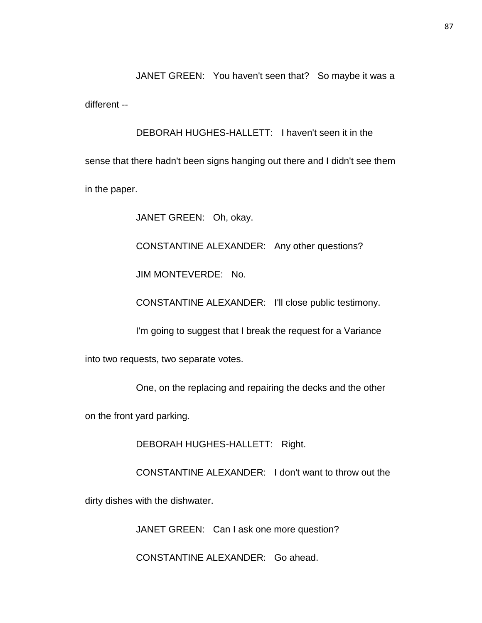JANET GREEN: You haven't seen that? So maybe it was a different --

DEBORAH HUGHES-HALLETT: I haven't seen it in the sense that there hadn't been signs hanging out there and I didn't see them in the paper.

JANET GREEN: Oh, okay.

CONSTANTINE ALEXANDER: Any other questions?

JIM MONTEVERDE: No.

CONSTANTINE ALEXANDER: I'll close public testimony.

I'm going to suggest that I break the request for a Variance

into two requests, two separate votes.

One, on the replacing and repairing the decks and the other

on the front yard parking.

DEBORAH HUGHES-HALLETT: Right.

CONSTANTINE ALEXANDER: I don't want to throw out the

dirty dishes with the dishwater.

JANET GREEN: Can I ask one more question?

CONSTANTINE ALEXANDER: Go ahead.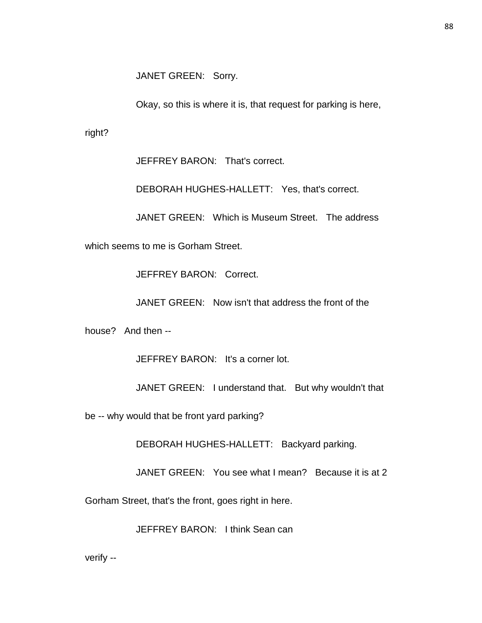JANET GREEN: Sorry.

Okay, so this is where it is, that request for parking is here,

right?

JEFFREY BARON: That's correct.

DEBORAH HUGHES-HALLETT: Yes, that's correct.

JANET GREEN: Which is Museum Street. The address

which seems to me is Gorham Street.

JEFFREY BARON: Correct.

JANET GREEN: Now isn't that address the front of the

house? And then --

JEFFREY BARON: It's a corner lot.

JANET GREEN: I understand that. But why wouldn't that

be -- why would that be front yard parking?

DEBORAH HUGHES-HALLETT: Backyard parking.

JANET GREEN: You see what I mean? Because it is at 2

Gorham Street, that's the front, goes right in here.

JEFFREY BARON: I think Sean can

verify --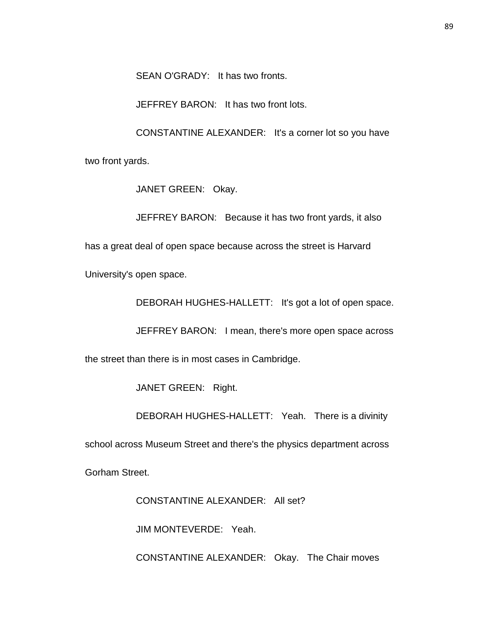SEAN O'GRADY: It has two fronts.

JEFFREY BARON: It has two front lots.

CONSTANTINE ALEXANDER: It's a corner lot so you have

two front yards.

JANET GREEN: Okay.

JEFFREY BARON: Because it has two front yards, it also

has a great deal of open space because across the street is Harvard

University's open space.

DEBORAH HUGHES-HALLETT: It's got a lot of open space.

JEFFREY BARON: I mean, there's more open space across

the street than there is in most cases in Cambridge.

JANET GREEN: Right.

DEBORAH HUGHES-HALLETT: Yeah. There is a divinity

school across Museum Street and there's the physics department across

Gorham Street.

CONSTANTINE ALEXANDER: All set?

JIM MONTEVERDE: Yeah.

CONSTANTINE ALEXANDER: Okay. The Chair moves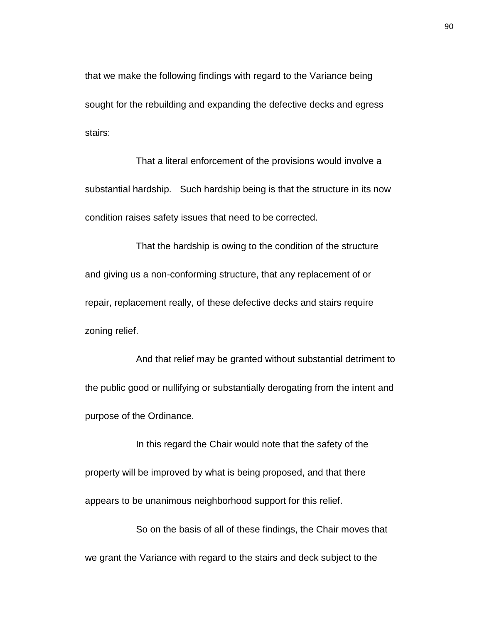that we make the following findings with regard to the Variance being sought for the rebuilding and expanding the defective decks and egress stairs:

That a literal enforcement of the provisions would involve a substantial hardship. Such hardship being is that the structure in its now condition raises safety issues that need to be corrected.

That the hardship is owing to the condition of the structure and giving us a non-conforming structure, that any replacement of or repair, replacement really, of these defective decks and stairs require zoning relief.

And that relief may be granted without substantial detriment to the public good or nullifying or substantially derogating from the intent and purpose of the Ordinance.

In this regard the Chair would note that the safety of the property will be improved by what is being proposed, and that there appears to be unanimous neighborhood support for this relief.

So on the basis of all of these findings, the Chair moves that we grant the Variance with regard to the stairs and deck subject to the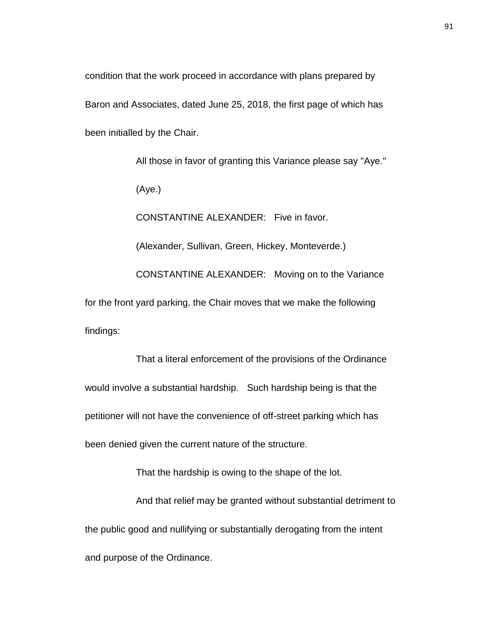condition that the work proceed in accordance with plans prepared by Baron and Associates, dated June 25, 2018, the first page of which has been initialled by the Chair.

All those in favor of granting this Variance please say "Aye." (Aye.) CONSTANTINE ALEXANDER: Five in favor. (Alexander, Sullivan, Green, Hickey, Monteverde.) CONSTANTINE ALEXANDER: Moving on to the Variance for the front yard parking, the Chair moves that we make the following findings:

That a literal enforcement of the provisions of the Ordinance would involve a substantial hardship. Such hardship being is that the petitioner will not have the convenience of off-street parking which has been denied given the current nature of the structure.

That the hardship is owing to the shape of the lot.

And that relief may be granted without substantial detriment to the public good and nullifying or substantially derogating from the intent and purpose of the Ordinance.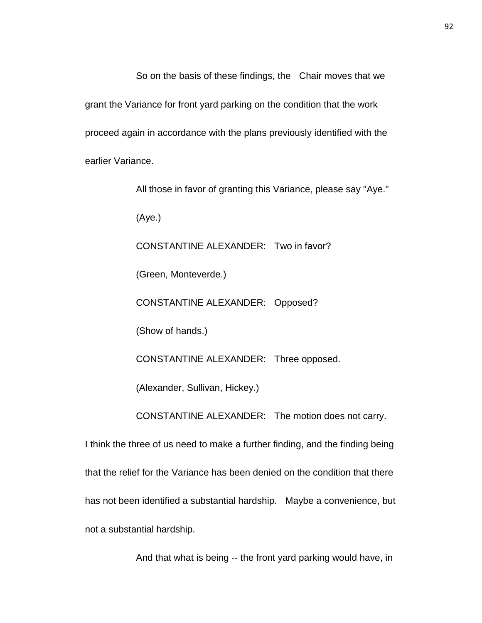So on the basis of these findings, the Chair moves that we grant the Variance for front yard parking on the condition that the work proceed again in accordance with the plans previously identified with the earlier Variance.

All those in favor of granting this Variance, please say "Aye." (Aye.) CONSTANTINE ALEXANDER: Two in favor? (Green, Monteverde.) CONSTANTINE ALEXANDER: Opposed? (Show of hands.) CONSTANTINE ALEXANDER: Three opposed. (Alexander, Sullivan, Hickey.) CONSTANTINE ALEXANDER: The motion does not carry. I think the three of us need to make a further finding, and the finding being that the relief for the Variance has been denied on the condition that there

has not been identified a substantial hardship. Maybe a convenience, but

not a substantial hardship.

And that what is being -- the front yard parking would have, in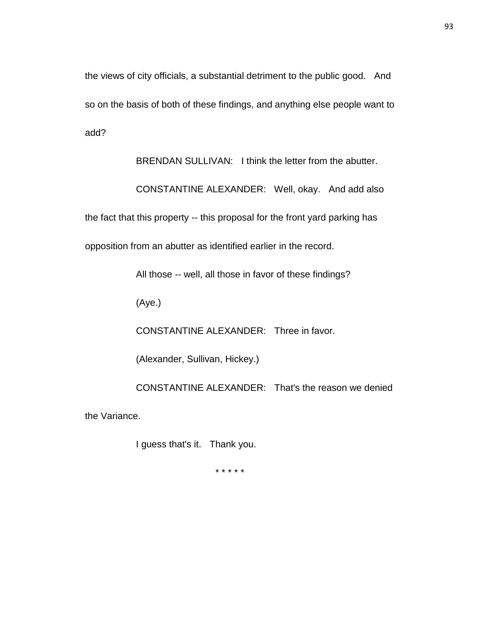the views of city officials, a substantial detriment to the public good. And so on the basis of both of these findings, and anything else people want to add?

BRENDAN SULLIVAN: I think the letter from the abutter.

CONSTANTINE ALEXANDER: Well, okay. And add also

the fact that this property -- this proposal for the front yard parking has

opposition from an abutter as identified earlier in the record.

All those -- well, all those in favor of these findings?

(Aye.)

CONSTANTINE ALEXANDER: Three in favor.

(Alexander, Sullivan, Hickey.)

CONSTANTINE ALEXANDER: That's the reason we denied

the Variance.

I guess that's it. Thank you.

\* \* \* \* \*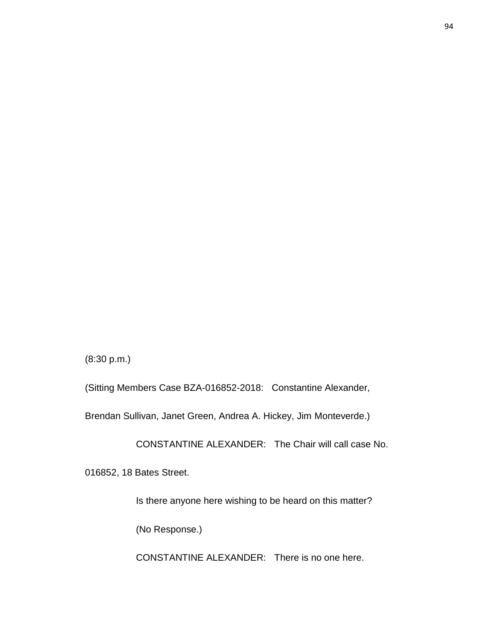(8:30 p.m.)

(Sitting Members Case BZA-016852-2018: Constantine Alexander,

Brendan Sullivan, Janet Green, Andrea A. Hickey, Jim Monteverde.)

CONSTANTINE ALEXANDER: The Chair will call case No.

016852, 18 Bates Street.

Is there anyone here wishing to be heard on this matter?

(No Response.)

CONSTANTINE ALEXANDER: There is no one here.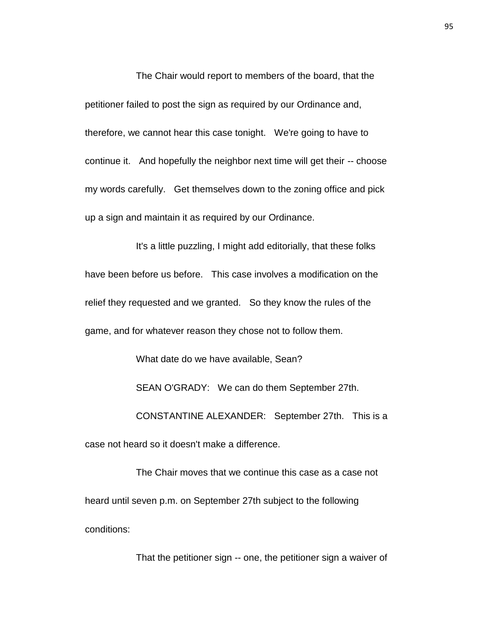The Chair would report to members of the board, that the petitioner failed to post the sign as required by our Ordinance and, therefore, we cannot hear this case tonight. We're going to have to continue it. And hopefully the neighbor next time will get their -- choose my words carefully. Get themselves down to the zoning office and pick up a sign and maintain it as required by our Ordinance.

It's a little puzzling, I might add editorially, that these folks have been before us before. This case involves a modification on the relief they requested and we granted. So they know the rules of the game, and for whatever reason they chose not to follow them.

What date do we have available, Sean?

SEAN O'GRADY: We can do them September 27th.

CONSTANTINE ALEXANDER: September 27th. This is a

case not heard so it doesn't make a difference.

The Chair moves that we continue this case as a case not heard until seven p.m. on September 27th subject to the following conditions:

That the petitioner sign -- one, the petitioner sign a waiver of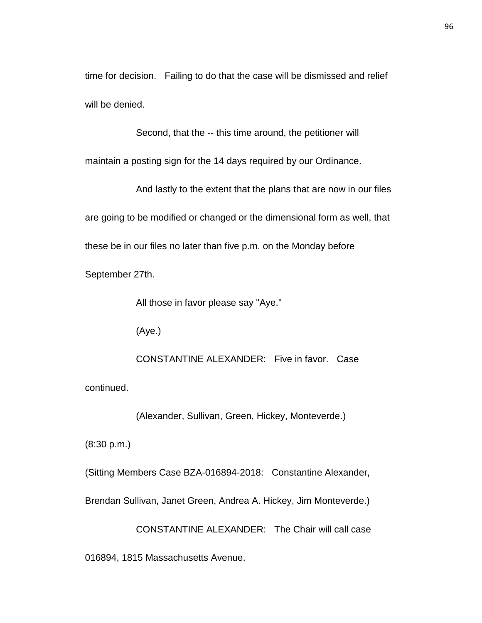time for decision. Failing to do that the case will be dismissed and relief will be denied.

Second, that the -- this time around, the petitioner will

maintain a posting sign for the 14 days required by our Ordinance.

And lastly to the extent that the plans that are now in our files are going to be modified or changed or the dimensional form as well, that these be in our files no later than five p.m. on the Monday before

September 27th.

All those in favor please say "Aye."

(Aye.)

CONSTANTINE ALEXANDER: Five in favor. Case continued.

(Alexander, Sullivan, Green, Hickey, Monteverde.)

(8:30 p.m.)

(Sitting Members Case BZA-016894-2018: Constantine Alexander,

Brendan Sullivan, Janet Green, Andrea A. Hickey, Jim Monteverde.)

CONSTANTINE ALEXANDER: The Chair will call case

016894, 1815 Massachusetts Avenue.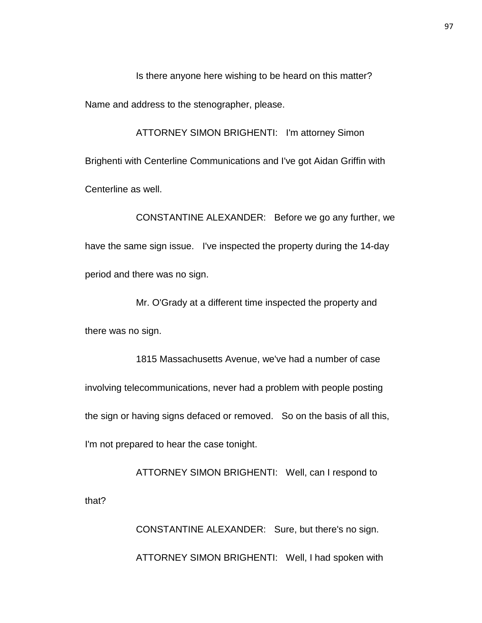Is there anyone here wishing to be heard on this matter?

Name and address to the stenographer, please.

ATTORNEY SIMON BRIGHENTI: I'm attorney Simon Brighenti with Centerline Communications and I've got Aidan Griffin with Centerline as well.

CONSTANTINE ALEXANDER: Before we go any further, we have the same sign issue. I've inspected the property during the 14-day period and there was no sign.

Mr. O'Grady at a different time inspected the property and there was no sign.

1815 Massachusetts Avenue, we've had a number of case involving telecommunications, never had a problem with people posting the sign or having signs defaced or removed. So on the basis of all this, I'm not prepared to hear the case tonight.

ATTORNEY SIMON BRIGHENTI: Well, can I respond to that?

> CONSTANTINE ALEXANDER: Sure, but there's no sign. ATTORNEY SIMON BRIGHENTI: Well, I had spoken with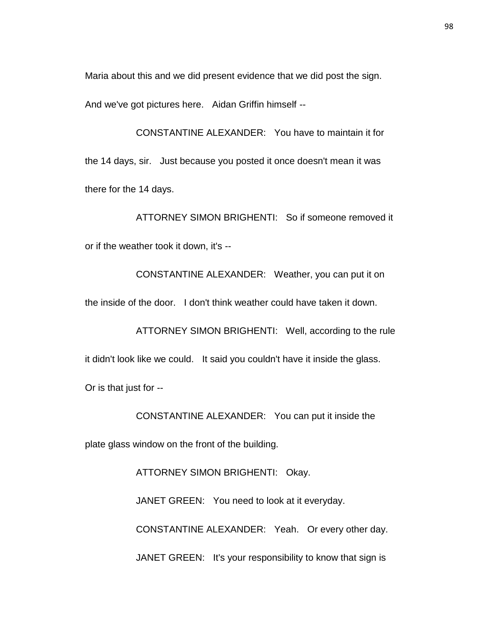Maria about this and we did present evidence that we did post the sign.

And we've got pictures here. Aidan Griffin himself --

CONSTANTINE ALEXANDER: You have to maintain it for the 14 days, sir. Just because you posted it once doesn't mean it was there for the 14 days.

ATTORNEY SIMON BRIGHENTI: So if someone removed it or if the weather took it down, it's --

CONSTANTINE ALEXANDER: Weather, you can put it on the inside of the door. I don't think weather could have taken it down.

ATTORNEY SIMON BRIGHENTI: Well, according to the rule it didn't look like we could. It said you couldn't have it inside the glass.

Or is that just for --

CONSTANTINE ALEXANDER: You can put it inside the

plate glass window on the front of the building.

ATTORNEY SIMON BRIGHENTI: Okay.

JANET GREEN: You need to look at it everyday.

CONSTANTINE ALEXANDER: Yeah. Or every other day.

JANET GREEN: It's your responsibility to know that sign is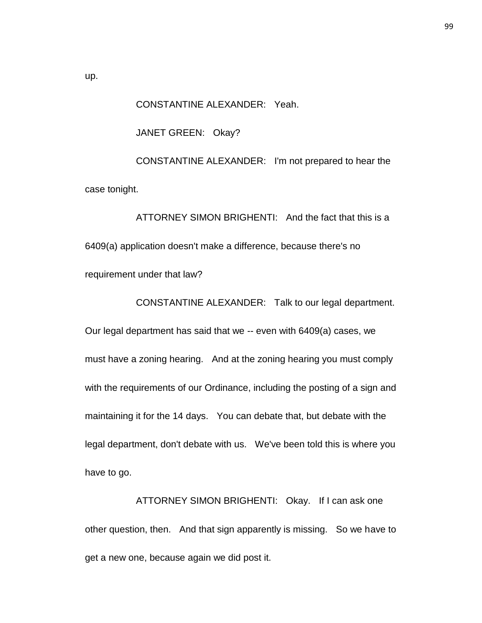CONSTANTINE ALEXANDER: Yeah.

JANET GREEN: Okay?

CONSTANTINE ALEXANDER: I'm not prepared to hear the case tonight.

ATTORNEY SIMON BRIGHENTI: And the fact that this is a 6409(a) application doesn't make a difference, because there's no requirement under that law?

CONSTANTINE ALEXANDER: Talk to our legal department.

Our legal department has said that we -- even with 6409(a) cases, we must have a zoning hearing. And at the zoning hearing you must comply with the requirements of our Ordinance, including the posting of a sign and maintaining it for the 14 days. You can debate that, but debate with the legal department, don't debate with us. We've been told this is where you have to go.

ATTORNEY SIMON BRIGHENTI: Okay. If I can ask one other question, then. And that sign apparently is missing. So we have to get a new one, because again we did post it.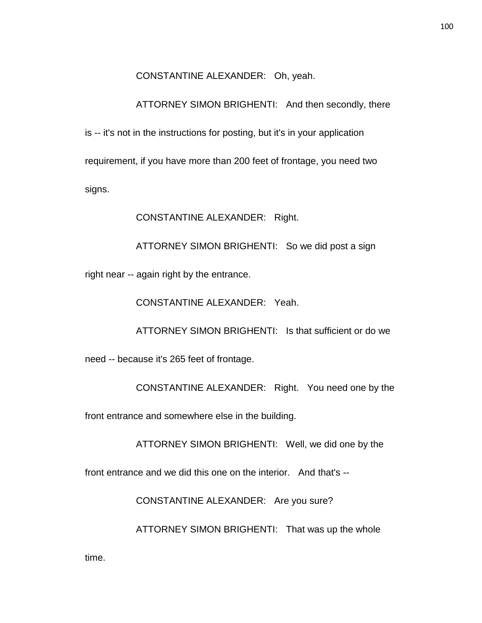CONSTANTINE ALEXANDER: Oh, yeah.

ATTORNEY SIMON BRIGHENTI: And then secondly, there

is -- it's not in the instructions for posting, but it's in your application requirement, if you have more than 200 feet of frontage, you need two signs.

CONSTANTINE ALEXANDER: Right.

ATTORNEY SIMON BRIGHENTI: So we did post a sign

right near -- again right by the entrance.

CONSTANTINE ALEXANDER: Yeah.

ATTORNEY SIMON BRIGHENTI: Is that sufficient or do we

need -- because it's 265 feet of frontage.

CONSTANTINE ALEXANDER: Right. You need one by the

front entrance and somewhere else in the building.

ATTORNEY SIMON BRIGHENTI: Well, we did one by the

front entrance and we did this one on the interior. And that's --

CONSTANTINE ALEXANDER: Are you sure?

ATTORNEY SIMON BRIGHENTI: That was up the whole

100

time.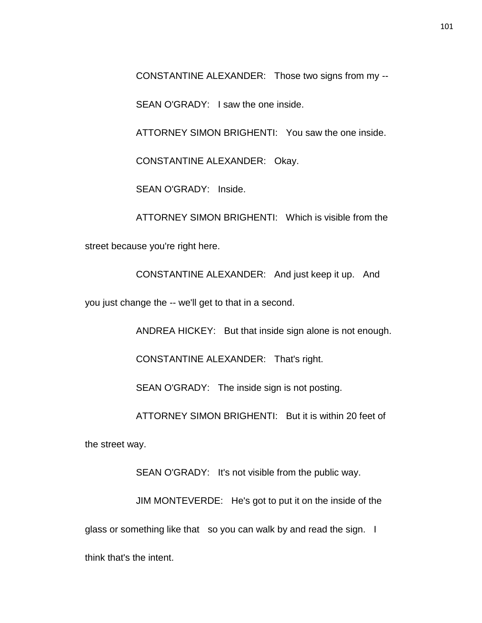CONSTANTINE ALEXANDER: Those two signs from my --

SEAN O'GRADY: I saw the one inside.

ATTORNEY SIMON BRIGHENTI: You saw the one inside.

CONSTANTINE ALEXANDER: Okay.

SEAN O'GRADY: Inside.

ATTORNEY SIMON BRIGHENTI: Which is visible from the street because you're right here.

CONSTANTINE ALEXANDER: And just keep it up. And

you just change the -- we'll get to that in a second.

ANDREA HICKEY: But that inside sign alone is not enough.

CONSTANTINE ALEXANDER: That's right.

SEAN O'GRADY: The inside sign is not posting.

ATTORNEY SIMON BRIGHENTI: But it is within 20 feet of

the street way.

SEAN O'GRADY: It's not visible from the public way.

JIM MONTEVERDE: He's got to put it on the inside of the glass or something like that so you can walk by and read the sign. I think that's the intent.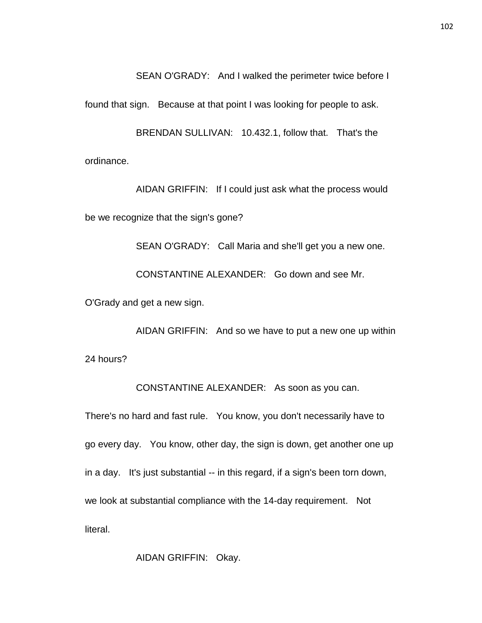SEAN O'GRADY: And I walked the perimeter twice before I

found that sign. Because at that point I was looking for people to ask.

BRENDAN SULLIVAN: 10.432.1, follow that. That's the ordinance.

AIDAN GRIFFIN: If I could just ask what the process would be we recognize that the sign's gone?

SEAN O'GRADY: Call Maria and she'll get you a new one.

CONSTANTINE ALEXANDER: Go down and see Mr.

O'Grady and get a new sign.

AIDAN GRIFFIN: And so we have to put a new one up within 24 hours?

CONSTANTINE ALEXANDER: As soon as you can.

There's no hard and fast rule. You know, you don't necessarily have to go every day. You know, other day, the sign is down, get another one up in a day. It's just substantial -- in this regard, if a sign's been torn down, we look at substantial compliance with the 14-day requirement. Not literal.

AIDAN GRIFFIN: Okay.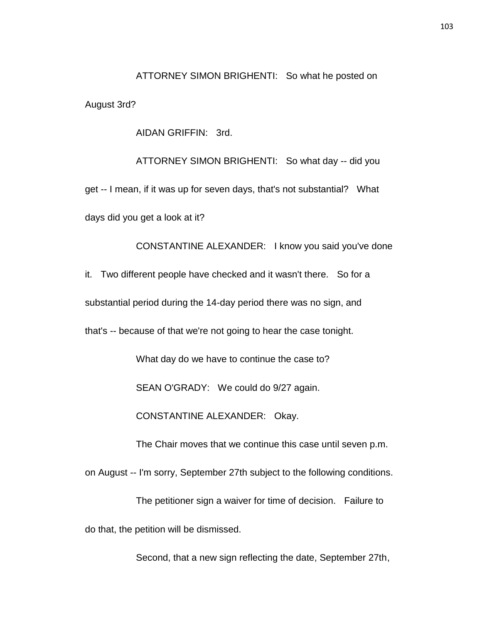ATTORNEY SIMON BRIGHENTI: So what he posted on

August 3rd?

AIDAN GRIFFIN: 3rd.

ATTORNEY SIMON BRIGHENTI: So what day -- did you get -- I mean, if it was up for seven days, that's not substantial? What days did you get a look at it?

CONSTANTINE ALEXANDER: I know you said you've done it. Two different people have checked and it wasn't there. So for a substantial period during the 14-day period there was no sign, and that's -- because of that we're not going to hear the case tonight. What day do we have to continue the case to?

SEAN O'GRADY: We could do 9/27 again.

CONSTANTINE ALEXANDER: Okay.

The Chair moves that we continue this case until seven p.m.

on August -- I'm sorry, September 27th subject to the following conditions.

The petitioner sign a waiver for time of decision. Failure to do that, the petition will be dismissed.

Second, that a new sign reflecting the date, September 27th,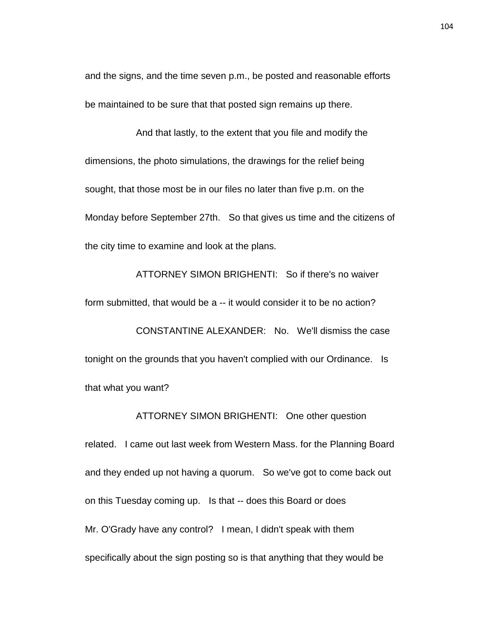and the signs, and the time seven p.m., be posted and reasonable efforts be maintained to be sure that that posted sign remains up there.

And that lastly, to the extent that you file and modify the dimensions, the photo simulations, the drawings for the relief being sought, that those most be in our files no later than five p.m. on the Monday before September 27th. So that gives us time and the citizens of the city time to examine and look at the plans.

ATTORNEY SIMON BRIGHENTI: So if there's no waiver form submitted, that would be a -- it would consider it to be no action? CONSTANTINE ALEXANDER: No. We'll dismiss the case tonight on the grounds that you haven't complied with our Ordinance. Is that what you want?

ATTORNEY SIMON BRIGHENTI: One other question

related. I came out last week from Western Mass. for the Planning Board and they ended up not having a quorum. So we've got to come back out on this Tuesday coming up. Is that -- does this Board or does Mr. O'Grady have any control? I mean, I didn't speak with them specifically about the sign posting so is that anything that they would be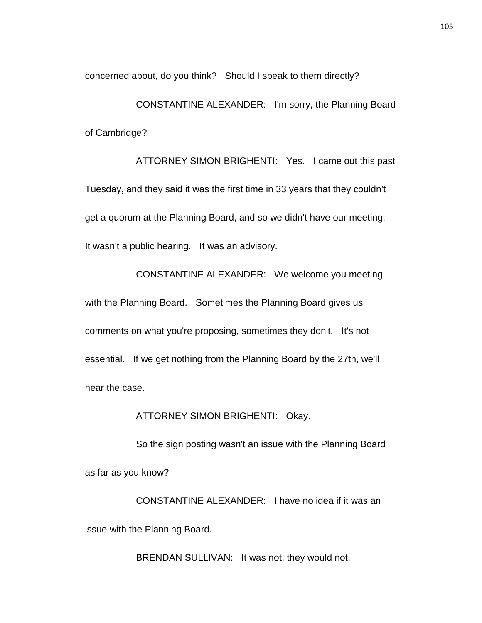concerned about, do you think? Should I speak to them directly?

CONSTANTINE ALEXANDER: I'm sorry, the Planning Board of Cambridge?

ATTORNEY SIMON BRIGHENTI: Yes. I came out this past Tuesday, and they said it was the first time in 33 years that they couldn't get a quorum at the Planning Board, and so we didn't have our meeting. It wasn't a public hearing. It was an advisory.

CONSTANTINE ALEXANDER: We welcome you meeting with the Planning Board. Sometimes the Planning Board gives us comments on what you're proposing, sometimes they don't. It's not essential. If we get nothing from the Planning Board by the 27th, we'll hear the case.

ATTORNEY SIMON BRIGHENTI: Okay.

So the sign posting wasn't an issue with the Planning Board as far as you know?

CONSTANTINE ALEXANDER: I have no idea if it was an issue with the Planning Board.

BRENDAN SULLIVAN: It was not, they would not.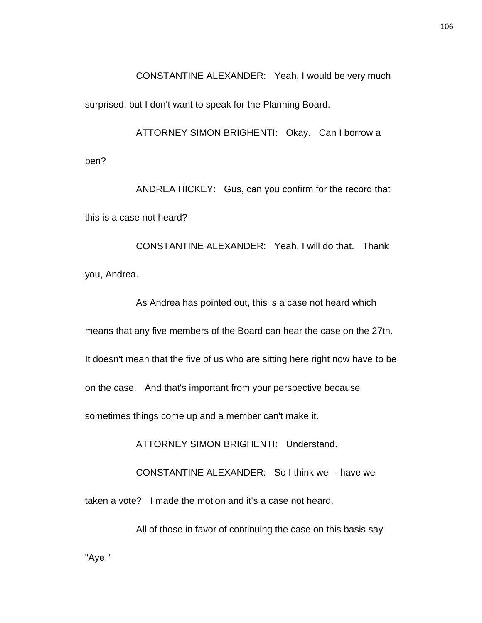CONSTANTINE ALEXANDER: Yeah, I would be very much

surprised, but I don't want to speak for the Planning Board.

pen?

ATTORNEY SIMON BRIGHENTI: Okay. Can I borrow a

ANDREA HICKEY: Gus, can you confirm for the record that this is a case not heard?

CONSTANTINE ALEXANDER: Yeah, I will do that. Thank you, Andrea.

As Andrea has pointed out, this is a case not heard which means that any five members of the Board can hear the case on the 27th. It doesn't mean that the five of us who are sitting here right now have to be on the case. And that's important from your perspective because sometimes things come up and a member can't make it.

ATTORNEY SIMON BRIGHENTI: Understand.

CONSTANTINE ALEXANDER: So I think we -- have we

taken a vote? I made the motion and it's a case not heard.

All of those in favor of continuing the case on this basis say "Aye."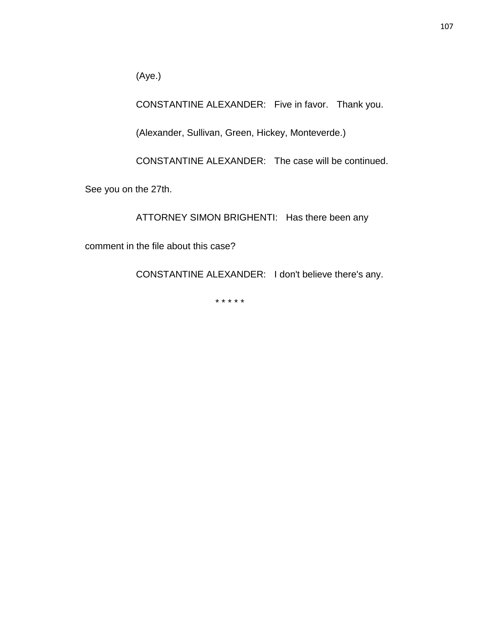(Aye.)

CONSTANTINE ALEXANDER: Five in favor. Thank you.

(Alexander, Sullivan, Green, Hickey, Monteverde.)

CONSTANTINE ALEXANDER: The case will be continued.

See you on the 27th.

ATTORNEY SIMON BRIGHENTI: Has there been any

comment in the file about this case?

CONSTANTINE ALEXANDER: I don't believe there's any.

\* \* \* \* \*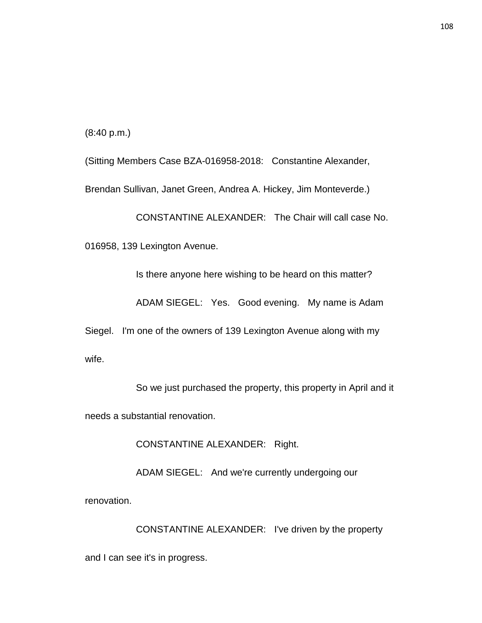(8:40 p.m.)

(Sitting Members Case BZA-016958-2018: Constantine Alexander,

Brendan Sullivan, Janet Green, Andrea A. Hickey, Jim Monteverde.)

CONSTANTINE ALEXANDER: The Chair will call case No.

016958, 139 Lexington Avenue.

Is there anyone here wishing to be heard on this matter?

ADAM SIEGEL: Yes. Good evening. My name is Adam

Siegel. I'm one of the owners of 139 Lexington Avenue along with my wife.

So we just purchased the property, this property in April and it needs a substantial renovation.

CONSTANTINE ALEXANDER: Right.

ADAM SIEGEL: And we're currently undergoing our

renovation.

CONSTANTINE ALEXANDER: I've driven by the property and I can see it's in progress.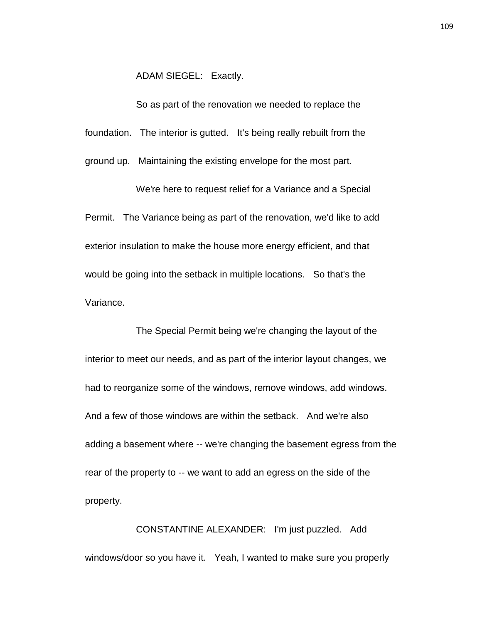ADAM SIEGEL: Exactly.

So as part of the renovation we needed to replace the

foundation. The interior is gutted. It's being really rebuilt from the

ground up. Maintaining the existing envelope for the most part.

We're here to request relief for a Variance and a Special Permit. The Variance being as part of the renovation, we'd like to add exterior insulation to make the house more energy efficient, and that would be going into the setback in multiple locations. So that's the Variance.

The Special Permit being we're changing the layout of the interior to meet our needs, and as part of the interior layout changes, we had to reorganize some of the windows, remove windows, add windows. And a few of those windows are within the setback. And we're also adding a basement where -- we're changing the basement egress from the rear of the property to -- we want to add an egress on the side of the property.

CONSTANTINE ALEXANDER: I'm just puzzled. Add windows/door so you have it. Yeah, I wanted to make sure you properly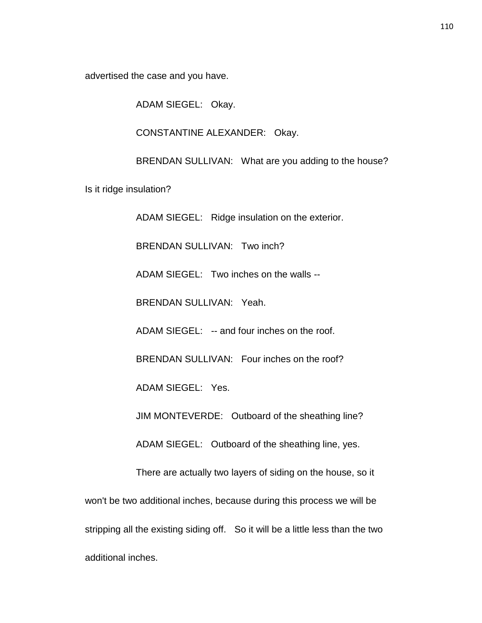advertised the case and you have.

ADAM SIEGEL: Okay.

CONSTANTINE ALEXANDER: Okay.

BRENDAN SULLIVAN: What are you adding to the house?

Is it ridge insulation?

ADAM SIEGEL: Ridge insulation on the exterior.

BRENDAN SULLIVAN: Two inch?

ADAM SIEGEL: Two inches on the walls --

BRENDAN SULLIVAN: Yeah.

ADAM SIEGEL: -- and four inches on the roof.

BRENDAN SULLIVAN: Four inches on the roof?

ADAM SIEGEL: Yes.

JIM MONTEVERDE: Outboard of the sheathing line?

ADAM SIEGEL: Outboard of the sheathing line, yes.

There are actually two layers of siding on the house, so it

won't be two additional inches, because during this process we will be stripping all the existing siding off. So it will be a little less than the two additional inches.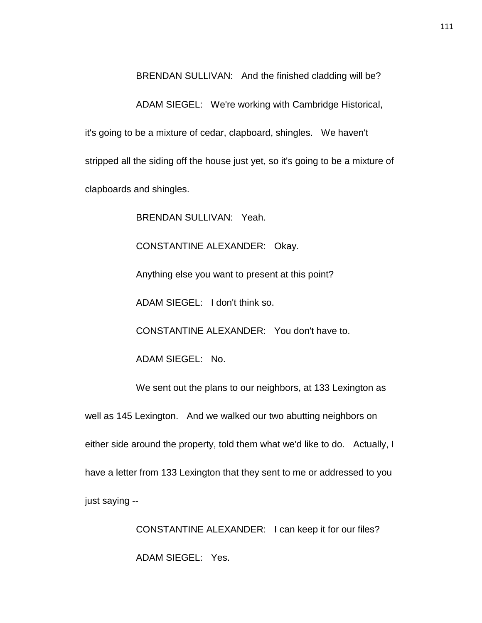BRENDAN SULLIVAN: And the finished cladding will be?

ADAM SIEGEL: We're working with Cambridge Historical, it's going to be a mixture of cedar, clapboard, shingles. We haven't stripped all the siding off the house just yet, so it's going to be a mixture of clapboards and shingles.

BRENDAN SULLIVAN: Yeah.

CONSTANTINE ALEXANDER: Okay.

Anything else you want to present at this point?

ADAM SIEGEL: I don't think so.

CONSTANTINE ALEXANDER: You don't have to.

ADAM SIEGEL: No.

We sent out the plans to our neighbors, at 133 Lexington as

well as 145 Lexington. And we walked our two abutting neighbors on

either side around the property, told them what we'd like to do. Actually, I

have a letter from 133 Lexington that they sent to me or addressed to you

just saying --

CONSTANTINE ALEXANDER: I can keep it for our files? ADAM SIEGEL: Yes.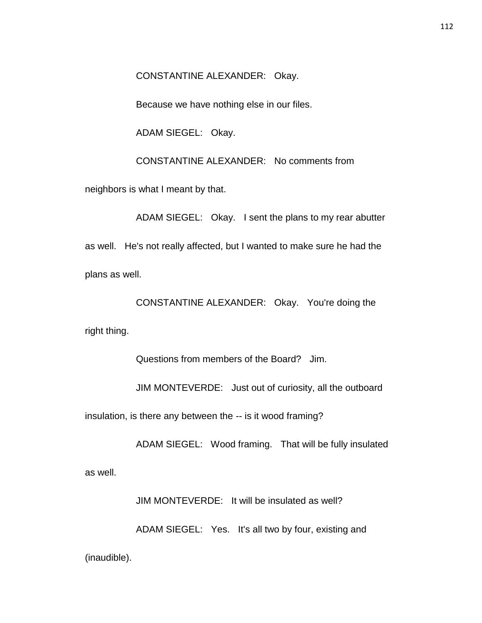CONSTANTINE ALEXANDER: Okay.

Because we have nothing else in our files.

ADAM SIEGEL: Okay.

CONSTANTINE ALEXANDER: No comments from

neighbors is what I meant by that.

ADAM SIEGEL: Okay. I sent the plans to my rear abutter as well. He's not really affected, but I wanted to make sure he had the plans as well.

CONSTANTINE ALEXANDER: Okay. You're doing the right thing.

Questions from members of the Board? Jim.

JIM MONTEVERDE: Just out of curiosity, all the outboard

insulation, is there any between the -- is it wood framing?

ADAM SIEGEL: Wood framing. That will be fully insulated

as well.

JIM MONTEVERDE: It will be insulated as well?

ADAM SIEGEL: Yes. It's all two by four, existing and

(inaudible).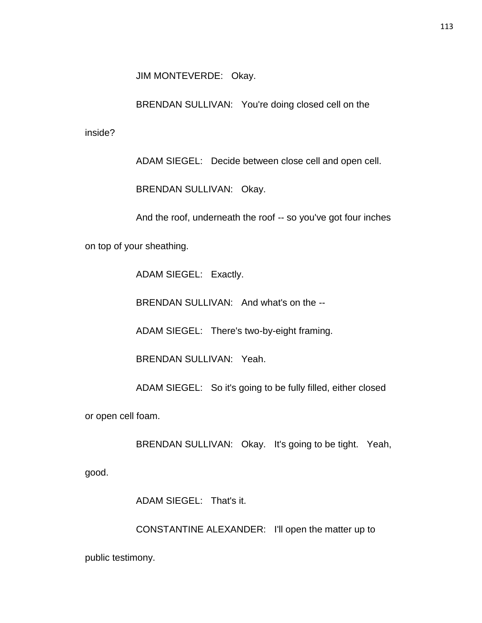JIM MONTEVERDE: Okay.

BRENDAN SULLIVAN: You're doing closed cell on the

inside?

ADAM SIEGEL: Decide between close cell and open cell.

BRENDAN SULLIVAN: Okay.

And the roof, underneath the roof -- so you've got four inches

on top of your sheathing.

ADAM SIEGEL: Exactly.

BRENDAN SULLIVAN: And what's on the --

ADAM SIEGEL: There's two-by-eight framing.

BRENDAN SULLIVAN: Yeah.

ADAM SIEGEL: So it's going to be fully filled, either closed

or open cell foam.

BRENDAN SULLIVAN: Okay. It's going to be tight. Yeah,

good.

ADAM SIEGEL: That's it.

CONSTANTINE ALEXANDER: I'll open the matter up to public testimony.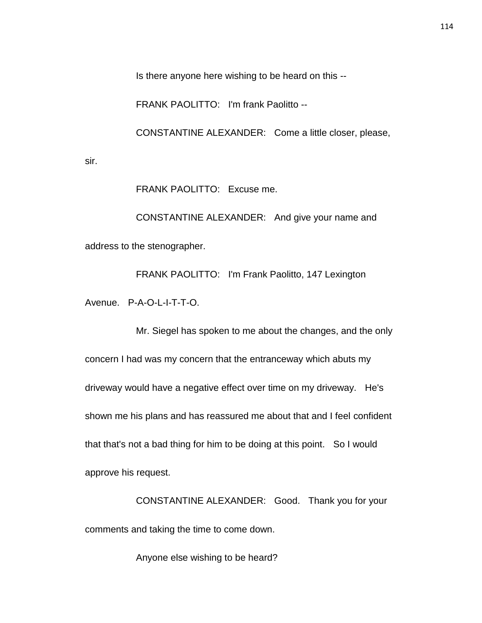Is there anyone here wishing to be heard on this --

FRANK PAOLITTO: I'm frank Paolitto --

CONSTANTINE ALEXANDER: Come a little closer, please,

sir.

FRANK PAOLITTO: Excuse me.

CONSTANTINE ALEXANDER: And give your name and address to the stenographer.

FRANK PAOLITTO: I'm Frank Paolitto, 147 Lexington Avenue. P-A-O-L-I-T-T-O.

Mr. Siegel has spoken to me about the changes, and the only concern I had was my concern that the entranceway which abuts my driveway would have a negative effect over time on my driveway. He's shown me his plans and has reassured me about that and I feel confident that that's not a bad thing for him to be doing at this point. So I would approve his request.

CONSTANTINE ALEXANDER: Good. Thank you for your comments and taking the time to come down.

Anyone else wishing to be heard?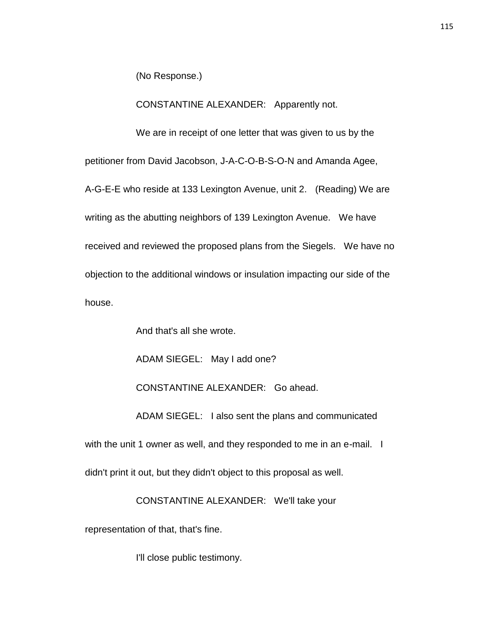(No Response.)

CONSTANTINE ALEXANDER: Apparently not.

We are in receipt of one letter that was given to us by the

petitioner from David Jacobson, J-A-C-O-B-S-O-N and Amanda Agee,

A-G-E-E who reside at 133 Lexington Avenue, unit 2. (Reading) We are writing as the abutting neighbors of 139 Lexington Avenue. We have received and reviewed the proposed plans from the Siegels. We have no objection to the additional windows or insulation impacting our side of the house.

And that's all she wrote.

ADAM SIEGEL: May I add one?

CONSTANTINE ALEXANDER: Go ahead.

ADAM SIEGEL: I also sent the plans and communicated with the unit 1 owner as well, and they responded to me in an e-mail. I didn't print it out, but they didn't object to this proposal as well.

CONSTANTINE ALEXANDER: We'll take your

representation of that, that's fine.

I'll close public testimony.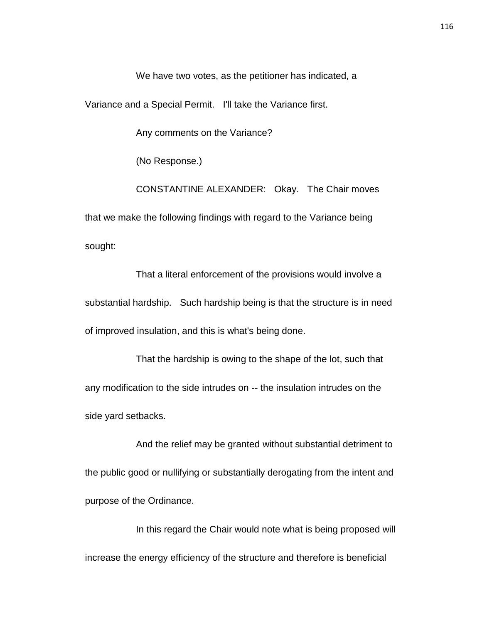We have two votes, as the petitioner has indicated, a

Variance and a Special Permit. I'll take the Variance first.

Any comments on the Variance?

(No Response.)

CONSTANTINE ALEXANDER: Okay. The Chair moves that we make the following findings with regard to the Variance being sought:

That a literal enforcement of the provisions would involve a substantial hardship. Such hardship being is that the structure is in need of improved insulation, and this is what's being done.

That the hardship is owing to the shape of the lot, such that any modification to the side intrudes on -- the insulation intrudes on the side yard setbacks.

And the relief may be granted without substantial detriment to the public good or nullifying or substantially derogating from the intent and purpose of the Ordinance.

In this regard the Chair would note what is being proposed will increase the energy efficiency of the structure and therefore is beneficial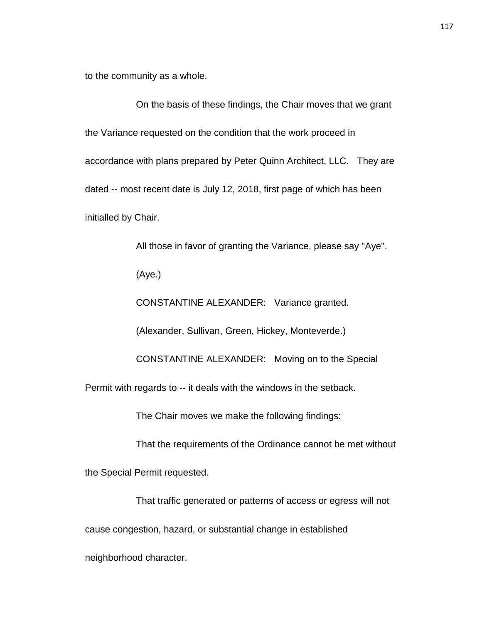to the community as a whole.

On the basis of these findings, the Chair moves that we grant the Variance requested on the condition that the work proceed in accordance with plans prepared by Peter Quinn Architect, LLC. They are dated -- most recent date is July 12, 2018, first page of which has been initialled by Chair.

All those in favor of granting the Variance, please say "Aye".

(Aye.)

CONSTANTINE ALEXANDER: Variance granted.

(Alexander, Sullivan, Green, Hickey, Monteverde.)

CONSTANTINE ALEXANDER: Moving on to the Special

Permit with regards to -- it deals with the windows in the setback.

The Chair moves we make the following findings:

That the requirements of the Ordinance cannot be met without

the Special Permit requested.

neighborhood character.

That traffic generated or patterns of access or egress will not cause congestion, hazard, or substantial change in established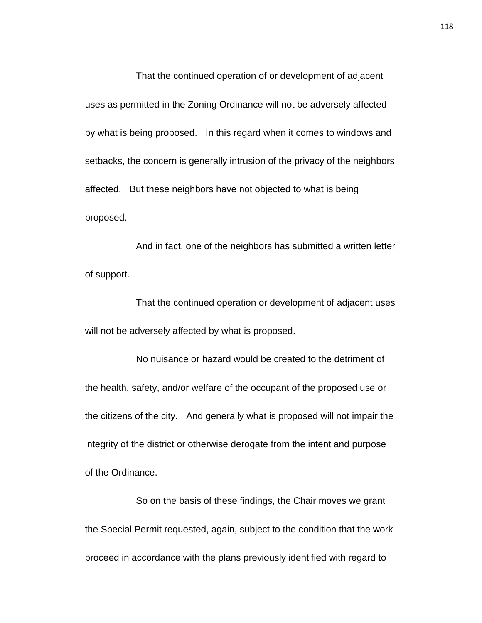That the continued operation of or development of adjacent uses as permitted in the Zoning Ordinance will not be adversely affected by what is being proposed. In this regard when it comes to windows and setbacks, the concern is generally intrusion of the privacy of the neighbors affected. But these neighbors have not objected to what is being proposed.

And in fact, one of the neighbors has submitted a written letter of support.

That the continued operation or development of adjacent uses will not be adversely affected by what is proposed.

No nuisance or hazard would be created to the detriment of the health, safety, and/or welfare of the occupant of the proposed use or the citizens of the city. And generally what is proposed will not impair the integrity of the district or otherwise derogate from the intent and purpose of the Ordinance.

So on the basis of these findings, the Chair moves we grant the Special Permit requested, again, subject to the condition that the work proceed in accordance with the plans previously identified with regard to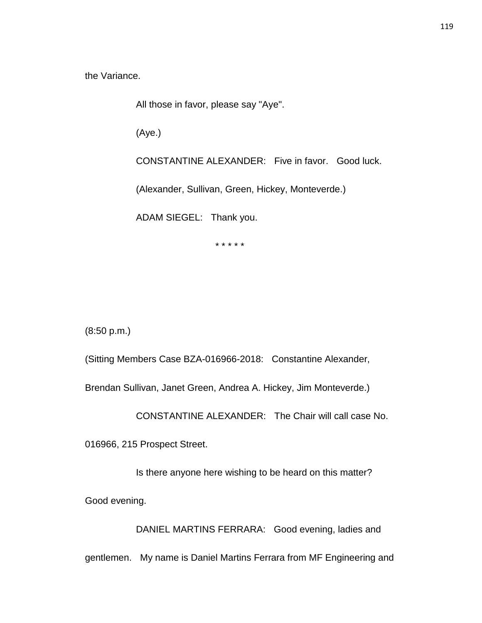the Variance.

All those in favor, please say "Aye".

(Aye.)

CONSTANTINE ALEXANDER: Five in favor. Good luck.

(Alexander, Sullivan, Green, Hickey, Monteverde.)

ADAM SIEGEL: Thank you.

\* \* \* \* \*

(8:50 p.m.)

(Sitting Members Case BZA-016966-2018: Constantine Alexander,

Brendan Sullivan, Janet Green, Andrea A. Hickey, Jim Monteverde.)

CONSTANTINE ALEXANDER: The Chair will call case No.

016966, 215 Prospect Street.

Is there anyone here wishing to be heard on this matter?

Good evening.

DANIEL MARTINS FERRARA: Good evening, ladies and

gentlemen. My name is Daniel Martins Ferrara from MF Engineering and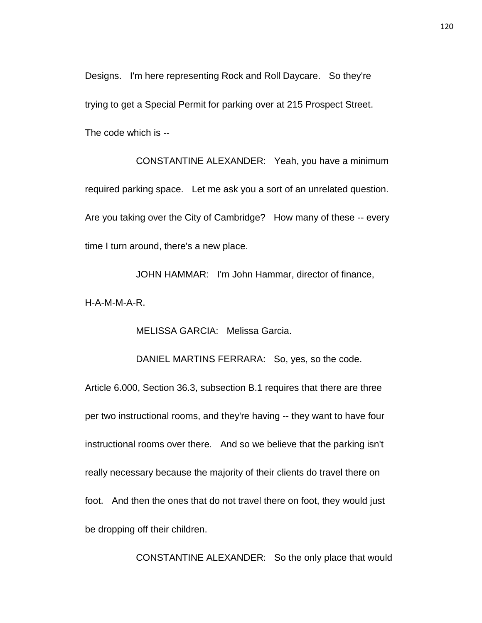Designs. I'm here representing Rock and Roll Daycare. So they're trying to get a Special Permit for parking over at 215 Prospect Street. The code which is --

CONSTANTINE ALEXANDER: Yeah, you have a minimum required parking space. Let me ask you a sort of an unrelated question. Are you taking over the City of Cambridge? How many of these -- every time I turn around, there's a new place.

JOHN HAMMAR: I'm John Hammar, director of finance, H-A-M-M-A-R.

MELISSA GARCIA: Melissa Garcia.

DANIEL MARTINS FERRARA: So, yes, so the code.

Article 6.000, Section 36.3, subsection B.1 requires that there are three per two instructional rooms, and they're having -- they want to have four instructional rooms over there. And so we believe that the parking isn't really necessary because the majority of their clients do travel there on foot. And then the ones that do not travel there on foot, they would just be dropping off their children.

CONSTANTINE ALEXANDER: So the only place that would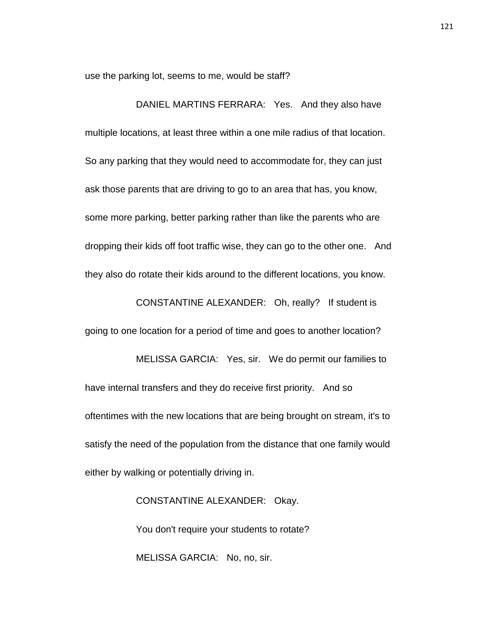use the parking lot, seems to me, would be staff?

DANIEL MARTINS FERRARA: Yes. And they also have multiple locations, at least three within a one mile radius of that location. So any parking that they would need to accommodate for, they can just ask those parents that are driving to go to an area that has, you know, some more parking, better parking rather than like the parents who are dropping their kids off foot traffic wise, they can go to the other one. And they also do rotate their kids around to the different locations, you know.

CONSTANTINE ALEXANDER: Oh, really? If student is going to one location for a period of time and goes to another location? MELISSA GARCIA: Yes, sir. We do permit our families to have internal transfers and they do receive first priority. And so oftentimes with the new locations that are being brought on stream, it's to satisfy the need of the population from the distance that one family would

either by walking or potentially driving in.

CONSTANTINE ALEXANDER: Okay. You don't require your students to rotate? MELISSA GARCIA: No, no, sir.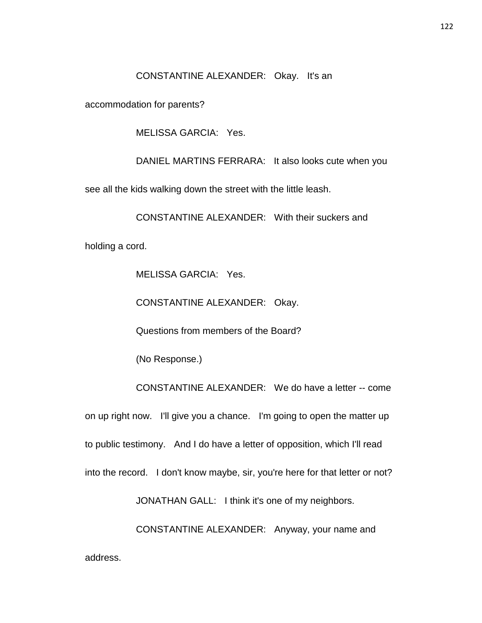CONSTANTINE ALEXANDER: Okay. It's an

accommodation for parents?

MELISSA GARCIA: Yes.

DANIEL MARTINS FERRARA: It also looks cute when you

see all the kids walking down the street with the little leash.

CONSTANTINE ALEXANDER: With their suckers and

holding a cord.

MELISSA GARCIA: Yes.

CONSTANTINE ALEXANDER: Okay.

Questions from members of the Board?

(No Response.)

CONSTANTINE ALEXANDER: We do have a letter -- come on up right now. I'll give you a chance. I'm going to open the matter up to public testimony. And I do have a letter of opposition, which I'll read into the record. I don't know maybe, sir, you're here for that letter or not?

JONATHAN GALL: I think it's one of my neighbors.

CONSTANTINE ALEXANDER: Anyway, your name and address.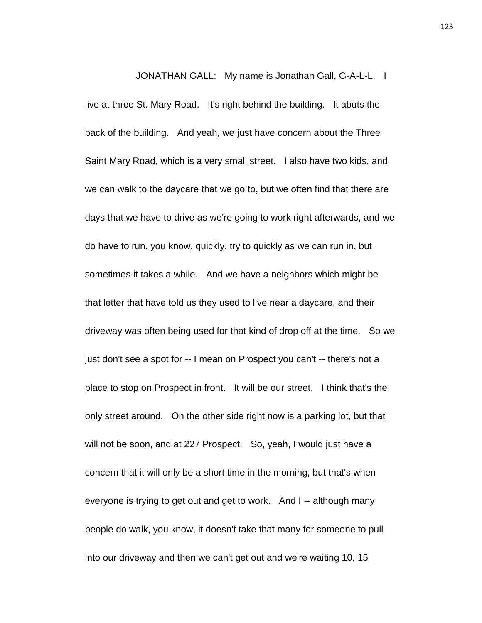JONATHAN GALL: My name is Jonathan Gall, G-A-L-L. I live at three St. Mary Road. It's right behind the building. It abuts the back of the building. And yeah, we just have concern about the Three Saint Mary Road, which is a very small street. I also have two kids, and we can walk to the daycare that we go to, but we often find that there are days that we have to drive as we're going to work right afterwards, and we do have to run, you know, quickly, try to quickly as we can run in, but sometimes it takes a while. And we have a neighbors which might be that letter that have told us they used to live near a daycare, and their driveway was often being used for that kind of drop off at the time. So we just don't see a spot for -- I mean on Prospect you can't -- there's not a place to stop on Prospect in front. It will be our street. I think that's the only street around. On the other side right now is a parking lot, but that will not be soon, and at 227 Prospect. So, yeah, I would just have a concern that it will only be a short time in the morning, but that's when

everyone is trying to get out and get to work. And I -- although many people do walk, you know, it doesn't take that many for someone to pull into our driveway and then we can't get out and we're waiting 10, 15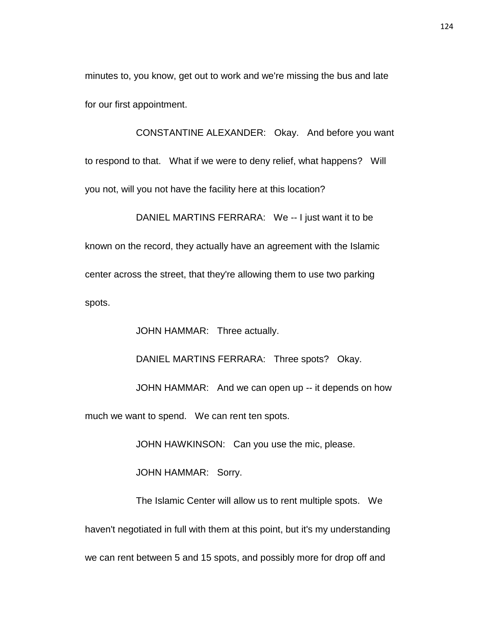minutes to, you know, get out to work and we're missing the bus and late for our first appointment.

CONSTANTINE ALEXANDER: Okay. And before you want to respond to that. What if we were to deny relief, what happens? Will you not, will you not have the facility here at this location?

DANIEL MARTINS FERRARA: We -- I just want it to be known on the record, they actually have an agreement with the Islamic center across the street, that they're allowing them to use two parking spots.

JOHN HAMMAR: Three actually.

DANIEL MARTINS FERRARA: Three spots? Okay.

JOHN HAMMAR: And we can open up -- it depends on how

much we want to spend. We can rent ten spots.

JOHN HAWKINSON: Can you use the mic, please.

JOHN HAMMAR: Sorry.

The Islamic Center will allow us to rent multiple spots. We haven't negotiated in full with them at this point, but it's my understanding we can rent between 5 and 15 spots, and possibly more for drop off and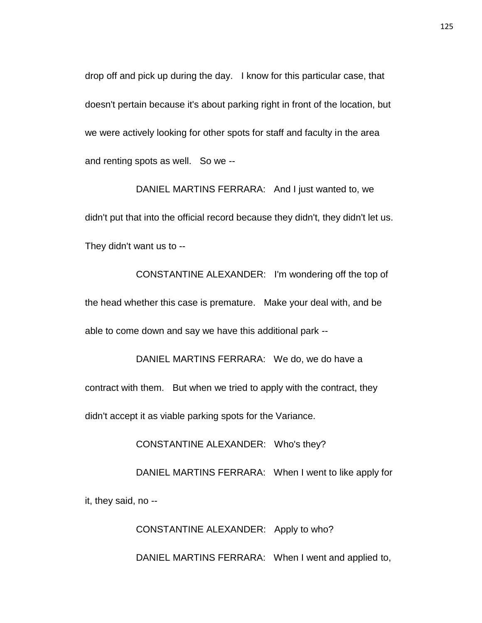drop off and pick up during the day. I know for this particular case, that doesn't pertain because it's about parking right in front of the location, but we were actively looking for other spots for staff and faculty in the area and renting spots as well. So we --

DANIEL MARTINS FERRARA: And I just wanted to, we didn't put that into the official record because they didn't, they didn't let us. They didn't want us to --

CONSTANTINE ALEXANDER: I'm wondering off the top of the head whether this case is premature. Make your deal with, and be able to come down and say we have this additional park --

DANIEL MARTINS FERRARA: We do, we do have a contract with them. But when we tried to apply with the contract, they didn't accept it as viable parking spots for the Variance.

CONSTANTINE ALEXANDER: Who's they?

DANIEL MARTINS FERRARA: When I went to like apply for

it, they said, no --

CONSTANTINE ALEXANDER: Apply to who?

DANIEL MARTINS FERRARA: When I went and applied to,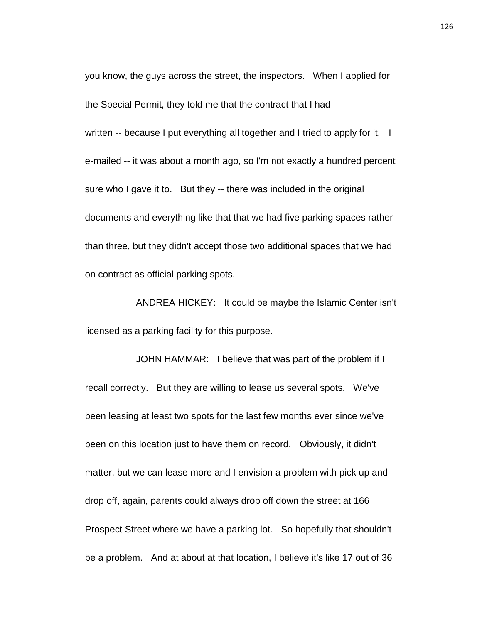you know, the guys across the street, the inspectors. When I applied for the Special Permit, they told me that the contract that I had written -- because I put everything all together and I tried to apply for it. I e-mailed -- it was about a month ago, so I'm not exactly a hundred percent sure who I gave it to. But they -- there was included in the original documents and everything like that that we had five parking spaces rather than three, but they didn't accept those two additional spaces that we had on contract as official parking spots.

ANDREA HICKEY: It could be maybe the Islamic Center isn't licensed as a parking facility for this purpose.

JOHN HAMMAR: I believe that was part of the problem if I recall correctly. But they are willing to lease us several spots. We've been leasing at least two spots for the last few months ever since we've been on this location just to have them on record. Obviously, it didn't matter, but we can lease more and I envision a problem with pick up and drop off, again, parents could always drop off down the street at 166 Prospect Street where we have a parking lot. So hopefully that shouldn't be a problem. And at about at that location, I believe it's like 17 out of 36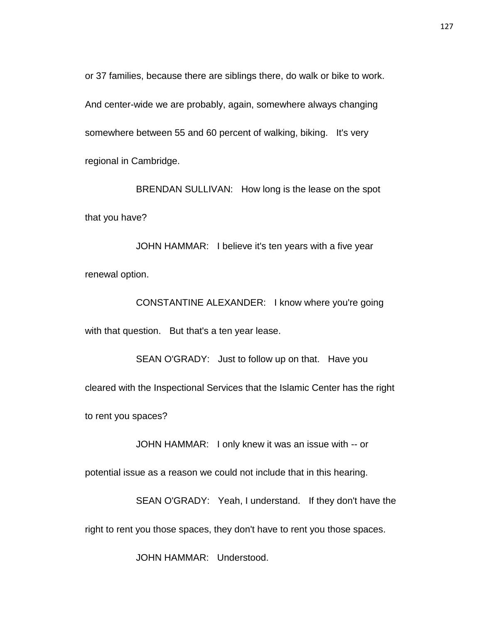or 37 families, because there are siblings there, do walk or bike to work. And center-wide we are probably, again, somewhere always changing somewhere between 55 and 60 percent of walking, biking. It's very regional in Cambridge.

BRENDAN SULLIVAN: How long is the lease on the spot that you have?

JOHN HAMMAR: I believe it's ten years with a five year renewal option.

CONSTANTINE ALEXANDER: I know where you're going with that question. But that's a ten year lease.

SEAN O'GRADY: Just to follow up on that. Have you cleared with the Inspectional Services that the Islamic Center has the right to rent you spaces?

JOHN HAMMAR: I only knew it was an issue with -- or

potential issue as a reason we could not include that in this hearing.

SEAN O'GRADY: Yeah, I understand. If they don't have the right to rent you those spaces, they don't have to rent you those spaces.

JOHN HAMMAR: Understood.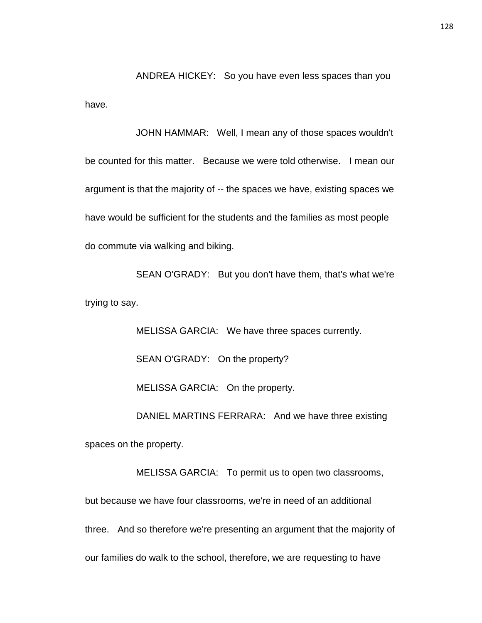ANDREA HICKEY: So you have even less spaces than you have.

JOHN HAMMAR: Well, I mean any of those spaces wouldn't be counted for this matter. Because we were told otherwise. I mean our argument is that the majority of -- the spaces we have, existing spaces we have would be sufficient for the students and the families as most people do commute via walking and biking.

SEAN O'GRADY: But you don't have them, that's what we're trying to say.

> MELISSA GARCIA: We have three spaces currently. SEAN O'GRADY: On the property? MELISSA GARCIA: On the property. DANIEL MARTINS FERRARA: And we have three existing

spaces on the property.

MELISSA GARCIA: To permit us to open two classrooms, but because we have four classrooms, we're in need of an additional three. And so therefore we're presenting an argument that the majority of our families do walk to the school, therefore, we are requesting to have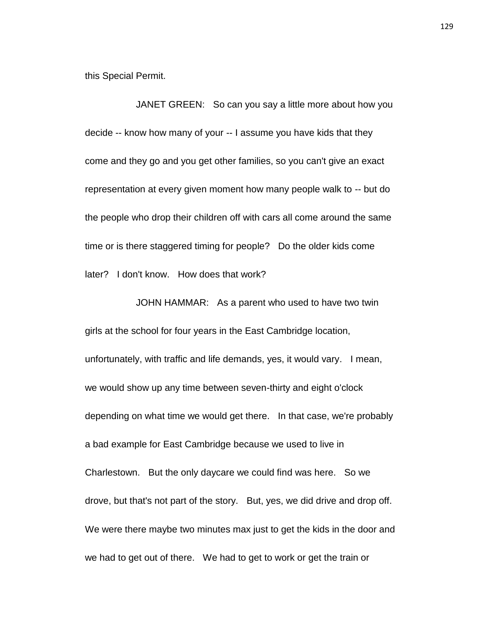this Special Permit.

JANET GREEN: So can you say a little more about how you decide -- know how many of your -- I assume you have kids that they come and they go and you get other families, so you can't give an exact representation at every given moment how many people walk to -- but do the people who drop their children off with cars all come around the same time or is there staggered timing for people? Do the older kids come later? I don't know. How does that work?

JOHN HAMMAR: As a parent who used to have two twin girls at the school for four years in the East Cambridge location, unfortunately, with traffic and life demands, yes, it would vary. I mean, we would show up any time between seven-thirty and eight o'clock depending on what time we would get there. In that case, we're probably a bad example for East Cambridge because we used to live in Charlestown. But the only daycare we could find was here. So we drove, but that's not part of the story. But, yes, we did drive and drop off. We were there maybe two minutes max just to get the kids in the door and we had to get out of there. We had to get to work or get the train or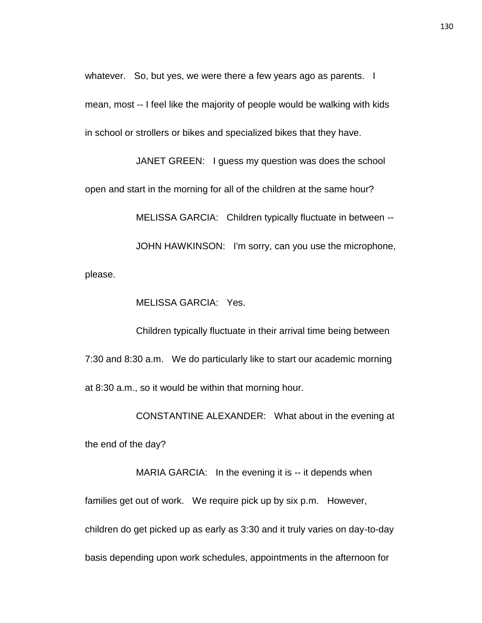whatever. So, but yes, we were there a few years ago as parents. I mean, most -- I feel like the majority of people would be walking with kids in school or strollers or bikes and specialized bikes that they have.

JANET GREEN: I guess my question was does the school open and start in the morning for all of the children at the same hour? MELISSA GARCIA: Children typically fluctuate in between -- JOHN HAWKINSON: I'm sorry, can you use the microphone, please.

MELISSA GARCIA: Yes.

Children typically fluctuate in their arrival time being between 7:30 and 8:30 a.m. We do particularly like to start our academic morning at 8:30 a.m., so it would be within that morning hour.

CONSTANTINE ALEXANDER: What about in the evening at the end of the day?

MARIA GARCIA: In the evening it is -- it depends when families get out of work. We require pick up by six p.m. However, children do get picked up as early as 3:30 and it truly varies on day-to-day basis depending upon work schedules, appointments in the afternoon for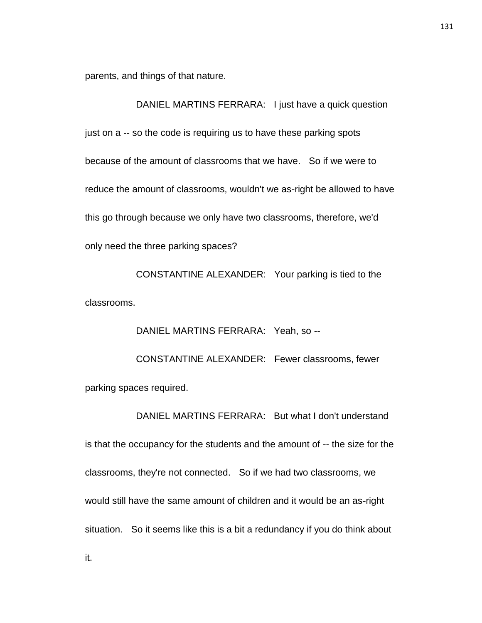parents, and things of that nature.

DANIEL MARTINS FERRARA: I just have a quick question just on a -- so the code is requiring us to have these parking spots because of the amount of classrooms that we have. So if we were to reduce the amount of classrooms, wouldn't we as-right be allowed to have this go through because we only have two classrooms, therefore, we'd only need the three parking spaces?

CONSTANTINE ALEXANDER: Your parking is tied to the classrooms.

DANIEL MARTINS FERRARA: Yeah, so -- CONSTANTINE ALEXANDER: Fewer classrooms, fewer parking spaces required.

DANIEL MARTINS FERRARA: But what I don't understand is that the occupancy for the students and the amount of -- the size for the classrooms, they're not connected. So if we had two classrooms, we would still have the same amount of children and it would be an as-right situation. So it seems like this is a bit a redundancy if you do think about

it.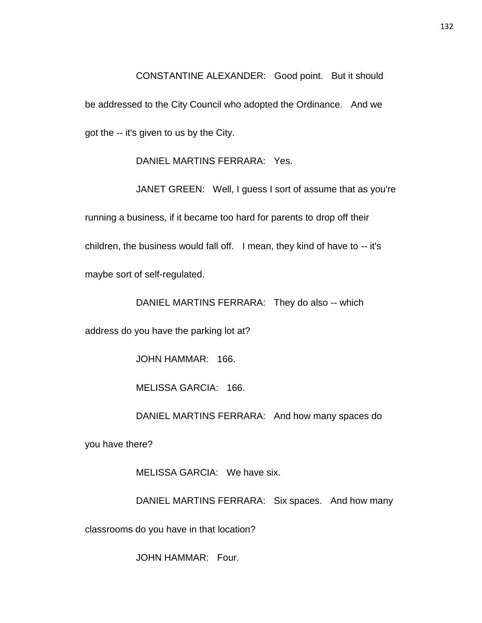CONSTANTINE ALEXANDER: Good point. But it should be addressed to the City Council who adopted the Ordinance. And we got the -- it's given to us by the City.

DANIEL MARTINS FERRARA: Yes.

JANET GREEN: Well, I guess I sort of assume that as you're running a business, if it became too hard for parents to drop off their children, the business would fall off. I mean, they kind of have to -- it's maybe sort of self-regulated.

DANIEL MARTINS FERRARA: They do also -- which

address do you have the parking lot at?

JOHN HAMMAR: 166.

MELISSA GARCIA: 166.

DANIEL MARTINS FERRARA: And how many spaces do

you have there?

MELISSA GARCIA: We have six.

DANIEL MARTINS FERRARA: Six spaces. And how many

classrooms do you have in that location?

JOHN HAMMAR: Four.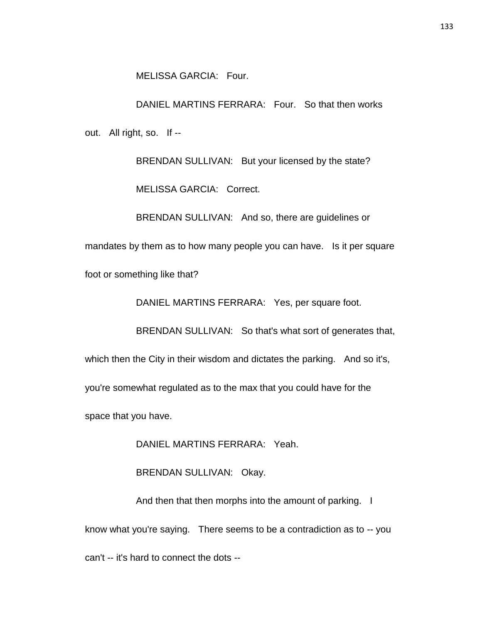DANIEL MARTINS FERRARA: Four. So that then works out. All right, so. If --

> BRENDAN SULLIVAN: But your licensed by the state? MELISSA GARCIA: Correct.

> BRENDAN SULLIVAN: And so, there are guidelines or

mandates by them as to how many people you can have. Is it per square

foot or something like that?

DANIEL MARTINS FERRARA: Yes, per square foot.

BRENDAN SULLIVAN: So that's what sort of generates that,

which then the City in their wisdom and dictates the parking. And so it's,

you're somewhat regulated as to the max that you could have for the

space that you have.

DANIEL MARTINS FERRARA: Yeah.

BRENDAN SULLIVAN: Okay.

And then that then morphs into the amount of parking. I know what you're saying. There seems to be a contradiction as to -- you can't -- it's hard to connect the dots --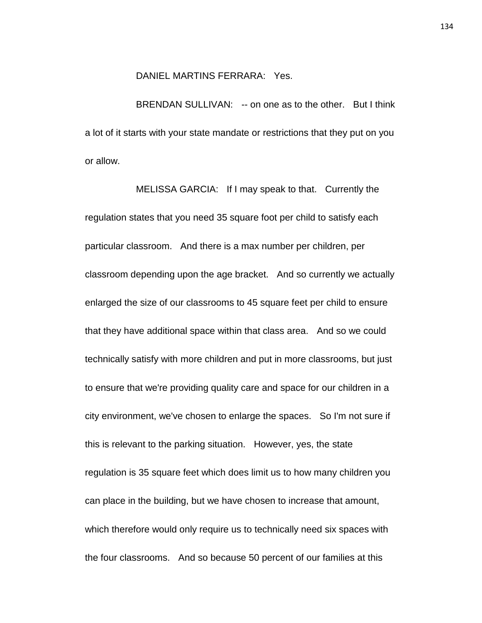## DANIEL MARTINS FERRARA: Yes.

BRENDAN SULLIVAN: -- on one as to the other. But I think a lot of it starts with your state mandate or restrictions that they put on you or allow.

MELISSA GARCIA: If I may speak to that. Currently the regulation states that you need 35 square foot per child to satisfy each particular classroom. And there is a max number per children, per classroom depending upon the age bracket. And so currently we actually enlarged the size of our classrooms to 45 square feet per child to ensure that they have additional space within that class area. And so we could technically satisfy with more children and put in more classrooms, but just to ensure that we're providing quality care and space for our children in a city environment, we've chosen to enlarge the spaces. So I'm not sure if this is relevant to the parking situation. However, yes, the state regulation is 35 square feet which does limit us to how many children you can place in the building, but we have chosen to increase that amount, which therefore would only require us to technically need six spaces with the four classrooms. And so because 50 percent of our families at this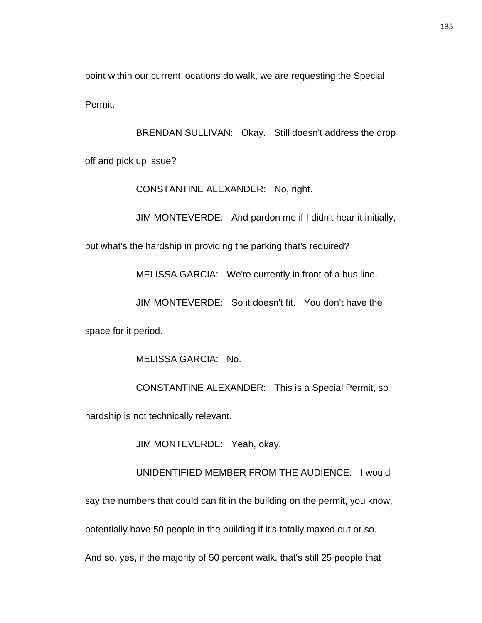point within our current locations do walk, we are requesting the Special Permit.

BRENDAN SULLIVAN: Okay. Still doesn't address the drop off and pick up issue?

CONSTANTINE ALEXANDER: No, right.

JIM MONTEVERDE: And pardon me if I didn't hear it initially,

but what's the hardship in providing the parking that's required?

MELISSA GARCIA: We're currently in front of a bus line.

JIM MONTEVERDE: So it doesn't fit. You don't have the

space for it period.

MELISSA GARCIA: No.

CONSTANTINE ALEXANDER: This is a Special Permit, so hardship is not technically relevant.

JIM MONTEVERDE: Yeah, okay.

UNIDENTIFIED MEMBER FROM THE AUDIENCE: I would

say the numbers that could can fit in the building on the permit, you know,

potentially have 50 people in the building if it's totally maxed out or so.

And so, yes, if the majority of 50 percent walk, that's still 25 people that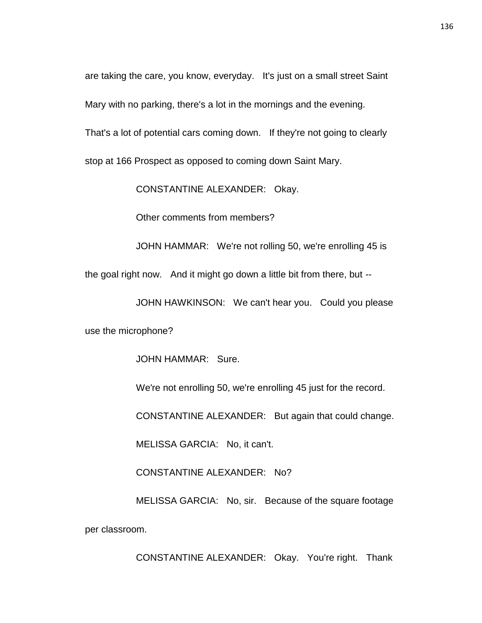are taking the care, you know, everyday. It's just on a small street Saint Mary with no parking, there's a lot in the mornings and the evening.

That's a lot of potential cars coming down. If they're not going to clearly

stop at 166 Prospect as opposed to coming down Saint Mary.

CONSTANTINE ALEXANDER: Okay.

Other comments from members?

JOHN HAMMAR: We're not rolling 50, we're enrolling 45 is

the goal right now. And it might go down a little bit from there, but --

JOHN HAWKINSON: We can't hear you. Could you please

use the microphone?

JOHN HAMMAR: Sure.

We're not enrolling 50, we're enrolling 45 just for the record.

CONSTANTINE ALEXANDER: But again that could change.

MELISSA GARCIA: No, it can't.

CONSTANTINE ALEXANDER: No?

MELISSA GARCIA: No, sir. Because of the square footage per classroom.

CONSTANTINE ALEXANDER: Okay. You're right. Thank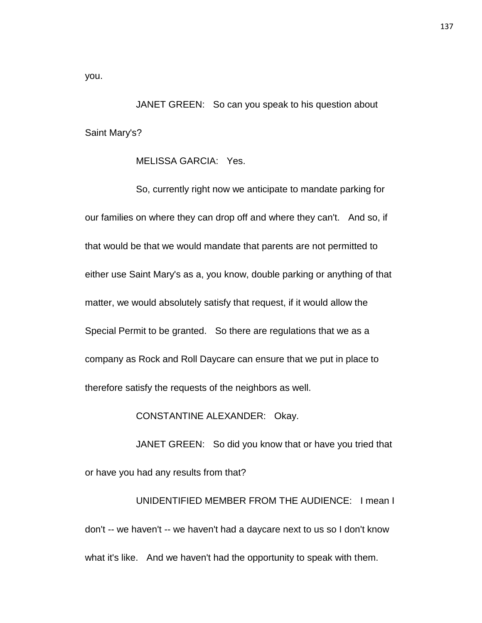you.

JANET GREEN: So can you speak to his question about Saint Mary's?

MELISSA GARCIA: Yes.

So, currently right now we anticipate to mandate parking for our families on where they can drop off and where they can't. And so, if that would be that we would mandate that parents are not permitted to either use Saint Mary's as a, you know, double parking or anything of that matter, we would absolutely satisfy that request, if it would allow the Special Permit to be granted. So there are regulations that we as a company as Rock and Roll Daycare can ensure that we put in place to therefore satisfy the requests of the neighbors as well.

CONSTANTINE ALEXANDER: Okay.

JANET GREEN: So did you know that or have you tried that or have you had any results from that?

UNIDENTIFIED MEMBER FROM THE AUDIENCE: I mean I don't -- we haven't -- we haven't had a daycare next to us so I don't know what it's like. And we haven't had the opportunity to speak with them.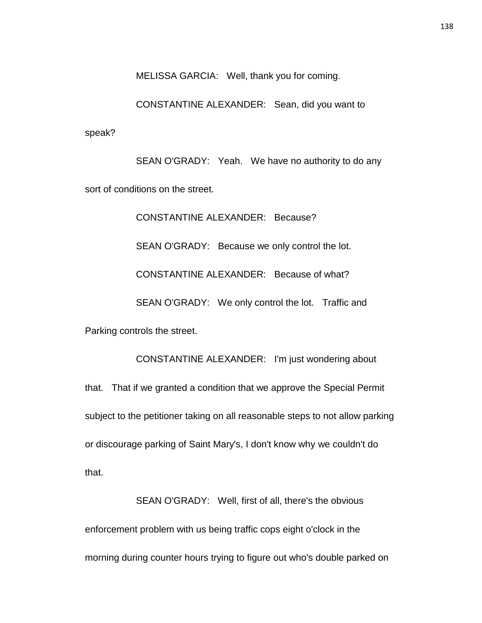MELISSA GARCIA: Well, thank you for coming.

CONSTANTINE ALEXANDER: Sean, did you want to speak?

SEAN O'GRADY: Yeah. We have no authority to do any sort of conditions on the street.

CONSTANTINE ALEXANDER: Because? SEAN O'GRADY: Because we only control the lot. CONSTANTINE ALEXANDER: Because of what? SEAN O'GRADY: We only control the lot. Traffic and Parking controls the street.

CONSTANTINE ALEXANDER: I'm just wondering about that. That if we granted a condition that we approve the Special Permit subject to the petitioner taking on all reasonable steps to not allow parking or discourage parking of Saint Mary's, I don't know why we couldn't do that.

SEAN O'GRADY: Well, first of all, there's the obvious enforcement problem with us being traffic cops eight o'clock in the morning during counter hours trying to figure out who's double parked on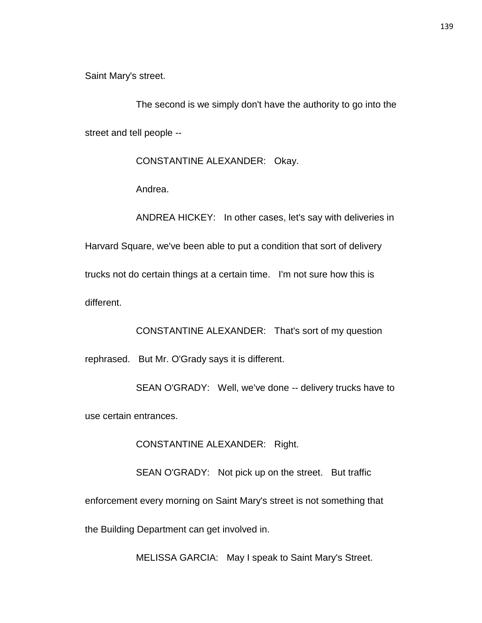Saint Mary's street.

The second is we simply don't have the authority to go into the street and tell people --

CONSTANTINE ALEXANDER: Okay.

Andrea.

ANDREA HICKEY: In other cases, let's say with deliveries in Harvard Square, we've been able to put a condition that sort of delivery trucks not do certain things at a certain time. I'm not sure how this is different.

CONSTANTINE ALEXANDER: That's sort of my question

rephrased. But Mr. O'Grady says it is different.

SEAN O'GRADY: Well, we've done -- delivery trucks have to use certain entrances.

CONSTANTINE ALEXANDER: Right.

SEAN O'GRADY: Not pick up on the street. But traffic enforcement every morning on Saint Mary's street is not something that the Building Department can get involved in.

MELISSA GARCIA: May I speak to Saint Mary's Street.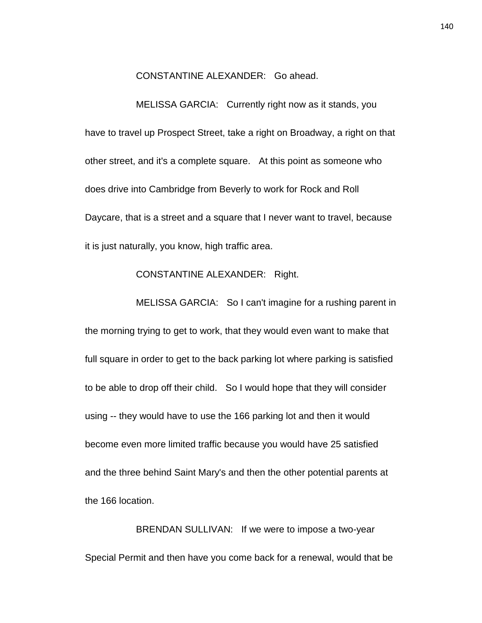CONSTANTINE ALEXANDER: Go ahead.

MELISSA GARCIA: Currently right now as it stands, you have to travel up Prospect Street, take a right on Broadway, a right on that other street, and it's a complete square. At this point as someone who does drive into Cambridge from Beverly to work for Rock and Roll Daycare, that is a street and a square that I never want to travel, because it is just naturally, you know, high traffic area.

## CONSTANTINE ALEXANDER: Right.

MELISSA GARCIA: So I can't imagine for a rushing parent in the morning trying to get to work, that they would even want to make that full square in order to get to the back parking lot where parking is satisfied to be able to drop off their child. So I would hope that they will consider using -- they would have to use the 166 parking lot and then it would become even more limited traffic because you would have 25 satisfied and the three behind Saint Mary's and then the other potential parents at the 166 location.

BRENDAN SULLIVAN: If we were to impose a two-year Special Permit and then have you come back for a renewal, would that be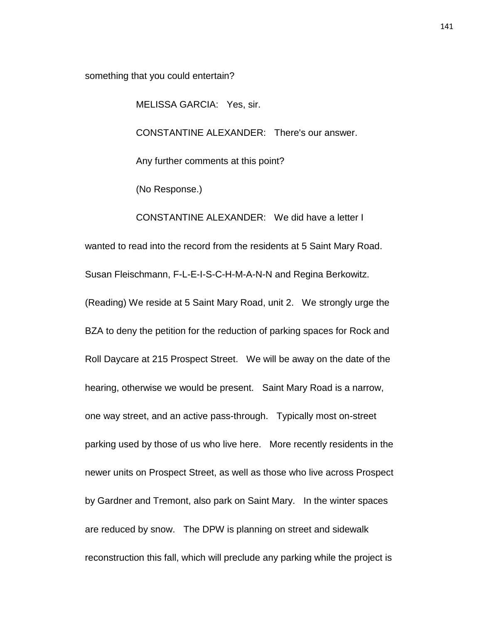something that you could entertain?

MELISSA GARCIA: Yes, sir.

CONSTANTINE ALEXANDER: There's our answer.

Any further comments at this point?

(No Response.)

CONSTANTINE ALEXANDER: We did have a letter I

wanted to read into the record from the residents at 5 Saint Mary Road.

Susan Fleischmann, F-L-E-I-S-C-H-M-A-N-N and Regina Berkowitz.

(Reading) We reside at 5 Saint Mary Road, unit 2. We strongly urge the BZA to deny the petition for the reduction of parking spaces for Rock and Roll Daycare at 215 Prospect Street. We will be away on the date of the hearing, otherwise we would be present. Saint Mary Road is a narrow, one way street, and an active pass-through. Typically most on-street parking used by those of us who live here. More recently residents in the newer units on Prospect Street, as well as those who live across Prospect by Gardner and Tremont, also park on Saint Mary. In the winter spaces are reduced by snow. The DPW is planning on street and sidewalk reconstruction this fall, which will preclude any parking while the project is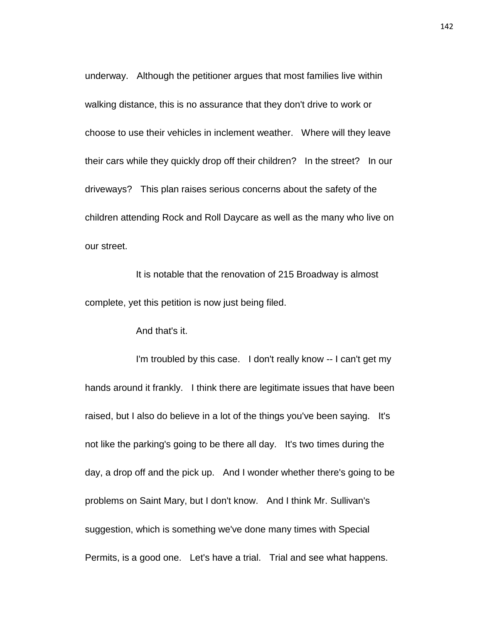underway. Although the petitioner argues that most families live within walking distance, this is no assurance that they don't drive to work or choose to use their vehicles in inclement weather. Where will they leave their cars while they quickly drop off their children? In the street? In our driveways? This plan raises serious concerns about the safety of the children attending Rock and Roll Daycare as well as the many who live on our street.

It is notable that the renovation of 215 Broadway is almost complete, yet this petition is now just being filed.

And that's it.

I'm troubled by this case. I don't really know -- I can't get my hands around it frankly. I think there are legitimate issues that have been raised, but I also do believe in a lot of the things you've been saying. It's not like the parking's going to be there all day. It's two times during the day, a drop off and the pick up. And I wonder whether there's going to be problems on Saint Mary, but I don't know. And I think Mr. Sullivan's suggestion, which is something we've done many times with Special Permits, is a good one. Let's have a trial. Trial and see what happens.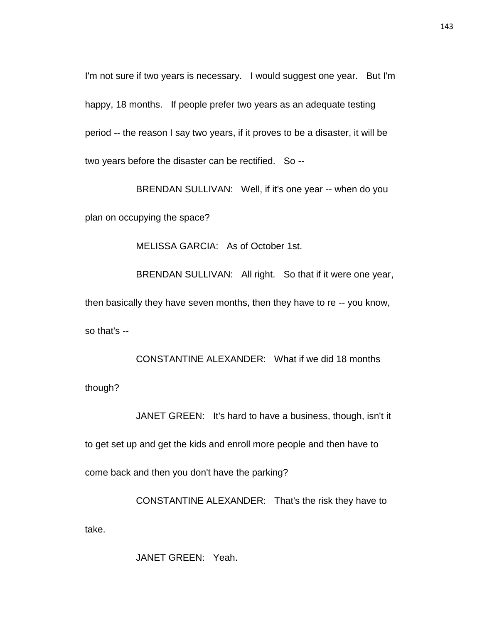I'm not sure if two years is necessary. I would suggest one year. But I'm happy, 18 months. If people prefer two years as an adequate testing period -- the reason I say two years, if it proves to be a disaster, it will be two years before the disaster can be rectified. So --

BRENDAN SULLIVAN: Well, if it's one year -- when do you plan on occupying the space?

MELISSA GARCIA: As of October 1st.

BRENDAN SULLIVAN: All right. So that if it were one year,

then basically they have seven months, then they have to re -- you know,

so that's --

CONSTANTINE ALEXANDER: What if we did 18 months though?

JANET GREEN: It's hard to have a business, though, isn't it to get set up and get the kids and enroll more people and then have to come back and then you don't have the parking?

CONSTANTINE ALEXANDER: That's the risk they have to take.

JANET GREEN: Yeah.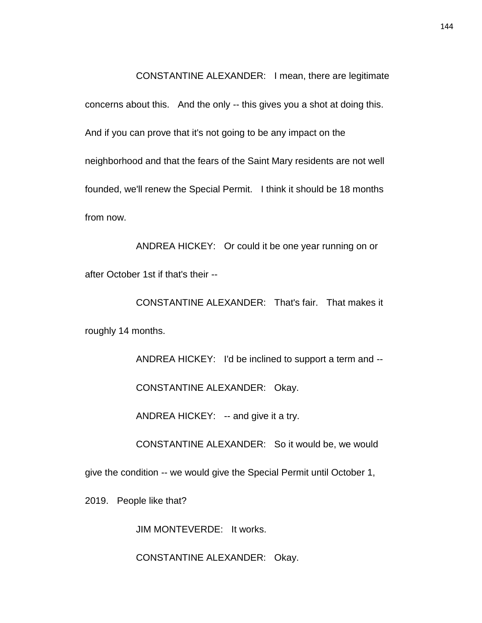CONSTANTINE ALEXANDER: I mean, there are legitimate concerns about this. And the only -- this gives you a shot at doing this. And if you can prove that it's not going to be any impact on the neighborhood and that the fears of the Saint Mary residents are not well founded, we'll renew the Special Permit. I think it should be 18 months from now.

ANDREA HICKEY: Or could it be one year running on or after October 1st if that's their --

CONSTANTINE ALEXANDER: That's fair. That makes it roughly 14 months.

> ANDREA HICKEY: I'd be inclined to support a term and -- CONSTANTINE ALEXANDER: Okay.

ANDREA HICKEY: -- and give it a try.

CONSTANTINE ALEXANDER: So it would be, we would

give the condition -- we would give the Special Permit until October 1,

2019. People like that?

JIM MONTEVERDE: It works.

CONSTANTINE ALEXANDER: Okay.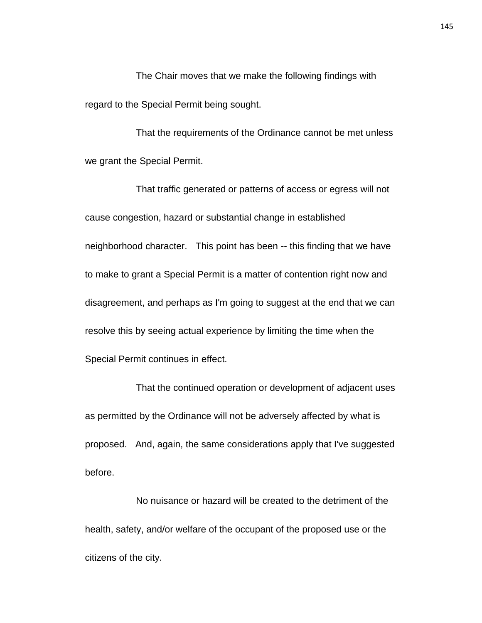The Chair moves that we make the following findings with regard to the Special Permit being sought.

That the requirements of the Ordinance cannot be met unless we grant the Special Permit.

That traffic generated or patterns of access or egress will not cause congestion, hazard or substantial change in established neighborhood character. This point has been -- this finding that we have to make to grant a Special Permit is a matter of contention right now and disagreement, and perhaps as I'm going to suggest at the end that we can resolve this by seeing actual experience by limiting the time when the Special Permit continues in effect.

That the continued operation or development of adjacent uses as permitted by the Ordinance will not be adversely affected by what is proposed. And, again, the same considerations apply that I've suggested before.

No nuisance or hazard will be created to the detriment of the health, safety, and/or welfare of the occupant of the proposed use or the citizens of the city.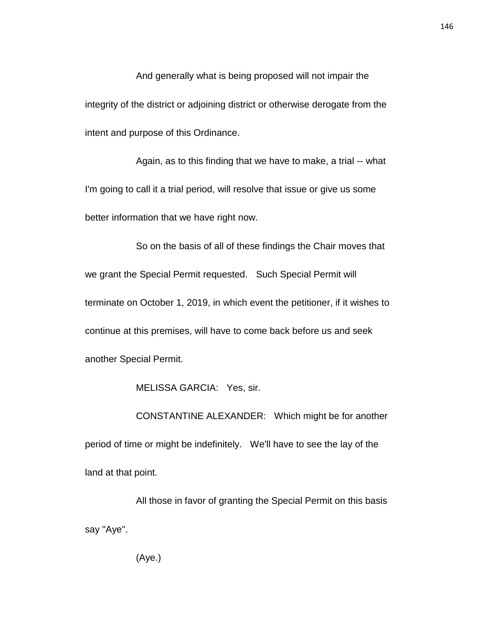And generally what is being proposed will not impair the integrity of the district or adjoining district or otherwise derogate from the intent and purpose of this Ordinance.

Again, as to this finding that we have to make, a trial -- what I'm going to call it a trial period, will resolve that issue or give us some better information that we have right now.

So on the basis of all of these findings the Chair moves that we grant the Special Permit requested. Such Special Permit will terminate on October 1, 2019, in which event the petitioner, if it wishes to continue at this premises, will have to come back before us and seek another Special Permit.

MELISSA GARCIA: Yes, sir.

CONSTANTINE ALEXANDER: Which might be for another period of time or might be indefinitely. We'll have to see the lay of the land at that point.

All those in favor of granting the Special Permit on this basis say "Aye".

(Aye.)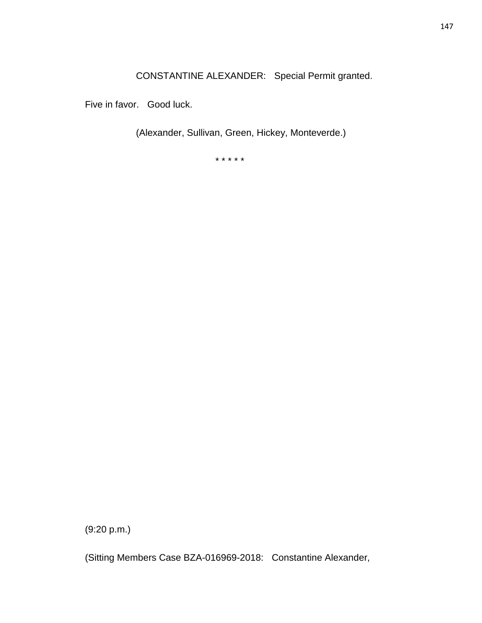CONSTANTINE ALEXANDER: Special Permit granted.

Five in favor. Good luck.

(Alexander, Sullivan, Green, Hickey, Monteverde.)

\* \* \* \* \*

(9:20 p.m.)

(Sitting Members Case BZA-016969-2018: Constantine Alexander,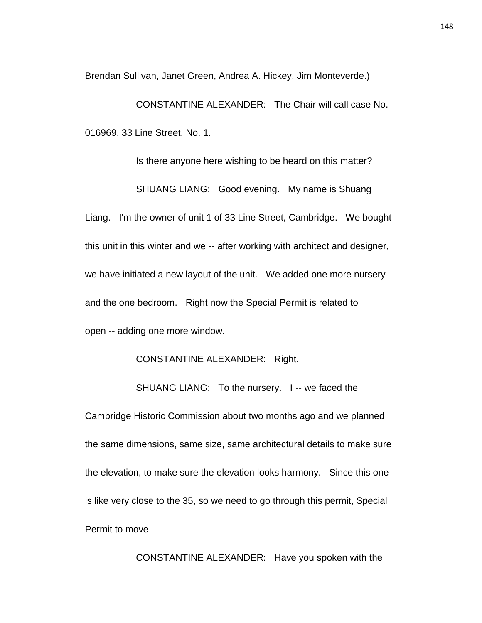Brendan Sullivan, Janet Green, Andrea A. Hickey, Jim Monteverde.)

CONSTANTINE ALEXANDER: The Chair will call case No. 016969, 33 Line Street, No. 1.

Is there anyone here wishing to be heard on this matter? SHUANG LIANG: Good evening. My name is Shuang Liang. I'm the owner of unit 1 of 33 Line Street, Cambridge. We bought this unit in this winter and we -- after working with architect and designer, we have initiated a new layout of the unit. We added one more nursery and the one bedroom. Right now the Special Permit is related to open -- adding one more window.

#### CONSTANTINE ALEXANDER: Right.

SHUANG LIANG: To the nursery. I -- we faced the

Cambridge Historic Commission about two months ago and we planned the same dimensions, same size, same architectural details to make sure the elevation, to make sure the elevation looks harmony. Since this one is like very close to the 35, so we need to go through this permit, Special Permit to move --

CONSTANTINE ALEXANDER: Have you spoken with the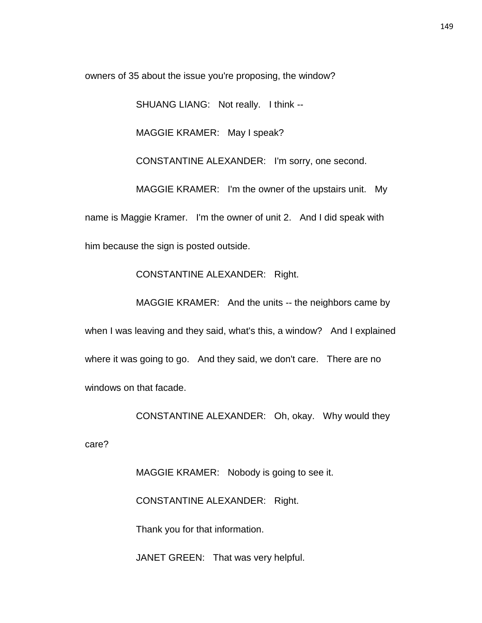owners of 35 about the issue you're proposing, the window?

SHUANG LIANG: Not really. I think --

MAGGIE KRAMER: May I speak?

CONSTANTINE ALEXANDER: I'm sorry, one second.

MAGGIE KRAMER: I'm the owner of the upstairs unit. My name is Maggie Kramer. I'm the owner of unit 2. And I did speak with him because the sign is posted outside.

CONSTANTINE ALEXANDER: Right.

MAGGIE KRAMER: And the units -- the neighbors came by

when I was leaving and they said, what's this, a window? And I explained where it was going to go. And they said, we don't care. There are no windows on that facade.

CONSTANTINE ALEXANDER: Oh, okay. Why would they

care?

MAGGIE KRAMER: Nobody is going to see it. CONSTANTINE ALEXANDER: Right. Thank you for that information.

JANET GREEN: That was very helpful.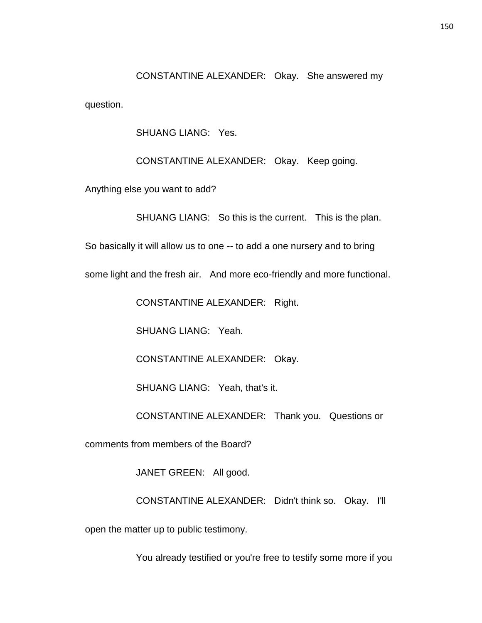CONSTANTINE ALEXANDER: Okay. She answered my question.

SHUANG LIANG: Yes.

CONSTANTINE ALEXANDER: Okay. Keep going.

Anything else you want to add?

SHUANG LIANG: So this is the current. This is the plan.

So basically it will allow us to one -- to add a one nursery and to bring

some light and the fresh air. And more eco-friendly and more functional.

CONSTANTINE ALEXANDER: Right.

SHUANG LIANG: Yeah.

CONSTANTINE ALEXANDER: Okay.

SHUANG LIANG: Yeah, that's it.

CONSTANTINE ALEXANDER: Thank you. Questions or

comments from members of the Board?

JANET GREEN: All good.

CONSTANTINE ALEXANDER: Didn't think so. Okay. I'll

open the matter up to public testimony.

You already testified or you're free to testify some more if you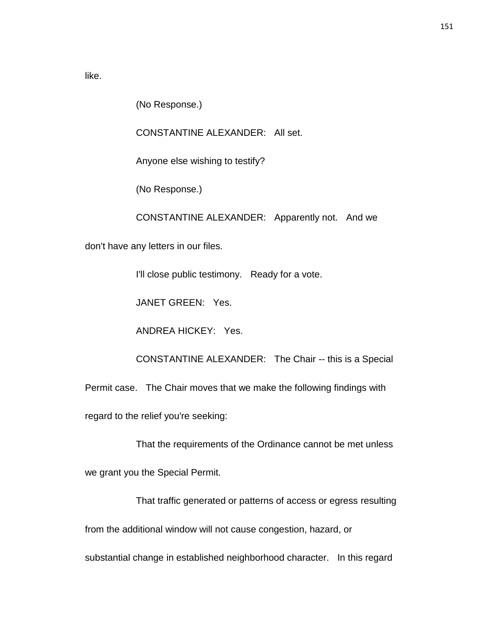like.

(No Response.)

CONSTANTINE ALEXANDER: All set.

Anyone else wishing to testify?

(No Response.)

CONSTANTINE ALEXANDER: Apparently not. And we

don't have any letters in our files.

I'll close public testimony. Ready for a vote.

JANET GREEN: Yes.

ANDREA HICKEY: Yes.

CONSTANTINE ALEXANDER: The Chair -- this is a Special

Permit case. The Chair moves that we make the following findings with

regard to the relief you're seeking:

That the requirements of the Ordinance cannot be met unless

we grant you the Special Permit.

That traffic generated or patterns of access or egress resulting

from the additional window will not cause congestion, hazard, or

substantial change in established neighborhood character. In this regard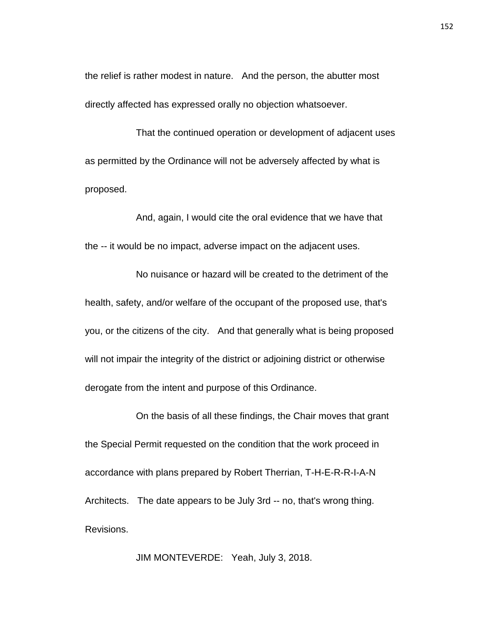the relief is rather modest in nature. And the person, the abutter most directly affected has expressed orally no objection whatsoever.

That the continued operation or development of adjacent uses as permitted by the Ordinance will not be adversely affected by what is proposed.

And, again, I would cite the oral evidence that we have that the -- it would be no impact, adverse impact on the adjacent uses.

No nuisance or hazard will be created to the detriment of the health, safety, and/or welfare of the occupant of the proposed use, that's you, or the citizens of the city. And that generally what is being proposed will not impair the integrity of the district or adjoining district or otherwise derogate from the intent and purpose of this Ordinance.

On the basis of all these findings, the Chair moves that grant the Special Permit requested on the condition that the work proceed in accordance with plans prepared by Robert Therrian, T-H-E-R-R-I-A-N Architects. The date appears to be July 3rd -- no, that's wrong thing. Revisions.

JIM MONTEVERDE: Yeah, July 3, 2018.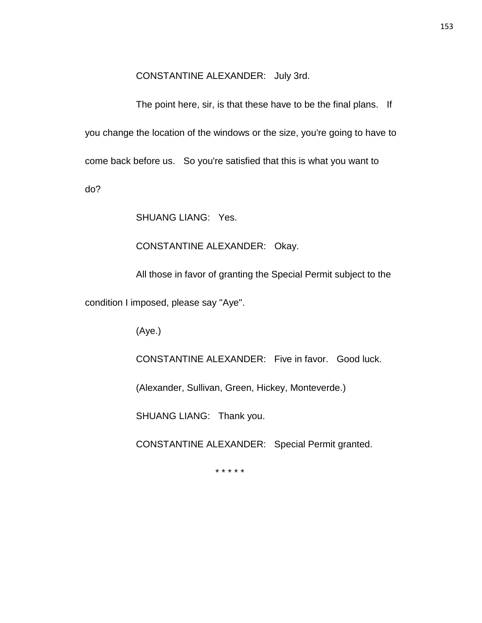#### CONSTANTINE ALEXANDER: July 3rd.

The point here, sir, is that these have to be the final plans. If you change the location of the windows or the size, you're going to have to come back before us. So you're satisfied that this is what you want to do?

SHUANG LIANG: Yes.

CONSTANTINE ALEXANDER: Okay.

All those in favor of granting the Special Permit subject to the

condition I imposed, please say "Aye".

(Aye.)

CONSTANTINE ALEXANDER: Five in favor. Good luck.

(Alexander, Sullivan, Green, Hickey, Monteverde.)

SHUANG LIANG: Thank you.

CONSTANTINE ALEXANDER: Special Permit granted.

\* \* \* \* \*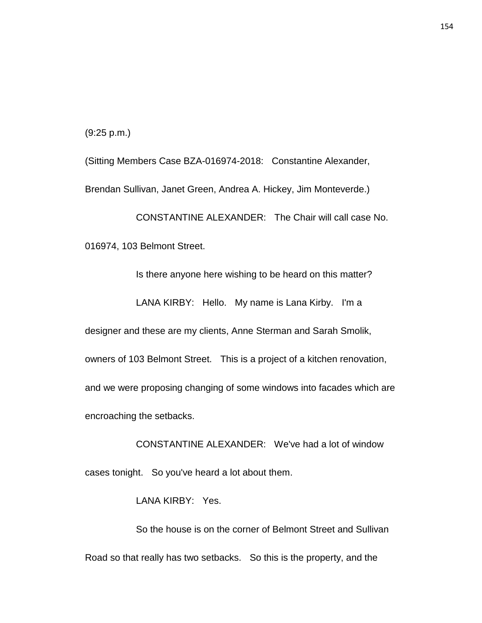(9:25 p.m.)

(Sitting Members Case BZA-016974-2018: Constantine Alexander, Brendan Sullivan, Janet Green, Andrea A. Hickey, Jim Monteverde.)

CONSTANTINE ALEXANDER: The Chair will call case No.

016974, 103 Belmont Street.

Is there anyone here wishing to be heard on this matter?

LANA KIRBY: Hello. My name is Lana Kirby. I'm a

designer and these are my clients, Anne Sterman and Sarah Smolik,

owners of 103 Belmont Street. This is a project of a kitchen renovation,

and we were proposing changing of some windows into facades which are

encroaching the setbacks.

CONSTANTINE ALEXANDER: We've had a lot of window cases tonight. So you've heard a lot about them.

LANA KIRBY: Yes.

So the house is on the corner of Belmont Street and Sullivan Road so that really has two setbacks. So this is the property, and the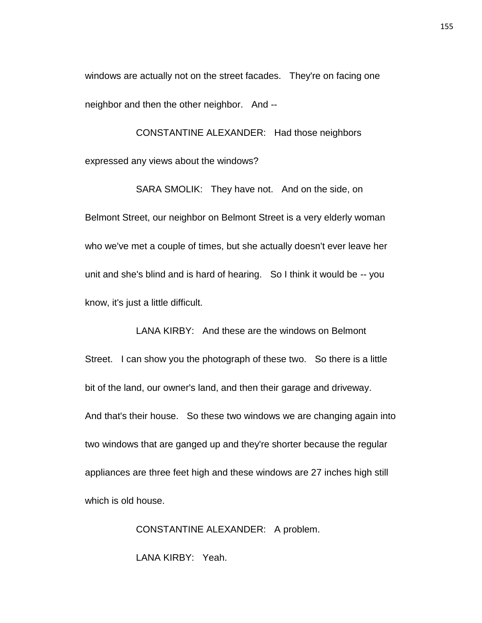windows are actually not on the street facades. They're on facing one neighbor and then the other neighbor. And --

CONSTANTINE ALEXANDER: Had those neighbors expressed any views about the windows?

SARA SMOLIK: They have not. And on the side, on Belmont Street, our neighbor on Belmont Street is a very elderly woman who we've met a couple of times, but she actually doesn't ever leave her unit and she's blind and is hard of hearing. So I think it would be -- you know, it's just a little difficult.

LANA KIRBY: And these are the windows on Belmont Street. I can show you the photograph of these two. So there is a little bit of the land, our owner's land, and then their garage and driveway. And that's their house. So these two windows we are changing again into two windows that are ganged up and they're shorter because the regular appliances are three feet high and these windows are 27 inches high still which is old house.

> CONSTANTINE ALEXANDER: A problem. LANA KIRBY: Yeah.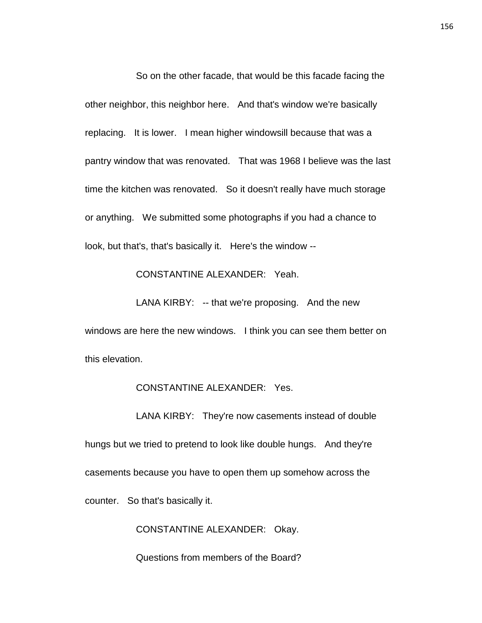So on the other facade, that would be this facade facing the other neighbor, this neighbor here. And that's window we're basically replacing. It is lower. I mean higher windowsill because that was a pantry window that was renovated. That was 1968 I believe was the last time the kitchen was renovated. So it doesn't really have much storage or anything. We submitted some photographs if you had a chance to look, but that's, that's basically it. Here's the window --

### CONSTANTINE ALEXANDER: Yeah.

LANA KIRBY: -- that we're proposing. And the new

windows are here the new windows. I think you can see them better on this elevation.

#### CONSTANTINE ALEXANDER: Yes.

LANA KIRBY: They're now casements instead of double hungs but we tried to pretend to look like double hungs. And they're casements because you have to open them up somehow across the counter. So that's basically it.

CONSTANTINE ALEXANDER: Okay.

Questions from members of the Board?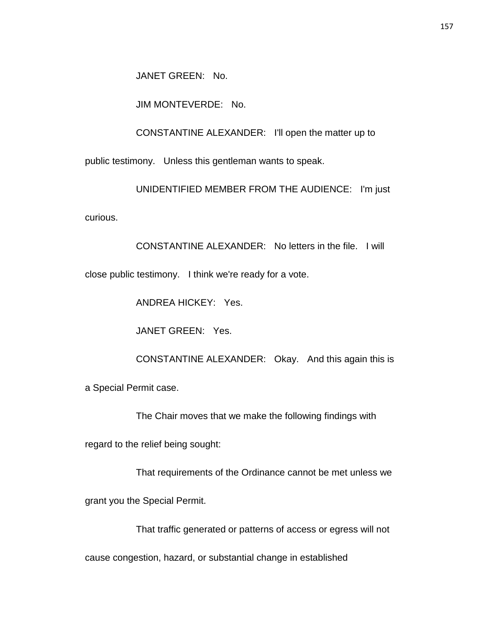JANET GREEN: No.

JIM MONTEVERDE: No.

CONSTANTINE ALEXANDER: I'll open the matter up to

public testimony. Unless this gentleman wants to speak.

UNIDENTIFIED MEMBER FROM THE AUDIENCE: I'm just

curious.

CONSTANTINE ALEXANDER: No letters in the file. I will close public testimony. I think we're ready for a vote.

ANDREA HICKEY: Yes.

JANET GREEN: Yes.

CONSTANTINE ALEXANDER: Okay. And this again this is

a Special Permit case.

The Chair moves that we make the following findings with

regard to the relief being sought:

That requirements of the Ordinance cannot be met unless we

grant you the Special Permit.

That traffic generated or patterns of access or egress will not

cause congestion, hazard, or substantial change in established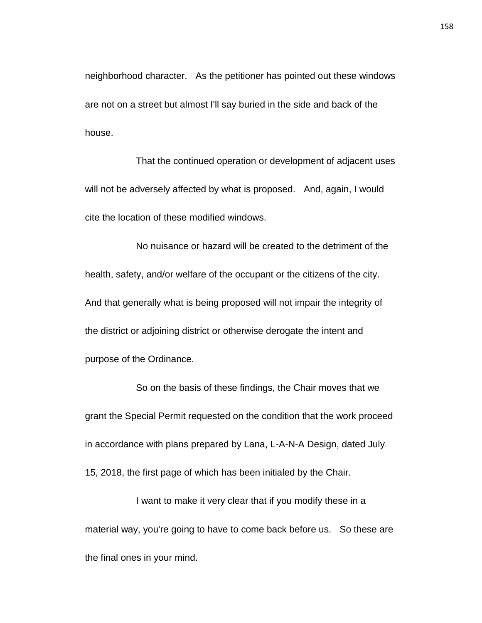neighborhood character. As the petitioner has pointed out these windows are not on a street but almost I'll say buried in the side and back of the house.

That the continued operation or development of adjacent uses will not be adversely affected by what is proposed. And, again, I would cite the location of these modified windows.

No nuisance or hazard will be created to the detriment of the health, safety, and/or welfare of the occupant or the citizens of the city. And that generally what is being proposed will not impair the integrity of the district or adjoining district or otherwise derogate the intent and purpose of the Ordinance.

So on the basis of these findings, the Chair moves that we grant the Special Permit requested on the condition that the work proceed in accordance with plans prepared by Lana, L-A-N-A Design, dated July 15, 2018, the first page of which has been initialed by the Chair.

I want to make it very clear that if you modify these in a material way, you're going to have to come back before us. So these are the final ones in your mind.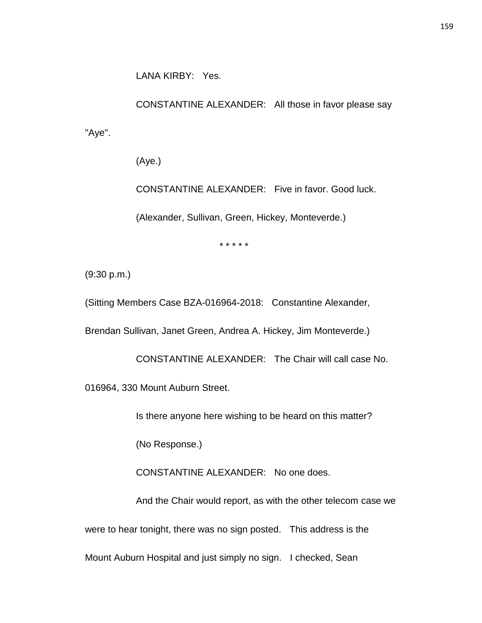LANA KIRBY: Yes.

CONSTANTINE ALEXANDER: All those in favor please say "Aye".

(Aye.)

CONSTANTINE ALEXANDER: Five in favor. Good luck.

(Alexander, Sullivan, Green, Hickey, Monteverde.)

\* \* \* \* \*

(9:30 p.m.)

(Sitting Members Case BZA-016964-2018: Constantine Alexander,

Brendan Sullivan, Janet Green, Andrea A. Hickey, Jim Monteverde.)

CONSTANTINE ALEXANDER: The Chair will call case No. 016964, 330 Mount Auburn Street.

Is there anyone here wishing to be heard on this matter?

(No Response.)

CONSTANTINE ALEXANDER: No one does.

And the Chair would report, as with the other telecom case we

were to hear tonight, there was no sign posted. This address is the

Mount Auburn Hospital and just simply no sign. I checked, Sean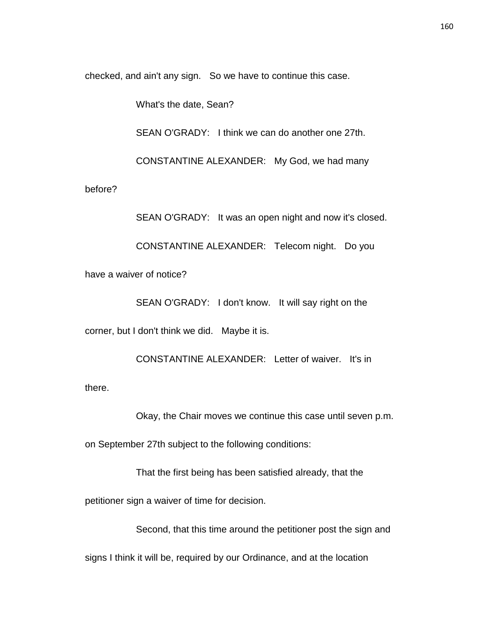checked, and ain't any sign. So we have to continue this case.

What's the date, Sean?

SEAN O'GRADY: I think we can do another one 27th.

CONSTANTINE ALEXANDER: My God, we had many

before?

SEAN O'GRADY: It was an open night and now it's closed. CONSTANTINE ALEXANDER: Telecom night. Do you have a waiver of notice?

SEAN O'GRADY: I don't know. It will say right on the

corner, but I don't think we did. Maybe it is.

CONSTANTINE ALEXANDER: Letter of waiver. It's in there.

Okay, the Chair moves we continue this case until seven p.m.

on September 27th subject to the following conditions:

That the first being has been satisfied already, that the

petitioner sign a waiver of time for decision.

Second, that this time around the petitioner post the sign and

signs I think it will be, required by our Ordinance, and at the location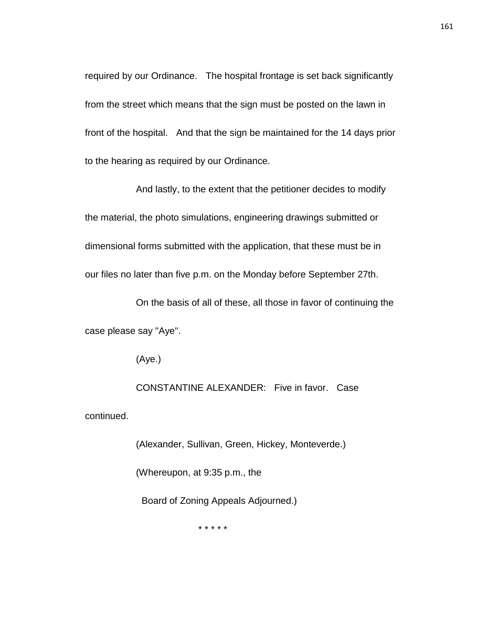required by our Ordinance. The hospital frontage is set back significantly from the street which means that the sign must be posted on the lawn in front of the hospital. And that the sign be maintained for the 14 days prior to the hearing as required by our Ordinance.

And lastly, to the extent that the petitioner decides to modify the material, the photo simulations, engineering drawings submitted or dimensional forms submitted with the application, that these must be in our files no later than five p.m. on the Monday before September 27th.

On the basis of all of these, all those in favor of continuing the case please say "Aye".

(Aye.)

CONSTANTINE ALEXANDER: Five in favor. Case continued.

> (Alexander, Sullivan, Green, Hickey, Monteverde.) (Whereupon, at 9:35 p.m., the Board of Zoning Appeals Adjourned.)

> > \* \* \* \* \*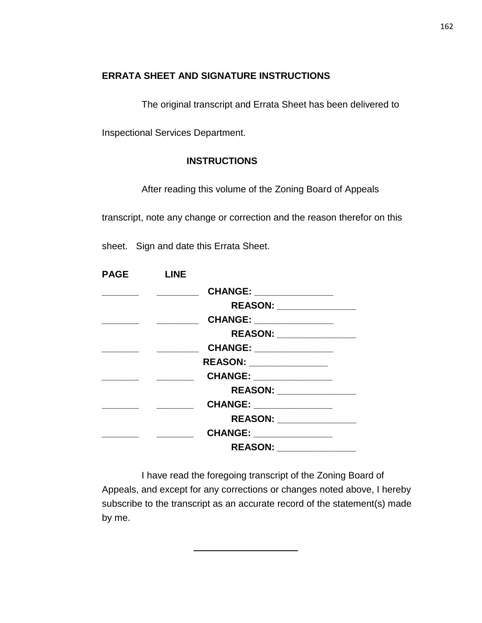## **ERRATA SHEET AND SIGNATURE INSTRUCTIONS**

The original transcript and Errata Sheet has been delivered to

Inspectional Services Department.

### **INSTRUCTIONS**

After reading this volume of the Zoning Board of Appeals

transcript, note any change or correction and the reason therefor on this

sheet. Sign and date this Errata Sheet.

| <b>PAGE</b> | <b>LINE</b> |                           |  |
|-------------|-------------|---------------------------|--|
|             |             | CHANGE: _______________   |  |
|             |             | REASON: _______________   |  |
|             |             | CHANGE: ______________    |  |
|             |             | REASON: _________________ |  |
|             |             | CHANGE: _______________   |  |
|             |             | REASON: ______________    |  |
|             |             | CHANGE: _______________   |  |
|             |             | REASON: ________________  |  |
|             |             | CHANGE: ______________    |  |
|             |             | REASON: _______________   |  |
|             |             | CHANGE: _______________   |  |
|             |             |                           |  |

I have read the foregoing transcript of the Zoning Board of Appeals, and except for any corrections or changes noted above, I hereby subscribe to the transcript as an accurate record of the statement(s) made by me.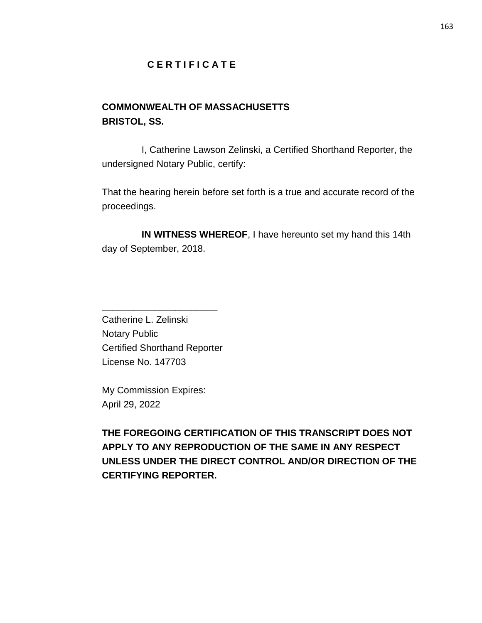## **C E R T I F I C A T E**

# **COMMONWEALTH OF MASSACHUSETTS BRISTOL, SS.**

I, Catherine Lawson Zelinski, a Certified Shorthand Reporter, the undersigned Notary Public, certify:

That the hearing herein before set forth is a true and accurate record of the proceedings.

**IN WITNESS WHEREOF**, I have hereunto set my hand this 14th day of September, 2018.

Catherine L. Zelinski Notary Public Certified Shorthand Reporter License No. 147703

\_\_\_\_\_\_\_\_\_\_\_\_\_\_\_\_\_\_\_\_\_\_

My Commission Expires: April 29, 2022

**THE FOREGOING CERTIFICATION OF THIS TRANSCRIPT DOES NOT APPLY TO ANY REPRODUCTION OF THE SAME IN ANY RESPECT UNLESS UNDER THE DIRECT CONTROL AND/OR DIRECTION OF THE CERTIFYING REPORTER.**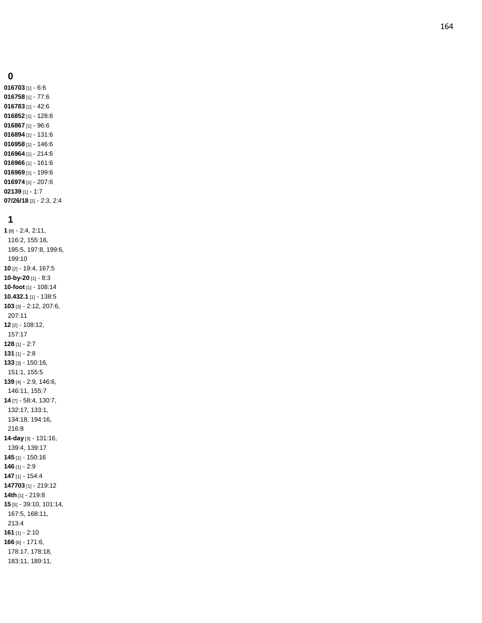#### 

 [1] - 6:6 [1] - 77:6 [1] - 42:6 [1] - 128:6 [1] - 96:6 [1] - 131:6 [1] - 146:6 [1] - 214:6 [1] - 161:6 [1] - 199:6 [1] - 207:6 [1] - 1:7 **07/26/18** [2] - 2:3, 2:4

#### 

 [8] - 2:4, 2:11, 116:2, 155:16, 195:5, 197:8, 199:6, 199:10 [2] - 19:4, 167:5 **-by -20** [1] - 8:3 **-foot** [1] - 108:14 **10.432.1** [1] - 138:5 [3] - 2:12, 207:6, 207:11 [2] - 108:12, 157:17 [1] - 2:7 [1] - 2:8 [3] - 150:16, 151:1, 155:5 [4 ] - 2:9, 146:6, 146:11, 155:7 [7] - 58:4, 130:7, 132:17, 133:1, 134:18, 194:16, 216:8 **-day** [3] - 131:16, 139:4, 139:17 [1] - 150:16 [1] - 2:9 [1] - 154:4 [1] - 219:12 **14th** [1] - 219:8 [5] - 39:10, 101:14, 167:5, 168:11, 213:4 [1] - 2:10 [6] - 171:6, 178:17, 178:18, 183:11, 189:11,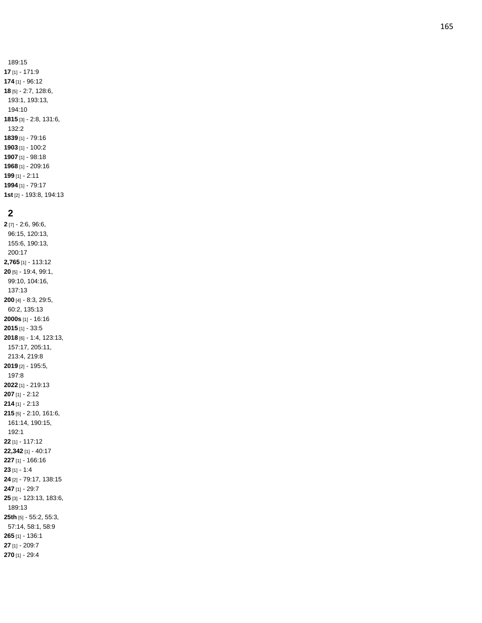189:15 [1] - 171:9 [1] - 96:12 [5] - 2:7, 128:6, 193:1, 193:13, 194:10 [3] - 2:8, 131:6, 132:2 [1] - 79:16 [1] - 100:2 [1] - 98:18 [1] - 209:16 [1] - 2:11 [1] - 79:17

**1st** [2] - 193:8, 194:13

#### **2**

**2** [7] - 2:6, 96:6, 96:15, 120:13, 155:6, 190:13, 200:17 **2,765** [1] - 113:12 **20** [5] - 19:4, 99:1, 99:10, 104:16, 137:13 **200** [4] - 8:3, 29:5, 60:2, 135:13 **2000s** [1] - 16:16 **2015** [1] - 33:5 **2018** [6] - 1:4, 123:13, 157:17, 205:11, 213:4, 219:8 **2019** [2] - 195:5, 197:8 **2022** [1] - 219:13 **207** [1] - 2:12 **214** [1] - 2:13 **215** [5] - 2:10, 161:6, 161:14, 190:15, 192:1 **22** [1] - 117:12 **22,342** [1] - 40:17 **227** [1] - 166:16 **23** [1] - 1:4 **24** [2] - 79:17, 138:15 **247** [1] - 29:7 **25** [3] - 123:13, 183:6, 189:13 **25th** [5] - 55:2, 55:3, 57:14, 58:1, 58:9 **265** [1] - 136:1 **27** [1] - 209:7 **270** [1] - 29:4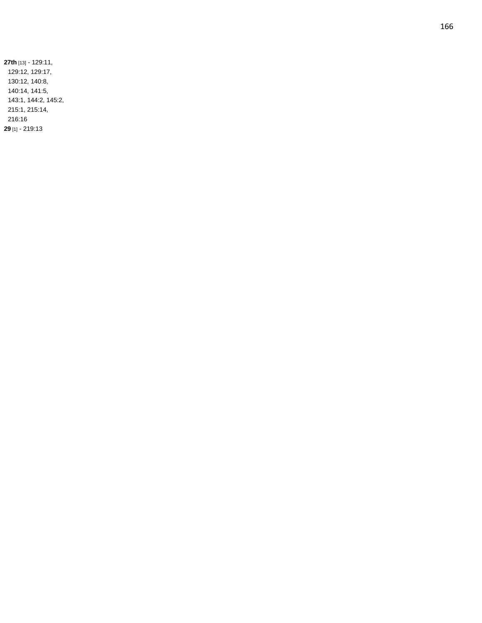**27th** [13] - 129:11, 129:12, 129:17, 130:12, 140:8, 140:14, 141:5, 143:1, 144:2, 145:2, 215:1, 215:14, 216:16 **29** [1] - 219:13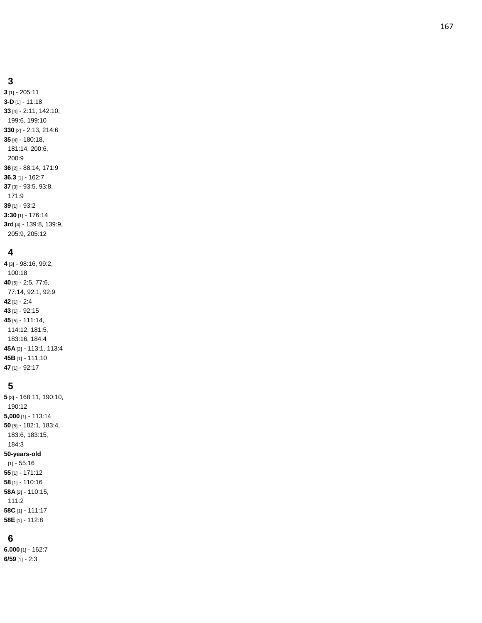**3** [1] - 205:11 **3 - D** [1] - 11:18 **33** [4] - 2:11, 142:10, 199:6, 199:10 **330** [2] - 2:13, 214:6 **35** [4] - 180:18, 181:14, 200:6, 200:9 **36** [2] - 88:14, 171:9 **36.3** [1] - 162:7 **37** [3] - 93:5, 93:8, 171:9 **39** [1] - 93:2 **3:30** [1] - 176:14 **3rd** [4] - 139:8, 139:9, 205:9, 205:12

#### **4**

**4** [3] - 98:16, 99:2, 100:18 **40** [5] - 2:5, 77:6, 77:14, 92:1, 92:9 **42** [1] - 2:4 **43** [1] - 92:15 **45** [5] - 111:14, 114:12, 181:5, 183:16, 184:4 **45A** [2] - 113:1, 113:4 **45B** [1] - 111:10 **47** [1] - 92:17

# **5**

**5** [3] - 168:11, 190:10, 190:12 **5,000** [1] - 113:14 **50** [5] - 182:1, 183:4, 183:6, 183:15, 184:3 **50 -years -old** [1] - 55:16 **55** [1] - 171:12 **58** [1] - 110:16 **58A** [2] - 110:15, 111:2 **58C** [1] - 111:17 **58E** [1] - 112:8

# **6**

**6.000** [1] - 162:7 **6/59** [1] - 2:3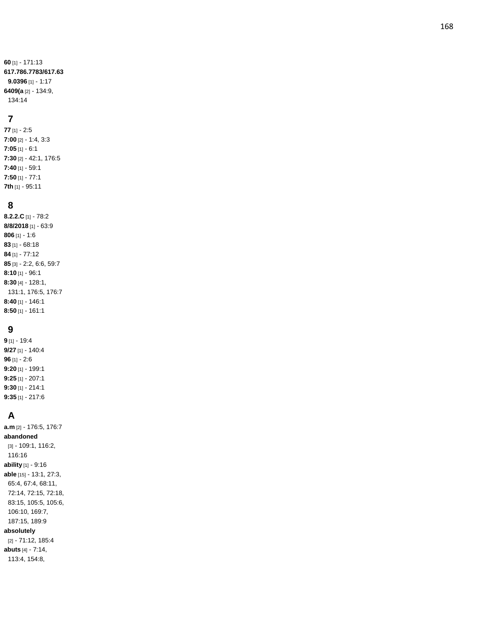**60** [1] - 171:13 **617.786.7783/617.63 9.0396** [1] - 1:17 **6409(a** [2] - 134:9, 134:14

## **7**

**77** [1] - 2:5 **7:00** [2] - 1:4, 3:3 **7:05** [1] - 6:1 **7:30** [2] - 42:1, 176:5 **7:40** [1] - 59:1 **7:50** [1] - 77:1 **7th** [1] - 95:11

## **8**

**8.2.2.C** [1] - 78:2 **8/8/2018** [1] - 63:9 **806** [1] - 1:6 **83** [1] - 68:18 **84** [1] - 77:12 **85** [3] - 2:2, 6:6, 59:7 **8:10** [1] - 96:1 **8:30** [4] - 128:1, 131:1, 176:5, 176:7 **8:40** [1] - 146:1 **8:50** [1] - 161:1

## **9**

**9** [1] - 19:4 **9/27** [1] - 140:4 **96** [1] - 2:6 **9:20** [1] - 199:1 **9:25** [1] - 207:1 **9:30** [1] - 214:1 **9:35** [1] - 217:6

# **A**

**a.m** [2] - 176:5, 176:7 **abandoned** [3] - 109:1, 116:2, 116:16 **ability** [1] - 9:16 **able** [15] - 13:1, 27:3, 65:4, 67:4, 68:11, 72:14, 72:15, 72:18, 83:15, 105:5, 105:6, 106:10, 169:7, 187:15, 189:9 **absolutely** [2] - 71:12, 185:4 **abuts** [4] - 7:14, 113:4, 154:8,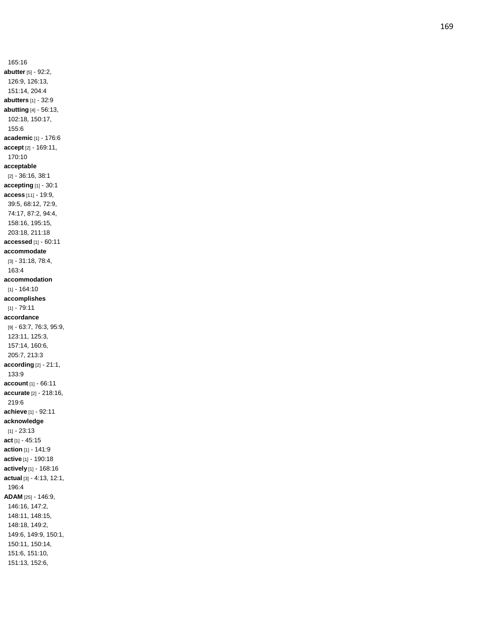165:16 **abutter** [5] - 92:2, 126:9, 126:13, 151:14, 204:4 **abutters** [1] - 32:9 **abutting** [4] - 56:13, 102:18, 150:17, 155:6 **academic** [1] - 176:6 **accept** [2] - 169:11, 170:10 **acceptable** [2] - 36:16, 38:1 **accepting** [1] - 30:1 **access** [11] - 19:9, 39:5, 68:12, 72:9, 74:17, 87:2, 94:4, 158:16, 195:15, 203:18, 211:18 **accessed** [1] - 60:11 **accommodate** [3] - 31:18, 78:4, 163:4 **accommodation** [1] - 164:10 **accomplishes**  $[1] - 79.11$ **accordance** [9] - 63:7, 76:3, 95:9, 123:11, 125:3, 157:14, 160:6, 205:7, 213:3 **according** [2] - 21:1, 133:9 **account** [1] - 66:11 **accurate** [2] - 218:16, 219:6 **achieve** [1] - 92:11 **acknowledge**  $[1] - 23:13$ **act** [1] - 45:15 **action** [1] - 141:9 **active** [1] - 190:18 **actively** [1] - 168:16 **actual** [3] - 4:13, 12:1, 196:4 **ADAM** [25] - 146:9, 146:16, 147:2, 148:11, 148:15, 148:18, 149:2, 149:6, 149:9, 150:1, 150:11, 150:14, 151:6, 151:10, 151:13, 152:6,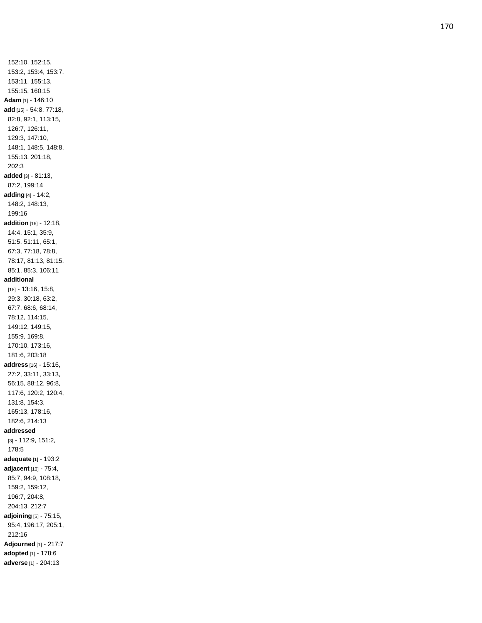152:10, 152:15, 153:2, 153:4, 153:7, 153:11, 155:13, 155:15, 160:15 **Adam** [1] - 146:10 **add** [15] - 54:8, 77:18, 82:8, 92:1, 113:15, 126:7, 126:11, 129:3, 147:10, 148:1, 148:5, 148:8, 155:13, 201:18, 202:3 **added** [3] - 81:13, 87:2, 199:14 **adding** [4] - 14:2, 148:2, 148:13, 199:16 **addition** [16] - 12:18, 14:4, 15:1, 35:9, 51:5, 51:11, 65:1, 67:3, 77:18, 78:8, 78:17, 81:13, 81:15, 85:1, 85:3, 106:11 **additional** [18] - 13:16, 15:8, 29:3, 30:18, 63:2, 67:7, 68:6, 68:14, 78:12, 114:15, 149:12, 149:15, 155:9, 169:8, 170:10, 173:16, 181:6, 203:18 **address** [16] - 15:16, 27:2, 33:11, 33:13, 56:15, 88:12, 96:8, 117:6, 120:2, 120:4, 131:8, 154:3, 165:13, 178:16, 182:6, 214:13 **addressed** [3] - 112:9, 151:2, 178:5 **adequate** [1] - 193:2 **adjacent** [10] - 75:4, 85:7, 94:9, 108:18, 159:2, 159:12, 196:7, 204:8, 204:13, 212:7 **adjoining** [5] - 75:15, 95:4, 196:17, 205:1, 212:16 **Adjourned** [1] - 217:7 **adopted** [1] - 178:6 **adverse** [1] - 204:13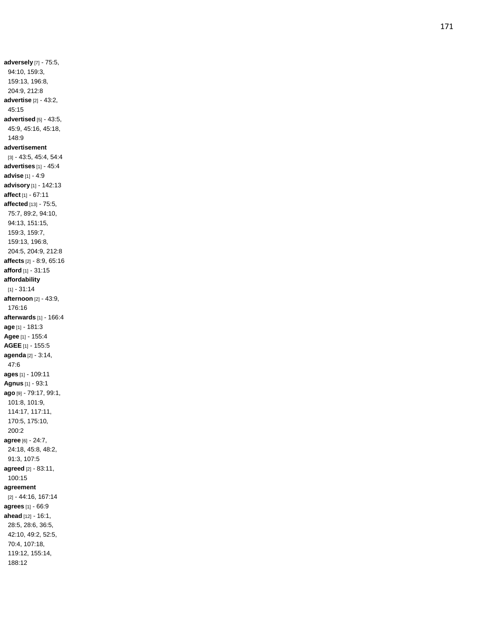**adversely** [7] - 75:5, 94:10, 159:3, 159:13, 196:8, 204:9, 212:8 **advertise** [2] - 43:2, 45:15 **advertised** [5] - 43:5, 45:9, 45:16, 45:18, 148:9 **advertisement** [3] - 43:5, 45:4, 54:4 **advertises** [1] - 45:4 **advise** [1] - 4:9 **advisory** [1] - 142:13 **affect** [1] - 67:11 **affected** [13] - 75:5, 75:7, 89:2, 94:10, 94:13, 151:15, 159:3, 159:7, 159:13, 196:8, 204:5, 204:9, 212:8 **affects** [2] - 8:9, 65:16 **afford** [1] - 31:15 **affordability**  $[1] - 31:14$ **afternoon** [2] - 43:9, 176:16 **afterwards** [1] - 166:4 **age** [1] - 181:3 **Agee** [1] - 155:4 **AGEE** [1] - 155:5 **agenda** [2] - 3:14, 47:6 **ages** [1] - 109:11 **Agnus** [1] - 93:1 **ago** [9] - 79:17, 99:1, 101:8, 101:9, 114:17, 117:11, 170:5, 175:10, 200:2 **agree** [6] - 24:7, 24:18, 45:8, 48:2, 91:3, 107:5 **agreed** [2] - 83:11, 100:15 **agreement** [2] - 44:16, 167:14 **agrees** [1] - 66:9 **ahead** [12] - 16:1, 28:5, 28:6, 36:5, 42:10, 49:2, 52:5, 70:4, 107:18, 119:12, 155:14, 188:12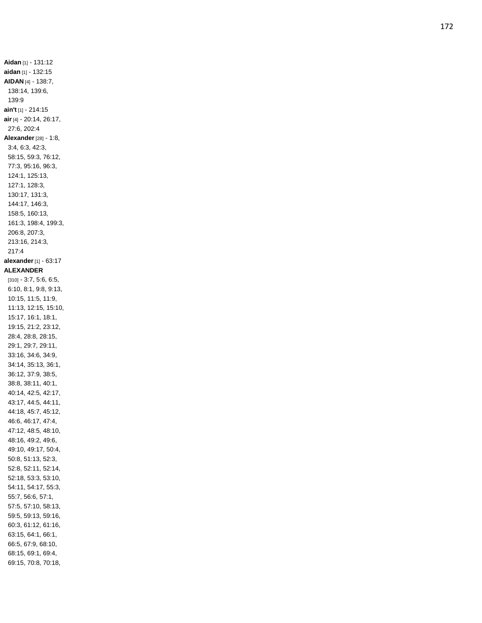**Aidan** [1] - 131:12 **aidan** [1] - 132:15 **AIDAN** [4] - 138:7, 138:14, 139:6, 139:9 **ain't** [1] - 214:15 **air** [4] - 20:14, 26:17, 27:6, 202:4 **Alexander** [28] - 1:8, 3:4, 6:3, 42:3, 58:15, 59:3, 76:12, 77:3, 95:16, 96:3, 124:1, 125:13, 127:1, 128:3, 130:17, 131:3, 144:17, 146:3, 158:5, 160:13, 161:3, 198:4, 199:3, 206:8, 207:3, 213:16, 214:3, 217:4 **alexander** [1] - 63:17 **ALEXANDER** [310] - 3:7, 5:6, 6:5, 6:10, 8:1, 9:8, 9:13, 10:15, 11:5, 11:9, 11:13, 12:15, 15:10, 15:17, 16:1, 18:1, 19:15, 21:2, 23:12, 28:4, 28:8, 28:15, 29:1, 29:7, 29:11, 33:16, 34:6, 34:9, 34:14, 35:13, 36:1, 36:12, 37:9, 38:5, 38:8, 38:11, 40:1, 40:14, 42:5, 42:17, 43:17, 44:5, 44:11, 44:18, 45:7, 45:12, 46:6, 46:17, 47:4, 47:12, 48:5, 48:10, 48:16, 49:2, 49:6, 49:10, 49:17, 50:4, 50:8, 51:13, 52:3, 52:8, 52:11, 52:14, 52:18, 53:3, 53:10, 54:11, 54:17, 55:3, 55:7, 56:6, 57:1, 57:5, 57:10, 58:13, 59:5, 59:13, 59:16, 60:3, 61:12, 61:16, 63:15, 64:1, 66:1, 66:5, 67:9, 68:10, 68:15, 69:1, 69:4, 69:15, 70:8, 70:18,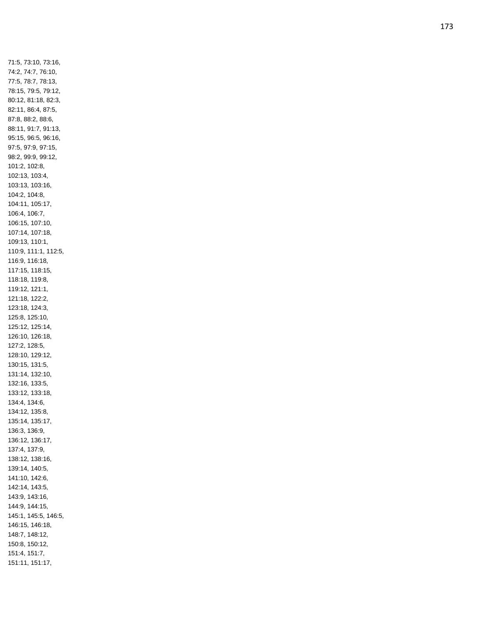71:5, 73:10, 73:16, 74:2, 74:7, 76:10, 77:5, 78:7, 78:13, 78:15, 79:5, 79:12, 80:12, 81:18, 82:3, 82:11, 86:4, 87:5, 87:8, 88:2, 88:6, 88:11, 91:7, 91:13, 95:15, 96:5, 96:16, 97:5, 97:9, 97:15, 98:2, 99:9, 99:12, 101:2, 102:8, 102:13, 103:4, 103:13, 103:16, 104:2, 104:8, 104:11, 105:17, 106:4, 106:7, 106:15, 107:10, 107:14, 107:18, 109:13, 110:1, 110:9, 111:1, 112:5, 116:9, 116:18, 117:15, 118:15, 118:18, 119:8, 119:12, 121:1, 121:18, 122:2, 123:18, 124:3, 125:8, 125:10, 125:12, 125:14, 126:10, 126:18, 127:2, 128:5, 128:10, 129:12, 130:15, 131:5, 131:14, 132:10, 132:16, 133:5, 133:12, 133:18, 134:4, 134:6, 134:12, 135:8, 135:14, 135:17, 136:3, 136:9, 136:12, 136:17, 137:4, 137:9, 138:12, 138:16, 139:14, 140:5, 141:10, 142:6, 142:14, 143:5, 143:9, 143:16, 144:9, 144:15, 145:1, 145:5, 146:5, 146:15, 146:18, 148:7, 148:12, 150:8, 150:12, 151:4, 151:7, 151:11, 151:17,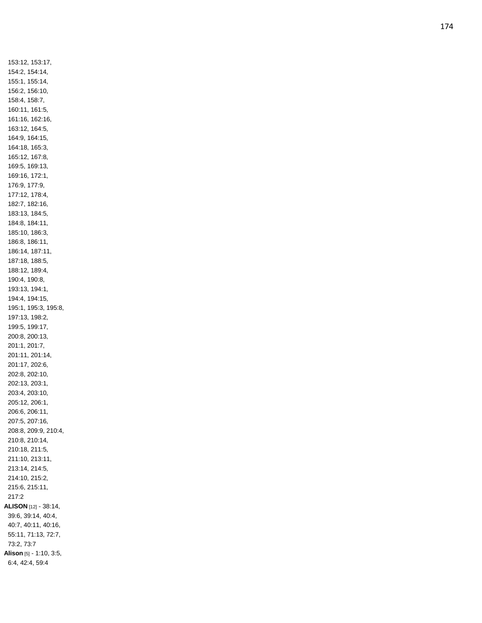153:12, 153:17, 154:2, 154:14, 155:1, 155:14, 156:2, 156:10, 158:4, 158:7, 160:11, 161:5, 161:16, 162:16, 163:12, 164:5, 164:9, 164:15, 164:18, 165:3, 165:12, 167:8, 169:5, 169:13, 169:16, 172:1, 176:9, 177:9, 177:12, 178:4, 182:7, 182:16, 183:13, 184:5, 184:8, 184:11, 185:10, 186:3, 186:8, 186:11, 186:14, 187:11, 187:18, 188:5, 188:12, 189:4, 190:4, 190:8, 193:13, 194:1, 194:4, 194:15, 195:1, 195:3, 195:8, 197:13, 198:2, 199:5, 199:17, 200:8, 200:13, 201:1, 201:7, 201:11, 201:14, 201:17, 202:6, 202:8, 202:10, 202:13, 203:1, 203:4, 203:10, 205:12, 206:1, 206:6, 206:11, 207:5, 207:16, 208:8, 209:9, 210:4, 210:8, 210:14, 210:18, 211:5, 211:10, 213:11, 213:14, 214:5, 214:10, 215:2, 215:6, 215:11, 217:2 **ALISON** [12] - 38:14, 39:6, 39:14, 40:4, 40:7, 40:11, 40:16, 55:11, 71:13, 72:7, 73:2, 73:7 **Alison** [5] - 1:10, 3:5, 6:4, 42:4, 59:4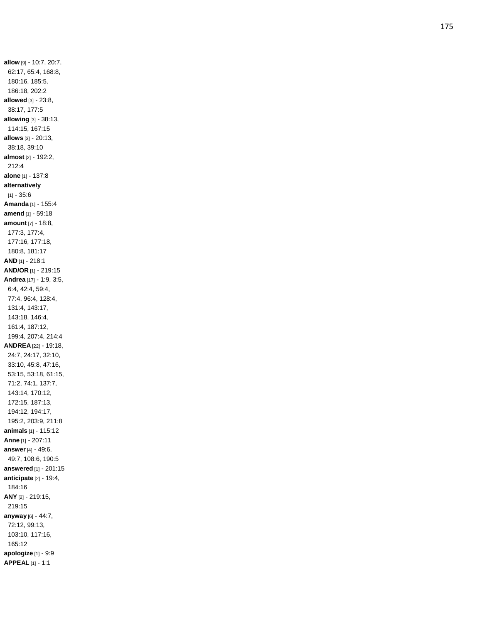**allow** [9] - 10:7, 20:7, 62:17, 65:4, 168:8, 180:16, 185:5, 186:18, 202:2 **allowed** [3] - 23:8, 38:17, 177:5 **allowing** [3] - 38:13, 114:15, 167:15 **allows** [3] - 20:13, 38:18, 39:10 **almost** [2] - 192:2, 212:4 **alone** [1] - 137:8 **alternatively** [1] - 35:6 **Amanda** [1] - 155:4 **amend** [1] - 59:18 **amount** [7] - 18:8, 177:3, 177:4, 177:16, 177:18, 180:8, 181:17 **AND** [1] - 218:1 **AND/OR** [1] - 219:15 **Andrea** [17] - 1:9, 3:5, 6:4, 42:4, 59:4, 77:4, 96:4, 128:4, 131:4, 143:17, 143:18, 146:4, 161:4, 187:12, 199:4, 207:4, 214:4 **ANDREA** [22] - 19:18, 24:7, 24:17, 32:10, 33:10, 45:8, 47:16, 53:15, 53:18, 61:15, 71:2, 74:1, 137:7, 143:14, 170:12, 172:15, 187:13, 194:12, 194:17, 195:2, 203:9, 211:8 **animals** [1] - 115:12 **Anne** [1] - 207:11 **answer** [4] - 49:6, 49:7, 108:6, 190:5 **answered** [1] - 201:15 **anticipate** [2] - 19:4, 184:16 **ANY** [2] - 219:15, 219:15 **anyway** [6] - 44:7, 72:12, 99:13, 103:10, 117:16, 165:12 **apologize** [1] - 9:9 **APPEAL** [1] - 1:1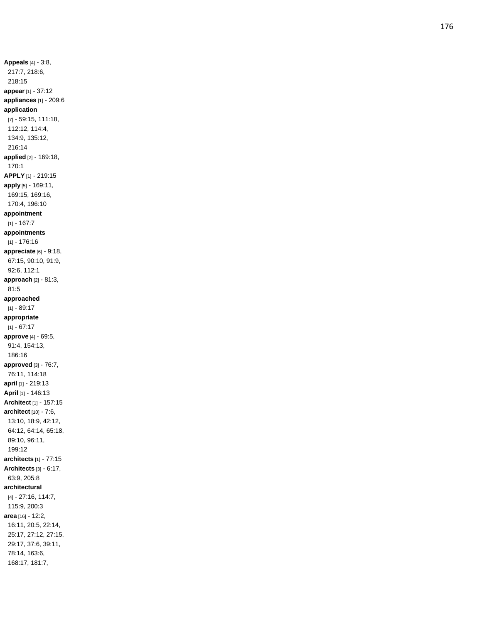**Appeals** [4] - 3:8, 217:7, 218:6, 218:15 **appear** [1] - 37:12 **appliances** [1] - 209:6 **application** [7] - 59:15, 111:18, 112:12, 114:4, 134:9, 135:12, 216:14 **applied** [2] - 169:18, 170:1 **APPLY** [1] - 219:15 **apply** [5] - 169:11, 169:15, 169:16, 170:4, 196:10 **appointment**  $[1] - 167:7$ **appointments** [1] - 176:16 **appreciate** [6] - 9:18, 67:15, 90:10, 91:9, 92:6, 112:1 **approach** [2] - 81:3, 81:5 **approached**  $[1] - 89:17$ **appropriate**  $[1] - 67:17$ **approve** [4] - 69:5, 91:4, 154:13, 186:1 6 **approved** [3] - 76:7, 76:11, 114:18 **april** [1] - 219:13 **April** [1] - 146:13 **Architect** [1] - 157:15 **architect** [10] - 7:6, 13:10, 18:9, 42:12, 64:12, 64:14, 65:18, 89:10, 96:11, 199:12 **architects** [1] - 77:15 **Architects** [3] - 6:17, 63:9, 205:8 **architectural** [4] - 27:16, 114:7, 115:9, 200:3 **area** [16] - 12:2, 16:11, 20:5, 22:14, 25:17, 27:12, 27:15, 29:17, 37:6, 39:11, 78:14, 163:6, 168:17, 181:7,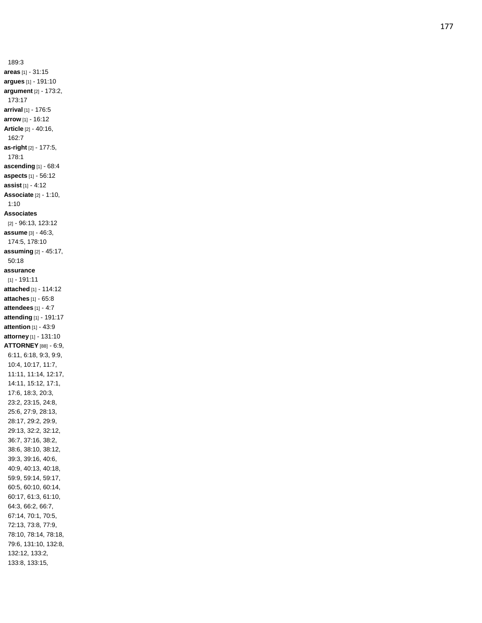189:3 **areas** [1] - 31:15 **argues** [1] - 191:10 **argument** [2] - 173:2, 173:17 **arrival** [1] - 176:5 **arrow** [1] - 16:12 **Article** [2] - 40:16, 162:7 **as -right** [2] - 177:5, 178:1 **ascending** [1] - 68:4 **aspects** [1] - 56:12 **assist** [1] - 4:12 **Associate** [2] - 1:10, 1:10 **Associates** [2] - 96:13, 123:12 **assume** [3] - 46:3, 174:5, 178:10 **assuming** [2] - 45:17, 50:18 **assurance** [1] - 191:11 **attached** [1] - 114:12 **attaches** [1] - 65:8 **attendees** [1] - 4:7 **attending** [1] - 191:17 **attention** [1] - 43:9 **attorney** [1] - 131:10 **ATTORNEY** [88] - 6:9, 6:11, 6:18, 9:3, 9:9, 10:4, 10:17, 11:7, 11:11, 11:14, 12:17, 14:11, 15:12, 17:1, 17:6, 18:3, 20:3, 23:2, 23:15, 24:8, 25:6, 27:9, 28:13, 28:17, 29:2, 29:9, 29:13, 32:2, 32:12, 36:7, 37:16, 38:2, 38:6, 38:10, 38:12, 39:3, 39:16, 40:6, 40:9, 40:13, 40:18, 59:9, 59:14, 59:17, 60:5, 60:10, 60:14, 60:17, 61:3, 61:10, 64:3, 66:2, 66:7, 67:14, 70:1, 70:5, 72:13, 73:8, 77:9, 78:10, 78:14, 78:18, 79:6, 131:10, 132:8, 132:12, 133:2, 133:8, 133:15,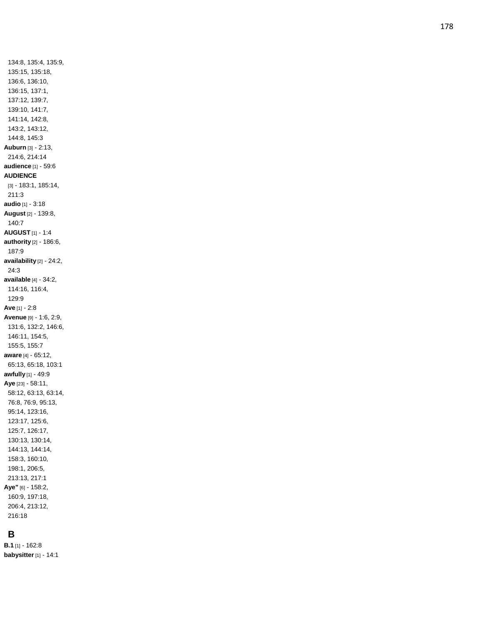# **B**

**B.1** [1] - 162:8 **babysitter** [1] - 14:1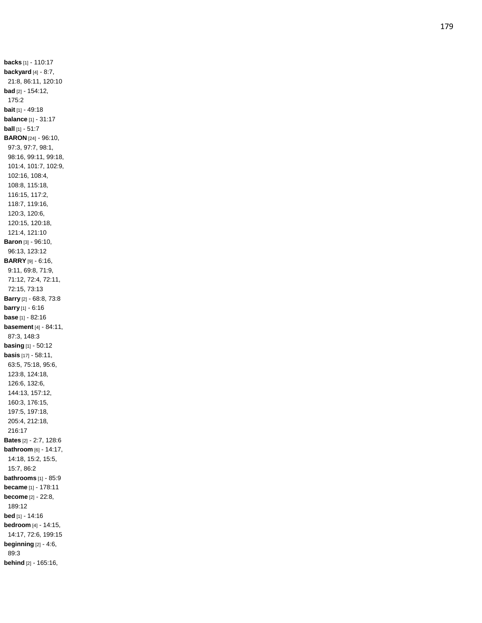**backs** [1] - 110:17 **backyard** [4] - 8:7, 21:8, 86:11, 120:10 **bad** [2] - 154:12, 175:2 **bait** [1] - 49:18 **balance** [1] - 31:17 **ball** [1] - 51:7 **BARON** [24] - 96:10, 97:3, 97:7, 98:1, 98:16, 99:11, 99:18, 101:4, 101:7, 102:9, 102:16, 108:4, 108:8, 115:18, 116:15, 117:2, 118:7, 119:16, 120:3, 120:6, 120:15, 120:18, 121:4, 121:10 **Baron** [3] - 96:10, 96:13, 123:12 **BARRY** [9] - 6:16, 9:11, 69:8, 71:9, 71:12, 72:4, 72:11, 72:15, 73:13 **Barry** [2] - 68:8, 73:8 **barry** [1] - 6:16 **base** [1] - 82:16 **basement** [4] - 84:11, 87:3, 148:3 **basing** [1] - 50:12 **basis** [17] - 58:11, 63:5, 75:18, 95:6, 123:8, 124:18, 126:6, 132:6, 144:13, 157:12, 160:3, 176:15, 197:5, 197:18, 205:4, 212:18, 216:17 **Bates** [2] - 2:7, 128:6 **bathroom** [6] - 14:17, 14:18, 15:2, 15:5, 15:7, 86:2 **bathrooms** [1] - 85:9 **became** [1] - 178:11 **become** [2] - 22:8, 189:12 **bed** [1] - 14:16 **bedroom** [4] - 14:15, 14:17, 72:6, 199:15 **beginning** [2] - 4:6, 89:3 **behind** [2] - 165:16,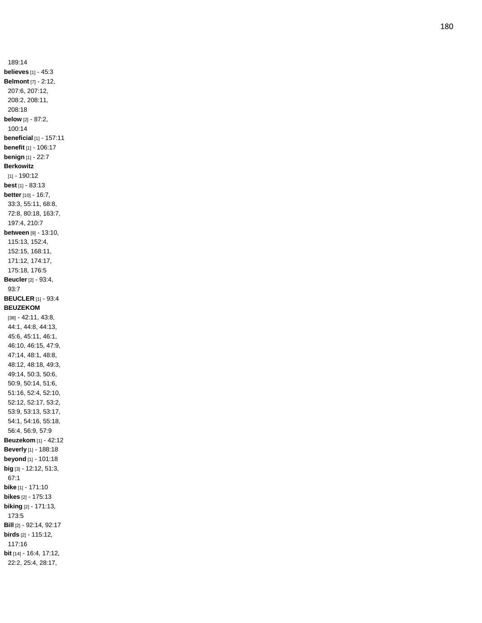189:14 **believes** [1] - 45:3 **Belmont** [7] - 2:12, 207:6, 207:12, 208:2, 208:11, 208:18 **below** [2] - 87:2, 100:14 **beneficial** [1] - 157:11 **benefit** [1] - 106:17 **benign** [1] - 22:7 **Berkowitz** [1] - 190:12 **best** [1] - 83:13 **better** [10] - 16:7, 33:3, 55:11, 68:8, 72:8, 80:18, 163:7, 197:4, 210:7 **between** [9] - 13:10, 115:13, 152:4, 152:15, 168:11, 171:12, 174:17, 175:18, 176:5 **Beucler** [2] - 93:4, 93:7 **BEUCLER** [1] - 93:4 **BEUZEKOM** [38] - 42:11, 43:8, 44:1, 44:8, 44:13, 45:6, 45:11, 46:1, 46:10, 46:15, 47:9, 47:14, 48:1, 48:8, 48:12, 48:18, 49:3, 49:14, 50:3, 50:6, 50:9, 50:14, 51:6, 51:16, 52:4, 52:10, 52:12, 52:17, 53:2, 53:9, 53:13, 53:17, 54:1, 54:16, 55:18, 56:4, 56:9, 57:9 **Beuzekom** [1] - 42:12 **Beverly** [1] - 188:18 **beyond** [1] - 101:18 **big** [3] - 12:12, 51:3, 67:1 **bike** [1] - 171:10 **bikes** [2] - 175:13 **biking** [2] - 171:13, 173:5 **Bill** [2] - 92:14, 92:17 **birds** [2] - 115:12, 117:16 **bit** [14] - 16:4, 17:12, 22:2, 25:4, 28:17,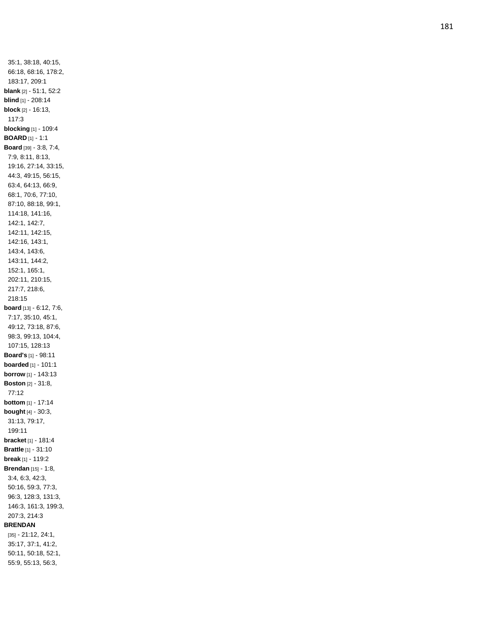35:1, 38:18, 40:15, 66:18, 68:16, 178:2, 183:17, 209:1 **blank** [2] - 51:1, 52:2 **blind** [1] - 208:14 **block** [2] - 16:13, 117:3 **blocking** [1] - 109:4 **BOARD** [1] - 1:1 **Board** [39] - 3:8, 7:4, 7:9, 8:11, 8:13, 19:16, 27:14, 33:15, 44:3, 49:15, 56:15, 63:4, 64:13, 66:9, 68:1, 70:6, 77:10, 87:10, 88:18, 99:1, 114:18, 141:16, 142:1, 142:7, 142:11, 142:15, 142:16, 143:1, 143:4, 143:6, 143:11, 144:2, 152:1, 165:1, 202:11, 210:15, 217:7, 218:6, 218:15 **board** [13] - 6:12, 7:6, 7:17, 35:10, 45:1, 49:12, 73:18, 87:6, 98:3, 99:13, 104:4, 107:15, 128:13 **Board's** [1] - 98:11 **boarded** [1] - 101:1 **borrow** [1] - 143:13 **Boston** [2] - 31:8, 77:12 **bottom** [1] - 17:14 **bought** [4] - 30:3, 31:13, 79:17, 199:11 **bracket** [1] - 181:4 **Brattle** [1] - 31:10 **break** [1] - 119:2 **Brendan** [15] - 1:8, 3:4, 6:3, 42:3, 50:16, 59:3, 77:3, 96:3, 128:3, 131:3, 146:3, 161:3, 199:3, 207:3, 214:3 **BRENDAN** [35] - 21:12, 24:1, 35:17, 37:1, 41:2, 50:11, 50:18, 52:1, 55:9, 55:13, 56:3,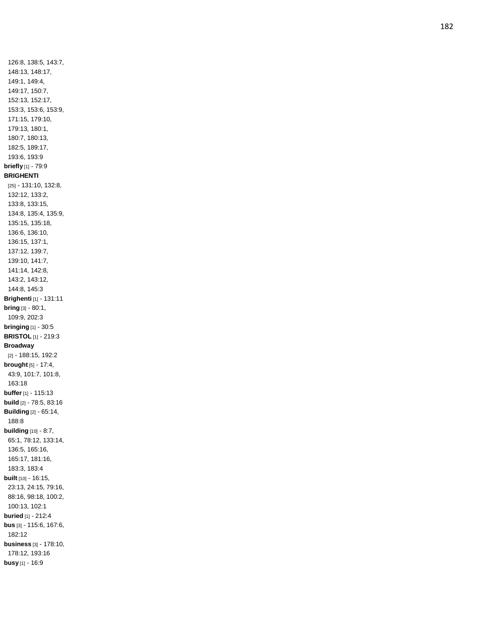126:8, 138:5, 143:7, 148:13, 148:17, 149:1, 149:4, 149:17, 150:7, 152:13, 152:17, 153:3, 153:6, 153:9, 171:15, 179:10, 179:13, 180:1, 180:7, 180:13, 182:5, 189:17, 193:6, 193:9 **briefly** [1] - 79:9 **BRIGHENTI** [25] - 131:10, 132:8, 132:12, 133:2, 133:8, 133:15, 134:8, 135:4, 135:9, 135:15, 135:18, 136:6, 136:10, 136:15, 137:1, 137:12, 139:7, 139:10, 141:7, 141:14, 142:8, 143:2, 143:12, 144:8, 145:3 **Brighenti** [1] - 131:11 **bring** [3] - 80:1, 109:9, 202:3 **bringing** [1] - 30:5 **BRISTOL** [1] - 219:3 **Broadway** [2] - 188:15, 192:2 **brought** [5] - 17:4, 43:9, 101:7, 101:8, 163:1 8 **buffer** [1] - 115:13 **build** [2] - 78:5, 83:16 **Building** [2] - 65:14, 188:8 **building** [10] - 8:7, 65:1, 78:12, 133:14, 136:5, 165:16, 165:17, 181:16, 183:3, 183:4 **built** [10] - 16:15, 23:13, 24:15, 79:16, 88:16, 98:18, 100:2, 100:13, 102:1 **buried** [1] - 212:4 **bus** [3] - 115:6, 167:6, 182:12 **business** [3] - 178:10, 178:12, 193:16 **busy** [1] - 16:9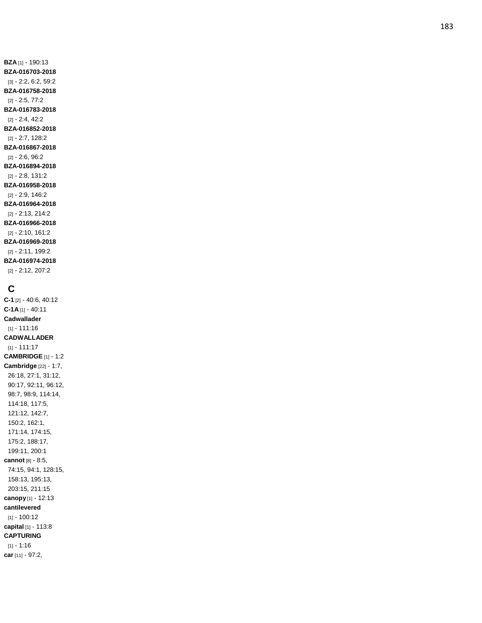**BZA** [1] - 190:13 **BZA -016703 -2018** [3] - 2:2, 6:2, 59:2 **BZA -016758 -2018** [2] - 2:5, 77:2 **BZA -016783 -2018** [2] - 2:4, 42:2 **BZA -016852 -2018** [2] - 2:7, 128:2 **BZA -016867 -2018** [2] - 2:6, 96:2 **BZA -016894 -2018** [2] - 2:8, 131:2 **BZA -016958 -2018** [2] - 2:9, 146:2 **BZA -016964 -2018** [2] - 2:13, 214:2 **BZA -016966 -2018** [2] - 2:10, 161:2 **BZA -016969 -2018** [2] - 2:11, 199:2 **BZA -016974 -2018** [2] - 2:12, 207:2

## **C**

**C - 1** [2] - 40:6, 40:12 **C -1A** [1] - 40:11 **Cadwallader** [1] - 111:16 **CADWALLADER** [1] - 111:17 **CAMBRIDGE** [1] - 1:2 **Cambridge** [22] - 1:7, 26:18, 27:1, 31:12, 90:17, 92:11, 96:12, 98:7, 98:9, 114:14, 114:18, 117:5, 121:12, 142:7, 150:2, 162:1, 171:14, 174:15, 175:2, 188:17, 199:11, 200:1 **cannot** [8] - 8:5, 74:15, 94:1, 128:15, 158:13, 195:13, 203:15, 211:15 **canopy** [1] - 12:13 **cantilevered** [1] - 100:12 **capital** [1] - 113:8 **CAPTURING** [1] - 1:16 **car** [11] - 97:2,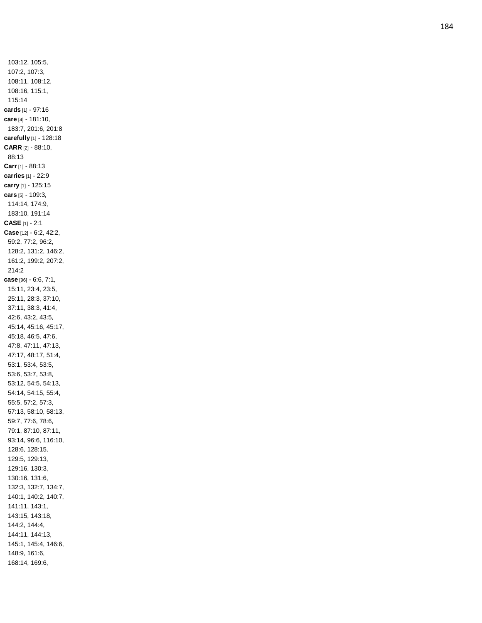103:12, 105:5, 107:2, 107:3, 108:11, 108:12, 108:16, 115:1, 115:14 **cards** [1] - 97:16 **care** [4] - 181:10, 183:7, 201:6, 201:8 **carefully** [1] - 128:18 **CARR** [2] - 88:10, 88:13 **Carr** [1] - 88:13 **carries** [1] - 22:9 **carry** [1] - 125:15 **cars** [5] - 109:3, 114:14, 174:9, 183:10, 191:14 **CASE** [1] - 2:1 **Case** [12] - 6:2, 42:2, 59:2, 77:2, 96:2, 128:2, 131:2, 146:2, 161:2, 199:2, 207:2, 214:2 **case** [96] - 6:6, 7:1, 15:11, 23:4, 23:5, 25:11, 28:3, 37:10, 37:11, 38:3, 41:4, 42:6, 43:2, 43:5, 45:14, 45:16, 45:17, 45:18, 46:5, 47:6, 47:8, 47:11, 47:13, 47:17, 48:17, 51:4, 53:1, 53:4, 53:5, 53:6, 53:7, 53:8, 53:12, 54:5, 54:13, 54:14, 54:15, 55:4, 55:5, 57:2, 57:3, 57:13, 58:10, 58:13, 59:7, 77:6, 78:6, 79:1, 87:10, 87:11, 93:14, 96:6, 116:10, 128:6, 128:15, 129:5, 129:13, 129:16, 130:3, 130:16, 131:6, 132:3, 132:7, 134:7, 140:1, 140:2, 140:7, 141:11, 143:1, 143:15, 143:18, 144:2, 144:4, 144:11, 144:13, 145:1, 145:4, 146:6, 148:9, 161:6, 168:14, 169:6,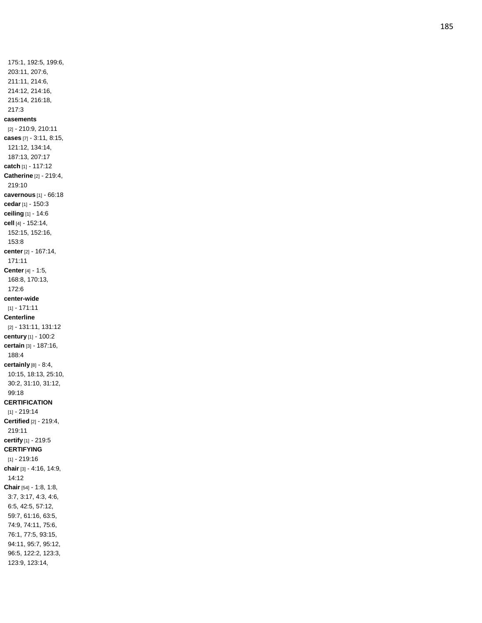175:1, 192:5, 199:6, 203:11, 207:6, 211:11, 214:6, 214:12, 214:16, 215:14, 216:18, 217:3 **casements** [2] - 210:9, 210:11 **cases** [7] - 3:11, 8:15, 121:12, 134:14, 187:13, 207:17 **catch** [1] - 117:12 **Catherine** [2] - 219:4, 219:10 **cavernous** [1] - 66:18 **cedar** [1] - 150:3 **ceiling** [1] - 14:6 **cell** [4] - 152:14, 152:15, 152:16, 153:8 **center** [2] - 167:14, 171:11 **Center** [4] - 1:5, 168:8, 170:13, 172:6 **center -wide** [1] - 171:11 **Centerline** [2] - 131:11, 131:12 **century** [1] - 100:2 **certain** [3] - 187:16, 188:4 **certainly** [8] - 8:4, 10:15, 18:13, 25:10, 30:2, 31:10, 31:12, 99:18 **CERTIFICATION** [1] - 219:14 **Certified** [2] - 219:4, 219:11 **certify** [1] - 219:5 **CERTIFYING** [1] - 219:16 **chair** [3] - 4:16, 14:9, 14:12 **Chair** [54] - 1:8, 1:8, 3:7, 3:17, 4:3, 4:6, 6:5, 42:5, 57:12, 59:7, 61:16, 63:5, 74:9, 74:11, 75:6, 76:1, 77:5, 93:15, 94:11, 95:7, 95:12, 96:5, 122:2, 123:3, 123:9, 123:14,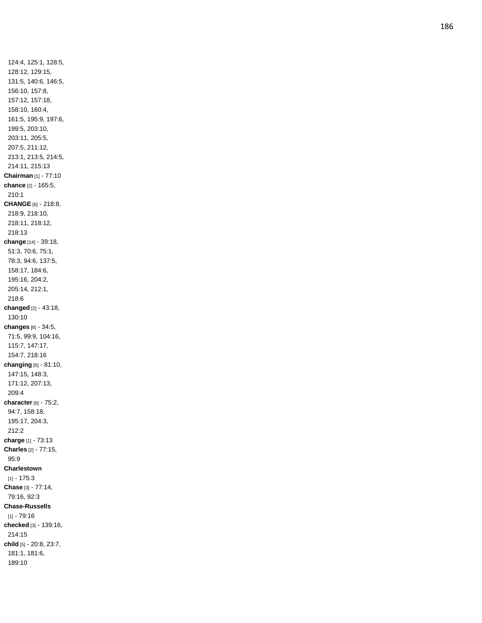124:4, 125:1, 128:5, 128:12, 129:15, 131:5, 140:6, 146:5, 156:10, 157:8, 157:12, 157:18, 158:10, 160:4, 161:5, 195:9, 197:6, 199:5, 203:10, 203:11, 205:5, 207:5, 211:12, 213:1, 213:5, 214:5, 214:11, 215:13 **Chairman** [1] - 77:10 **chance** [2] - 165:5, 210:1 **CHANGE** [6] - 218:8, 218:9, 218:10, 218:11, 218:12, 218:13 **change** [14] - 39:18, 51:3, 70:6, 75:1, 78:3, 94:6, 137:5, 158:17, 184:6, 195:16, 204:2, 205:14, 212:1, 218:6 **changed** [2] - 43:18, 130:10 **changes** [8] - 34:5, 71:5, 99:9, 104:16, 115:7, 147:17, 154:7, 218:16 **changing** [6] - 81:10, 147:15, 148:3, 171:12, 207:13, 209:4 **character** [6] - 75:2, 94:7, 158:18, 195:17, 204:3, 212:2 **charge** [1] - 73:13 **Charles** [2] - 77:15, 95:9 **Charlestown**  $[1] - 175:3$ **Chase** [3] - 77:14, 79:16, 92:3 **Chase -Russells** [1] - 79:16 **checked** [3] - 139:16, 214:15 **child** [5] - 20:8, 23:7, 181:1, 181:6, 189:10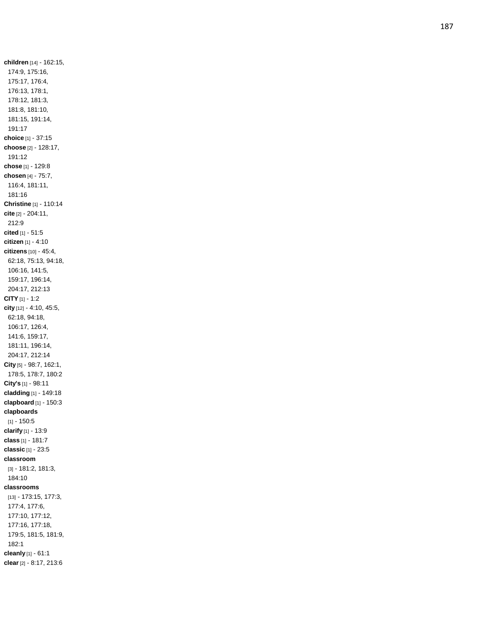**children** [14] - 162:15, 174:9, 175:16, 175:17, 176:4, 176:13, 178:1, 178:12, 181:3, 181:8, 181:10, 181:15, 191:14, 191:17 **choice** [1] - 37:15 **choose** [2] - 128:17, 191:12 **chose** [1] - 129:8 **chosen** [4] - 75:7, 116:4, 181:11, 181:16 **Christine** [1] - 110:14 **cite** [2] - 204:11, 212:9 **cited** [1] - 51:5 **citizen** [1] - 4:10 **citizens** [10] - 45:4, 62:18, 75:13, 94:18, 106:16, 141:5, 159:17, 196:14, 204:17, 212:13 **CITY** [1] - 1:2 **city** [12] - 4:10, 45:5, 62:18, 94:18, 106:17, 126:4, 141:6, 159:17, 181:11, 196:14, 204:17, 212:14 **City** [5] - 98:7, 162:1, 178:5, 178:7, 180:2 **City's** [1] - 98:11 **cladding** [1] - 149:18 **clapboard** [1] - 150:3 **clapboards**  $[1] - 150.5$ **clarify** [1] - 13:9 **class** [1] - 181:7 **classic** [1] - 23:5 **classroom** [3] - 181:2, 181:3, 184:10 **classrooms** [13] - 173:15, 177:3, 177:4, 177:6, 177:10, 177:12, 177:16, 177:18, 179:5, 181:5, 181:9, 182:1 **cleanly** [1] - 61:1 **clear** [2] - 8:17, 213:6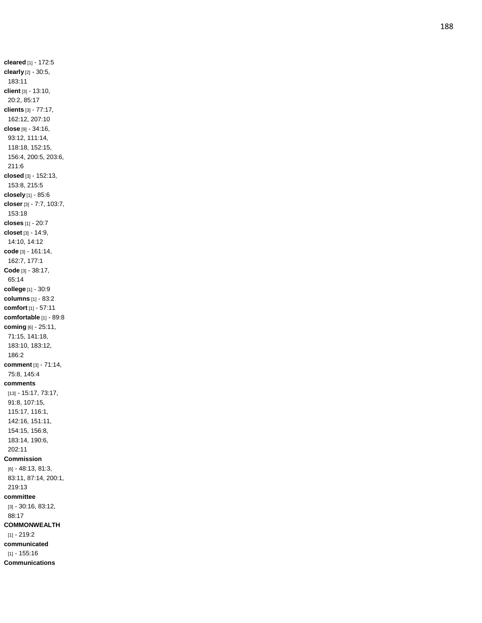**cleared** [1] - 172:5 **clearly** [2] - 30:5, 183:11 **client** [3] - 13:10, 20:2, 85:17 **clients** [3] - 77:17, 162:12, 207:10 **close** [9] - 34:16, 93:12, 111:14, 118:18, 152:15, 156:4, 200:5, 203:6, 211:6 **closed** [3] - 152:13, 153:8, 215:5 **closely** [1] - 85:6 **closer** [3] - 7:7, 103:7, 153:18 **closes** [1] - 20:7 **closet** [3] - 14:9, 14:10, 14:12 **code** [3] - 161:14, 162:7, 177:1 **Code** [3] - 38:17, 65:14 **college** [1] - 30:9 **columns** [1] - 83:2 **comfort** [1] - 57:11 **comfortable** [1] - 89:8 **coming** [6] - 25:11, 71:15, 141:18, 183:10, 183:12, 186:2 **comment** [3] - 71:14, 75:8, 145:4 **comments** [13] - 15:17, 73:17, 91:8, 107:15, 115:17, 116:1, 142:16, 151:11, 154:15, 156:8, 183:14, 190:6, 202:11 **Commission** [6] - 48:13, 81:3, 83:11, 87:14, 200:1, 219:13 **committee** [3] - 30:16, 83:12, 88:17 **COMMONWEALTH** [1] - 219:2 **communicated** [1] - 155:16

**Communications**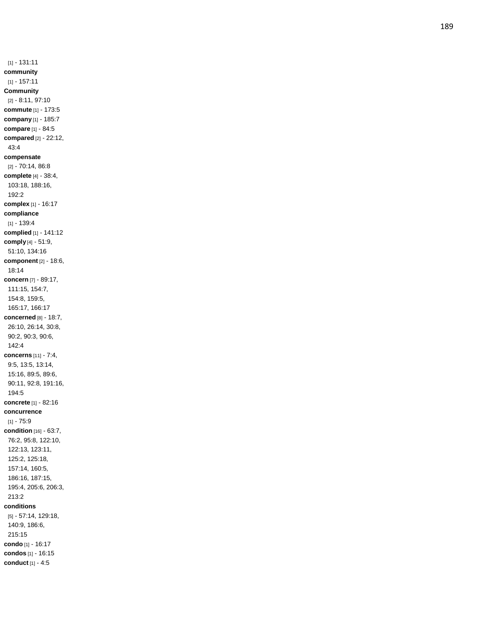[1] - 131:11 **community** [1] - 157:11 **Community** [2] - 8:11, 97:10 **commute** [1] - 173:5 **company** [1] - 185:7 **compare** [1] - 84:5 **compared** [2] - 22:12, 43:4 **compensate** [2] - 70:14, 86:8 **complete** [4] - 38:4, 103:18, 188:16, 192:2 **complex** [1] - 16:17 **compliance**  $[1] - 139:4$ **complied** [1] - 141:12 **comply** [4] - 51:9, 51:10, 134:16 **component** [2] - 18:6, 18:14 **concern** [7] - 89:17, 111:15, 154:7, 154:8, 159:5, 165:17, 166:17 **concerned** [8] - 18:7, 26:10, 26:14, 30:8, 90:2, 90:3, 90:6, 142:4 **concerns** [11] - 7:4, 9:5, 13:5, 13:14, 15:16, 89:5, 89:6, 90:11, 92:8, 191:16, 194:5 **concrete** [1] - 82:16 **concurrence** [1] - 75:9 **condition** [16] - 63:7, 76:2, 95:8, 122:10, 122:13, 123:11, 125:2, 125:18, 157:14, 160:5, 186:16, 187:15, 195:4, 205:6, 206:3, 213:2 **conditions** [5] - 57:14, 129:18, 140:9, 186:6, 215:15 **condo** [1] - 16:17 **condos** [1] - 16:15

**conduct** [1] - 4:5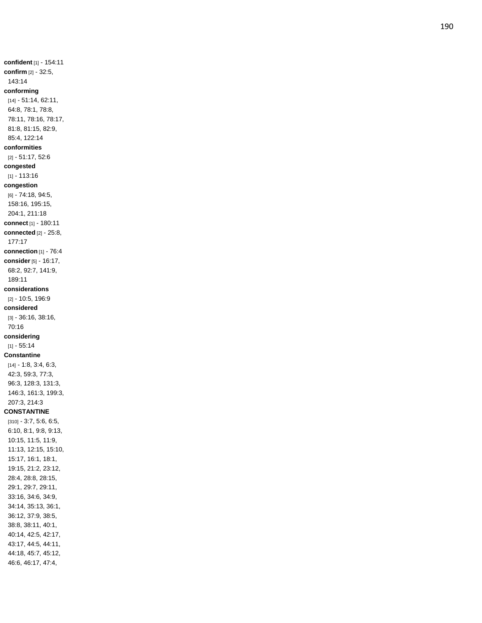**confident** [1] - 154:11 **confirm** [2] - 32:5, 143:14 **conforming** [14] - 51:14, 62:11, 64:8, 78:1, 78:8, 78:11, 78:16, 78:17, 81:8, 81:15, 82:9, 85:4, 122:14 **conformities** [2] - 51:17, 52:6 **congested** [1] - 113:16 **congestion** [6] - 74:18, 94:5, 158:16, 195:15, 204:1, 211:18 **connect** [1] - 180:11 **connected** [2] - 25:8, 177:17 **connection** [1] - 76:4 **consider** [5] - 16:17, 68:2, 92:7, 141:9, 189:11 **considerations** [2] - 10:5, 196:9 **considered** [3] - 36:16, 38:16, 70:16 **considering**  $[1] - 55.14$ **Constantine** [14] - 1:8, 3:4, 6:3, 42:3, 59:3, 77:3, 96:3, 128:3, 131:3, 146:3, 161:3, 199:3, 207:3, 214:3 **CONSTANTINE** [310] - 3:7, 5:6, 6:5, 6:10, 8:1, 9:8, 9:13, 10:15, 11:5, 11:9, 11:13, 12:15, 15:10, 15:17, 16:1, 18:1, 19:15, 21:2, 23:12, 28:4, 28:8, 28:15, 29:1, 29:7, 29:11, 33:16, 34:6, 34:9, 34:14, 35:13, 36:1, 36:12, 37:9, 38:5, 38:8, 38:11, 40:1, 40:14, 42:5, 42:17, 43:17, 44:5, 44:11, 44:18, 45:7, 45:12, 46:6, 46:17, 47:4,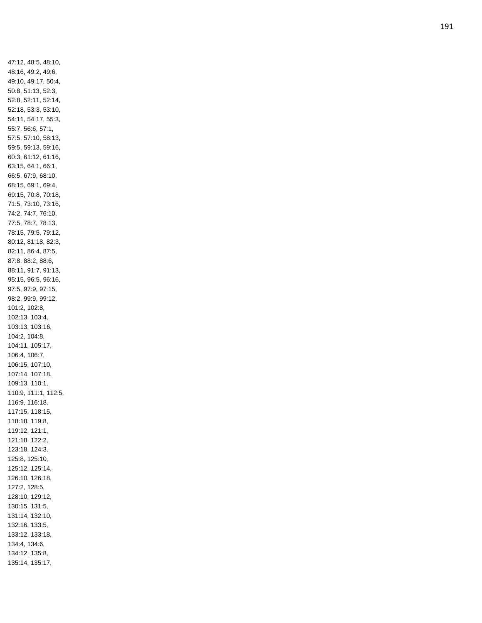47:12, 48:5, 48:10, 48:16, 49:2, 49:6, 49:10, 49:17, 50:4, 50:8, 51:13, 52:3, 52:8, 52:11, 52:14, 52:18, 53:3, 53:10, 54:11, 54:17, 55:3, 55:7, 56:6, 57:1, 57:5, 57:10, 58:13, 59:5, 59:13, 59:16, 60:3, 61:12, 61:16, 63:15, 64:1, 66:1, 66:5, 67:9, 68:10, 68:15, 69:1, 69:4, 69:15, 70:8, 70:18, 71:5, 73:10, 73:16, 74:2, 74:7, 76:10, 77:5, 78:7, 78:13, 78:15, 79:5, 79:12, 80:12, 81:18, 82:3, 82:11, 86:4, 87:5, 87:8, 88:2, 88:6, 88:11, 91:7, 91:13, 95:15, 96:5, 96:16, 97:5, 97:9, 97:15, 98:2, 99:9, 99:12, 101:2, 102:8, 102:13, 103:4, 103:13, 103:16, 104:2, 104:8, 104:11, 105:17, 106:4, 106:7, 106:15, 107:10, 107:14, 107:18, 109:13, 110:1, 110:9, 111:1, 112:5, 116:9, 116:18, 117:15, 118:15, 118:18, 119:8, 119:12, 121:1, 121:18, 122:2, 123:18, 124:3, 125:8, 125:10, 125:12, 125:14, 126:10, 126:18, 127:2, 128:5, 128:10, 129:12, 130:15, 131:5, 131:14, 132:10, 132:16, 133:5, 133:12, 133:18, 134:4, 134:6, 134:12, 135:8, 135:14, 135:17,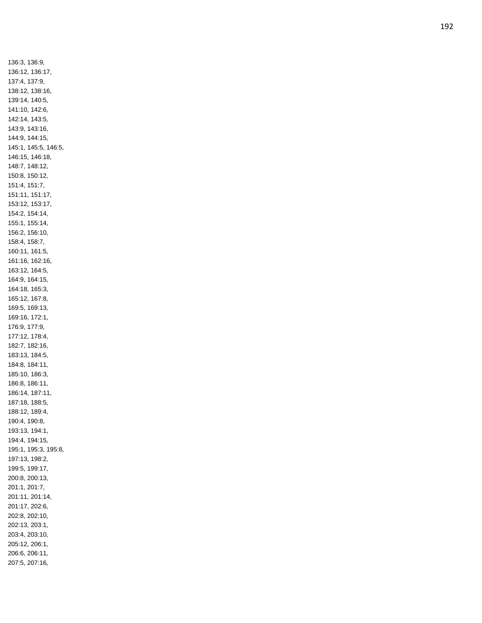136:3, 136:9, 136:12, 136:17, 137:4, 137:9, 138:12, 138:16, 139:14, 140:5, 141:10, 142:6, 142:14, 143:5, 143:9, 143:16, 144:9, 144:15, 145:1, 145:5, 146:5, 146:15, 146:18, 148:7, 148:12, 150:8, 150:12, 151:4, 151:7, 151:11, 151:17, 153:12, 153:17, 154:2, 154:14, 155:1, 155:14, 156:2, 156:10, 158:4, 158:7, 160:11, 161:5, 161:16, 162:16, 163:12, 164:5, 164:9, 164:15, 164:18, 165:3, 165:12, 167:8, 169:5, 169:13, 169:16, 172:1, 176:9, 177:9, 177:12, 178:4, 182:7, 182:16, 183:13, 184:5, 184:8, 184:11, 185:10, 186:3, 186:8, 186:11, 186:14, 187:11, 187:18, 188:5, 188:12, 189:4, 190:4, 190:8, 193:13, 194:1, 194:4, 194:15, 195:1, 195:3, 195:8, 197:13, 198:2, 199:5, 199:17, 200:8, 200:13, 201:1, 201:7, 201:11, 201:14, 201:17, 202:6, 202:8, 202:10, 202:13, 203:1, 203:4, 203:10, 205:12, 206:1, 206:6, 206:11, 207:5, 207:16,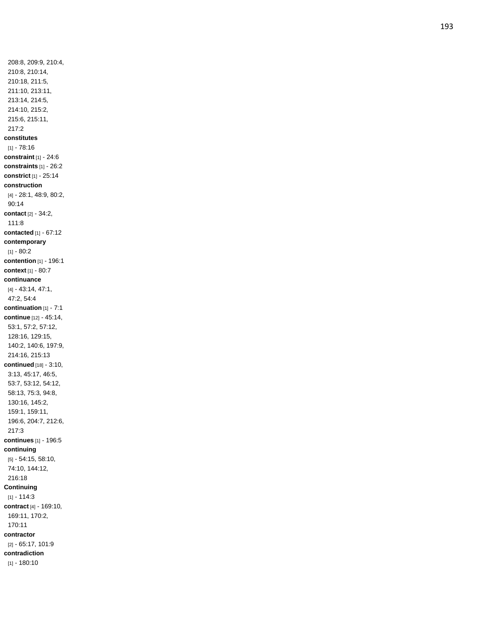208:8, 209:9, 210:4, 210:8, 210:14, 210:18, 211:5, 211:10, 213:11, 213:14, 214:5, 214:10, 215:2, 215:6, 215:11, 217:2 **constitutes**  $[1] - 78.16$ **constraint** [1] - 24:6 **constraints** [1] - 26:2 **constrict** [1] - 25:14 **construction** [4] - 28:1, 48:9, 80:2, 90:14 **contact** [2] - 34:2, 111:8 **contacted** [1] - 67:12 **contemporary** [1] - 80:2 **contention** [1] - 196:1 **context** [1] - 80:7 **continuance** [4] - 43:14, 47:1, 47:2, 54:4 **continuation** [1] - 7:1 **continue** [12] - 45:14, 53:1, 57:2, 57:12, 128:16, 129:15, 140:2, 140:6, 197:9, 214:16, 215:13 **continued** [18] - 3:10, 3:13, 45:17, 46:5, 53:7, 53:12, 54:12, 58:13, 75:3, 94:8, 130:16, 145:2, 159:1, 159:11, 196:6, 204:7, 212:6, 217:3 **continues** [1] - 196:5 **continuing** [5] - 54:15, 58:10, 74:10, 144:12, 216:18 **Continuing**  $[1] - 114:3$ **contract** [4] - 169:10, 169:11, 170:2, 170:11 **contractor** [2] - 65:17, 101:9 **contradiction** [1] - 180:10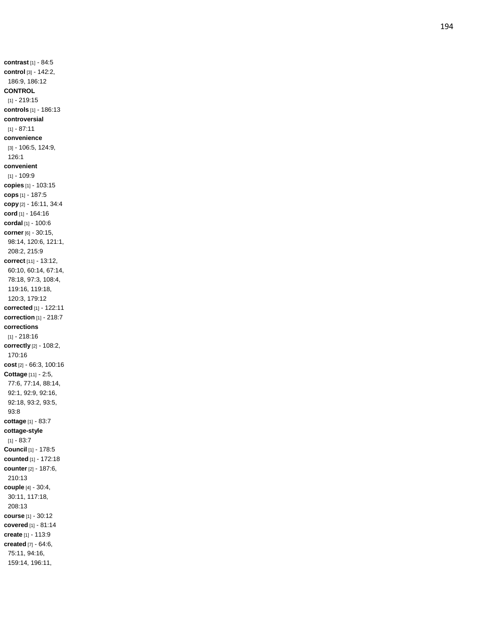**contrast** [1] - 84:5 **control** [3] - 142:2, 186:9, 186:12 **CONTROL** [1] - 219:15 **controls** [1] - 186:13 **controversial**  $[1] - 87:11$ **convenience** [3] - 106:5, 124:9, 126:1 **convenient** [1] - 109:9 **copies** [1] - 103:15 **cops** [1] - 187:5 **copy** [2] - 16:11, 34:4 **cord** [1] - 164:16 **cordal** [1] - 100:6 **corner** [6] - 30:15, 98:14, 120:6, 121:1, 208:2, 215:9 **correct** [11] - 13:12, 60:10, 60:14, 67:14, 78:18, 97:3, 108:4, 119:16, 119:18, 120:3, 179:12 **corrected** [1] - 122:11 **correction** [1] - 218:7 **corrections** [1] - 218:16 **correctly** [2] - 108:2, 170:16 **cost** [2] - 66:3, 100:16 **Cottage** [11] - 2:5, 77:6, 77:14, 88:14, 92:1, 92:9, 92:16, 92:18, 93:2, 93:5, 93:8 **cottage** [1] - 83:7 **cottage -style** [1] - 83:7 **Council** [1] - 178:5 **counted** [1] - 172:18 **counter** [2] - 187:6, 210:13 **couple** [4] - 30:4, 30:11, 117:18, 208:13 **course** [1] - 30:12 **covered** [1] - 81:14 **create** [1] - 113:9 **created** [7] - 64:6, 75:11, 94:16, 159:14, 196:11,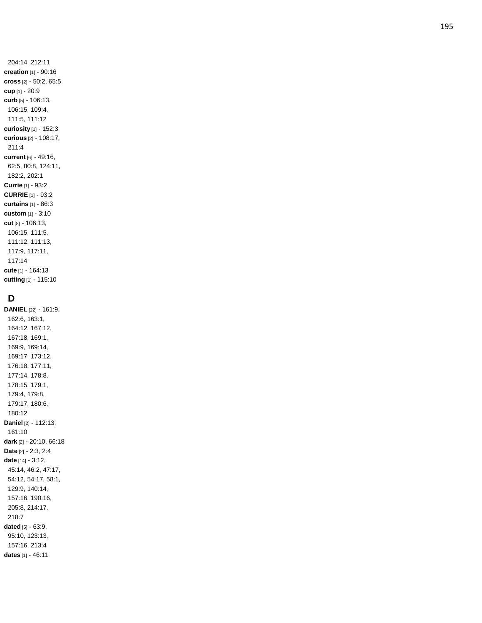204:14, 212:11 **creation** [1] - 90:16 **cross** [2] - 50:2, 65:5 **cup** [1] - 20:9 **curb** [5] - 106:13, 106:15, 109:4, 111:5, 111:12 **curiosity** [1] - 152:3 **curious** [2] - 108:17, 211:4 **current** [6] - 49:16, 62:5, 80:8, 124:11, 182:2, 202:1 **Currie** [1] - 93:2 **CURRIE** [1] - 93:2 **curtains** [1] - 86:3 **custom** [1] - 3:10 **cut** [8] - 106:13, 106:15, 111:5, 111:12, 111:13, 117:9, 117:11, 117:14 **cute** [1] - 164:13 **cutting** [1] - 115:10

## **D**

**DANIEL** [22] - 161:9, 162:6, 163:1, 164:12, 167:12, 167:18, 169:1, 169:9, 169:14, 169:17, 173:12, 176:18, 177:11, 177:14, 178:8, 178:15, 179:1, 179:4, 179:8, 179:17, 180:6, 180:12 **Daniel** [2] - 112:13, 161:10 **dark** [2] - 20:10, 66:18 **Date** [2] - 2:3, 2:4 **date** [14] - 3:12, 45:14, 46:2, 47:17, 54:12, 54:17, 58:1, 129:9, 140:14, 157:16, 190:16, 205:8, 214:17, 218:7 **dated** [5] - 63:9, 95:10, 123:13, 157:16, 213:4 **dates** [1] - 46:11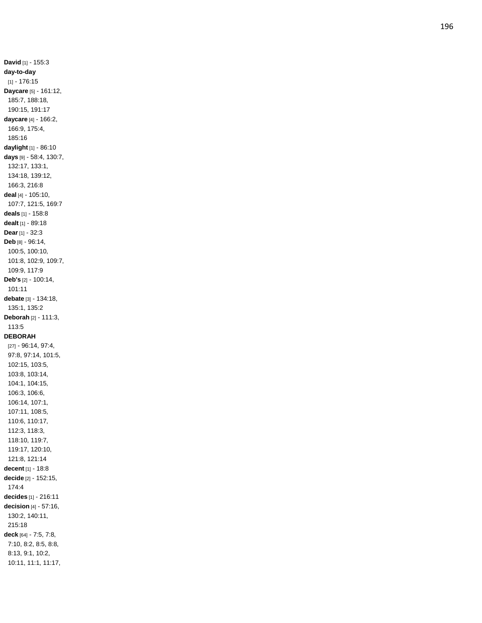**David** [1] - 155:3 **day -to -day** [1] - 176:15 **Daycare** [5] - 161:12, 185:7, 188:18, 190:15, 191:17 **daycare** [4] - 166:2, 166:9, 175:4, 185:16 **daylight** [1] - 86:10 **days** [9] - 58:4, 130:7, 132:17, 133:1, 134:18, 139:12, 166:3, 216:8 **deal** [4] - 105:10, 107:7, 121:5, 169:7 **deals** [1] - 158:8 **dealt** [1] - 89:18 **Dear** [1] - 32:3 **Deb** [8] - 96:14, 100:5, 100:10, 101:8, 102:9, 109:7, 109:9, 117:9 **Deb's** [2] - 100:14, 101:11 **debate** [3] - 134:18, 135:1, 135:2 **Deborah** [2] - 111:3, 113:5 **DEBORAH** [27] - 96:14, 97:4, 97:8, 97:14, 101:5, 102:15, 103:5, 103:8, 103:14, 104:1, 104:15, 106:3, 106:6, 106:14, 107:1, 107:11, 108:5, 110:6, 110:17, 112:3, 118:3, 118:10, 119:7, 119:17, 120:10, 121:8, 121:14 **decent** [1] - 18:8 **decide** [2] - 152:15, 174:4 **decides** [1] - 216:11 **decision** [4] - 57:16, 130:2, 140:11, 215:18 **deck** [64] - 7:5, 7:8, 7:10, 8:2, 8:5, 8:8, 8:13, 9:1, 10:2, 10:11, 11:1, 11:17,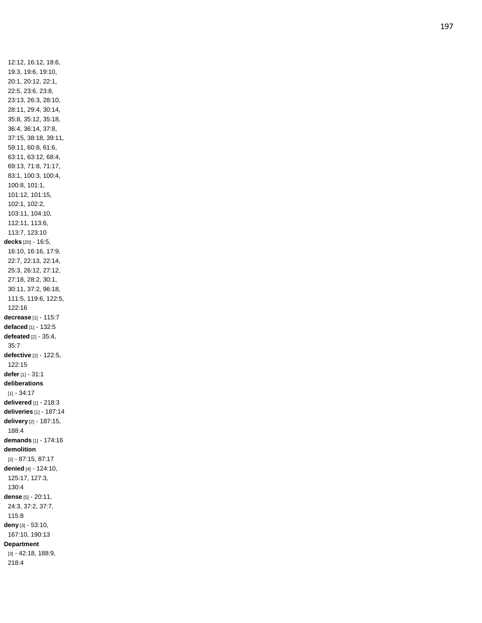12:12, 16:12, 18:6, 19:3, 19:6, 19:10, 20:1, 20:12, 22:1, 22:5, 23:6, 23:8, 23:13, 26:3, 28:10, 28:11, 29:4, 30:14, 35:8, 35:12, 35:18, 36:4, 36:14, 37:8, 37:15, 38:18, 39:11, 59:11, 60:8, 61:6, 63:11, 63:12, 68:4, 69:13, 71:8, 71:17, 83:1, 100:3, 100:4, 100:8, 101:1, 101:12, 101:15, 102:1, 102:2, 103:11, 104:10, 112:11, 113:6, 113:7, 123:10 **decks** [20] - 16:5, 16:10, 16:16, 17:9, 22:7, 22:13, 22:14, 25:3, 26:12, 27:12, 27:18, 28:2, 30:1, 30:11, 37:2, 96:18, 111:5, 119:6, 122:5, 122:16 **decrease** [1] - 115:7 **defaced** [1] - 132:5 **defeated** [2] - 35:4, 35:7 **defective** [2] - 122:5, 122:15 **defer** [1] - 31:1 **deliberations**  $[1] - 34:17$ **delivered** [1] - 218:3 **deliveries** [1] - 187:14 **delivery** [2] - 187:15, 188:4 **demands** [1] - 174:16 **demolition** [2] - 87:15, 87:17 **denied** [4] - 124:10, 125:17, 127:3, 130:4 **dense** [5] - 20:11, 24:3, 37:2, 37:7, 115:8 **deny** [3] - 53:10, 167:10, 190:13 **Department** [3] - 42:18, 188:9, 218:4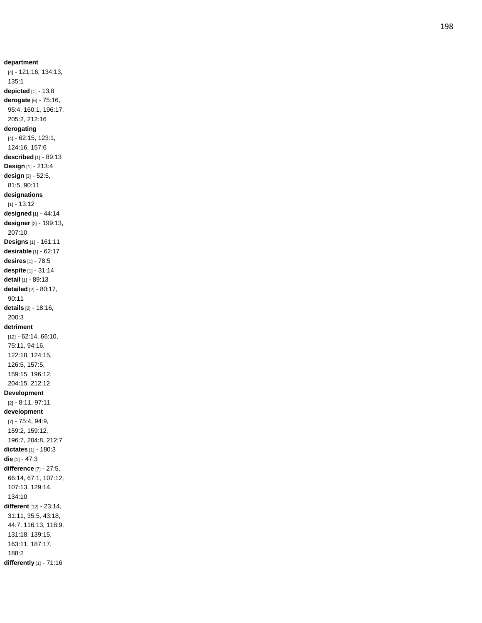**department** [4] - 121:16, 134:13, 135:1 **depicted** [1] - 13:8 **derogate** [6] - 75:16, 95:4, 160:1, 196:17, 205:2, 212:16 **derogating** [4] - 62:15, 123:1, 124:16, 157:6 **described** [1] - 89:13 **Design** [1] - 213:4 **design** [3] - 52:5, 81:5, 90:11 **designations**  $[1] - 13:12$ **designed** [1] - 44:14 **designer** [2] - 199:13, 207:10 **Designs** [1] - 161:11 **desirable** [1] - 62:17 **desires** [1] - 78:5 **despite** [1] - 31:14 **detail** [1] - 89:13 **detailed** [2] - 80:17, 90:11 **details** [2] - 18:16, 200:3 **detriment** [12] - 62:14, 66:10, 75:11, 94:16, 122:18, 124:15, 126:5, 157:5, 159:15, 196:12, 204:15, 212:12 **Development** [2] - 8:11, 97:11 **development** [7] - 75:4, 94:9, 159:2, 159:12, 196:7, 204:8, 212:7 **dictates** [1] - 180:3 **die** [1] - 47:3 **difference** [7] - 27:5, 66:14, 67:1, 107:12, 107:13, 129:14, 134:10 **different** [12] - 23:14, 31:11, 35:5, 43:18, 44:7, 116:13, 118:9, 131:18, 139:15, 163:11, 187:17, 188:2 **differently** [1] - 71:16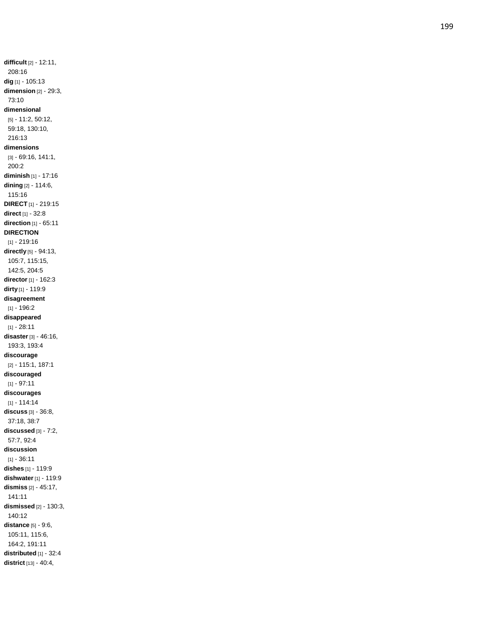**difficult** [2] - 12:11, 208:16 **dig** [1] - 105:13 **dimension** [2] - 29:3, 73:10 **dimensional** [5] - 11:2, 50:12, 59:18, 130:10, 216:13 **dimensions** [3] - 69:16, 141:1, 200:2 **diminish** [1] - 17:16 **dining** [2] - 114:6, 115:16 **DIRECT** [1] - 219:15 **direct** [1] - 32:8 **direction** [1] - 65:11 **DIRECTION** [1] - 219:16 **directly** [5] - 94:13, 105:7, 115:15, 142:5, 204:5 **director** [1] - 162:3 **dirty** [1] - 119:9 **disagreement** [1] - 196:2 **disappeared**  $[1] - 28:11$ **disaster** [3] - 46:16, 193:3, 193:4 **discourage** [2] - 115:1, 187:1 **discouraged**  $[1] - 97:11$ **discourages** [1] - 114:14 **discuss** [3] - 36:8, 37:18, 38:7 **discussed** [3] - 7:2, 57:7, 92:4 **discussion**  $[1] - 36.11$ **dishes** [1] - 119:9 **dishwater** [1] - 119:9 **dismiss** [2] - 45:17, 141:11 **dismissed** [2] - 130:3, 140:12 **distance** [5] - 9:6, 105:11, 115:6, 164:2, 191:11 **distributed** [1] - 32:4 **district** [13] - 40:4,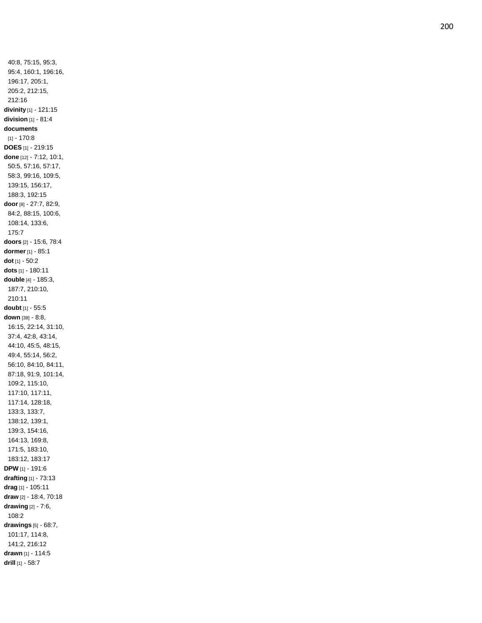40:8, 75:15, 95:3, 95:4, 160:1, 196:16, 196:17, 205:1, 205:2, 212:15, 212:16 **divinity** [1] - 121:15 **division** [1] - 81:4 **documents**  $[1] - 170:8$ **DOES** [1] - 219:15 **done** [12] - 7:12, 10:1, 50:5, 57:16, 57:17, 58:3, 99:16, 109:5, 139:15, 156:17, 188:3, 192:15 **door** [8] - 27:7, 82:9, 84:2, 88:15, 100:6, 108:14, 133:6, 175:7 **doors** [2] - 15:6, 78:4 **dormer** [1] - 85:1 **dot** [1] - 50:2 **dots** [1] - 180:11 **double** [4] - 185:3, 187:7, 210:10, 210:11 **doubt** [1] - 55:5 **down** [38] - 8:8, 16:15, 22:14, 31:10, 37:4, 42:8, 43:14, 44:10, 45:5, 48:15, 49:4, 55:14, 56:2, 56:10, 84:10, 84:11, 87:18, 91:9, 101:14, 109:2, 115:10, 117:10, 117:11, 117:14, 128:18, 133:3, 133:7, 138:12, 139:1, 139:3, 154:16, 164:13, 169:8, 171:5, 183:10, 183:12, 183:17 **DPW** [1] - 191:6 **drafting** [1] - 73:13 **drag** [1] - 105:11 **draw** [2] - 18:4, 70:18 **drawing** [2] - 7:6, 108:2 **drawings** [5] - 68:7, 101:17, 114:8, 141:2, 216:12 **drawn** [1] - 114:5 **drill** [1] - 58:7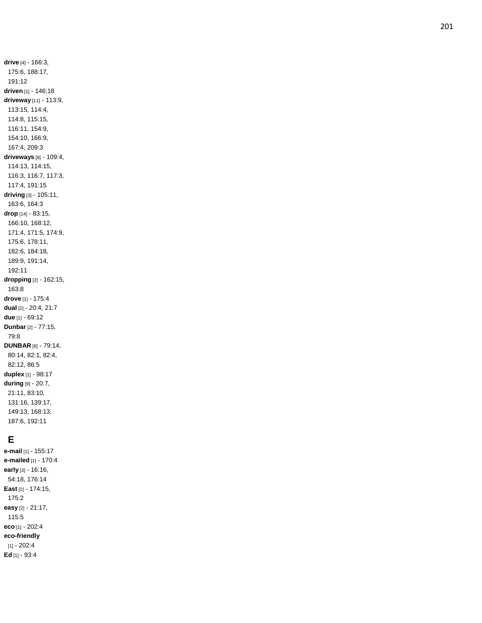**drive** [4] - 166:3, 175:6, 188:17, 191:12 **driven** [1] - 146:18 **driveway** [11] - 113:9, 113:15, 114:4, 114:8, 115:15, 116:11, 154:9, 154:10, 166:9, 167:4, 209:3 **driveways** [8] - 109:4, 114:13, 114:15, 116:3, 116:7, 117:3, 117:4, 191:15 **driving** [3] - 105:11, 163:6, 164:3 **drop** [14] - 83:15, 166:10, 168:12, 171:4, 171:5, 174:9, 175:6, 178:11, 182:6, 184:18, 189:9, 191:14, 192:11 **dropping** [2] - 162:15, 163:8 **drove** [1] - 175:4 **dual** [2] - 20:4, 21:7 **due** [1] - 69:12 **Dunbar** [2] - 77:15, 79:8 **DUNBAR** [6] - 79:14, 80:14, 82:1, 82:4, 82:12, 86:5 **duplex** [1] - 98:17 **during** [9] - 20:7, 21:11, 83:10, 131:16, 139:17, 149:13, 168:13, 187:6, 192:11

## **E**

**e -mail** [1] - 155:17 **e -mailed** [1] - 170:4 **early** [3] - 16:16, 54:18, 176:14 **East** [2] - 174:15, 175:2 **easy** [2] - 21:17, 115:5 **eco** [1] - 202:4 **eco -friendly** [1] - 202:4 **Ed** [1] - 93:4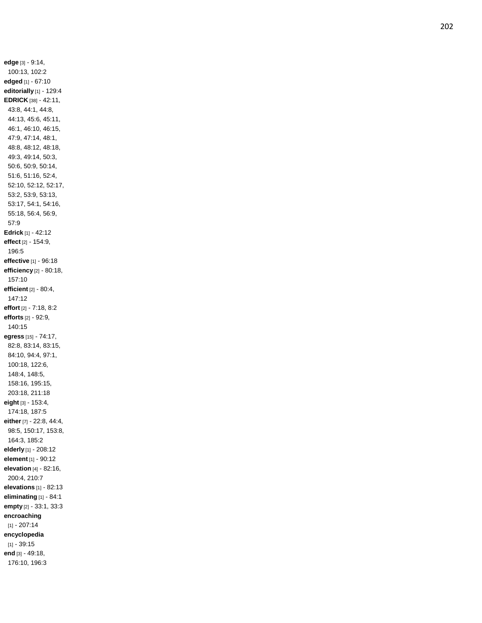**edge** [3] - 9:14, 100:13, 102:2 **edged** [1] - 67:10 **editorially** [1] - 129:4 **EDRICK** [38] - 42:11, 43:8, 44:1, 44:8, 44:13, 45:6, 45:11, 46:1, 46:10, 46:15, 47:9, 47:14, 48:1, 48:8, 48:12, 48:18, 49:3, 49:14, 50:3, 50:6, 50:9, 50:14, 51:6, 51:16, 52:4, 52:10, 52:12, 52:17, 53:2, 53:9, 53:13, 53:17, 54:1, 54:16, 55:18, 56:4, 56:9, 57:9 **Edrick** [1] - 42:12 **effect** [2] - 154:9, 196:5 **effective** [1] - 96:18 **efficiency** [2] - 80:18, 157:10 **efficient** [2] - 80:4, 147:12 **effort** [2] - 7:18, 8:2 **efforts** [2] - 92:9, 140:15 **egress** [15] - 74:17, 82:8, 83:14, 83:15, 84:10, 94:4, 97:1, 100:18, 122:6, 148:4, 148:5, 158:16, 195:15, 203:18, 211:18 **eight** [3] - 153:4, 174:18, 187:5 **either** [7] - 22:8, 44:4, 98:5, 150:17, 153:8, 164:3, 185:2 **elderly** [1] - 208:12 **element** [1] - 90:12 **elevation** [4] - 82:16, 200:4, 210:7 **elevations** [1] - 82:13 **eliminating** [1] - 84:1 **empty** [2] - 33:1, 33:3 **encroaching** [1] - 207:14 **encyclopedia** [1] - 39:15 **end** [3] - 49:18, 176:10, 196:3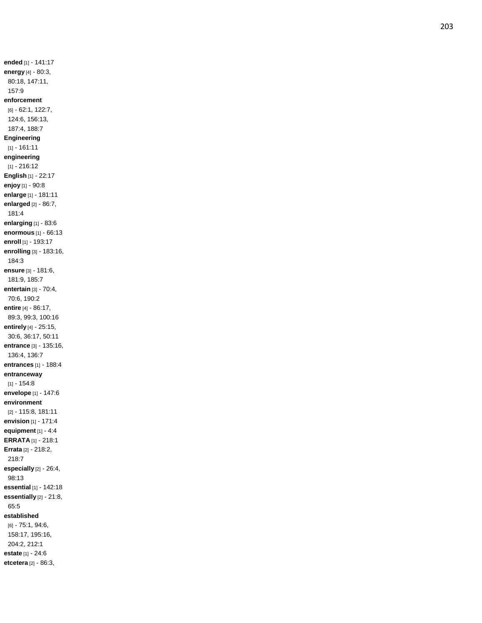**ended** [1] - 141:17 **energy** [4] - 80:3, 80:18, 147:11, 157:9 **enforcement** [6] - 62:1, 122:7, 124:6, 156:13, 187:4, 188:7 **Engineering** [1] - 161:11 **engineering** [1] - 216:12 **English** [1] - 22:17 **enjoy** [1] - 90:8 **enlarge** [1] - 181:11 **enlarged** [2] - 86:7, 181:4 **enlarging** [1] - 83:6 **enormous** [1] - 66:13 **enroll** [1] - 193:17 **enrolling** [3] - 183:16, 184:3 **ensure** [3] - 181:6, 181:9, 185:7 **entertain** [3] - 70:4, 70:6, 190:2 **entire** [4] - 86:17, 89:3, 99:3, 100:16 **entirely** [4] - 25:15, 30:6, 36:17, 50:11 **entrance** [3] - 135:16, 136:4, 136:7 **entrances** [1] - 188:4 **entranceway**  $[1] - 154.8$ **envelope** [1] - 147:6 **environment** [2] - 115:8, 181:11 **envision** [1] - 171:4 **equipment** [1] - 4:4 **ERRATA** [1] - 218:1 **Errata** [2] - 218:2, 218:7 **especially** [2] - 26:4, 98:13 **essential** [1] - 142:18 **essentially** [2] - 21:8, 65:5 **established** [6] - 75:1, 94:6, 158:17, 195:16, 204:2, 212:1

**estate** [1] - 24:6 **etcetera** [2] - 86:3,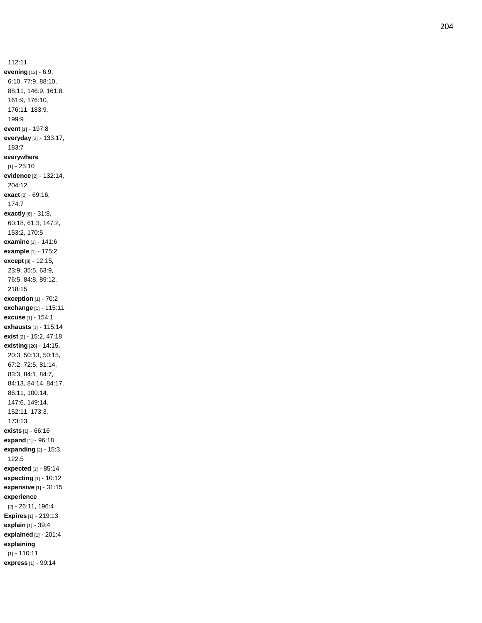112:11 **evening** [12] - 6:9, 6:10, 77:9, 88:10, 88:11, 146:9, 161:8, 161:9, 176:10, 176:11, 183:9, 199:9 **event** [1] - 197:8 **everyday** [2] - 133:17, 183:7 **everywhere**  $[1] - 25:10$ **evidence** [2] - 132:14, 204:12 **exact** [2] - 69:16, 174:7 **exactly** [6] - 31:8, 60:18, 61:3, 147:2, 153:2, 170:5 **examine** [1] - 141:6 **example** [1] - 175:2 **except** [8] - 12:15, 23:9, 35:5, 63:9, 76:5, 84:8, 89:12, 218:15 **exception** [1] - 70:2 **exchange** [1] - 115:11 **excuse** [1] - 154:1 **exhausts** [1] - 115:14 **exist** [2] - 15:2, 47:18 **existing** [20] - 14:15, 20:3, 50:13, 50:15, 67:2, 72:5, 81:14, 83:3, 84:1, 84:7, 84:13, 84:14, 84:17, 86:11, 100:14, 147:6, 149:14, 152:11, 173:3, 173:13 **exists** [1] - 66:16 **expand** [1] - 96:18 **expanding** [2] - 15:3, 122:5 **expected** [1] - 85:14 **expecting** [1] - 10:12 **expensive** [1] - 31:15 **experience** [2] - 26:11, 196:4 **Expires** [1] - 219:13 **explain** [1] - 39:4 **explained** [1] - 201:4 **explaining** [1] - 110:11 **express** [1] - 99:14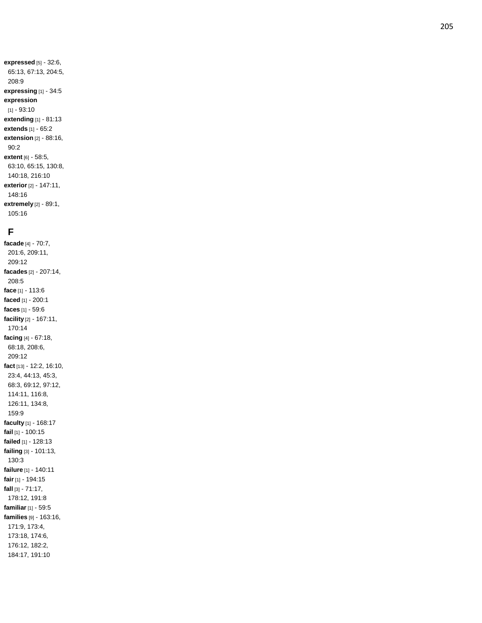**expressed** [5] - 32:6, 65:13, 67:13, 204:5, 208:9 **expressing** [1] - 34:5 **expression**  $[1] - 93:10$ **extending** [1] - 81:13 **extends** [1] - 65:2 **extension** [2] - 88:16, 90:2 **extent** [6] - 58:5, 63:10, 65:15, 130:8, 140:18, 216:10 **exterior** [2] - 147:11, 148:16 **extremely** [2] - 89:1, 105:16

#### **F**

**facade** [4] - 70:7, 201:6, 209:11, 209:12 **facades** [2] - 207:14, 208:5 **face** [1] - 113:6 **faced** [1] - 200:1 **faces** [1] - 59:6 **facility** [2] - 167:11, 170:14 **facing** [4] - 67:18, 68:18, 208:6, 209:12 **fact** [13] - 12:2, 16:10, 23:4, 44:13, 45:3, 68:3, 69:12, 97:12, 114:11, 116:8, 126:11, 134:8, 159:9 **faculty** [1] - 168:17 **fail** [1] - 100:15 **failed** [1] - 128:13 **failing** [3] - 101:13, 130:3 **failure** [1] - 140:11 **fair** [1] - 194:15 **fall** [3] - 71:17, 178:12, 191:8 **familiar** [1] - 59:5 **families** [9] - 163:16, 171:9, 173:4, 173:18, 174:6, 176:12, 182:2, 184:17, 191:10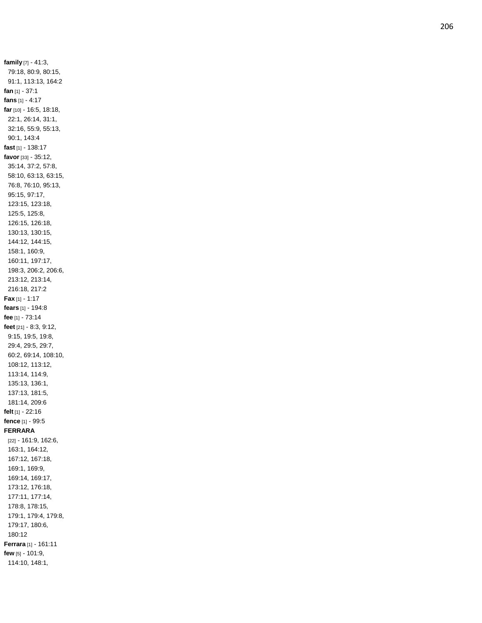**family** [7] - 41:3, 79:18, 80:9, 80:15, 91:1, 113:13, 164:2 **fan** [1] - 37:1 **fans** [1] - 4:17 **far** [10] - 16:5, 18:18, 22:1, 26:14, 31:1, 32:16, 55:9, 55:13, 90:1, 143: 4 **fast** [1] - 138:17 **favor** [33] - 35:12, 35:14, 37:2, 57:8, 58:10, 63:13, 63:15, 76:8, 76:10, 95:13, 95:15, 97:17, 123:15, 123:18, 125:5, 125:8, 126:15, 126:18, 130:13, 130:15, 144:12, 144:15, 158:1, 160:9, 160:11, 197:17, 198:3, 206:2, 206:6, 213:12, 213:14, 216:18, 217:2 **Fax** [1] - 1:17 **fears** [1] - 194:8 **fee** [1] - 73:14 **feet** [21] - 8:3, 9:12, 9:15, 19:5, 19:8, 29:4, 29:5, 29:7, 60:2, 69:14, 108:10, 108:12, 113:12, 113:14, 114:9, 135:13, 136:1, 137:13, 181:5, 181:14, 209:6 **felt** [1] - 22:16 **fence** [1] - 99:5 **FERRARA** [22] - 161:9, 162:6, 163:1, 164:12, 167:12, 167:18, 169:1, 169:9, 169:14, 169:17, 173:12, 176:18, 177:11, 177:14, 178:8, 178:15, 179:1, 179:4, 179:8, 179:17, 180:6, 180:12 **Ferrara** [1] - 161:11 **few** [5] - 101:9, 114:10, 148:1,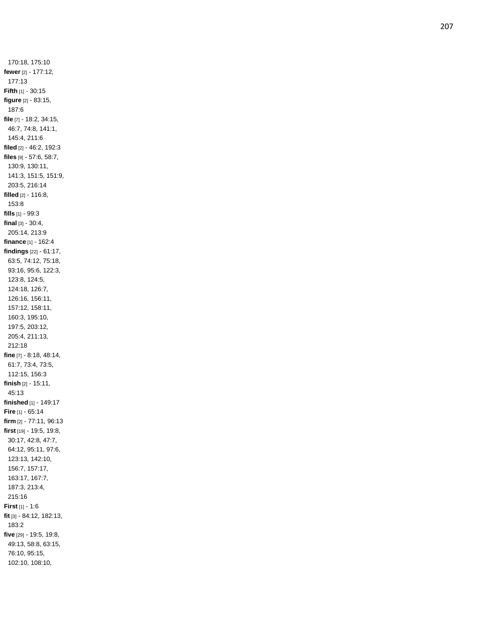170:18, 175:10 **fewer** [2] - 177:12, 177:13 **Fifth** [1] - 30:15 **figure** [2] - 83:15, 187:6 **file** [7] - 18:2, 34:15, 46:7, 74:8, 141:1, 145:4, 211:6 **filed** [2] - 46:2, 192:3 **files** [9] - 57:6, 58:7, 130:9, 130:11, 141:3, 151:5, 151:9, 203:5, 216:14 **filled** [2] - 116:8, 153:8 **fills** [1] - 99:3 **final** [3] - 30:4, 205:14, 213:9 **finance** [1] - 162:4 **findings** [22] - 61:17, 63:5, 74:12, 75:18, 93:16, 95:6, 122:3, 123:8, 124:5, 124:18, 126:7, 126:16, 156:11, 157:12, 158:11, 160:3, 195:10, 197:5, 203:12, 205:4, 211:13, 212:18 **fine** [7] - 8:18, 48:14, 61:7, 73:4, 73:5, 112:15, 156:3 **finish** [2] - 15:11, 45:13 **finished** [1] - 149:17 **Fire** [1] - 65:14 **firm** [2] - 77:11, 96:13 **first** [19] - 19:5, 19:8, 30:17, 42:8, 47:7, 64:12, 95:11, 97:6, 123:13, 142:10, 156:7, 157:17, 163:17, 167:7, 187:3, 213:4, 215:16 **First** [1] - 1:6 **fit** [3] - 84:12, 182:13, 183:2 **five** [29] - 19:5, 19:8, 49:13, 58:8, 63:15, 76:10, 95:15, 102:10, 108:10,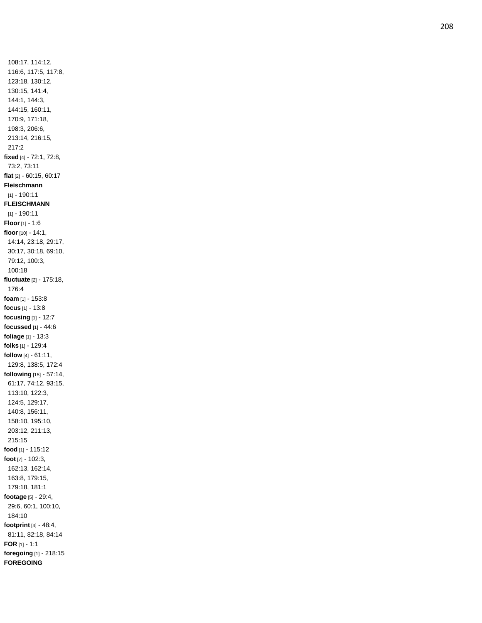108:17, 114:12, 116:6, 117:5, 117:8, 123:18, 130:12, 130:15, 141:4, 144:1, 144:3, 144:15, 160:11, 170:9, 171:18, 198:3, 206:6, 213:14, 216:15, 217:2 **fixed** [4] - 72:1, 72:8, 73:2, 73:11 **flat** [2] - 60:15, 60:17 **Fleischmann** [1] - 190:11 **FLEISCHMANN** [1] - 190:11 **Floor** [1] - 1:6 **floor** [10] - 14:1, 14:14, 23:18, 29:17, 30:17, 30:18, 69:10, 79:12, 100:3, 100:18 **fluctuate** [2] - 175:18, 176:4 **foam** [1] - 153:8 **focus** [1] - 13:8 **focusing** [1] - 12:7 **focussed** [1] - 44:6 **foliage** [1] - 13:3 **folks** [1] - 129:4 **follow** [4] - 61:11, 129:8, 138:5, 172:4 **following** [15] - 57:14, 61:17, 74:12, 93:15, 113:10, 122:3, 124:5, 129:17, 140:8, 156:11, 158:10, 195:10, 203:12, 211:13, 215:15 **food** [1] - 115:12 **foot** [7] - 102:3, 162:13, 162:14, 163:8, 179:15, 179:18, 181:1 **footage** [5] - 29:4, 29:6, 60:1, 100:10, 184:10 **footprint** [4] - 48:4, 81:11, 82:18, 84:14 **FOR** [1] - 1:1 **foregoing** [1] - 218:15 **FOREGOING**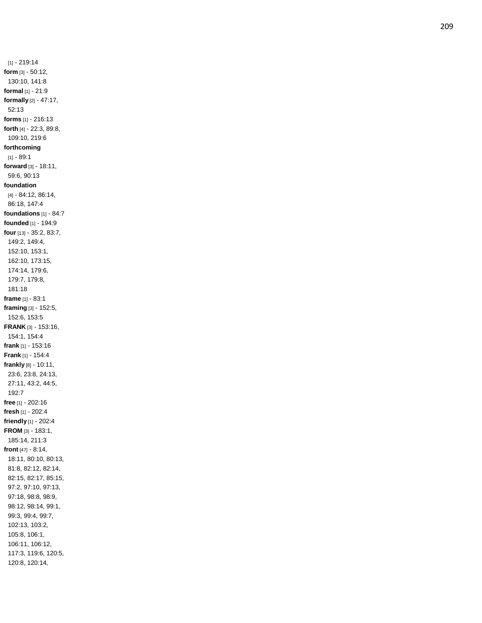[1] - 219:14 **form** [3] - 50:12, 130:10, 141:8 **formal** [1] - 21:9 **formally** [2] - 47:17, 52:13 **forms** [1] - 216:13 **forth** [4] - 22:3, 89:8, 109:10, 219:6 **forthcoming** [1] - 89:1 **forward** [3] - 18:11, 59:6, 90:13 **foundation** [4] - 84:12, 86:14, 86:18, 147:4 **foundations** [1] - 84:7 **founded** [1] - 194:9 **four** [13] - 35:2, 83:7, 149:2, 149:4, 152:10, 153:1, 162:10, 173:15, 174:14, 179:6, 179:7, 179:8, 181:18 **frame** [1] - 83:1 **framing** [3] - 152:5, 152:6, 153:5 **FRANK** [3] - 153:16, 154:1, 154:4 **frank** [1] - 153:16 **Frank** [1] - 154:4 **frankly** [8] - 10:11, 23:6, 23:8, 24:13, 27:11, 43:2, 44:5, 192:7 **free** [1] - 202:16 **fresh** [1] - 202:4 **friendly** [1] - 202:4 **FROM** [3] - 183:1, 185:14, 211:3 **front** [47] - 8:14, 18:11, 80:10, 80:13, 81:8, 82:12, 82:14, 82:15, 82:17, 85:15, 97:2, 97:10, 97:13, 97:18, 98:8, 98:9, 98:12, 98:14, 99:1, 99:3, 99:4, 99:7, 102:13, 103:2, 105:8, 106:1, 106:11, 106:12, 117:3, 119:6, 120:5, 120:8, 120:14,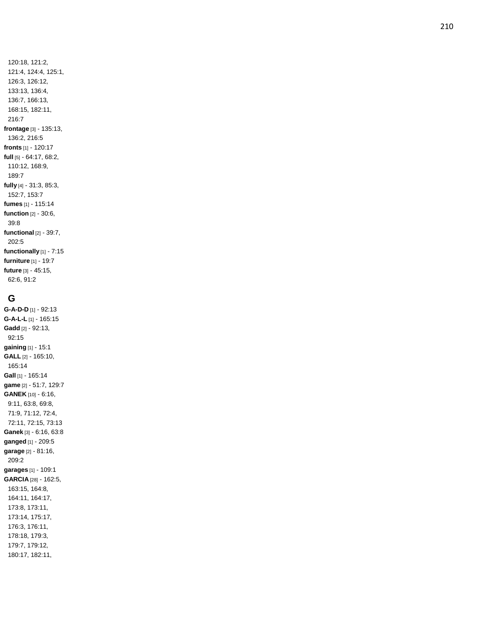120:18, 121:2, 121:4, 124:4, 125:1, 126:3, 126:12, 133:13, 136:4, 136:7, 166:13, 168:15, 182:11, 216:7 **frontage** [3] - 135:13, 136:2, 216:5 **fronts** [1] - 120:17 **full** [5] - 64:17, 68:2, 110:12, 168:9, 189:7 **fully** [4] - 31:3, 85:3, 152:7, 153:7 **fumes** [1] - 115:14 **function** [2] - 30:6, 39:8 **functional** [2] - 39:7, 202:5 **functionally** [1] - 7:15 **furniture** [1] - 19:7 **future** [3] - 45:15,

## **G**

62:6, 91:2

**G-A-D-D** [1] - 92:13 **G - A - L - L** [1] - 165:15 **Gadd** [2] - 92:13, 92:15 **gaining** [1] - 15:1 **GALL** [2] - 165:10, 165:14 **Gall** [1] - 165:14 **game** [2] - 51:7, 129:7 **GANEK** [10] - 6:16, 9:11, 63:8, 69:8, 71:9, 71:12, 72:4, 72:11, 72:15, 73:13 **Ganek** [3] - 6:16, 63:8 **ganged** [1] - 209:5 **garage** [2] - 81:16, 209:2 **garages** [1] - 109:1 **GARCIA** [28] - 162:5, 163:15, 164:8, 164:11, 164:17, 173:8, 173:11, 173:14, 175:17, 176:3, 176:11, 178:18, 179:3, 179:7, 179:12, 180:17, 182:11,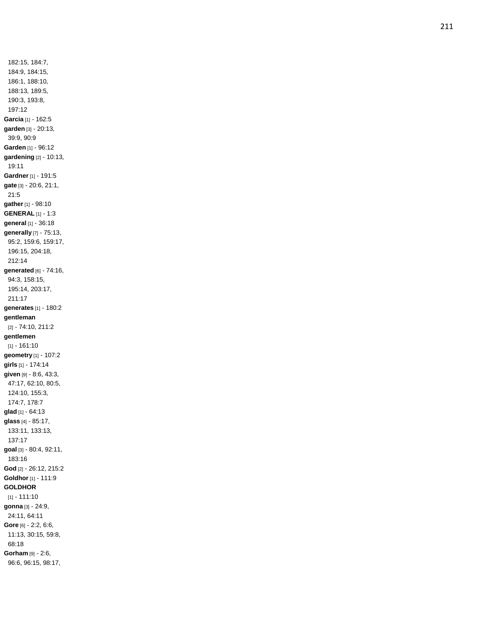182:15, 184:7, 184:9, 184:15, 186:1, 188:10, 188:13, 189:5, 190:3, 193:8, 197:12 **Garcia** [1] - 162:5 **garden** [3] - 20:13, 39:9, 90:9 **Garden** [1] - 96:12 **gardening** [2] - 10:13, 19:11 **Gardner** [1] - 191:5 **gate** [3] - 20:6, 21:1, 21:5 **gather** [1] - 98:10 **GENERAL** [1] - 1:3 **general** [1] - 36:18 **generally** [7] - 75:13, 95:2, 159:6, 159:17, 196:15, 204:18, 212:14 **generated** [6] - 74:16, 94:3, 158:15, 195:14, 203:17, 211:17 **generates** [1] - 180:2 **gentleman** [2] - 74:10, 211:2 **gentlemen** [1] - 161:10 **geometry** [1] - 107:2 **girls** [1] - 174:14 **given** [9] - 8:6, 43:3, 47:17, 62:10, 80:5, 124:10, 155:3, 174:7, 178:7 **glad** [1] - 64:13 **glass** [4] - 85:17, 133:11, 133:13, 137:17 **goal** [3] - 80:4, 92:11, 183:16 **God** [2] - 26:12, 215:2 **Goldhor** [1] - 111:9 **GOLDHOR** [1] - 111:10 **gonna** [3] - 24:9, 24:11, 64:11 **Gore** [6] - 2:2, 6:6, 11:13, 30:15, 59:8, 68:18 **Gorham** [9] - 2:6, 96:6, 96:15, 98:17,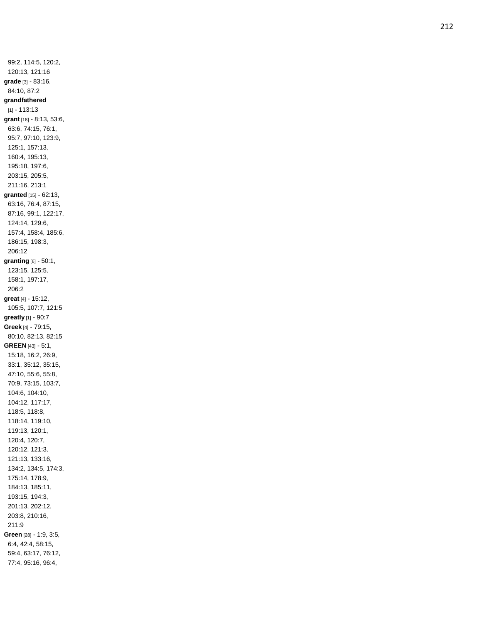99:2, 114:5, 120:2, 120:13, 121:16 **grade** [3] - 83:16, 84:10, 87:2 **grandfathered** [1] - 113:13 **grant** [18] - 8:13, 53:6, 63:6, 74:15, 76:1, 95:7, 97:10, 123:9, 125:1, 157:13, 160:4, 195:13, 195:18, 197:6, 203:15, 205:5, 211:16, 213:1 **granted** [15] - 62:13, 63:16, 76:4, 87:15, 87:16, 99:1, 122:17, 124:14, 129:6, 157:4, 158:4, 185:6, 186:15, 198:3, 206:12 **granting** [6] - 50:1, 123:15, 125:5, 158:1, 197:17, 206:2 **great** [4] - 15:12, 105:5, 107:7, 121:5 **greatly** [1] - 90:7 **Greek** [4] - 79:15, 80:10, 82:13, 82:15 **GREEN** [43] - 5:1, 15:18, 16:2, 26:9, 33:1, 35:12, 35:15, 47:10, 55:6, 55:8, 70:9, 73:15, 103:7, 104:6, 104:10, 104:12, 117:17, 118:5, 118:8, 118:14, 119:10, 119:13, 120:1, 120:4, 120:7, 120:12, 121:3, 121:13, 133:16, 134:2, 134:5, 174:3, 175:14, 178:9, 184:13, 185:11, 193:15, 194:3, 201:13, 202:12, 203:8, 210:16, 211:9 **Green** [28] - 1:9, 3:5, 6:4, 42:4, 58:15, 59:4, 63:17, 76:12, 77:4, 95:16, 96:4,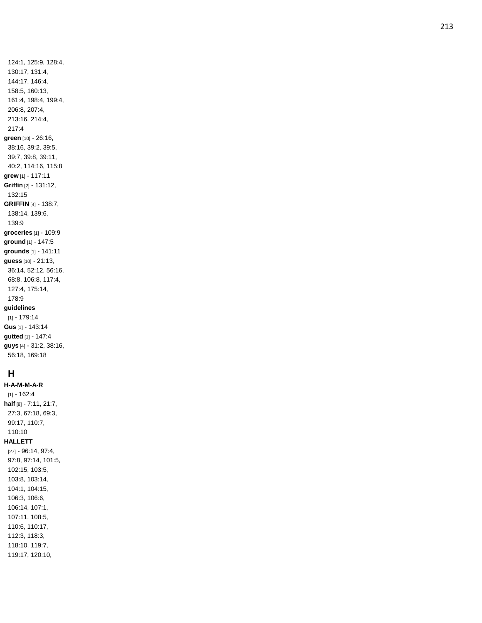124:1, 125:9, 128:4, 130:17, 131:4, 144:17, 146:4, 158:5, 160:13, 161:4, 198:4, 199:4, 206:8, 207:4, 213:16, 214:4, 217:4 **green** [10] - 26:16, 38:16, 39:2, 39:5, 39:7, 39:8, 39:11, 40:2, 114:16, 115:8 **grew** [1] - 117:11 **Griffin** [2] - 131:12, 132:15 **GRIFFIN** [4] - 138:7, 138:14, 139:6, 139:9 **groceries** [1] - 109:9 **ground** [1] - 147:5 **grounds** [1] - 141:11 **guess** [10] - 21:13, 36:14, 52:12, 56:16, 68:8, 106:8, 117:4, 127:4, 175:14, 178:9 **guidelines** [1] - 179:14 **Gus** [1] - 143:14 **gutted** [1] - 147:4

# **H**

**H - A - M - M - A - R**  $[1] - 162:4$ **half** [8] - 7:11, 21:7, 27:3, 67:18, 69:3, 99:17, 110:7, 110:10 **HALLETT** [27] - 96:14, 97:4, 97:8, 97:14, 101:5, 102:15, 103:5, 103:8, 103:14, 104:1, 104:15, 106:3, 106:6, 106:14, 107:1, 107:11, 108:5, 110:6, 110:17, 112:3, 118:3, 118:10, 119:7, 119:17, 120:10,

**guys** [4] - 31:2, 38:16, 56:18, 169:18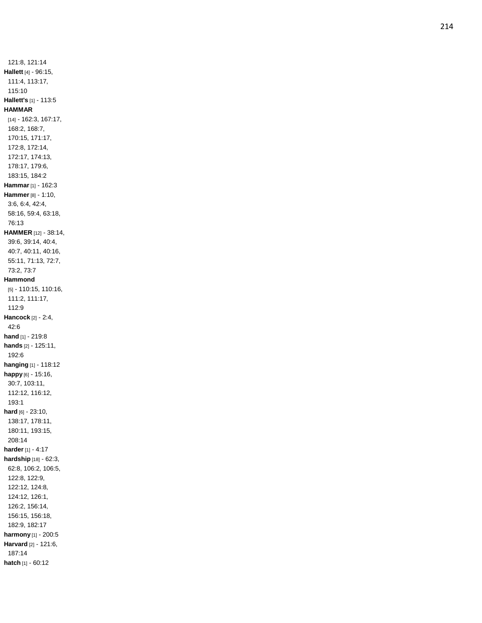121:8, 121:14 **Hallett** [4] - 96:15, 111:4, 113:17, 115:10 **Hallett's** [1] - 113:5 **HAMMAR** [14] - 162:3, 167:17, 168:2, 168:7, 170:15, 171:17, 172:8, 172:14, 172:17, 174:13, 178:17, 179:6, 183:15, 184:2 **Hammar** [1] - 162:3 **Hammer** [8] - 1:10, 3:6, 6:4, 42:4, 58:16, 59:4, 63:18, 76:13 **HAMMER** [12] - 38:14, 39:6, 39:14, 40:4, 40:7, 40:11, 40:16, 55:11, 71:13, 72:7, 73:2, 73:7 **Hammond** [5] - 110:15, 110:16, 111:2, 111:17, 112:9 **Hancock** [2] - 2:4, 42:6 **hand** [1] - 219:8 **hands** [2] - 125:11, 192:6 **hanging** [1] - 118:12 **happy** [6] - 15:16, 30:7, 103:11, 112:12, 116:12, 193:1 **hard** [6] - 23:10, 138:17, 178:11, 180:11, 193:15, 208:14 **harder** [1] - 4:17 **hardship** [18] - 62:3, 62:8, 106:2, 106:5, 122:8, 122:9, 122:12, 124:8, 124:12, 126:1, 126:2, 156:14, 156:15, 156:18, 182:9, 182:17 **harmony** [1] - 200:5 **Harvard** [2] - 121:6, 187:14 **hatch** [1] - 60:12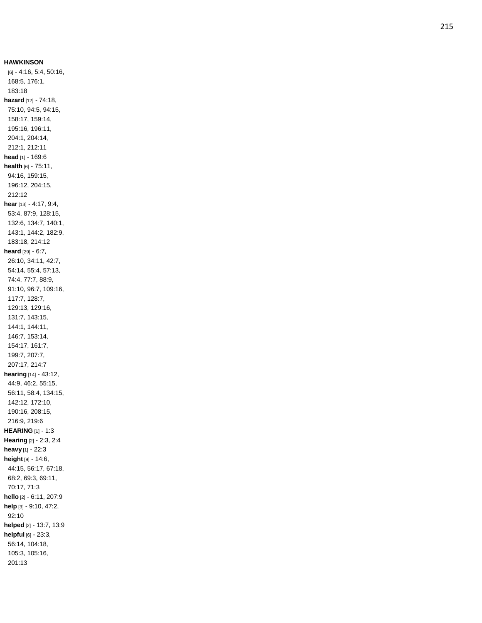**HAWKINSON** [6] - 4:16, 5:4, 50:16, 168:5, 176:1, 183:18 **hazard** [12] - 74:18, 75:10, 94:5, 94:15, 158:17, 159:14, 195:16, 196:11, 204:1, 204:14, 212:1, 212:11 **head** [1] - 169:6 **health** [6] - 75:11, 94:16, 159:15, 196:12, 204:15, 212:12 **hear** [13] - 4:17, 9:4, 53:4, 87:9, 128:15, 132:6, 134:7, 140:1, 143:1, 144:2, 182:9, 183:18, 214:12 **heard** [29] - 6:7, 26:10, 34:11, 42:7, 54:14, 55:4, 57:13, 74:4, 77:7, 88:9, 91:10, 96:7, 109:16, 117:7, 128:7, 129:13, 129:16, 131:7, 143:15, 144:1, 144:11, 146:7, 153:14, 154:17, 161:7, 199:7, 207:7, 207:17, 214:7 **hearing** [14] - 43:12, 44:9, 46:2, 55:15, 56:11, 58:4, 134:15, 142:12, 172:10, 190:16, 208:15, 216:9, 219:6 **HEARING** [1] - 1:3 **Hearing** [2] - 2:3, 2:4 **heavy** [1] - 22:3 **height** [9] - 14:6, 44:15, 56:17, 67:18, 68:2, 69:3, 69:11, 70:17, 71:3 **hello** [2] - 6:11, 207:9 **help** [3] - 9:10, 47:2, 92:10 **helped** [2] - 13:7, 13:9 **helpful** [6] - 23:3, 56:14, 104:18, 105:3, 105:16, 201:13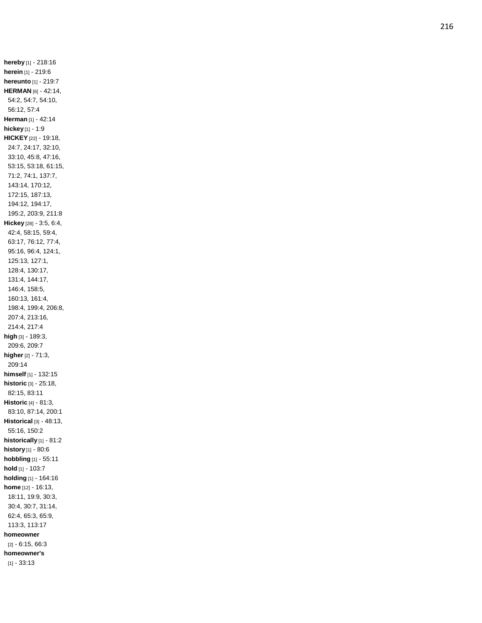**hereby** [1] - 218:16 **herein** [1] - 219:6 **hereunto** [1] - 219:7 **HERMAN** [6] - 42:14, 54:2, 54:7, 54:10, 56:12, 57:4 **Herman** [1] - 42:14 **hickey** [1] - 1:9 **HICKEY** [22] - 19:18, 24:7, 24:17, 32:10, 33:10, 45:8, 47:16, 53:15, 53:18, 61:15, 71:2, 74:1, 137:7, 143:14, 170:12, 172:15, 187:13, 194:12, 194:17, 195:2, 203:9, 211:8 **Hickey** [28] - 3:5, 6:4, 42:4, 58:15, 59:4, 63:17, 76:12, 77:4, 95:16, 96:4, 124:1, 125:13, 127:1, 128:4, 130:17, 131:4, 144:17, 146:4, 158:5, 160:13, 161:4, 198:4, 199:4, 206:8, 207:4, 213:16, 214:4, 217:4 **high** [3] - 189:3, 209:6, 209:7 **higher** [2] - 71:3, 209:14 **himself** [1] - 132:15 **historic** [3] - 25:18, 82:15, 83:11 **Historic** [4] - 81:3, 83:10, 87:14, 200:1 **Historical** [3] - 48:13, 55:16, 150:2 **historically** [1] - 81:2 **history** [1] - 80:6 **hobbling** [1] - 55:11 **hold** [1] - 103:7 **holding** [1] - 164:16 **home** [12] - 16:13, 18:11, 19:9, 30:3, 30:4, 30:7, 31:14, 62:4, 65:3, 65:9, 113:3, 113:17 **homeowner** [2] - 6:15, 66:3 **homeowner's**  $[1] - 33:13$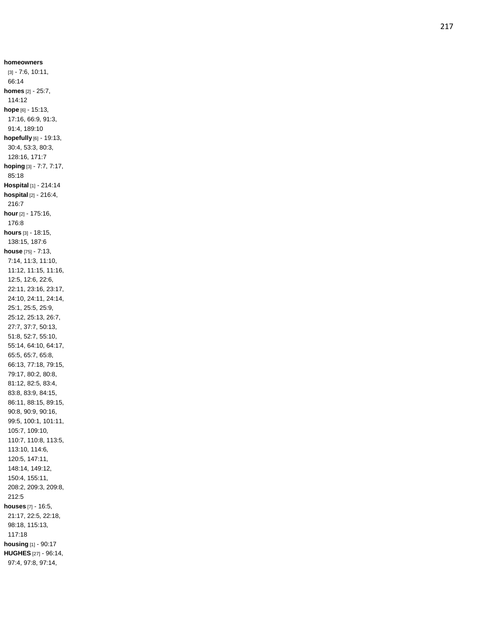**homeowners** [3] - 7:6, 10:11, 66:14 **homes** [2] - 25:7, 114:12 **hope** [6] - 15:13, 17:16, 66:9, 91:3, 91:4, 189:10 **hopefully** [6] - 19:13, 30:4, 53:3, 80:3, 128:16, 171:7 **hoping** [3] - 7:7, 7:17, 85:18 **Hospital** [1] - 214:14 **hospital** [2] - 216:4, 216:7 **hour** [2] - 175:16, 176:8 **hours** [3] - 18:15, 138:15, 187:6 **house** [75] - 7:13, 7:14, 11:3, 11:10, 11:12, 11:15, 11:16, 12:5, 12:6, 22:6, 22:11, 23:16, 23:17, 24:10, 24:11, 24:14, 25:1, 25:5, 25:9, 25:12, 25:13, 26:7, 27:7, 37:7, 50:13, 51:8, 52:7, 55:10, 55:14, 64:10, 64:17, 65:5, 65:7, 65:8, 66:13, 77:18, 79:15, 79:17, 80:2, 80:8, 81:12, 82:5, 83:4, 83:8, 83:9, 84:15, 86:11, 88:15, 89:15, 90:8, 90:9, 90:16, 99:5, 100:1, 101:11, 105:7, 109:10, 110:7, 110:8, 113:5, 113:10, 114:6, 120:5, 147:11, 148:14, 149:12, 150:4, 155:11, 208:2, 209:3, 209:8, 212:5 **houses** [7] - 16:5, 21:17, 22:5, 22:18, 98:18, 115:13, 117:18 **housing** [1] - 90:17 **HUGHES** [27] - 96:14, 97:4, 97:8, 97:14,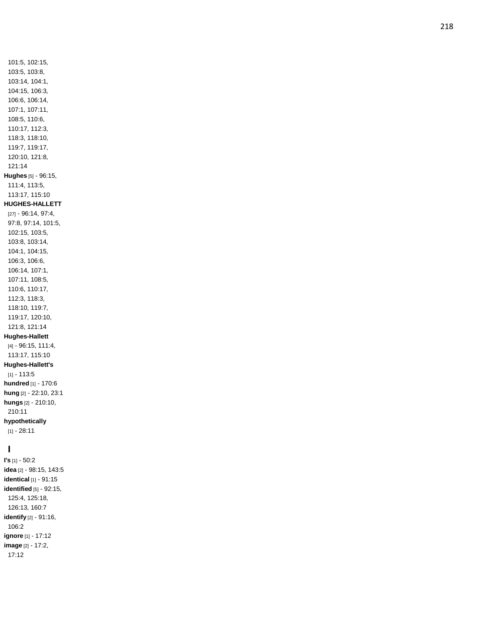101:5, 102:15, 103:5, 103:8, 103:14, 104:1, 104:15, 106:3, 106:6, 106:14, 107:1, 107:11, 108:5, 110:6, 110:17, 112:3, 118:3, 118:10, 119:7, 119:17, 120:10, 121:8, 121:14 **Hughes** [5] - 96:15, 111:4, 113:5, 113:17, 115:10 **HUGHES -HALLETT** [27] - 96:14, 97:4, 97:8, 97:14, 101:5, 102:15, 103:5, 103:8, 103:14, 104:1, 104:15, 106:3, 106:6, 106:14, 107:1, 107:11, 108:5, 110:6, 110:17, 112:3, 118:3, 118:10, 119:7, 119:17, 120:10, 121:8, 121:14 **Hughes -Hallett** [4] - 96:15, 111:4, 113:17, 115:1 0 **Hughes -Hallett's**  $[1] - 113:5$ **hundred** [1] - 170:6 **hung** [2] - 22:10, 23:1 **hungs** [2] - 210:10, 210:11 **hypothetically**  $[1] - 28:11$ **I I's** [1] - 50:2 **idea** [2] - 98:15, 143:5 **identical** [1] - 91:15 **identified** [5] - 92:15,

125:4, 125:18, 126:13, 160:7 **identify** [2] - 91:16,

**ignore** [1] - 17:12 **image** [2] - 17:2, 17:12

106:2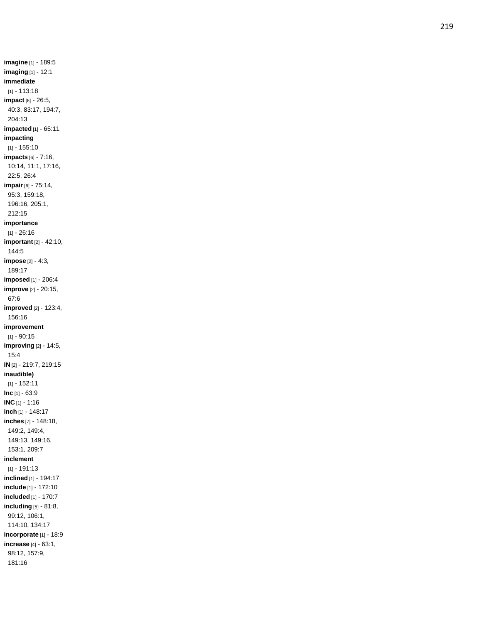**imagine** [1] - 189:5 **imaging** [1] - 12:1 **immediate** [1] - 113:18 **impact** [6] - 26:5, 40:3, 83:17, 194:7, 204:13 **impacted** [1] - 65:11 **impacting** [1] - 155:10 **impacts** [6] - 7:16, 10:14, 11:1, 17:16, 22:5, 26:4 **impair** [6] - 75:14, 95:3, 159:18, 196:16, 205:1, 212:15 **importance**  $[1] - 26:16$ **important** [2] - 42:10, 144:5 **impose** [2] - 4:3, 189:17 **imposed** [1] - 206:4 **improve** [2] - 20:15, 67:6 **improved** [2] - 123:4, 156:16 **improvemen t**  $[1] - 90:15$ **improving** [2] - 14:5, 15:4 **IN** [2] - 219:7, 219:15 **inaudible)** [1] - 152:11 **Inc** [1] - 63:9 **INC** [1] - 1:16 **inch** [1] - 148:17 **inches** [7] - 148:18, 149:2, 149:4, 149:13, 149:16, 153:1, 209:7 **inclement** [1] - 191:13 **inclined** [1] - 194:17 **include** [1] - 172:10 **included** [1] - 170:7 **including** [5] - 81:8, 99:12, 106:1, 114:10, 134:17 **incorporate** [1] - 18:9 **increase** [4] - 63:1, 98:12, 157:9, 181:16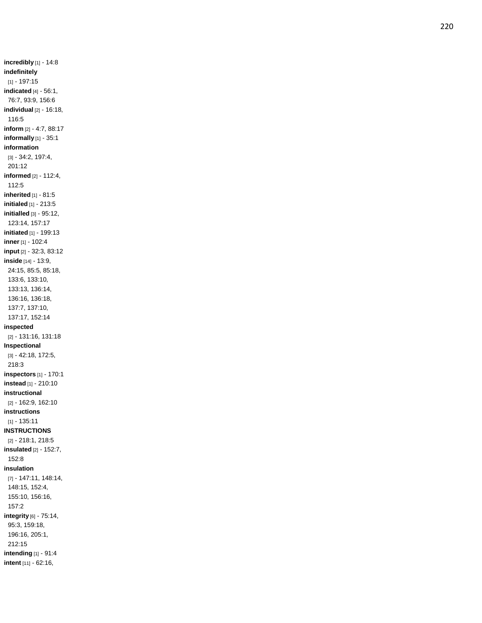**incredibly** [1] - 14:8 **indefinitely** [1] - 197:15 **indicated** [4] - 56:1, 76:7, 93:9, 156:6 **individual** [2] - 16:18, 116:5 **inform** [2] - 4:7, 88:17 **informally** [1] - 35:1 **information** [3] - 34:2, 197:4, 201:12 **informed** [2] - 112:4, 112:5 **inherited** [1] - 81:5 **initialed** [1] - 213:5 **initialled** [3] - 95:12, 123:14, 157:17 **initiated** [1] - 199:13 **inner** [1] - 102:4 **input** [2] - 32:3, 83:12 **inside** [14] - 13:9, 24:15, 85:5, 85:18, 133:6, 133:10, 133:13, 136:14, 136:16, 136:18, 137:7, 137:10, 137:17, 152:14 **inspected** [2] - 131:16, 131:18 **Inspectional** [3] - 42:18, 172:5, 218:3 **inspectors** [1] - 170:1 **instead** [1] - 210:10 **instructional** [2] - 162:9, 162:10 **instructions** [1] - 135:11 **INSTRUCTIONS** [2] - 218:1, 218:5 **insulated** [2] - 152:7, 152:8 **insulation** [7] - 147:11, 148:14, 148:15, 152:4, 155:10, 156:16, 157:2 **integrity** [6] - 75:14, 95:3, 159:18, 196:16, 205:1, 212:15 **intending** [1] - 91:4 **intent** [11] - 62:16,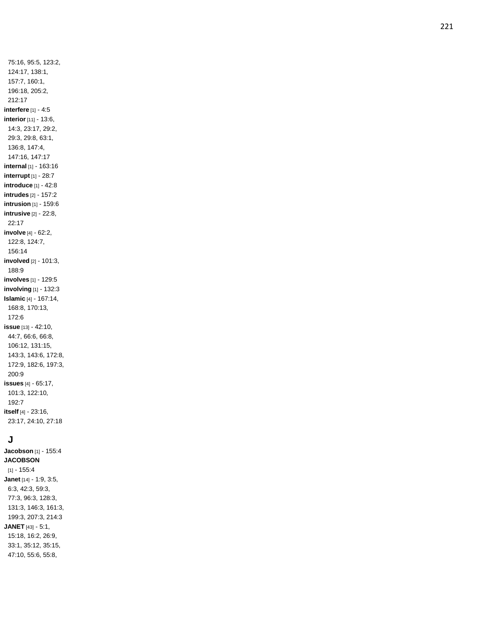75:16, 95:5, 123:2, 124:17, 138:1, 157:7, 160:1, 196:18, 205:2, 212:17 **interfere** [1] - 4:5 **interior** [11] - 13:6, 14:3, 23:17, 29:2, 29:3, 29:8, 63:1, 136:8, 147:4, 147:16, 147:17 **internal** [1] - 163:16 **interrupt** [1] - 28:7 **introduce** [1] - 42:8 **intrudes** [2] - 157:2 **intrusion** [1] - 159:6 **intrusive** [2] - 22:8, 22:17 **involve** [4] - 62:2, 122:8, 124:7, 156:14 **involved** [2] - 101:3, 188:9 **involves** [1] - 129:5 **involving** [1] - 132:3 **Islamic** [4] - 167:14, 168:8, 170:13, 172:6 **issue** [13] - 42:10, 44:7, 66:6, 66:8, 106:12, 131:15, 143:3, 143:6, 172:8, 172:9, 182:6, 197:3, 200:9 **issues** [4] - 65:17, 101:3, 122:10, 192:7 **itself** [4] - 23:16, 23:17, 24:10, 27:18

# **J**

**Jacobson** [1] - 155:4 **JACOBSON**  $[1] - 155:4$ **Janet** [14] - 1:9, 3:5, 6:3, 42:3, 59:3, 77:3, 96:3, 128:3, 131:3, 146:3, 161:3, 199:3, 207:3, 214:3 **JANET** [43] - 5:1, 15:18, 16:2, 26:9, 33:1, 35:12, 35:15, 47:10, 55:6, 55:8,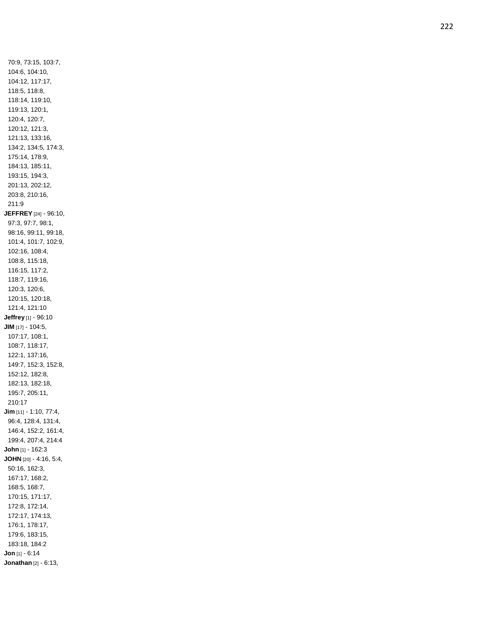70:9, 73:15, 103:7, 104:6, 104:10, 104:12, 117:17, 118:5, 118:8, 118:14, 119:10, 119:13, 120:1, 120:4, 120:7, 120:12, 121:3, 121:13, 133:16, 134:2, 134:5, 174:3, 175:14, 178:9, 184:13, 185:11, 193:15, 194:3, 201:13, 202:12, 203:8, 210:16, 211:9 **JEFFREY** [24] - 96:10, 97:3, 97:7, 98:1, 98:16, 99:11, 99:18, 101:4, 101:7, 102:9, 102:16, 108:4, 108:8, 115:18, 116:15, 117:2, 118:7, 119:16, 120:3, 120:6, 120:15, 120:18, 121:4, 121:10 **Jeffrey** [1] - 96:10 **JIM** [17] - 104:5, 107:17, 108:1, 108:7, 118:17, 122:1, 137:16, 149:7, 152:3, 152:8, 152:12, 182:8, 182:13, 182:18, 195:7, 205:11, 210:17 **Jim** [11] - 1:10, 77:4, 96:4, 128:4, 131:4, 146:4, 152:2, 161:4, 199:4, 207:4, 214:4 **John** [1] - 162:3 **JOHN** [20] - 4:16, 5:4, 50:16, 162:3, 167:17, 168:2, 168:5, 168:7, 170:15, 171:17, 172:8, 172:14, 172:17, 174:13, 176:1, 178:17, 179:6, 183:15, 183:18, 184:2 **Jon** [1] - 6:14 **Jonathan** [2] - 6:13,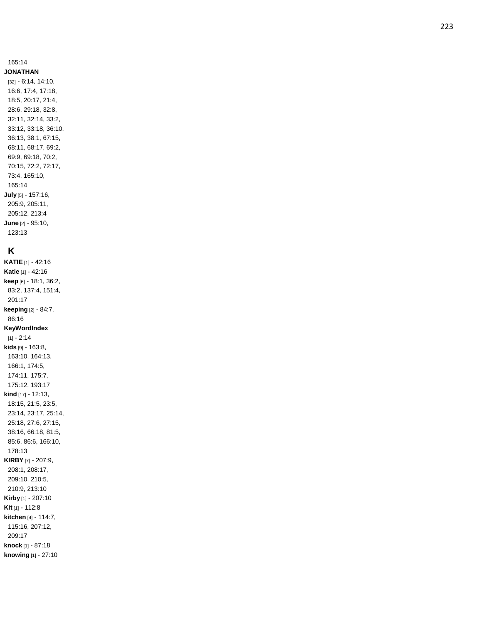#### 165:14

**JONATHAN** [32] - 6:14, 14:10, 16:6, 17:4, 17:18, 18:5, 20:17, 21:4, 28:6, 29:18, 32:8, 32:11, 32:14, 33:2, 33:12, 33:18, 36:10, 36:13, 38:1, 67:15, 68:11, 68:17, 69:2, 69:9, 69:18, 70:2, 70:15, 72:2, 72:17, 73:4, 165:10, 165:14 **July** [5] - 157:16, 205:9, 205:11, 205:12, 213:4 **June** [2] - 95:10, 123:13

# **K**

**KATIE** [1] - 42:16 **Katie** [1] - 42:16 **keep** [6] - 18:1, 36:2, 83:2, 137:4, 151:4, 201:17 **keeping** [2] - 84:7, 86:16 **KeyWordIndex**  $[1] - 2:14$ **kids** [9] - 163:8, 163:10, 164:13, 166:1, 174:5, 174:11, 175:7, 175:12, 193:17 **kind** [17] - 12:13, 18:15, 21:5, 23:5, 23:14, 23:17, 25:14, 25:18, 27:6, 27:15, 38:16, 66:18, 81:5, 85:6, 86:6, 166:10, 178:13 **KIRBY** [7] - 207:9, 208:1, 208:17, 209:10, 210:5, 210:9, 213:10 **Kirby** [1] - 207:10 **Kit** [1] - 112:8 **kitchen** [4] - 114:7, 115:16, 207:12, 209:17 **knock** [1] - 87:18 **knowing** [1] - 27:10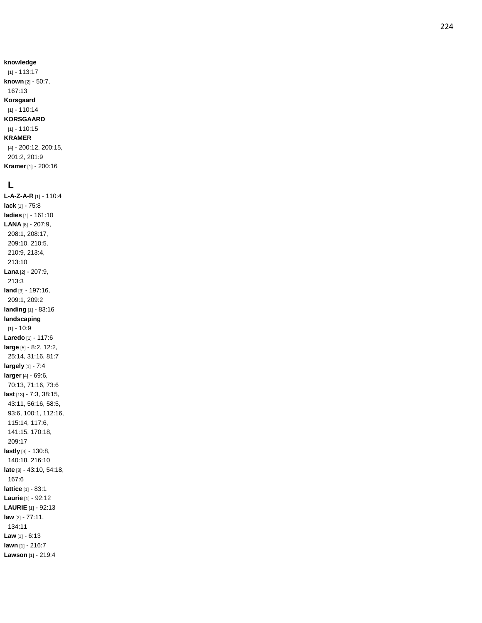#### **knowledge**

[1] - 113:17 **known** [2] - 50:7, 167:13 **Korsgaard** [1] - 110:14 **KORSGAARD** [1] - 110:15 **KRAMER** [4] - 200:12, 200:15, 201:2, 201:9 **Kramer** [1] - 200:16

#### **L**

**L - A - Z - A - R** [1] - 110:4 **lack** [1] - 75:8 **ladies** [1] - 161:10 **LANA** [8] - 207:9, 208:1, 208:17, 209:10, 210:5, 210:9, 213:4, 213:10 **Lana** [2] - 207:9, 213:3 **land** [3] - 197:16, 209:1, 209:2 **landing** [1] - 83:16 **landscaping** [1] - 10:9 **Laredo** [1] - 117:6 **large** [5] - 8:2, 12:2, 25:14, 31:16, 81:7 **largely** [1] - 7:4 **larger** [4] - 69:6, 70:13, 71:16, 73:6 **last** [13] - 7:3, 38:15, 43:11, 56:16, 58:5, 93:6, 100:1, 112:16, 115:14, 117:6, 141:15, 170:18, 209:17 **lastly** [3] - 130:8, 140:18, 216:10 **late** [3] - 43:10, 54:18, 167:6 **lattice** [1] - 83:1 **Laurie** [1] - 92:12 **LAURIE** [1] - 92:13 **law** [2] - 77:11, 134:11 **Law** [1] - 6:13 **lawn** [1] - 216:7 **Lawson** [1] - 219:4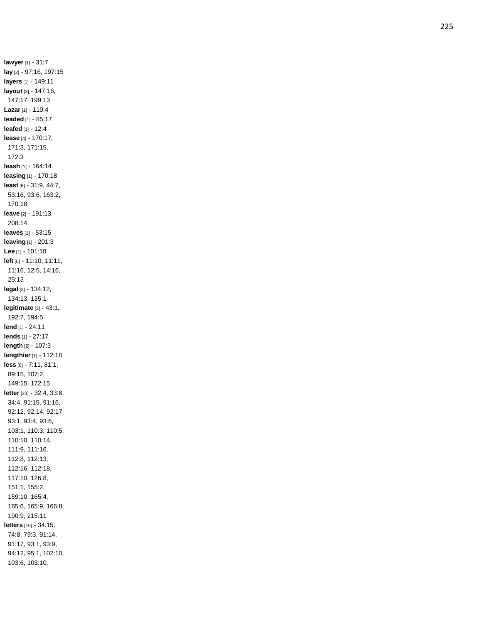**lawyer** [1] - 31:7 **lay** [2] - 97:16, 197:15 **layers** [1] - 149:11 **layout** [3] - 147:16, 147:17, 199:13 **Lazar** [1] - 110:4 **leaded** [1] - 85:17 **leafed** [1] - 12:4 **lease** [4] - 170:17, 171:3, 171:15, 172:3 **leash** [1] - 164:14 **leasing** [1] - 170:18 **least** [6] - 31:9, 44:7, 53:16, 93:6, 163:2, 170:18 **leave** [2] - 191:13, 208:14 **leaves** [1] - 53:15 **leaving** [1] - 201:3 **Lee** [1] - 101:10 **left** [6] - 11:10, 11:11, 11:16, 12:5, 14:16, 25:13 **legal** [3] - 134:12, 134:13, 135:1 **legitimate** [3] - 43:1, 192:7, 194:5 **lend** [1] - 24:11 **lends** [1] - 27:17 **length** [2] - 107:3 **lengthier** [1] - 112:18 **less** [6] - 7:11, 81:1, 89:15, 107:2, 149:15, 172:15 **letter** [33] - 32:4, 33:8, 34:4, 91:15, 91:16, 92:12, 92:14, 92:17, 93:1, 93:4, 93:6, 103:1, 110:3, 110:5, 110:10, 110:14, 111:9, 111:16, 112:8, 112:13, 112:16, 112:18, 117:10, 126:8, 151:1, 155:2, 159:10, 165:4, 165:6, 165:9, 166:8, 190:9, 215:11 **letters** [16] - 34:15, 74:8, 79:3, 91:14, 91:17, 93:1, 93:9, 94:12, 95:1, 102:10, 103:6, 103:10,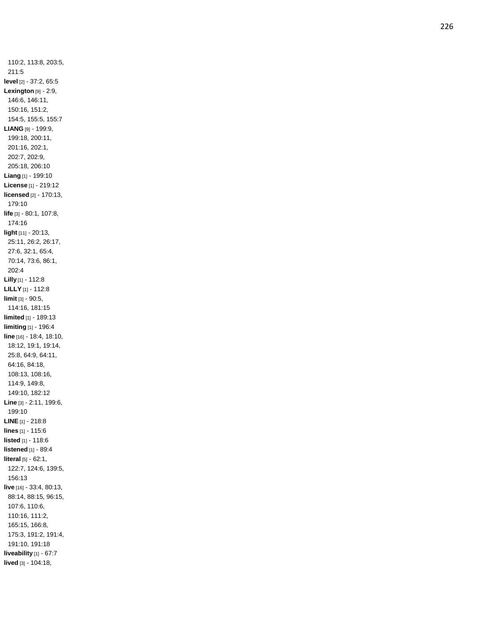110:2, 113:8, 203:5, 211:5 **level** [2] - 37:2, 65:5 **Lexington** [9] - 2:9, 146:6, 146:11, 150:16, 151:2, 154:5, 155:5, 155:7 **LIANG** [9] - 199:9, 199:18, 200:11, 201:16, 202:1, 202:7, 202:9, 205:18, 206:10 **Liang** [1] - 199:10 **License** [1] - 219:12 **licensed** [2] - 170:13, 179:10 **life** [3] - 80:1, 107:8, 174:16 **light** [11] - 20:13, 25:11, 26:2, 26:17, 27:6, 32:1, 65:4, 70:14, 73:6, 86:1, 202:4 **Lilly** [1] - 112:8 **LILLY** [1] - 112:8 **limit** [3] - 90:5, 114:16, 181:15 **limited** [1] - 189:13 **limiting** [1] - 196:4 **line** [16] - 18:4, 18:10, 18:12, 19:1, 19:14, 25:8, 64:9, 64:11, 64:16, 84:18, 108:13, 108:16, 114:9, 149:8, 149:10, 182:12 **Line** [3] - 2:11, 199:6, 199:10 **LINE** [1] - 218:8 **lines** [1] - 115:6 **listed** [1] - 118:6 **listened** [1] - 89:4 **literal** [5] - 62:1, 122:7, 124:6, 139:5, 156:13 **live** [16] - 33:4, 80:13, 88:14, 88:15, 96:15, 107:6, 110:6, 110:16, 111:2, 165:15, 166:8, 175:3, 191:2, 191:4, 191:10, 191:18 **liveability** [1] - 67:7 **lived** [3] - 104:18,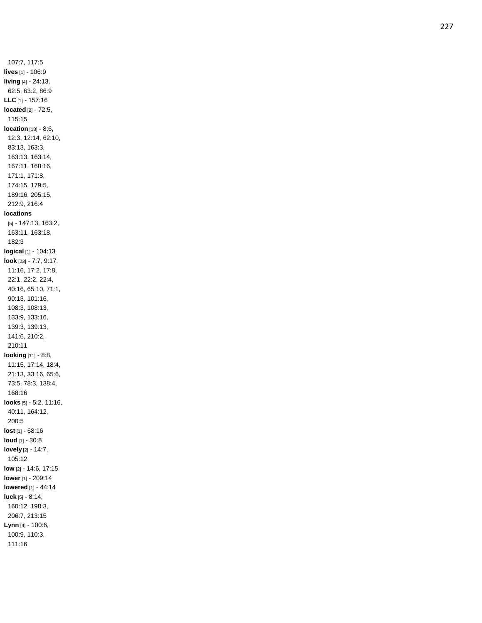107:7, 117:5 **lives** [1] - 106:9 **living** [4] - 24:13, 62:5, 63:2, 86:9 **LLC** [1] - 157:16 **located** [2] - 72:5, 115:15 **location** [18] - 8:6, 12:3, 12:14, 62:10, 83:13, 163:3, 163:13, 163:14, 167:11, 168:16, 171:1, 171:8, 174:15, 179:5, 189:16, 205:15, 212:9, 216:4 **locations** [5] - 147:13, 163:2, 163:11, 163:18, 182:3 **logical** [1] - 104:13 **look** [23] - 7:7, 9:17, 11:16, 17:2, 17:8, 22:1, 22:2, 22:4, 40:16, 65:10, 71:1, 90:13, 101:16, 108:3, 108:13, 133:9, 133:16, 139:3, 139:13, 141:6, 210:2, 210:11 **looking** [11] - 8:8, 11:15, 17:14, 18:4, 21:13, 33:16, 65:6, 73:5, 78:3, 138:4, 168:16 **looks** [5] - 5:2, 11:16, 40:11, 164:12, 200:5 **lost** [1] - 68:16 **loud** [1] - 30:8 **lovely** [2] - 14:7, 105:12 **low** [2] - 14:6, 17:15 **lower** [1] - 209:14 **lowered** [1] - 44:14 **luck** [5] - 8:14, 160:12, 198:3, 206:7, 213:15 **Lynn** [4] - 100:6, 100:9, 110:3, 111:16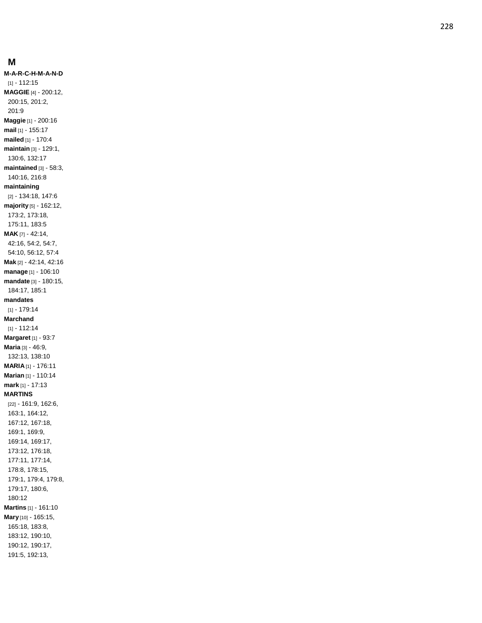#### **M**

**M-A-R - C - H - M - A - N - D** [1] - 112:15 **MAGGIE** [4] - 200:12, 200:15, 201:2, 201:9 **Maggie** [1] - 200:16 **mail** [1] - 155:17 **mailed** [1] - 170:4 **maintain** [3] - 129:1, 130:6, 132:17 **maintained** [3] - 58:3, 140:16, 216:8 **maintaining** [2] - 134:18, 147:6 **majority** [5] - 162:12, 173:2, 173:18, 175:11, 183:5 **MAK** [7] - 42:14, 42:16, 54:2, 54:7, 54:10, 56:12, 57:4 **Mak** [2] - 42:14, 42:16 **manage** [1] - 106:10 **mandate** [3] - 180:15, 184:17, 185:1 **mandates** [1] - 179:14 **Marchand** [1] - 112:14 **Margaret** [1] - 93:7 **Maria** [3] - 46:9, 132:13, 138:10 **MARIA** [1] - 176:11 **Marian** [1] - 110:14 **mark** [1] - 17:13 **MARTINS** [22] - 161:9, 162:6, 163:1, 164:12, 167:12, 167:18, 169:1, 169:9, 169:14, 169:17, 173:12, 176:18, 177:11, 177:14, 178:8, 178:15, 179:1, 179:4, 179:8, 179:17, 180:6, 180:1 2 **Martins** [1] - 161:10 **Mary** [10] - 165:15, 165:18, 183:8, 183:12, 190:10, 190:12, 190:17, 191:5, 192:13,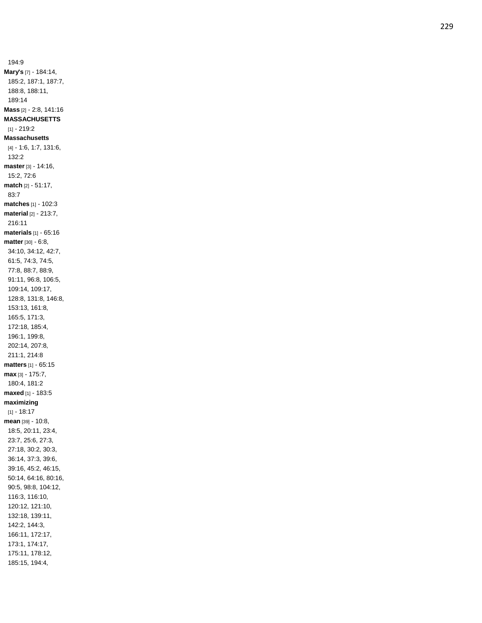194:9 **Mary's** [7] - 184:14, 185:2, 187:1, 187:7, 188:8, 188:11, 189:14 **Mass** [2] - 2:8, 141:16 **MASSACHUSETTS** [1] - 219:2 **Massachusetts** [4] - 1:6, 1:7, 131:6, 132:2 **master** [3] - 14:16, 15:2, 72:6 **match** [2] - 51:17, 83:7 **matches** [1] - 102:3 **material** [2] - 213:7, 216:11 **materials** [1] - 65:16 **matter** [30] - 6:8, 34:10, 34:12, 42:7, 61:5, 74:3, 74:5, 77:8, 88:7, 88:9, 91:11, 96:8, 106:5, 109:14, 109:17, 128:8, 131:8, 146:8, 153:13, 161:8, 165:5, 171:3, 172:18, 185:4, 196:1, 199:8, 202:14, 207:8, 211:1, 214:8 **matters** [1] - 65:15 **max** [3] - 175:7, 180:4, 181:2 **maxed** [1] - 183:5 **maximizing**  $[1] - 18.17$ **mean** [39] - 10:8, 18:5, 20:11, 23:4, 23:7, 25:6, 27:3, 27:18, 30:2, 30:3, 36:14, 37:3, 39:6, 39:16, 45:2, 46:15, 50:14, 64:16, 80:16, 90:5, 98:8, 104:12, 116:3, 116:10, 120:12, 121:10, 132:18, 139:11, 142:2, 144:3, 166:11, 172:17, 173:1, 174:17, 175:11, 178:12, 185:15, 194:4,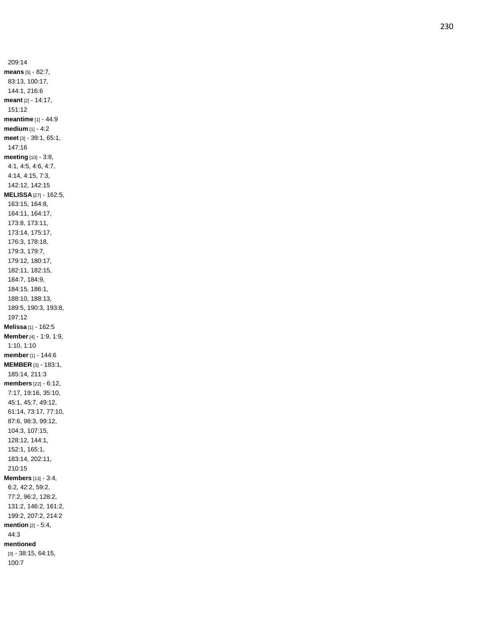209:14 **means** [5] - 82:7, 83:13, 100:17, 144:1, 216:6 **meant** [2] - 14:17, 151:12 **meantime** [1] - 44:9 **medium** [1] - 4:2 **meet** [3] - 39:1, 65:1, 147:16 **meeting** [10] - 3:8, 4:1, 4:5, 4:6, 4:7, 4:14, 4:15, 7:3, 142:12, 142:15 **MELISSA** [27] - 162:5, 163:15, 164:8, 164:11, 164:17, 173:8, 173:11, 173:14, 175:17, 176:3, 178:18, 179:3, 179:7, 179:12, 180:17, 182:11, 182:15, 184:7, 184:9, 184:15, 186:1, 188:10, 188:13, 189:5, 190:3, 193:8, 197:12 **Melissa** [1] - 162:5 **Member** [4] - 1:9, 1:9, 1:10, 1:10 **member** [1] - 144:6 **MEMBER** [3] - 183:1, 185:14, 211:3 **members** [22] - 6:12, 7:17, 19:16, 35:10, 45:1, 45:7, 49:12, 61:14, 73:17, 77:10, 87:6, 98:3, 99:12, 104:3, 107:15, 128:12, 144:1, 152:1, 165:1, 183:14, 202:11, 210:15 **Members** [13] - 3:4, 6:2, 42:2, 59:2, 77:2, 96:2, 128:2, 131:2, 146:2, 161:2, 199:2, 207:2, 214:2 **mention** [2] - 5:4, 44:3 **mentioned** [3] - 38:15, 64:15, 100:7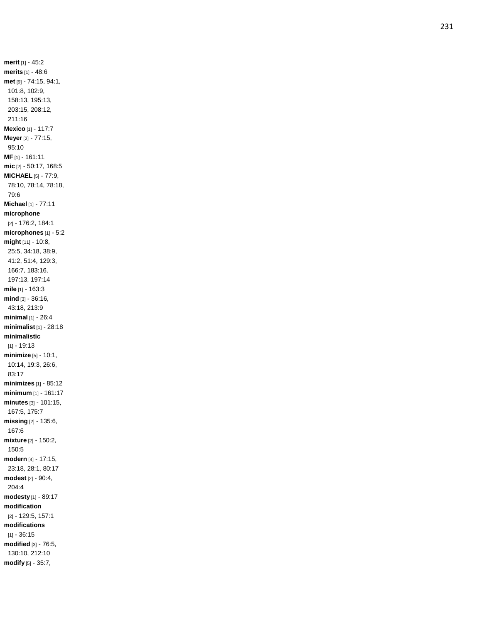**merit** [1] - 45:2 **merits** [1] - 48:6 **met** [9] - 74:15, 94:1, 101:8, 102:9, 158:13, 195:13, 203:15, 208:12, 211:16 **Mexico** [1] - 117:7 **Meyer** [2] - 77:15, 95:10 **MF** [1] - 161:11 **mic** [2] - 50:17, 168:5 **MICHAEL** [5] - 77:9, 78:10, 78:14, 78:18, 79:6 **Michael** [1] - 77:11 **microphone** [2] - 176:2, 184:1 **microphones** [1] - 5:2 **might** [11] - 10:8, 25:5, 34:18, 38:9, 41:2, 51:4, 129:3, 166:7, 183:16, 197:13, 197:14 **mile** [1] - 163:3 **mind** [3] - 36:16, 43:18, 213:9 **minimal** [1] - 26:4 **minimalist** [1] - 28:18 **minimalistic**  $[1] - 19:13$ **minimize** [5] - 10:1, 10:14, 19:3, 26:6, 83:17 **minimizes** [1] - 85:1 2 **minimum** [1] - 161:17 **minutes** [3] - 101:15, 167:5, 175:7 **missing** [2] - 135:6, 167:6 **mixture** [2] - 150:2, 150:5 **modern** [4] - 17:15, 23:18, 28:1, 80:17 **modest** [2] - 90:4, 204:4 **modesty** [1] - 89:17 **modification** [2] - 129:5, 157:1 **modifications**  $[1] - 36:15$ **modified** [3] - 76:5, 130:10, 212:10 **modify** [5] - 35:7,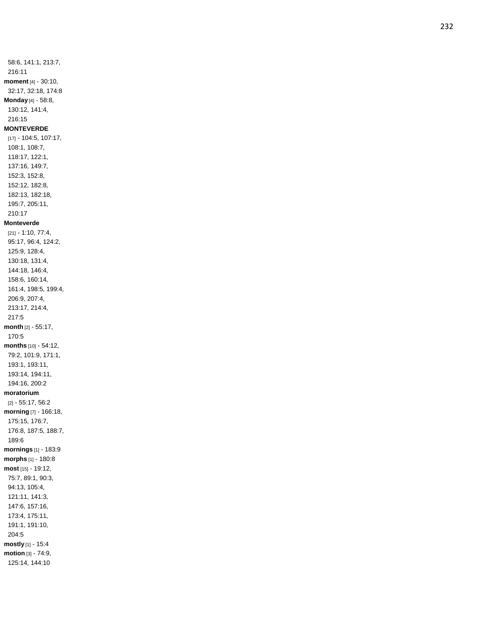58:6, 141:1, 213:7, 216:11 **moment** [4] - 30:10, 32:17, 32:18, 174:8 **Monday** [4] - 58:8, 130:12, 141:4, 216:15 **MONTEVERDE** [17] - 104:5, 107:17, 108:1, 108:7, 118:17, 122:1, 137:16, 149:7, 152:3, 152:8, 152:12, 182:8, 182:13, 182:18, 195:7, 205:11, 210:17 **Monteverde** [21] - 1:10, 77:4, 95:17, 96:4, 124:2, 125:9, 128:4, 130:18, 131:4, 144:18, 146:4, 158:6, 160:14, 161:4, 198:5, 199:4, 206:9, 207:4, 213:17, 214:4, 217:5 **month** [2] - 55:17, 170:5 **months** [10] - 54:12, 79:2, 101:9, 171:1, 193:1, 193:11, 193:14, 194:11, 194:16, 200:2 **moratorium** [2] - 55:17, 56:2 **morning** [7] - 166:18, 175:15, 176:7, 176:8, 187:5, 188:7, 189:6 **mornings** [1] - 183:9 **morphs** [1] - 180:8 **most** [15] - 19:12, 75:7, 89:1, 90:3, 94:13, 105:4, 121:11, 141:3, 147:6, 157:16, 173:4, 175:11, 191:1, 191:10, 204:5 **mostly** [1] - 15:4 **motion** [3] - 74:9, 125:14, 144:10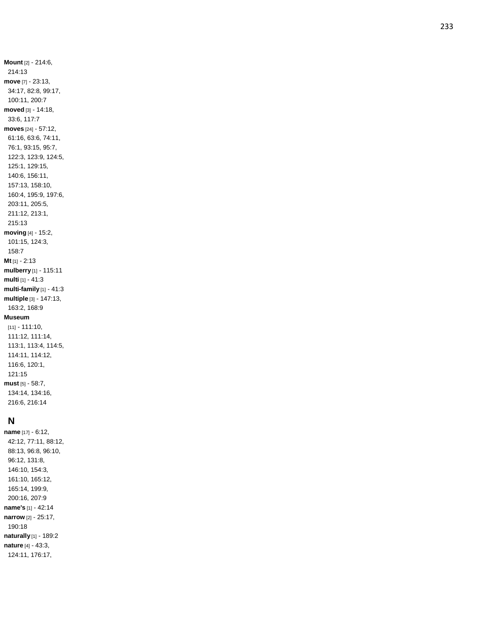**Mount** [2] - 214:6, 214:13 **move** [7] - 23:13, 34:17, 82:8, 99:17, 100:11, 200:7 **moved** [3] - 14:18, 33:6, 117:7 **moves** [24] - 57:12, 61:16, 63:6, 74:11, 76:1, 93:15, 95:7, 122:3, 123:9, 124:5, 125:1, 129:15, 140:6, 156:11, 157:13, 158:10, 160:4, 195:9, 197:6, 203:11, 205:5, 211:12, 213:1, 215:13 **moving** [4] - 15:2, 101:15, 124:3, 158:7 **Mt** [1] - 2:13 **mulberry** [1] - 115:11 **multi** [1] - 41:3 **multi -family** [1] - 41:3 **multiple** [3] - 147:13, 163:2, 168:9 **Museum** [11] - 111:10, 111:12, 111:14, 113:1, 113:4, 114:5, 114:11, 114:12, 116:6, 120:1, 121:15 **must** [5] - 58:7,

# **N**

134:14, 134:16, 216:6, 216:14

**name** [17] - 6:12, 42:12, 77:11, 88:12, 88:13, 96:8, 96:10, 96:12, 131:8, 146:10, 154:3, 161:10, 165:12, 165:14, 199:9, 200:16, 207:9 **name's** [1] - 42:14 **narrow** [2] - 25:17, 190:18 **naturally** [1] - 189:2 **nature** [4] - 43:3, 124:11, 176:17,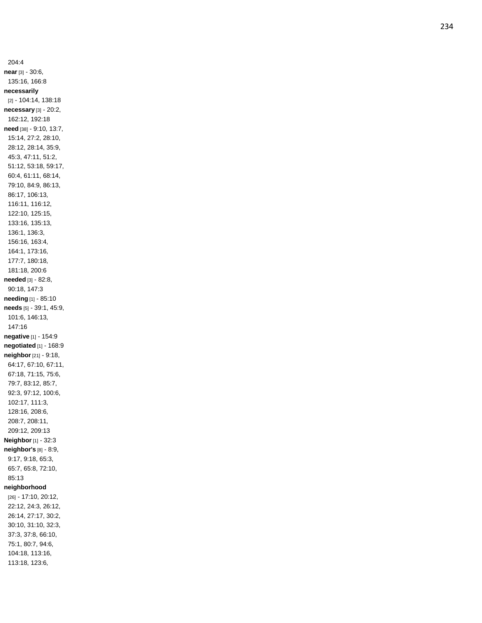204:4 **near** [3] - 30:6, 135:16, 166:8 **necessarily** [2] - 104:14, 138:18 **necessary** [3] - 20:2, 162:12, 192:18 **need** [38] - 9:10, 13:7, 15:14, 27:2, 28:10, 28:12, 28:14, 35:9, 45:3, 47:11, 51:2, 51:12, 53:18, 59:17, 60:4, 61:11, 68:14, 79:10, 84:9, 86:13, 86:17, 106:13, 116:11, 116:12, 122:10, 125:15, 133:16, 135:13, 136:1, 136:3, 156:16, 163:4, 164:1, 173:16, 177:7, 180:18, 181:18, 200:6 **needed** [3] - 82:8, 90:18, 147:3 **needing** [1] - 85:10 **needs** [5] - 39:1, 45:9, 101:6, 146:13, 147:16 **negative** [1] - 154:9 **negotiated** [1] - 168:9 **neighbor** [21] - 9:18, 64:17, 67:10, 67:11, 67:18, 71:15, 75:6, 79:7, 83:12, 85:7, 92:3, 97:12, 100:6, 102:17, 111:3, 128:16, 208:6, 208:7, 208:11, 209:12, 209:13 **Neighbor** [1] - 32:3 **neighbor's** [8] - 8:9, 9:17, 9:18, 65:3, 65:7, 65:8, 72:10, 85:13 **neighborhood** [26] - 17:10, 20:12, 22:12, 24:3, 26:12, 26:14, 27:17, 30:2, 30:10, 31:10, 32:3, 37:3, 37:8, 66:10, 75:1, 80:7, 94:6, 104:18, 113:16, 113:18, 123:6,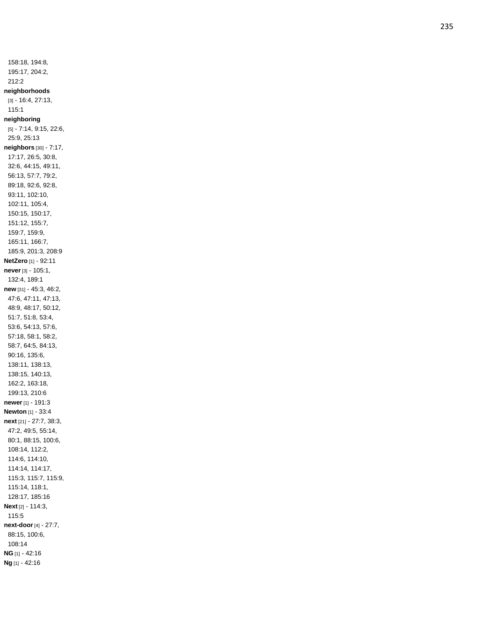158:18, 194:8, 195:17, 204:2, 212:2 **neighborhoods** [3] - 16:4, 27:13, 115:1 **neighboring** [5] - 7:14, 9:15, 22:6, 25:9, 25:13 **neighbors** [30] - 7:17, 17:17, 26:5, 30:8, 32:6, 44:15, 49:11, 56:13, 57:7, 79:2, 89:18, 92:6, 92:8, 93:11, 102:10, 102:11, 105:4, 150:15, 150:17, 151:12, 155:7, 159:7, 159:9, 165:11, 166:7, 185:9, 201:3, 208:9 **NetZero** [1] - 92:11 **never** [3] - 105:1, 132:4, 189:1 **new** [31] - 45:3, 46:2, 47:6, 47:11, 47:13, 48:9, 48:17, 50:12, 51:7, 51:8, 53:4, 53:6, 54:13, 57:6, 57:18, 58:1, 58:2, 58:7, 64:5, 84:13, 90:16, 135:6, 138:11, 138:13, 138:15, 140:13, 162:2, 163:18, 199:13, 210:6 **newer** [1] - 191: 3 **Newton** [1] - 33:4 **next** [21] - 27:7, 38:3, 47:2, 49:5, 55:14, 80:1, 88:15, 100:6, 108:14, 112:2, 114:6, 114:10, 114:14, 114:17, 115:3, 115:7, 115:9, 115:14, 118:1, 128:17, 185:16 **Next** [2] - 114:3, 115:5 **next -door** [4] - 27:7, 88:15, 100:6, 108:14 **NG** [1] - 42:16 **Ng** [1] - 42:16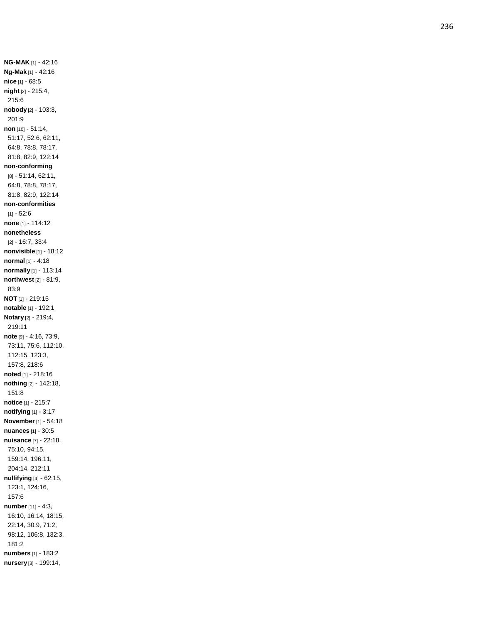**NG -MAK** [1] - 42:16 **Ng -Mak** [1] - 42:16 **nice** [1] - 68:5 **night** [2] - 215:4, 215:6 **nobody** [2] - 103:3, 201:9 **non** [10] - 51:14, 51:17, 52:6, 62:11, 64:8, 78:8, 78:17, 81:8, 82:9, 122:14 **non -conforming** [8] - 51:14, 62:11, 64:8, 78:8, 78:17, 81:8, 82:9, 122:14 **non -conformities** [1] - 52:6 **none** [1] - 114:12 **nonetheless** [2] - 16:7, 33:4 **nonvisible** [1] - 18:12 **normal** [1] - 4:18 **normally** [1] - 113:14 **northwest** [2] - 81:9, 83:9 **NOT** [1] - 219:15 **notable** [1] - 192:1 **Notary** [2] - 219:4, 219:11 **note** [9] - 4:16, 73:9, 73:11, 75:6, 112:10, 112:15, 123:3, 157:8, 218:6 **noted** [1] - 218:16 **nothing** [2] - 142:18, 151:8 **notice** [1] - 215:7 **notifying** [1] - 3:17 **November** [1] - 54:18 **nuances** [1] - 30:5 **nuisance** [7] - 22:18, 75:10, 94:15, 159:14, 196:11, 204:14, 212:11 **nullifying** [4] - 62:15, 123:1, 124:16, 157:6 **number** [11] - 4:3, 16:10, 16:14, 18:15, 22:14, 30:9, 71:2, 98:12, 106:8, 132:3, 181:2 **numbers** [1] - 183:2 **nursery** [3] - 199:14,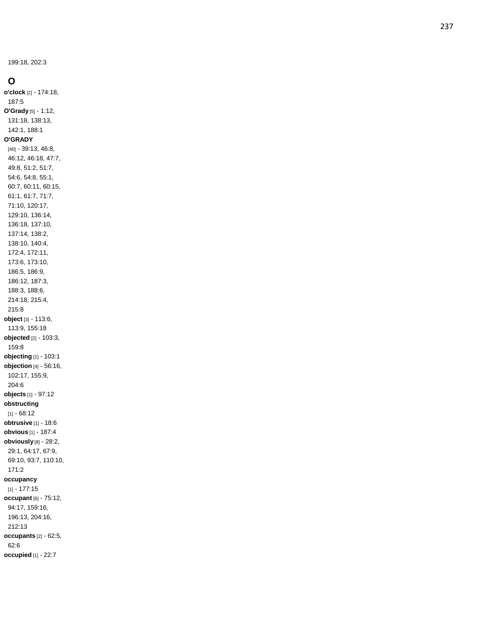199:18, 202:3

### **O**

**o'clock** [2] - 174:18, 187:5 **O'Grady** [5] - 1:12, 131:18, 138:13, 142:1, 188:1 **O'GRADY** [40] - 39:13, 46:8, 46:12, 46:18, 47:7, 49:8, 51:2, 51:7, 54:6, 54:8, 55:1, 60:7, 60:11, 60:15, 61:1, 61:7, 71:7, 71:10, 120:17, 129:10, 136:14, 136:18, 137:10, 137:14, 138:2, 138:10, 140:4, 172:4, 172:11, 173:6, 173:10, 186:5, 186:9, 186:12, 187:3, 188:3, 188:6, 214:18, 215:4, 215:8 **object** [3] - 113:6, 113:9, 155:18 **objected** [2] - 103:3, 159:8 **objecting** [1] - 103:1 **objection** [4] - 56:16, 102:17, 155:9, 204:6 **objects** [1] - 97:12 **obstructing**  $[1] - 68:12$ **obtrusive** [1] - 18:6 **obvious** [1] - 187:4 **obviously** [8] - 28:2, 29:1, 64:17, 67:9, 69:10, 93:7, 110:10, 171:2 **occupancy** [1] - 177:15 **occupant** [6] - 75:12, 94:17, 159:16, 196:13, 204:16, 212:13 **occupants** [2] - 62:5, 62:6 **occupied** [1] - 22:7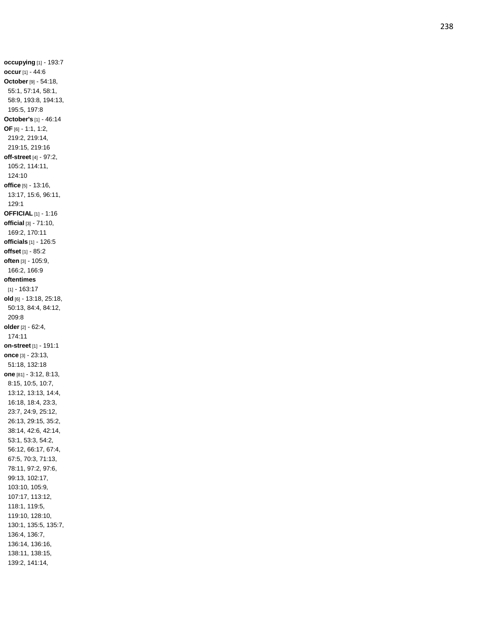**occupying** [1] - 193:7 **occu r** [1] - 44:6 **October** [9] - 54:18, 55:1, 57:14, 58:1, 58:9, 193:8, 194:13, 195:5, 197:8 **October's** [1] - 46:14 **OF** [6] - 1:1, 1:2, 219:2, 219:14, 219:15, 219:16 **off -street** [4] - 97:2, 105:2, 114:11, 124:10 **office** [5] - 13:16, 13:17, 15:6, 96:11, 129:1 **OFFICIAL** [1] - 1:16 **official** [3] - 71:10, 169:2, 170:11 **officials** [1] - 126:5 **offset** [1] - 85:2 **often** [3] - 105:9, 166:2, 166:9 **oftentimes** [1] - 163:17 **old** [6] - 13:18, 25:18, 50:13, 84:4, 84:12, 209:8 **older** [2] - 62:4, 174:11 **on -street** [1] - 191:1 **once** [3] - 23:13, 51:18, 132:18 **one** [81] - 3:12, 8:13, 8:15, 10:5, 10:7, 13:12, 13:13, 14:4, 16:18, 18:4, 23:3, 23:7, 24:9, 25:12, 26:13, 29:15, 35:2, 38:14, 42:6, 42:14, 53:1, 53:3, 54:2, 56:12, 66:17, 67:4, 67:5, 70:3, 71:13, 78:11, 97:2, 97:6, 99:13, 102:17, 103:10, 105:9, 107:17, 113:12, 118:1, 119:5, 119:10, 128:10, 130:1, 135:5, 135:7, 136:4, 136:7, 136:14, 136:16, 138:11, 138:15, 139:2, 141:14,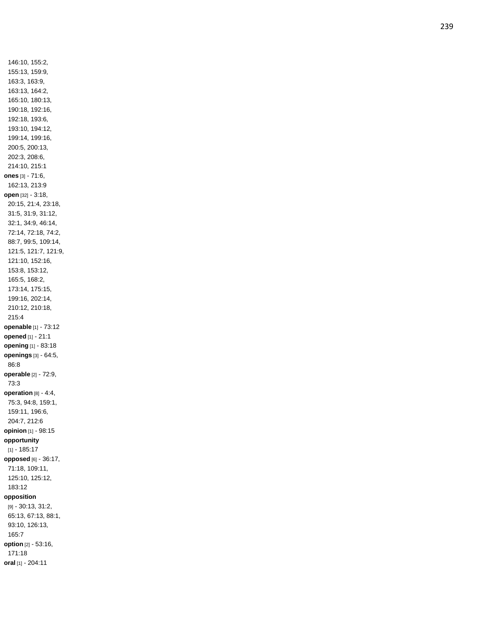146:10, 155:2, 155:13, 159:9, 163:3, 163:9, 163:13, 164:2, 165:10, 180:13, 190:18, 192:16, 192:18, 193:6, 193:10, 194:12, 199:14, 199:16, 200:5, 200:13, 202:3, 208:6, 214:10, 215:1 **ones** [3] - 71:6, 162:13, 213:9 **open** [32] - 3:18, 20:15, 21:4, 23:18, 31:5, 31:9, 31:12, 32:1, 34:9, 46:14, 72:14, 72:18, 74:2, 88:7, 99:5, 109:14, 121:5, 121:7, 121:9, 121:10, 152:16, 153:8, 153:12, 165:5, 168:2, 173:14, 175:15, 199:16, 202:14, 210:12, 210:18, 215:4 **openable** [1] - 73:12 **opened** [1] - 21:1 **opening** [1] - 83:18 **openings** [3] - 64:5, 86:8 **operable** [2] - 72:9, 73:3 **operation** [8] - 4:4, 75:3, 94:8, 159:1, 159:11, 196:6, 204:7, 212:6 **opinion** [1] - 98:15 **opportunity** [1] - 185:17 **opposed** [6] - 36:17, 71:18, 109:11, 125:10, 125:12, 183:12 **opposition** [9] - 30:13, 31:2, 65:13, 67:13, 88:1, 93:10, 126:13, 165:7 **option** [2] - 53:16, 171:18 **oral** [1] - 204:11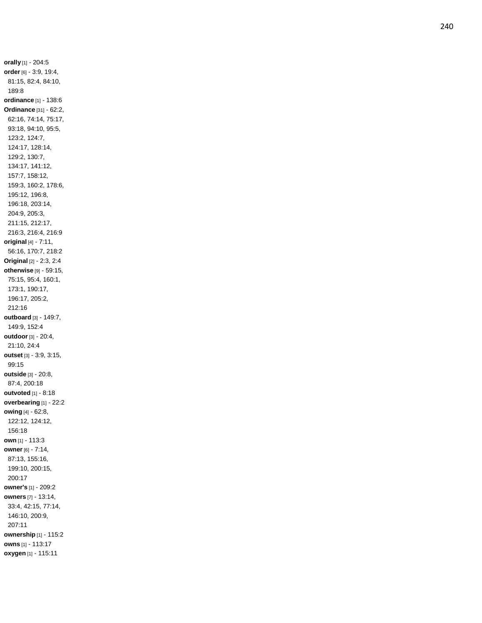**orally** [1] - 204:5 **order** [6] - 3:9, 19:4, 81:15, 82:4, 84:10, 189:8 **ordinance** [1] - 138:6 **Ordinance** [31] - 62:2, 62:16, 74:14, 75:17, 93:18, 94:10, 95:5, 123:2, 124:7, 124:17, 128:14, 129:2, 130:7, 134:17, 141:12, 157:7, 158:12, 159:3, 160:2, 178:6, 195:12, 196:8, 196:18, 203:14, 204:9, 205:3, 211:15, 212:17, 216:3, 216:4, 216:9 **original** [4] - 7:11, 56:16, 170:7, 218:2 **Original** [2] - 2:3, 2:4 **otherwise** [9] - 59:15, 75:15, 95:4, 160:1, 173:1, 190:17, 196:17, 205:2, 212:16 **outboard** [3] - 149:7, 149:9, 152:4 **outdoor** [3] - 20:4, 21:10, 24:4 **outset** [3] - 3:9, 3:15, 99:15 **outside** [3] - 20:8, 87:4, 200:18 **outvoted** [1] - 8:18 **overbearing** [1] - 22:2 **owing** [4] - 62:8, 122:12, 124:12, 156:18 **own** [1] - 113:3 **owner** [6] - 7:14, 87:13, 155:16, 199:10, 200:15, 200:17 **owner's** [1] - 209:2 **owners** [7] - 13:14, 33:4, 42:15, 77:14, 146:10, 200:9, 207:11 **ownership** [1] - 115:2 **owns** [1] - 113:17 **oxygen** [1] - 115:11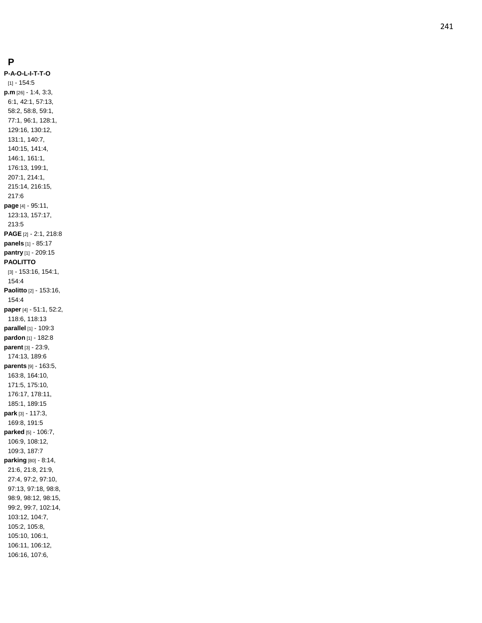#### **P**

**P - A - O - L - I - T - T - O** [1] - 154:5 **p.m** [26] - 1:4, 3:3, 6:1, 42:1, 57:13, 58:2, 58:8, 59:1, 77:1, 96:1, 128:1, 129:16, 130:12, 131:1, 140:7, 140:15, 141:4, 146:1, 161:1, 176:13, 199:1, 207:1, 214:1, 215:14, 216:15, 217:6 **page** [4] - 95:11, 123:13, 157:17, 213:5 **PAGE** [2] - 2:1, 218:8 **panels** [1] - 85:17 **pantry** [1] - 209:15 **PAOLITTO** [3] - 153:16, 154:1, 154:4 **Paolitto** [2] - 153:16, 154:4 **paper** [4] - 51:1, 52:2, 118:6, 118:13 **parallel** [1] - 109:3 **pardon** [1] - 182:8 **parent** [3] - 23:9, 174:13, 189:6 **parents** [9] - 163:5, 163:8, 164:10, 171:5, 175:10, 176:17, 178:11, 185:1, 189:15 **park** [3] - 117:3, 169:8, 191:5 **parked** [5] - 106:7, 106:9, 108:12, 109:3, 187:7 **parking** [80] - 8:14, 21:6, 21:8, 21:9, 27:4, 97:2, 97:10, 97:13, 97:18, 98:8, 98:9, 98:12, 98:15, 99:2, 99:7, 102:14, 103:12, 104:7, 105:2, 105:8, 105:10, 106:1, 106:11, 106:12, 106:16, 107:6,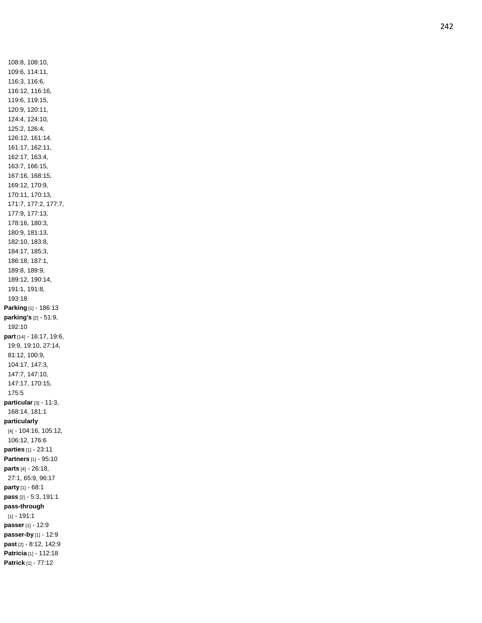108:8, 108:10, 109:6, 114:11, 116:3, 116:6, 116:12, 116:16, 119:6, 119:15, 120:9, 120:11, 124:4, 124:10, 125:2, 126:4, 126:12, 161:14, 161:17, 162:11, 162:17, 163:4, 163:7, 166:15, 167:16, 168:15, 169:12, 170:9, 170:11, 170:13, 171:7, 177:2, 177:7, 177:9, 177:13, 178:16, 180:3, 180:9, 181:13, 182:10, 183:8, 184:17, 185:3, 186:18, 187:1, 189:8, 189:9, 189:12, 190:14, 191:1, 191:8, 193:18 **Parking** [1] - 186:13 **parking's** [2] - 51:9, 192:10 **part** [14] - 16:17, 19:6, 19:9, 19:10, 27:14, 81:12, 100:9, 104:17, 147:3, 147:7, 147:10, 147:17, 170:15, 175:5 **particular** [3] - 11:3, 168:14, 181:1 **particularly** [4] - 104:16, 105:12, 106:12, 176:6 **parties** [1] - 23:11 **Partners** [1] - 95:10 **parts** [4] - 26:18, 27:1, 65:9, 96:17 **party** [1] - 68:1 **pass** [2] - 5:3, 191:1 **pass -through**  $[1] - 191:1$ **passer** [1] - 12:9 **passer -by** [1] - 12:9 **past** [2] - 8:12, 142:9 **Patricia** [1] - 112:18 **Patrick** [1] - 77:12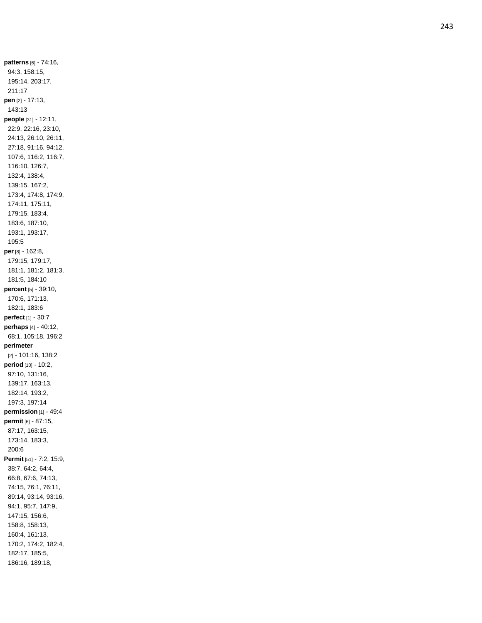**patterns** [6] - 74:16, 94:3, 158:15, 195:14, 203:17, 211:17 **pen** [2] - 17:13, 143:13 **people** [31] - 12:11, 22:9, 22:16, 23:10, 24:13, 26:10, 26:11, 27:18, 91:16, 94:12, 107:6, 116:2, 116:7, 116:10, 126:7, 132:4, 138:4, 139:15, 167:2, 173:4, 174:8, 174:9, 174:11, 175:11, 179:15, 183:4, 183:6, 187:10, 193:1, 193:17, 195:5 **per** [8] - 162:8, 179:15, 179:17, 181:1, 181:2, 181:3, 181:5, 184:10 **percent** [5] - 39:10, 170:6, 171:13, 182:1, 183:6 **perfect** [1] - 30:7 **perhaps** [4] - 40:12, 68:1, 105:18, 196:2 **perimeter** [2] - 101:16, 138:2 **period** [10] - 10:2, 97:10, 131:16, 139:17, 163:13, 182:14, 193:2, 197:3, 197:14 **permission** [1] - 49:4 **permit** [6] - 87:15, 87:17, 163:15, 173:14, 183:3, 200:6 **Permit** [51] - 7:2, 15:9, 38:7, 64:2, 64:4, 66:8, 67:6, 74:13, 74:15, 76:1, 76:11, 89:14, 93:14, 93:16, 94:1, 95:7, 147:9, 147:15, 156:6, 158:8, 158:13, 160:4, 161:13, 170:2, 174:2, 182:4, 182:17, 185:5, 186:16, 189:18,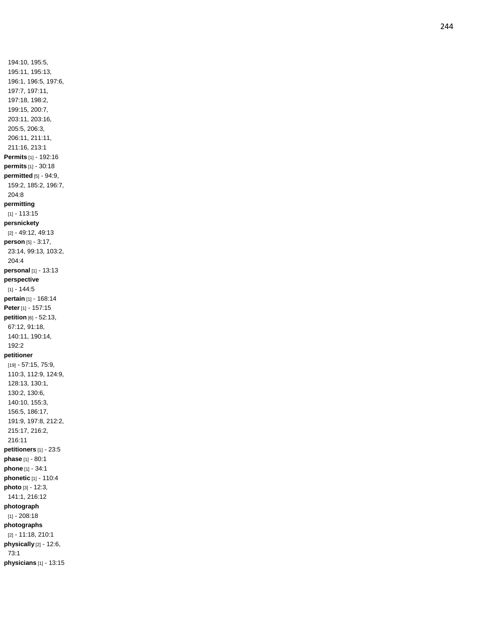194:10, 195:5, 195:11, 195:13, 196:1, 196:5, 197:6, 197:7, 197:11, 197:18, 198:2, 199:15, 200:7, 203:11, 203:16, 205:5, 206:3, 206:11, 211:11, 211:16, 213:1 **Permits** [1] - 192:16 **permits** [1] - 30:18 **permitted** [5] - 94:9, 159:2, 185:2, 196:7, 204:8 **permitting** [1] - 113:15 **persnickety** [2] - 49:12, 49:13 **person** [5] - 3:17, 23:14, 99:13, 103:2, 204:4 **personal** [1] - 13:13 **perspective**  $[1] - 144:5$ **pertain** [1] - 168:14 **Peter** [1] - 157:15 **petition** [6] - 52:13, 67:12, 91:18, 140:11, 190:14, 192:2 **petitioner** [19] - 57:15, 75:9, 110:3, 112:9, 124:9, 128:13, 130:1, 130:2, 130:6, 140:10, 155:3, 156:5, 186:17, 191:9, 197:8, 212:2, 215:17, 216:2, 216:11 **petitioners** [1] - 23:5 **phase** [1] - 80:1 **phone** [1] - 34:1 **phonetic** [1] - 110:4 **photo** [3] - 12:3, 141:1, 216:12 **photograph** [1] - 208:18 **photographs** [2] - 11:18, 210:1 **physically** [2] - 12:6, 73:1 **physicians** [1] - 13:15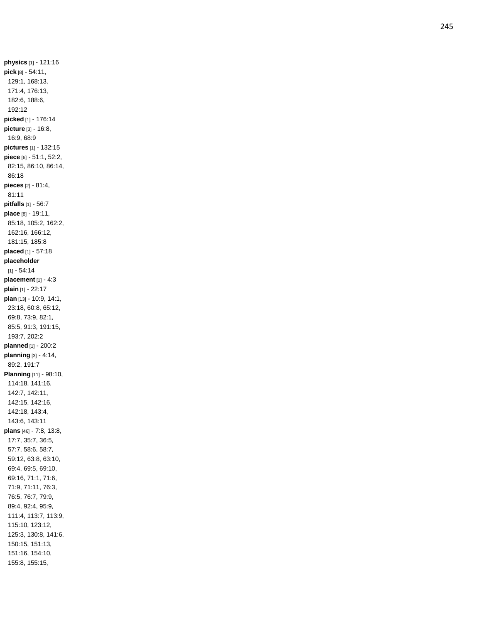**physics** [1] - 121:16 **pick** [8] - 54:11, 129:1, 168:13, 171:4, 176:13, 182:6, 188:6, 192:12 **picked** [1] - 176:14 **picture** [3] - 16:8, 16:9, 68:9 **pictures** [1] - 132:15 **piece** [6] - 51:1, 52:2, 82:15, 86:10, 86:14, 86:18 **pieces** [2] - 81:4, 81:11 **pitfalls** [1] - 56:7 **place** [8] - 19:11, 85:18, 105:2, 162:2, 162:16, 166:12, 181:15, 185:8 **placed** [1] - 57:18 **placeholder**  $[1] - 54:14$ **placement** [1] - 4:3 **plain** [1] - 22:17 **plan** [13] - 10:9, 14:1, 23:18, 60:8, 65:12, 69:8, 73:9, 82:1, 85:5, 91:3, 191:15, 193:7, 202:2 **planned** [1] - 200:2 **planning** [3] - 4:14, 89:2, 191:7 **Planning** [11] - 98:10, 114:18, 141:16, 142:7, 142:11, 142:15, 142:16, 142:18, 143:4, 143:6, 143:11 **plans** [46] - 7:8, 13:8, 17:7, 35:7, 36:5, 57:7, 58:6, 58:7, 59:12, 63:8, 63:10, 69:4, 69:5, 69:10, 69:16, 71:1, 71:6, 71:9, 71:11, 76:3, 76:5, 76:7, 79:9, 89:4, 92:4, 95:9, 111:4, 113:7, 113:9, 115:10, 123:12, 125:3, 130:8, 141:6, 150:15, 151:13, 151:16, 154:10, 155:8, 155:15,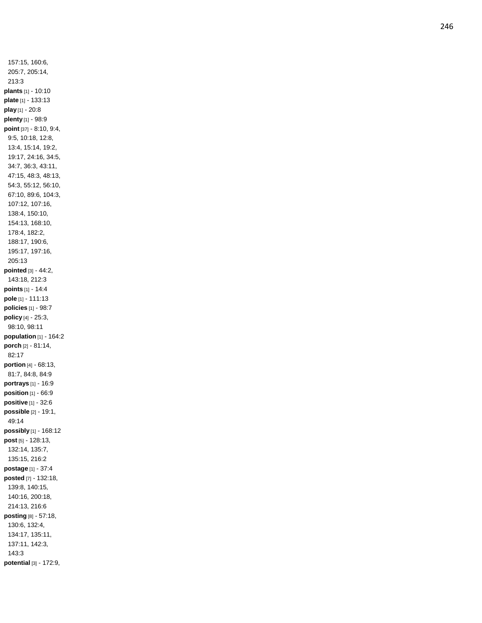157:15, 160:6, 205:7, 205:14, 213:3 **plants** [1] - 10:10 **plate** [1] - 133:13 **play** [1] - 20:8 **plenty** [1] - 98:9 **point** [37] - 8:10, 9:4, 9:5, 10:18, 12:8, 13:4, 15:14, 19:2, 19:17, 24:16, 34:5, 34:7, 36:3, 43:11, 47:15, 48:3, 48:13, 54:3, 55:12, 56:10, 67:10, 89:6, 104:3, 107:12, 107:16, 138:4, 150:10, 154:13, 168:10, 178:4, 182:2, 188:17, 190:6, 195:17, 197:16, 205:13 **pointed** [3] - 44:2, 143:18, 212:3 **points** [1] - 14:4 **pole** [1] - 111:13 **policies** [1] - 98:7 **policy** [4] - 25:3, 98:10, 98:11 **population** [1] - 164:2 **porch** [2] - 81:14, 82:17 **portion** [4] - 68:13, 81:7, 84:8, 84:9 **portrays** [1] - 16:9 **position** [1] - 66:9 **positive** [1] - 32:6 **possible** [2] - 19:1, 49:14 **possibly** [1] - 168:12 **post** [5] - 128:13, 132:14, 135:7, 135:15, 216:2 **postage** [1] - 37:4 **posted** [7] - 132:18, 139:8, 140:15, 140:16, 200:18, 214:13, 216:6 **posting** [8] - 57:18, 130:6, 132:4, 134:17, 135:11, 137:11, 142:3, 143:3 **potential** [3] - 172:9,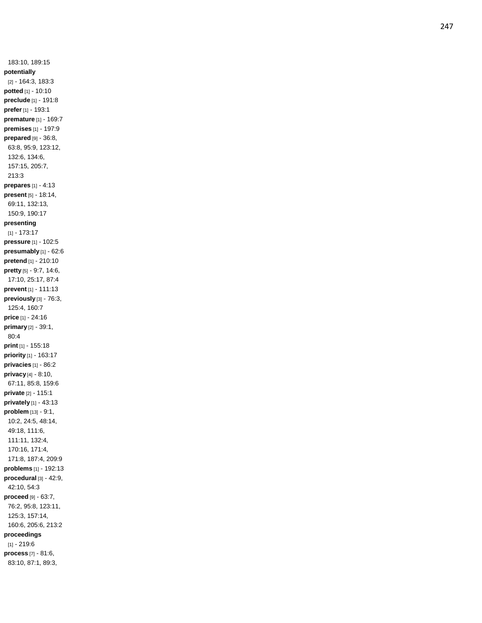183:10, 189:15 **potentially** [2] - 164:3, 183:3 **potted** [1] - 10:10 **preclude** [1] - 191:8 **prefer** [1] - 193:1 **premature** [1] - 169:7 **premises** [1] - 197:9 **prepared** [9] - 36:8, 63:8, 95:9, 123:12, 132:6, 134:6, 157:15, 205:7, 213:3 **prepares** [1] - 4:13 **present** [5] - 18:14, 69:11, 132:13, 150:9, 190:17 **presenting** [1] - 173:17 **pressure** [1] - 102:5 **presumably** [1] - 62:6 **pretend** [1] - 210:10 **pretty** [5] - 9:7, 14:6, 17:10, 25:17, 87:4 **prevent** [1] - 111:13 **previously** [3] - 76:3, 125:4, 160:7 **price** [1] - 24:16 **primary** [2] - 39:1, 80:4 **print** [1] - 155:18 **priority** [1] - 163:17 **privacies** [1] - 86:2 **privacy** [4] - 8:10, 67:11, 85:8, 159:6 **private** [2] - 115:1 **privately** [1] - 43:13 **problem** [13] - 9:1, 10:2, 24:5, 48:14, 49:18, 111:6, 111:11, 132:4, 170:16, 171:4, 171:8, 187:4, 209:9 **problems** [1] - 192:13 **procedural** [3] - 42:9, 42:10, 54:3 **proceed** [9] - 63:7, 76:2, 95:8, 123:11, 125:3, 157:14, 160:6, 205:6, 213:2 **proceedings** [1] - 219:6 **process** [7] - 81:6, 83:10, 87:1, 89:3,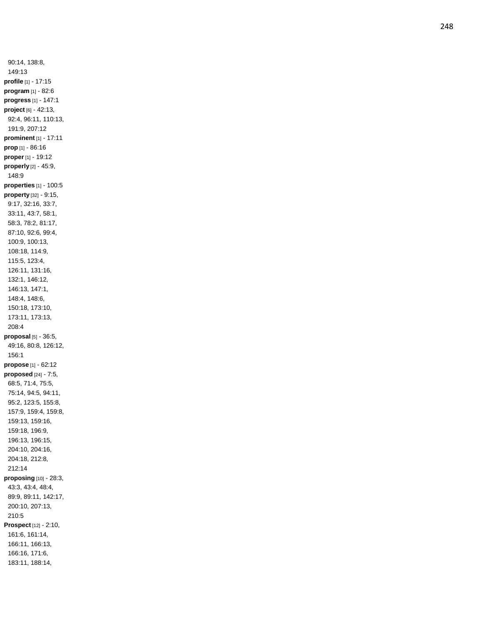90:14, 138:8, 149:13 **profile** [1] - 17:15 **program** [1] - 82:6 **progress** [1] - 147:1 **project** [6] - 42:13, 92:4, 96:11, 110:13, 191:9, 207:12 **prominent** [1] - 17:11 **prop** [1] - 86:16 **proper** [1] - 19:12 **properly** [2] - 45:9, 148:9 **properties** [1] - 100:5 **property** [32] - 9:15, 9:17, 32:16, 33:7, 33:11, 43:7, 58:1, 58:3, 78:2, 81:17, 87:10, 92:6, 99:4, 100:9, 100:13, 108:18, 114:9, 115:5, 123:4, 126:11, 131:16, 132:1, 146:12, 146:13, 147:1, 148:4, 148:6, 150:18, 173:10, 173:11, 173:13, 208:4 **proposal** [5] - 36:5, 49:16, 80:8, 126:12, 156:1 **propose** [1] - 62:12 **proposed** [24] - 7:5, 68:5, 71:4, 75:5, 75:14, 94:5, 94:11, 95:2, 123:5, 155:8, 157:9, 159:4, 159:8, 159:13, 159:16, 159:18, 196:9, 196:13, 196:15, 204:10, 204:16, 204:18, 212:8, 212:14 **proposing** [10] - 28:3, 43:3, 43:4, 48:4, 89:9, 89:11, 142:17, 200:10, 207:13, 210:5 **Prospect** [12] - 2:10, 161:6, 161:14, 166:11, 166:13, 166:16, 171:6, 183:11, 188:14,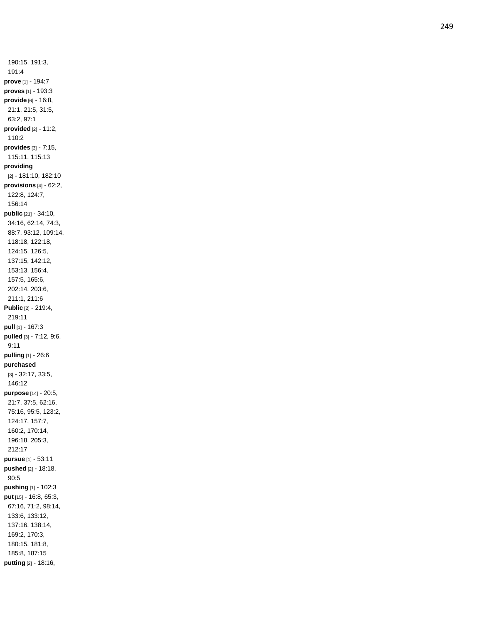190:15, 191:3, 191:4 **prove** [1] - 194:7 **proves** [1] - 193:3 **provide** [6] - 16:8, 21:1, 21:5, 31:5, 63:2, 97:1 **provided** [2] - 11:2, 110:2 **provides** [3] - 7:15, 115:11, 115:13 **providing** [2] - 181:10, 182:10 **provisions** [4] - 62:2, 122:8, 124:7, 156:14 **public** [21] - 34:10, 34:16, 62:14, 74:3, 88:7, 93:12, 109:14, 118:18, 122:18, 124:15, 126:5, 137:15, 142:12, 153:13, 156:4, 157:5, 165:6, 202:14, 203:6, 211:1, 211:6 **Public** [2] - 219:4, 219:11 **pull** [1] - 167:3 **pulled** [3] - 7:12, 9:6, 9:11 **pulling** [1] - 26:6 **purchased** [3] - 32:17, 33:5, 146:12 **purpose** [14] - 20:5, 21:7, 37:5, 62:16, 75:16, 95:5, 123:2, 124:17, 157:7, 160:2, 170:14, 196:18, 205:3, 212:17 **pursue** [1] - 53:11 **pushed** [2] - 18:18, 90:5 **pushing** [1] - 102:3 **put** [15] - 16:8, 65:3, 67:16, 71:2, 98:14, 133:6, 133:12, 137:16, 138:14, 169:2, 170:3, 180:15, 181:8, 185:8, 187:15 **putting** [2] - 18:16,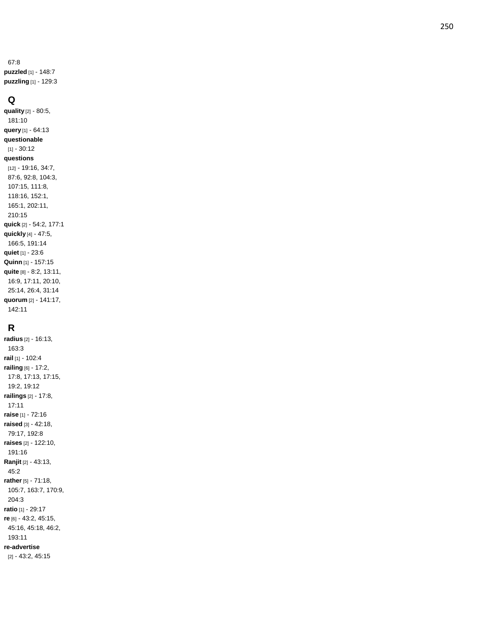67:8 **puzzled** [1] - 148:7 **puzzling** [1] - 129:3

## **Q**

**quality** [2] - 80:5, 181:10 **query** [1] - 64:13 **questionable** [1] - 30:12 **questions** [12] - 19:16, 34:7, 87:6, 92:8, 104:3, 107:15, 111:8, 118:16, 152:1, 165:1, 202:11, 210:15 **quick** [2] - 54:2, 177:1 **quickly** [4] - 47:5, 166:5, 191:14 **quiet** [1] - 23:6 **Quinn** [1] - 157:15 **quite** [8] - 8:2, 13:11, 16:9, 17:11, 20:10, 25:14, 26:4, 31:14 **quorum** [2] - 141:17, 142:11

# **R**

**radius** [2] - 16:13, 163:3 **rail** [1] - 102:4 **railing** [6] - 17:2, 17:8, 17:13, 17:15, 19:2, 19:12 **railings** [2] - 17:8, 17:11 **raise** [1] - 72:16 **raised** [3] - 42:18, 79:17, 192:8 **raises** [2] - 122:10, 191:16 **Ranjit** [2] - 43:13, 45:2 **rather** [5] - 71:18, 105:7, 163:7, 170:9, 204:3 **ratio** [1] - 29:17 **re** [6] - 43:2, 45:15, 45:16, 45:18, 46:2, 193:11 **re -advertise** [2] - 43:2, 45:15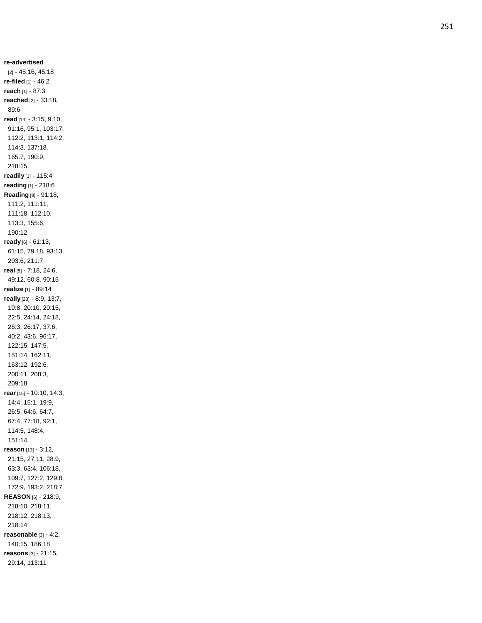**re -advertised** [2] - 45:16, 45:18 **re -filed** [1] - 46:2 **reach** [1] - 87:3 **reached** [2] - 33:18, 89:6 **read** [13] - 3:15, 9:10, 91:16, 95:1, 103:17, 112:2, 113:1, 114:2, 114:3, 137:18, 165:7, 190:9, 218:15 **readily** [1] - 115:4 **reading** [1] - 218:6 **Reading** [8] - 91:18, 111:2, 111:11, 111:18, 112:10, 113:3, 155:6, 190:12 **ready** [6] - 61:13, 61:15, 79:18, 93:13, 203:6, 211:7 **real** [5] - 7:18, 24:6, 49:12, 60:8, 90:15 **realize** [1] - 89:14 **really** [23] - 8:9, 13:7, 19:8, 20:10, 20:15, 22:5, 24:14, 24:18, 26:3, 26:17, 37:6, 40:2, 43:6, 96:17, 122:15, 147:5, 151:14, 162:11, 163:12, 192:6, 200:11, 208:3, 209:18 **rear** [15] - 10:10, 14:3, 14:4, 15:1, 19:9, 26:5, 64:6, 64:7, 67:4, 77:18, 92:1, 114:5, 148:4, 151:14 **reason** [13] - 3:12, 21:15, 27:11, 28:9, 63:3, 63:4, 106:18, 109:7, 127:2, 129:8, 172:9, 193:2, 218:7 **REASON** [6] - 218:9, 218:10, 218:11, 218:12, 218:13, 218:14 **reasonable** [3] - 4:2, 140:15, 186:18 **reasons** [3] - 21:15, 29:14, 113:11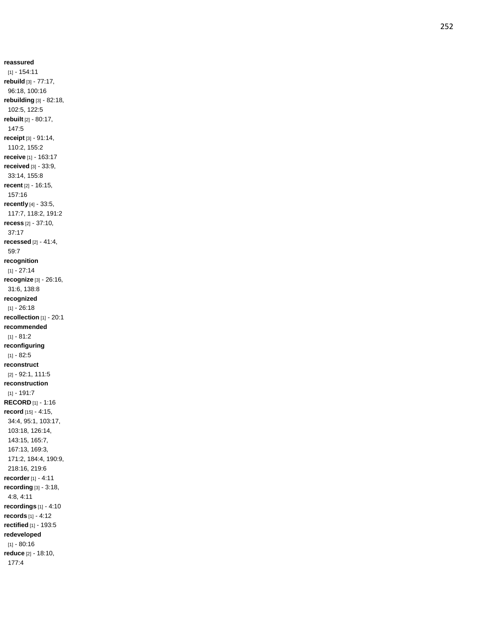**reassured** [1] - 154:11 **rebuild** [3] - 77:17, 96:18, 100:16 **rebuilding** [3] - 82:18, 102:5, 122:5 **rebuilt** [2] - 80:17, 147:5 **receipt** [3] - 91:14, 110:2, 155:2 **receive** [1] - 163:17 **received** [3] - 33:9, 33:14, 155:8 **recent** [2] - 16:15, 157:16 **recently** [4] - 33:5, 117:7, 118:2, 191:2 **recess** [2] - 37:10, 37:17 **recessed** [2] - 41:4, 59:7 **recognition**  $[1] - 27:14$ **recognize** [3] - 26:16, 31:6, 138:8 **recognized**  $[1] - 26:18$ **recollection** [1] - 20:1 **recommended** [1] - 81:2 **reconfiguring** [1] - 82:5 **reconstruct** [2] - 92:1, 111:5 **reconstruction**  $[1] - 191:7$ **RECORD** [1] - 1:16 **record** [15] - 4:15, 34:4, 95:1, 103:17, 103:18, 126:14, 143:15, 165:7, 167:13, 169:3, 171:2, 184:4, 190:9, 218:16, 219:6 **recorder** [1] - 4:11 **recording** [3] - 3:18, 4:8, 4:11 **recordings** [1] - 4:10 **records** [1] - 4:12 **rectified** [1] - 193:5 **redeveloped**  $[1] - 80:16$ **reduce** [2] - 18:10, 177:4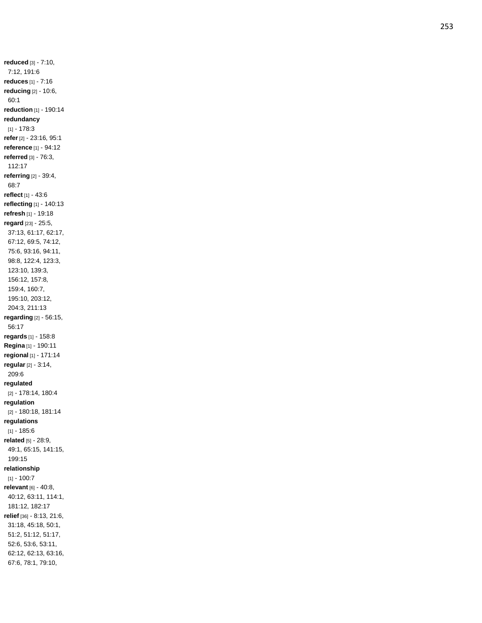**reduced** [3] - 7:10, 7:12, 191:6 **reduces** [1] - 7:16 **reducing** [2] - 10:6, 60:1 **reduction** [1] - 190:14 **redundancy**  $[1] - 178.3$ **refer** [2] - 23:16, 95:1 **reference** [1] - 94:12 **referred** [3] - 76:3, 112:17 **referring** [2] - 39:4, 68:7 **reflect** [1] - 43:6 **reflecting** [1] - 140:13 **refresh** [1] - 19:18 **regard** [23] - 25:5, 37:13, 61:17, 62:17, 67:12, 69:5, 74:12, 75:6, 93:16, 94:11, 98:8, 122:4, 123:3, 123:10, 139:3, 156:12, 157:8, 159:4, 160:7, 195:10, 203:12, 204:3, 211:13 **regarding** [2] - 56:15, 56:17 **regards** [1] - 158:8 **Regina** [1] - 190:11 **regional** [1] - 171:14 **regular** [2] - 3:14, 209:6 **regulated** [2] - 178:14, 180:4 **regulation** [2] - 180:18, 181:14 **regulations**  $[1] - 185:6$ **related** [5] - 28:9, 49:1, 65:15, 141:15, 199:15 **relationship**  $[1] - 100:7$ **relevant** [6] - 40:8, 40:12, 63:11, 114:1, 181:12, 182:17 **relief** [36] - 8:13, 21:6, 31:18, 45:18, 50:1, 51:2, 51:12, 51:17, 52:6, 53:6, 53:11, 62:12, 62:13, 63:16, 67:6, 78:1, 79:10,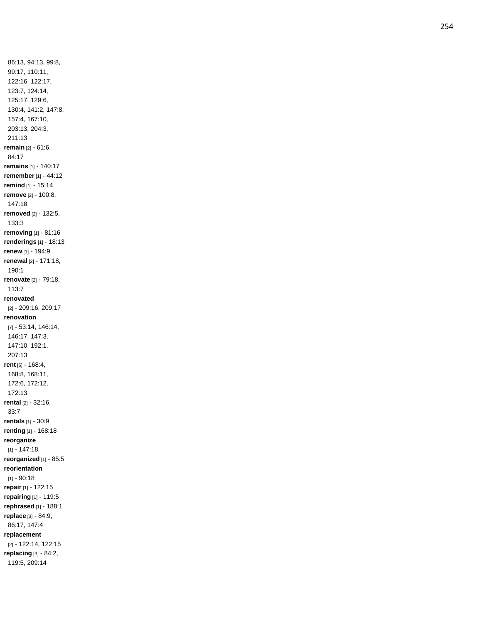86:13, 94:13, 99:8, 99:17, 110:11, 122:16, 122:17, 123:7, 124:14, 125:17, 129:6, 130:4, 141:2, 147:8, 157:4, 167:10, 203:13, 204:3, 211:13 **remain** [2 ] - 61:6, 84:17 **remains** [1] - 140:17 **remember** [1] - 44:12 **remind** [1] - 15:14 **remove** [2] - 100:8, 147:18 **removed** [2] - 132:5, 133:3 **removing** [1] - 81:16 **renderings** [1] - 18:13 **renew** [1] - 194:9 **renewal** [2] - 171:18, 190:1 **renovate** [2] - 79:18, 113:7 **renovated** [2] - 209:16, 209:17 **renovation** [7] - 53:14, 146:14, 146:17, 147:3, 147:10, 192:1, 207:13 **rent** [6] - 168:4, 168:8, 168:11, 172:6, 172:12, 172:13 **rental** [2] - 32:16, 33:7 **rentals** [1] - 30:9 **renting** [1] - 168:18 **reorganize** [1] - 147:18 **reorganized** [1] - 85:5 **reorientation**  $[1] - 90:18$ **repair** [1] - 122:15 **repairing** [1] - 119:5 **rephrased** [1] - 188:1 **replace** [3] - 84:9, 86:17, 147:4 **replacement** [2] - 122:14, 122:15 **replacing** [3] - 84:2, 119:5, 209:14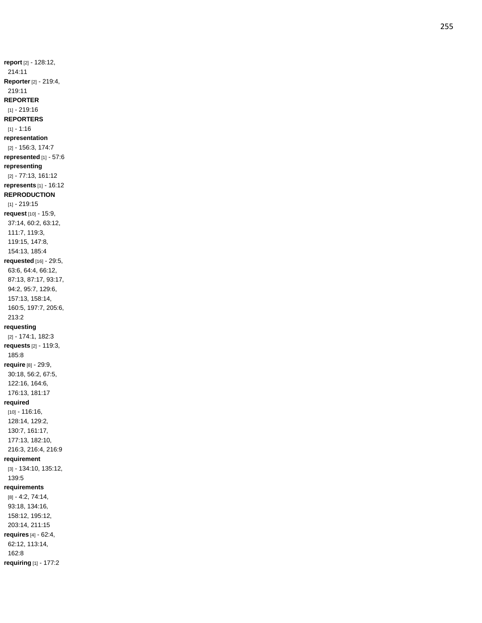**report** [2] - 128:12, 214:11 **Reporter** [2] - 219:4, 219:11 **REPORTER** [1] - 219:16 **REPORTERS** [1] - 1:16 **representation** [2] - 156:3, 174:7 **represented** [1] - 57:6 **representing** [2] - 77:13, 161:12 **represents** [1] - 16:12 **REPRODUCTION** [1] - 219:15 **request** [10] - 15:9, 37:14, 60:2, 63:12, 111:7, 119:3, 119:15, 147:8, 154:13, 185:4 **requested** [16] - 29:5, 63:6, 64:4, 66:12, 87:13, 87:17, 93:17, 94:2, 95:7, 129:6, 157:13, 158:14, 160:5, 197:7, 205:6, 213:2 **requesting** [2] - 174:1, 182:3 **requests** [2] - 119:3, 185:8 **require** [8] - 29:9, 30:18, 56:2, 67:5, 122:16, 164:6, 176:13, 181:17 **required** [10] - 116:16, 128:14, 129:2, 130:7, 161:17, 177:13, 182:10, 216:3, 216:4, 216:9 **requirement** [3] - 134:10, 135:12, 139:5 **requirements** [8] - 4:2, 74:14, 93:18, 134:16, 158:12, 195:12, 203:14, 211:15 **requires** [4] - 62:4, 62:12, 113:14, 162:8 **requiring** [1] - 177:2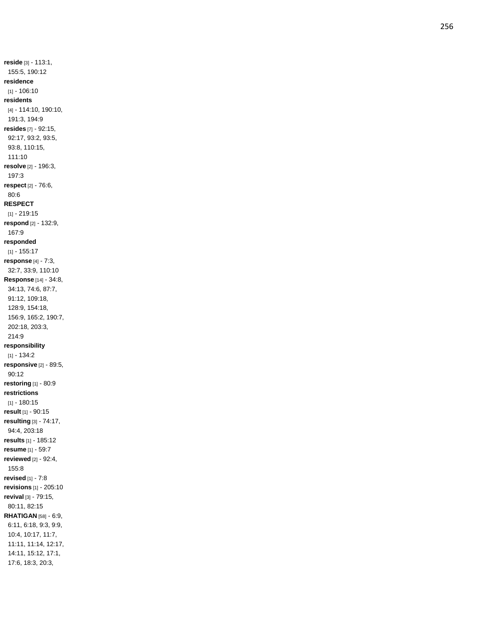**reside** [3] - 113:1, 155:5, 190:12 **residence** [1] - 106:10 **residents** [4] - 114:10, 190:10, 191:3, 194:9 **resides** [7] - 92:15, 92:17, 93:2, 93:5, 93:8, 110:15, 111:10 **resolve** [2] - 196:3, 197:3 **respect** [2] - 76:6, 80:6 **RESPECT** [1] - 219:15 **respond** [2] - 132:9, 167:9 **responded** [1] - 155:17 **response** [4] - 7:3, 32:7, 33:9, 110:10 **Response** [14] - 34:8, 34:13, 74:6, 87:7, 91:12, 109:18, 128:9, 154:18, 156:9, 165:2, 190:7, 202:18, 203:3, 214:9 **responsibility**  $[1] - 134:2$ **responsive** [2] - 89:5, 90:12 **restoring** [1] - 80:9 **restrictions** [1] - 180:15 **result** [1] - 90:15 **resulting** [3] - 74:17, 94:4, 203:18 **results** [1] - 185:12 **resume** [1] - 59:7 **reviewed** [2] - 92:4, 155:8 **revised** [1] - 7:8 **revisions** [1] - 205:10 **revival** [3] - 79:15, 80:11, 82:15 **RHATIGAN** [58] - 6:9, 6:11, 6:18, 9:3, 9:9, 10:4, 10:17, 11:7, 11:11, 11:14, 12:17, 14:11, 15:12, 17:1, 17:6, 18:3, 20:3,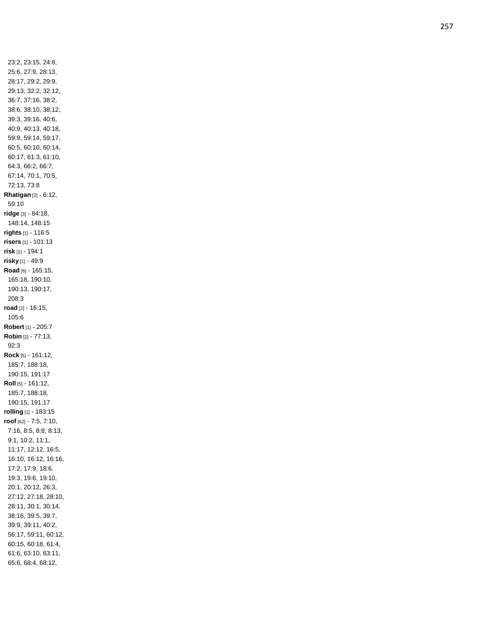23:2, 23:15, 24:8, 25:6, 27:9, 28:13, 28:17, 29:2, 29:9, 29:13, 32:2, 32:12, 36:7, 37:16, 38:2, 38:6, 38:10, 38:12, 39:3, 39:16, 40:6, 40:9, 40:13, 40:18, 59:9, 59:14, 59:17, 60:5, 60:10, 60:14, 60:17, 61:3, 61:10, 64:3, 66:2, 66:7, 67:14, 70:1, 70:5, 72:13, 73:8 **Rhatigan** [2] - 6:12, 59:10 **ridge** [3] - 84:18, 148:14, 148:15 **rights** [1] - 116:5 **risers** [1] - 101:13 **risk** [1] - 194:1 **risky** [1] - 49:9 **Road** [6] - 165:15, 165:18, 190:10, 190:13, 190:17, 208:3 **road** [2] - 16:15, 105:6 **Robert** [1] - 205:7 **Robin** [2] - 77:13, 92:3 **Rock** [5] - 161:12, 185:7, 188:18, 190:15, 191:17 **Roll** [5] - 161:12, 185:7, 188:18, 190:15, 191:17 **rolling** [1] - 183:15 **roof** [62] - 7:5, 7:10, 7:16, 8:5, 8:8, 8:13, 9:1, 10:2, 11:1, 11:17, 12:12, 16:5, 16:10, 16:12, 16:16, 17:2, 17:9, 18:6, 19:3, 19:6, 19:10, 20:1, 20:12, 26:3, 27:12, 27:18, 28:10, 28:11, 30:1, 30:14, 38:16, 39:5, 39:7, 39:9, 39:11, 40:2, 56:17, 59:11, 60:12, 60:15, 60:18, 61:4, 61:6, 63:10, 63:11, 65:6, 68:4, 68:12,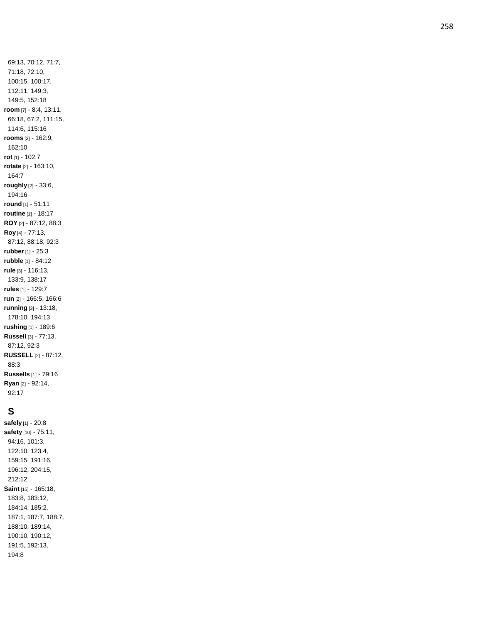69:13, 70:12, 71:7, 71:18, 72:10, 100:15, 100:17, 112:11, 149:3, 149:5, 152:18 **room** [7] - 8:4, 13:11, 66:18, 67:2, 111:15, 114:6, 115:16 **rooms** [2] - 162:9, 162:10 **rot** [1] - 102:7 **rotate** [2] - 163:10, 164:7 **roughly** [2] - 33:6, 194:16 **round** [1] - 51:11 **routine** [1] - 18:17 **ROY** [2] - 87:12, 88:3 **Roy** [4] - 77:13, 87:12, 88:18, 92:3 **rubber** [1] - 25:3 **rubble** [1] - 84:12 **rule** [3] - 116:13, 133:9, 138:17 **rules** [1] - 129:7 **run** [2] - 166:5, 166:6 **running** [3] - 13:18, 178:10, 194:13 **rushing** [1] - 189:6 **Russell** [3] - 77:13, 87:12, 92:3 **RUSSELL** [2] - 87:12, 88:3 **Russells** [1] - 79:16 **Ryan** [2] - 92:14, 92:17

# **S**

**safely** [1] - 20:8 **safety** [10] - 75:11, 94:16, 101:3, 122:10, 123:4, 159:15, 191:16, 196:12, 204:15, 212:12 **Saint** [15] - 165:18, 183:8, 183:12, 184:14, 185:2, 187:1, 187:7, 188:7, 188:10, 189:14, 190:10, 190:12, 191:5, 192:13, 194:8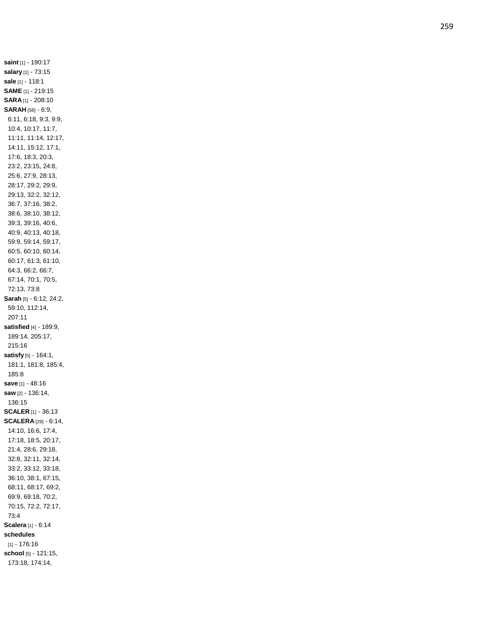**saint** [1] - 190:17 **salary** [1] - 73:15 **sale** [1] - 118:1 **SAME** [1] - 219:15 **SARA** [1] - 208:10 **SARAH** [58] - 6:9, 6:11, 6:18, 9:3, 9:9, 10:4, 10:17, 11:7, 11:11, 11:14, 12:17, 14:11, 15:12, 17:1, 17:6, 18:3, 20:3, 23:2, 23:15, 24:8, 25:6, 27:9, 28:13, 28:17, 29:2, 29:9, 29:13, 32:2, 32:12, 36:7, 37:16, 38:2, 38:6, 38:10, 38:12, 39:3, 39:16, 40:6, 40:9, 40:13, 40:18, 59:9, 59:14, 59:17, 60:5, 60:10, 60:14, 60:17, 61:3, 61:10, 64:3, 66:2, 66:7, 67:14, 70:1, 70:5, 72:13, 73:8 **Sarah** [5] - 6:12, 24:2, 59:10, 112:14, 207:11 **satisfied** [4] - 189:9, 189:14, 205:17, 215:16 **satisfy** [5] - 164:1, 181:1, 181:8, 185:4, 185:8 **save** [1] - 48:16 **saw** [2] - 136:14, 136:15 **SCALER** [1] - 36:13 **SCALERA** [29] - 6:14, 14:10, 16:6, 17:4, 17:18, 18:5, 20:17, 21:4, 28:6, 29:18, 32:8, 32:11, 32:14, 33:2, 33:12, 33:18, 36:10, 38:1, 67:15, 68:11, 68:17, 69:2, 69:9, 69:18, 70:2, 70:15, 72:2, 72:17, 73:4 **Scalera** [1] - 6:14 **schedules** [1] - 176:16 **school** [5] - 121:15, 173:18, 174:14,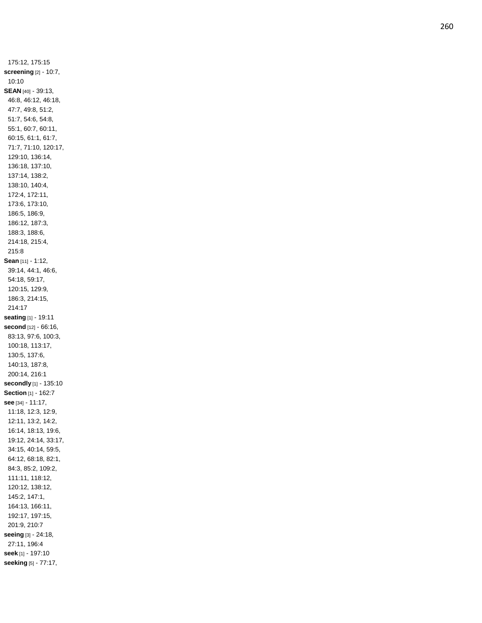175:12, 175:15 **screening** [2] - 10:7, 10:10 **SEAN** [40] - 39:13, 46:8, 46:12, 46:18, 47:7, 49:8, 51:2, 51:7, 54:6, 54:8, 55:1, 60:7, 60:11, 60:15, 61:1, 61:7, 71:7, 71:10, 120:17, 129:10, 136:14, 136:18, 137:10, 137:14, 138:2, 138:10, 140:4, 172:4, 172:11, 173:6, 173:10, 186:5, 186:9, 186:12, 187:3, 188:3, 188:6, 214:18, 215:4, 215:8 **Sean** [11] - 1:12, 39:14, 44:1, 46:6, 54:18, 59:17, 120:15, 129:9, 186:3, 214:15, 214:17 **seating** [1] - 19:11 **second** [12] - 66:16, 83:13, 97:6, 100:3, 100:18, 113:17, 130:5, 137:6, 140:13, 187:8, 200:14, 216:1 **secondly** [1] - 135:10 **Section** [1] - 162:7 **see** [34] - 11:17, 11:18, 12:3, 12:9, 12:11, 13:2, 14:2, 16:14, 18:13, 19:6, 19:12, 24:14, 33:17, 34:15, 40:14, 59:5, 64:12, 68:18, 82:1, 84:3, 85:2, 109:2, 111:11, 118:12, 120:12, 138:12, 145:2, 147:1, 164:13, 166:11, 192:17, 197:15, 201:9, 210:7 **seeing** [3] - 24:18, 27:11, 196:4 **seek** [1] - 197:10 **seeking** [5] - 77:17,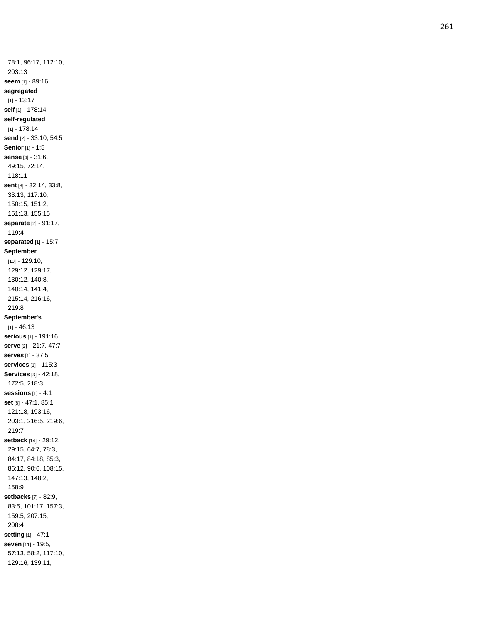78:1, 96:17, 112:10, 203:13 **seem** [1] - 89:16 **segregated**  $[1] - 13.17$ **self** [1] - 178:14 **self -regulated** [1] - 178:14 **send** [2] - 33:10, 54:5 **Senior** [1] - 1:5 **sense** [4] - 31:6, 49:15, 72:14, 118:11 **sent** [8] - 32:14, 33:8, 33:13, 117:10, 150:15, 151:2, 151:13, 155:15 **separate** [2] - 91:17, 119:4 **separated** [1] - 15:7 **September** [10] - 129:10, 129:12, 129:17, 130:12, 140:8, 140:14, 141:4, 215:14, 216:16, 219:8 **September's**  $[1] - 46:13$ **serious** [1] - 191:16 **serve** [2] - 21:7, 47:7 **serves** [1] - 37:5 **services** [1] - 115:3 **Services** [3] - 42:18, 172:5, 218:3 **sessions** [1] - 4:1 **set** [8] - 47:1, 85:1, 121:18, 193:16, 203:1, 216:5, 219:6, 219:7 **setback** [14] - 29:12, 29:15, 64:7, 78:3, 84:17, 84:18, 85:3, 86:12, 90:6, 108:15, 147:13, 148:2, 158:9 **setbacks** [7] - 82:9, 83:5, 101:17, 157:3, 159:5, 207:15, 208:4 **setting** [1] - 47:1 **seven** [11] - 19:5, 57:13, 58:2, 117:10, 129:16, 139:11,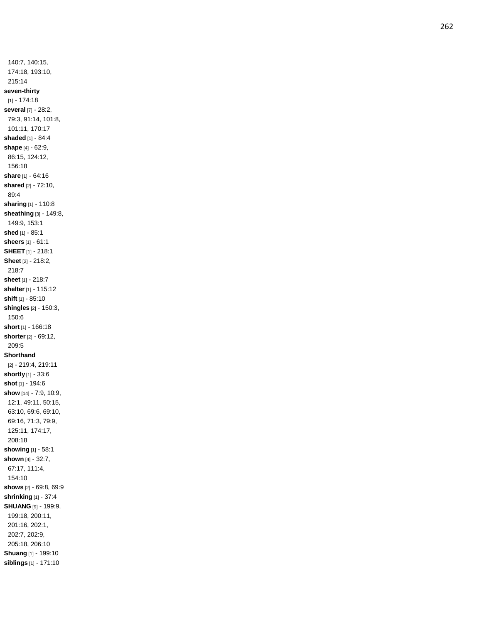140:7, 140:15, 174:18, 193:10, 215:14 **seven -thirty** [1] - 174:18 **several** [7] - 28:2, 79:3, 91:14, 101:8, 101:11, 170:17 **shaded** [1] - 84:4 **shape** [4] - 62:9, 86:15, 124:12, 156:18 **share** [1] - 64:16 **shared** [2] - 72:10, 89:4 **sharing** [1] - 110:8 **sheathing** [3] - 149:8, 149:9, 153:1 **shed** [1] - 85:1 **sheers** [1] - 61:1 **SHEET** [1] - 218:1 **Sheet** [2] - 218:2, 218:7 **sheet** [1] - 218:7 **shelter** [1] - 115:12 **shift** [1] - 85:10 **shingles** [2] - 150:3, 150:6 **short** [1] - 166:18 **shorter** [2] - 69:12, 209:5 **Shorthand** [2] - 219:4, 219:11 **shortly** [1] - 33:6 **shot** [1] - 194:6 **show** [14] - 7:9, 10:9, 12:1, 49:11, 50:15, 63:10, 69:6, 69:10, 69:16, 71:3, 79:9, 125:11, 174:17, 208:18 **showing** [1] - 58:1 **shown** [4] - 32:7, 67:17, 111:4, 154:10 **shows** [2] - 69:8, 69:9 **shrinking** [1] - 37:4 **SHUANG** [9] - 199:9, 199:18, 200:11, 201:16, 202:1, 202:7, 202:9, 205:18, 206:10 **Shuang** [1] - 199:10 **siblings** [1] - 171:10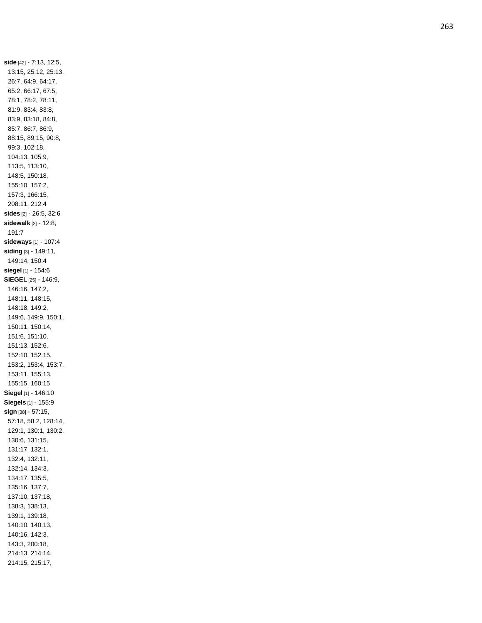**side** [42] - 7:13, 12:5, 13:15, 25:12, 25:13, 26:7, 64:9, 64:17, 65:2, 66:17, 67:5, 78:1, 78:2, 78:11, 81:9, 83:4, 83:8, 83:9, 83:18, 84:8, 85:7, 86:7, 86:9, 88:15, 89:15, 90:8, 99:3, 102:18, 104:13, 105:9, 113:5, 113:10, 148:5, 150:18, 155:10, 157:2, 157:3, 166:15, 208:11, 212:4 **sides** [2] - 26:5, 32:6 **sidewalk** [2] - 12:8, 191:7 **sideways** [1] - 107:4 **siding** [3] - 149:11, 149:14, 150:4 **siegel** [1] - 154:6 **SIEGEL** [25] - 146:9, 146:16, 147:2, 148:11, 148:15, 148:18, 149:2, 149:6, 149:9, 150:1, 150:11, 150:14, 151:6, 151:10, 151:13, 152:6, 152:10, 152:15, 153:2, 153:4, 153:7, 153:11, 155:13, 155:15, 160:15 **Siegel** [1] - 146:10 **Siegels** [1] - 155:9 **sign** [38] - 57:15, 57:18, 58:2, 128:14, 129:1, 130:1, 130:2, 130:6, 131:15, 131:17, 132:1, 132:4, 132:11, 132:14, 134:3, 134:17, 135:5, 135:16, 137:7, 137:10, 137:18, 138:3, 138:13, 139:1, 139:18, 140:10, 140:13, 140:16, 142:3, 143:3, 200:18, 214:13, 214:14, 214:15, 215:17,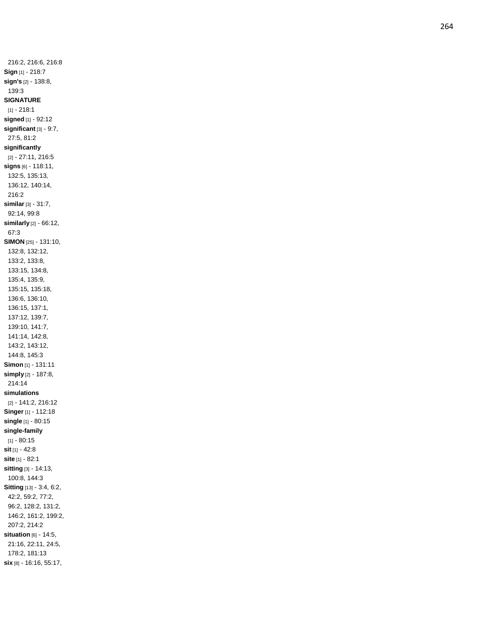216:2, 216:6, 216:8 **Sign** [1] - 218:7 **sign's** [2] - 138:8, 139:3 **SIGNATURE** [1] - 218:1 **signed** [1] - 92:12 **significant** [3] - 9:7, 27:5, 81:2 **significantly** [2] - 27:11, 216:5 **signs** [6] - 118:11, 132:5, 135:13, 136:12, 140:14, 216:2 **similar** [3] - 31:7, 92:14, 99:8 **similarly** [2] - 66:12, 67:3 **SIMON** [25] - 131:10, 132:8, 132:12, 133:2, 133:8, 133:15, 134:8, 135:4, 135:9, 135:15, 135:18, 136:6, 136:10, 136:15, 137:1, 137:12, 139:7, 139:10, 141:7, 141:14, 142:8, 143:2, 143:12, 144:8, 145:3 **Simon** [1] - 131:11 **simply** [2] - 187:8, 214:14 **simulations** [2] - 141:2, 216:12 **Singer** [1] - 112:18 **single** [1] - 80:15 **single -family**  $[1] - 80:15$ **sit** [1] - 42:8 **site** [1] - 82:1 **sitting** [3] - 14:13, 100:8, 144:3 **Sitting** [13] - 3:4, 6:2, 42:2, 59:2, 77:2, 96:2, 128:2, 131:2, 146:2, 161:2, 199:2, 207:2, 214:2 **situation** [6] - 14:5, 21:16, 22:11, 24:5, 178:2, 181:13 **six** [8] - 16:16, 55:17,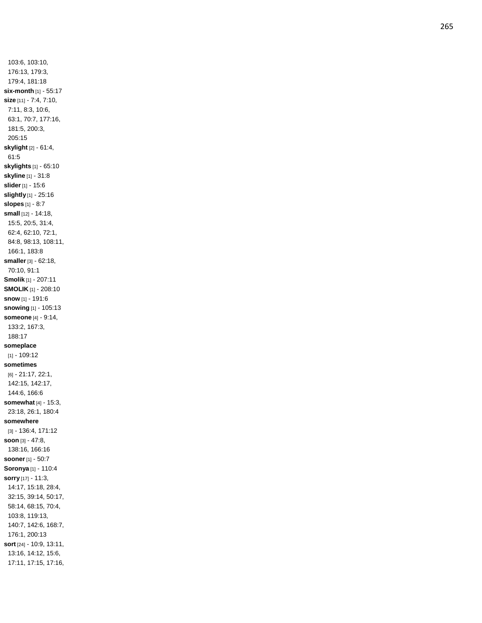103:6, 103:10, 176:13, 179:3, 179:4, 181:18 **six -month** [1] - 55:17 **size** [11] - 7:4, 7:10, 7:11, 8:3, 10:6, 63:1, 70:7, 177:16, 181:5, 200:3, 205:15 **skylight** [2] - 61:4, 61:5 **skylights** [1] - 65:10 **skyline** [1] - 31:8 **slider** [1] - 15:6 **slightly** [1] - 25:16 **slopes** [1] - 8:7 **small** [12] - 14:18, 15:5, 20:5, 31:4, 62:4, 62:10, 72:1, 84:8, 98:13, 108:11, 166:1, 183:8 **smaller** [3] - 62:18, 70:10, 91:1 **Smolik** [1] - 207:11 **SMOLIK** [1] - 208:10 **snow** [1] - 191:6 **snowing** [1] - 105:13 **someone** [4] - 9:14, 133:2, 167:3, 188:17 **someplace** [1] - 109:12 **sometimes** [6] - 21:17, 22:1, 142:15, 142:17, 144:6, 166:6 **somewhat** [4] - 15:3, 23:18, 26:1, 180:4 **somewhere** [3] - 136:4, 171:12 **soon** [3] - 47:8, 138:16, 166:16 **sooner** [1] - 50:7 **Soronya** [1] - 110:4 **sorry** [17] - 11:3, 14:17, 15:18, 28:4, 32:15, 39:14, 50:17, 58:14, 68:15, 70:4, 103:8, 119:13, 140:7, 142:6, 168:7, 176:1, 200:13 **sort** [24] - 10:9, 13:11, 13:16, 14:12, 15:6, 17:11, 17:15, 17:16,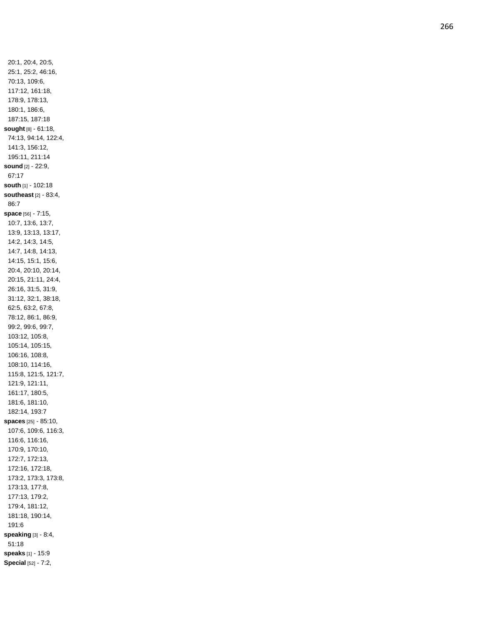20:1, 20:4, 20:5, 25:1, 25:2, 46:16, 70:13, 109:6, 117:12, 161:18, 178:9, 178:13, 180:1, 186:6, 187:15, 187:18 **sought** [8] - 61:18, 74:13, 94:14, 122:4, 141:3, 156:12, 195:11, 211:14 **sound** [2] - 22:9, 67:17 **south** [1] - 102:18 **southeast** [2] - 83:4, 86:7 **space** [56] - 7:15, 10:7, 13:6, 13:7, 13:9, 13:13, 13:17, 14:2, 14:3, 14:5, 14:7, 14:8, 14:13, 14:15, 15:1, 15:6, 20:4, 20:10, 20:14, 20:15, 21:11, 24:4, 26:16, 31:5, 31:9, 31:12, 32:1, 38:18, 62:5, 63:2, 67:8, 78:12, 86:1, 86:9, 99:2, 99:6, 99:7, 103:12, 105:8, 105:14, 105:15, 106:16, 108:8, 108:10, 114:16, 115:8, 121:5, 121:7, 121:9, 121:11, 161:17, 180:5, 181:6, 181:10, 182:14, 193:7 **spaces** [25] - 85:10, 107:6, 109:6, 116:3, 116:6, 116:16, 170:9, 170:10, 172:7, 172:13, 172:16, 172:18, 173:2, 173:3, 173:8, 173:13, 177:8, 177:13, 179:2, 179:4, 181:12, 181:18, 190:14, 191:6 **speaking** [3] - 8:4, 51:18 **speaks** [1] - 15:9 **Special** [52] - 7:2,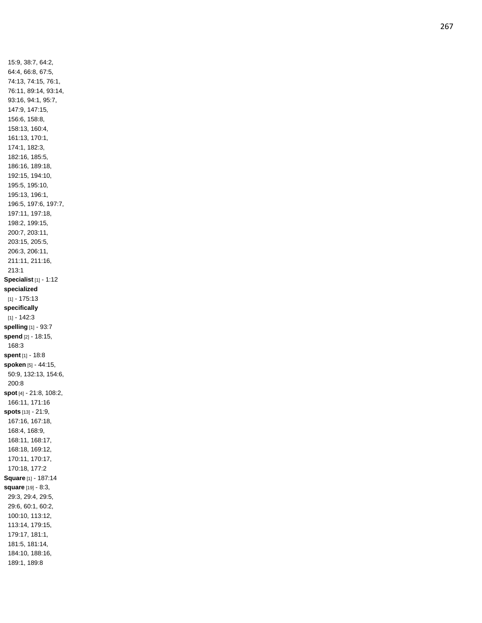15:9, 38:7, 64:2, 64:4, 66:8, 67:5, 74:13, 74:15, 76:1, 76:11, 89:14, 93:14, 93:16, 94:1, 95:7, 147:9, 147:15, 156:6, 158:8, 158:13, 160:4, 161:13, 170:1, 174:1, 182:3, 182:16, 185:5, 186:16, 189:18, 192:15, 194:10, 195:5, 195:10, 195:13, 196:1, 196:5, 197:6, 197:7, 197:11, 197:18, 198:2, 199:15, 200:7, 203:11, 203:15, 205:5, 206:3, 206:11, 211:11, 211:16, 213:1 **Specialist** [1] - 1:12 **specialized** [1] - 175:13 **specifically**  $[1] - 142:3$ **spelling** [1] - 93:7 **spend** [2] - 18:15, 168:3 **spent** [1] - 18:8 **spoken** [5] - 44:15, 50:9, 132:13, 154:6, 200:8 **spot** [4] - 21:8, 108:2, 166:11, 171:16 **spots** [13] - 21:9, 167:16, 167:18, 168:4, 168:9, 168:11, 168:17, 168:18, 169:12, 170:11, 170:17, 170:18, 177:2 **Square** [1] - 187:14 **square** [19] - 8:3, 29:3, 29:4, 29:5, 29:6, 60:1, 60:2, 100:10, 113:12, 113:14, 179:15, 179:17, 181:1, 181:5, 181:14, 184:10, 188:16, 189:1, 189:8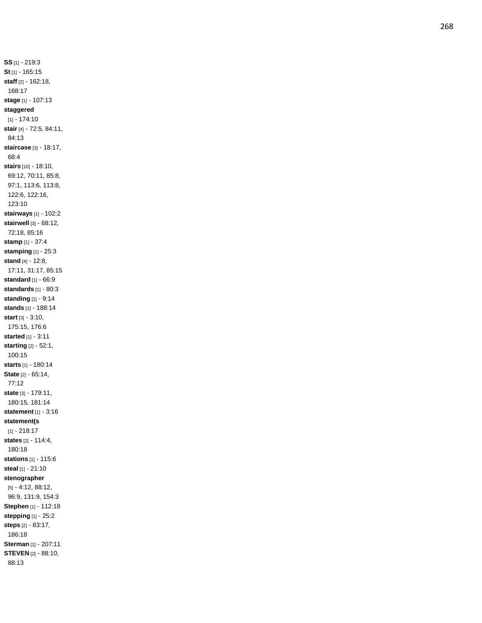**SS** [1] - 219:3 **St** [1] - 165:15 **staff** [2] - 162:18, 168:17 **stage** [1] - 107:13 **staggered** [1] - 174:10 **stair** [4] - 72:5, 84:11, 84:13 **staircase** [3] - 18:17, 68:4 **stairs** [10] - 18:10, 69:12, 70:11, 85:8, 97:1, 113:6, 113:8, 122:6, 122:16, 123:10 **stairways** [1] - 102:2 **stairwell** [3] - 68:12, 72:18, 85:16 **stamp** [1] - 37:4 **stamping** [1] - 25:3 **stand** [4] - 12:8, 17:11, 31:17, 85:15 **standard** [1] - 66:9 **standards** [1] - 80:3 **standing** [1] - 9:14 **stands** [1] - 188:14 **start** [3] - 3:10, 175:15, 176:6 **started** [1] - 3:11 **starting** [2] - 52:1, 100:15 **starts** [1] - 180:14 **State** [2] - 65:14, 77:12 **state** [3] - 179:11, 180:15, 181:14 **statement** [1] - 3:16 **statement(s** [1] - 218:17 **states** [2] - 114:4, 180:18 **stations** [1] - 115:6 **steal** [1] - 21:10 **stenographer** [5] - 4:12, 88:12, 96:9, 131:9, 154:3 **Stephen** [1] - 112:18 **stepping** [1] - 25:2 **steps** [2] - 83:17, 186:18 **Sterman** [1] - 207:11 **STEVEN** [2] - 88:10, 88:13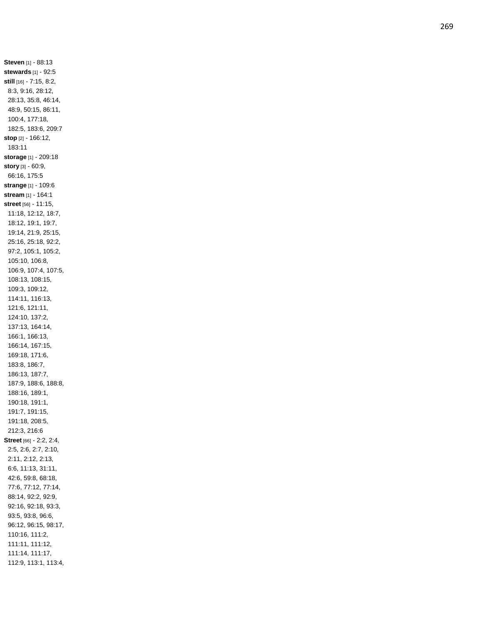**Steven** [1] - 88:13 **stewards** [1] - 92:5 **still** [16] - 7:15, 8:2, 8:3, 9:16, 28:12, 28:13, 35:8, 46:14, 48:9, 50:15, 86:11, 100:4, 177:18, 182:5, 183:6, 209:7 **stop** [2] - 166:12, 183:11 **storage** [1] - 209:18 **story** [3] - 60:9, 66:16, 175:5 **strange** [1] - 109:6 **stream** [1] - 164:1 **street** [56] - 11:15, 11:18, 12:12, 18:7, 18:12, 19:1, 19:7, 19:14, 21:9, 25:15, 25:16, 25:18, 92:2, 97:2, 105:1, 105:2, 105:10, 106:8, 106:9, 107:4, 107:5, 108:13, 108:15, 109:3, 109:12, 114:11, 116:13, 121:6, 121:11, 124:10, 137:2, 137:13, 164:14, 166:1, 166:13, 166:14, 167:15, 169:18, 171:6, 183:8, 186:7, 186:13, 187:7, 187:9, 188:6, 188:8, 188:16, 189:1, 190:18, 191:1, 191:7, 191:15, 191:18, 208:5, 212:3, 216:6 **Street** [66] - 2:2, 2:4, 2:5, 2:6, 2:7, 2:10, 2:11, 2:12, 2:13, 6:6, 11:13, 31:11, 42:6, 59:8, 68:18, 77:6, 77:12, 77:14, 88:14, 92:2, 92:9, 92:16, 92:18, 93:3, 93:5, 93:8, 96:6, 96:12, 96:15, 98:17, 110:16, 111:2, 111:11, 111:12, 111:14, 111:17, 112:9, 113:1, 113:4,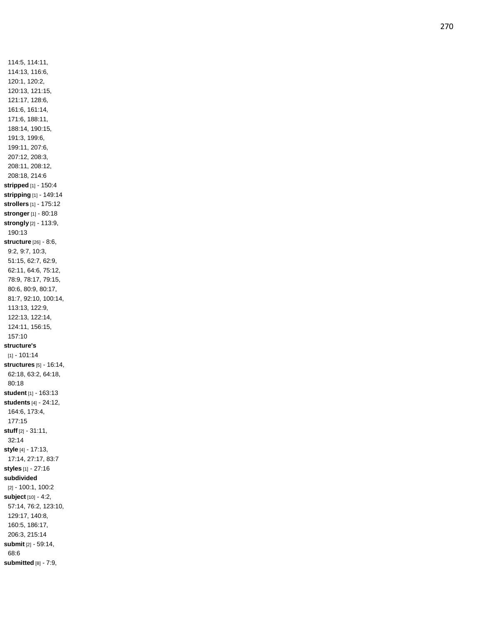114:5, 114:11, 114:13, 116:6, 120:1, 120:2, 120:13, 121:15, 121:17, 128:6, 161:6, 161:14, 171:6, 188:11, 188:14, 190:15, 191:3, 199:6, 199:11, 207:6, 207:12, 208:3, 208:11, 208:12, 208:18, 214:6 **stripped** [1] - 150:4 **stripping** [1] - 149:14 **strollers** [1] - 175:12 **stronger** [1] - 80:18 **strongly** [2] - 113:9, 190:13 **structure** [26] - 8:6, 9:2, 9:7, 10:3, 51:15, 62:7, 62:9, 62:11, 64:6, 75:12, 78:9, 78:17, 79:15, 80:6, 80:9, 80:17, 81:7, 92:10, 100:14, 113:13, 122:9, 122:13, 122:14, 124:11, 156:15, 157:10 **structure's** [1] - 101:14 **structures** [5] - 16:14, 62:18, 63:2, 64:18, 80:18 **student** [1] - 163:13 **students** [4] - 24:12, 164:6, 173:4, 177:15 **stuff** [2] - 31:11, 32:14 **style** [4] - 17:13, 17:14, 27:17, 83:7 **styles** [1] - 27:16 **subdivided** [2] - 100:1, 100:2 **subject** [10] - 4:2, 57:14, 76:2, 123:10, 129:17, 140:8, 160:5, 186:17, 206:3, 215:14 **submit** [2] - 59:14, 68:6 **submitted** [8] - 7:9,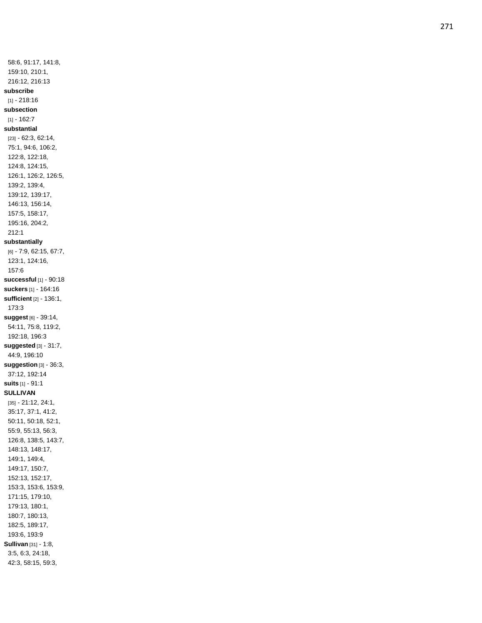58:6, 91:17, 141:8, 159:10, 210:1, 216:12, 216:13 **subscribe** [1] - 218:16 **subsection**  $[1] - 162:7$ **substantial** [23] - 62:3, 62:14, 75:1, 94:6, 106:2, 122:8, 122:18, 124:8, 124:15, 126:1, 126:2, 126:5, 139:2, 139:4, 139:12, 139:17, 146:13, 156:14, 157:5, 158:17, 195:16, 204:2, 212:1 **substantially** [6] - 7:9, 62:15, 67:7, 123:1, 124:16, 157:6 **successful** [1] - 90:18 **suckers** [1] - 164:16 **sufficient** [2] - 136:1, 173:3 **suggest** [6] - 39:14, 54:11, 75:8, 119:2, 192:18, 196:3 **suggested** [3] - 31:7, 44:9, 196:10 **suggestion** [3] - 36:3, 37:12, 192:14 **suits** [1] - 91:1 **SULLIVAN** [35] - 21:12, 24:1, 35:17, 37:1, 41:2, 50:11, 50:18, 52:1, 55:9, 55:13, 56:3, 126:8, 138:5, 143:7, 148:13, 148:17, 149:1, 149:4, 149:17, 150:7, 152:13, 152:17, 153:3, 153:6, 153:9, 171:15, 179:10, 179:13, 180:1, 180:7, 180:13, 182:5, 189:17, 193:6, 193:9 **Sullivan** [31] - 1:8, 3:5, 6:3, 24:18, 42:3, 58:15, 59:3,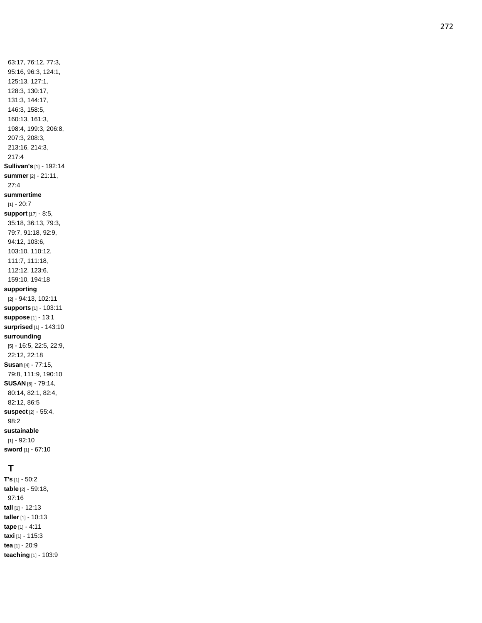63:17, 76:12, 77:3, 95:16, 96:3, 124:1, 125:13, 127:1, 128:3, 130:17, 131:3, 144:17, 146:3, 158:5, 160:13, 161:3, 198:4, 199:3, 206:8, 207:3, 208:3, 213:16, 214:3, 217:4 **Sullivan's** [1] - 192:14 **summer** [2] - 21:11, 27:4 **summertime** [1] - 20:7 **support** [17] - 8:5, 35:18, 36:13, 79:3, 79:7, 91:18, 92:9, 94:12, 103:6, 103:10, 110:12, 111:7, 111:18, 112:12, 123:6, 159:10, 194:18 **supporting** [2] - 94:13, 102:11 **supports** [1] - 103:11 **suppose** [1] - 13:1 **surprised** [1] - 143:10 **surrounding** [5] - 16:5, 22:5, 22:9, 22:12, 22:18 **Susan** [4] - 77:15, 79:8, 111:9, 190:10 **SUSAN** [6] - 79:14, 80:14, 82:1, 82:4, 82:12, 86:5 **suspect** [2] - 55:4, 98:2 **sustainable** [1] - 92:10 **sword** [1] - 67:10

#### **T**

**T's** [1] - 50:2 **table** [2] - 59:18, 97:16 **tall** [1] - 12:13 **taller** [1] - 10:13 **tape** [1] - 4:11 **taxi** [1] - 115:3 **tea** [1] - 20:9 **teaching** [1] - 103:9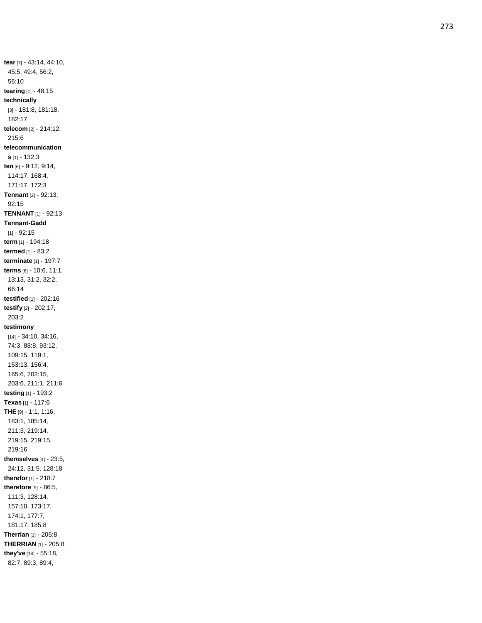**tear** [7] - 43:14, 44:10, 45:5, 49:4, 56:2, 56:10 **tearing** [1] - 48:15 **technically** [3] - 181:8, 181:18, 182:17 **telecom** [2] - 214:12, 215:6 **telecommunication s** [1] - 132:3 **ten** [6] - 9:12, 9:14, 114:17, 168:4, 171:17, 172:3 **Tennant** [2] - 92:13, 92:15 **TENNANT** [1] - 92:13 **Tennant -Gadd** [1] - 92:15 **term** [1] - 194:18 **termed** [1] - 83:2 **terminate** [1] - 197:7 **terms** [6] - 10:6, 11:1, 13:13, 31:2, 32:2, 66:14 **testified** [1] - 202:16 **testify** [2] - 202:17, 203:2 **testimony** [14] - 34:10, 34:16, 74:3, 88:8, 93:12, 109:15, 119:1, 153:13, 156:4, 165:6, 202:15, 203:6, 211:1, 211:6 **testing** [1] - 193:2 **Texas** [1] - 117:6 **THE** [9] - 1:1, 1:16, 183:1, 185:14, 211:3, 219:14, 219:15, 219:15, 219:16 **themselves** [4 ] - 23:5, 24:12, 31:5, 128:18 **therefor** [1] - 218:7 **therefore** [9] - 86:5, 111:3, 128:14, 157:10, 173:17, 174:1, 177:7, 181:17, 185:8 **Therrian** [1] - 205:8 **THERRIAN** [1] - 205:8 **they've** [14] - 55:18, 82:7, 89:3, 89:4,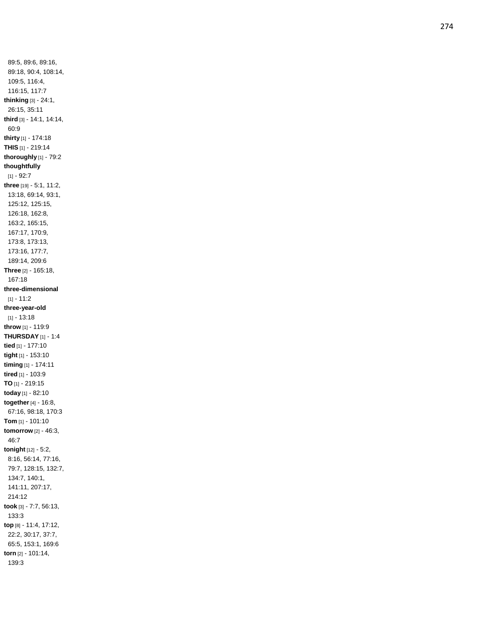89:5, 89:6, 89:16, 89:18, 90:4, 108:14, 109:5, 116:4, 116:15, 117:7 **thinking** [3] - 24:1, 26:15, 35:11 **third** [3] - 14:1, 14:14, 60:9 **thirty** [1] - 174:18 **THIS** [1] - 219:14 **thoroughly** [1] - 79:2 **thoughtfully** [1] - 92:7 **three** [19] - 5:1, 11:2, 13:18, 69:14, 93:1, 125:12, 125:15, 126:18, 162:8, 163:2, 165:15, 167:17, 170:9, 173:8, 173:13, 173:16, 177:7, 189:14, 209:6 **Three** [2] - 165:18, 167:18 **three -dimensional** [1] - 11:2 **three -year -old**  $[1] - 13:18$ **throw** [1] - 119:9 **THURSDAY** [1] - 1:4 **tied** [1] - 177:10 **tight** [1] - 153:10 **timing** [1] - 174:11 **tired** [1] - 103:9 **TO** [1] - 219:15 **today** [1] - 82:10 **together** [4] - 16:8, 67:16, 98:18, 170:3 **Tom** [1] - 101:10 **tomorrow** [2] - 46:3, 46:7 **tonight** [12] - 5:2, 8:16, 56:14, 77:16, 79:7, 128:15, 132:7, 134:7, 140:1, 141:11, 207:17, 214:12 **took** [3] - 7:7, 56:13, 133:3 **top** [8] - 11:4, 17:12, 22:2, 30:17, 37:7, 65:5, 153:1, 169:6 **torn** [2] - 101:14, 139:3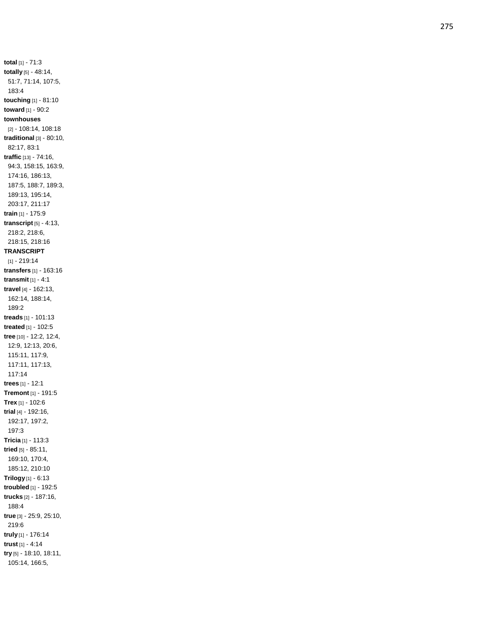**total** [1] - 71:3 **totally** [5] - 48:14, 51:7, 71:14, 107:5, 183:4 **touching** [1] - 81:10 **toward** [1] - 90:2 **townhouses** [2] - 108:14, 108:18 **traditional** [3] - 80:10, 82:17, 83:1 **traffic** [13] - 74:16, 94:3, 158:15, 163:9, 174:16, 186:13, 187:5, 188:7, 189:3, 189:13, 195:14, 203:17, 211:17 **train** [1] - 175:9 **transcript** [5] - 4:13, 218:2, 218:6, 218:15, 218:16 **TRANSCRIPT** [1] - 219:14 **transfers** [1] - 163:16 **transmit** [1] - 4:1 **travel** [4] - 162:13, 162:14, 188:14, 189:2 **treads** [1] - 101:13 **treated** [1] - 102:5 **tree** [10] - 12:2, 12:4, 12:9, 12:13, 20:6, 115:11, 117:9, 117:11, 117:13, 117:14 **trees** [1] - 12:1 **Tremont** [1] - 191:5 **Trex** [1] - 102:6 **trial** [4] - 192:16, 192:17, 197:2, 197:3 **Tricia** [1] - 113:3 **tried** [5] - 85:11, 169:10, 170:4, 185:12, 210:10 **Trilogy** [1] - 6:13 **troubled** [1] - 192:5 **trucks** [2] - 187:16, 188:4 **true** [3] - 25:9, 25:10, 219:6 **truly** [1] - 176:14 **trust** [1] - 4:14 **try** [5] - 18:10, 18:11, 105:14, 166:5,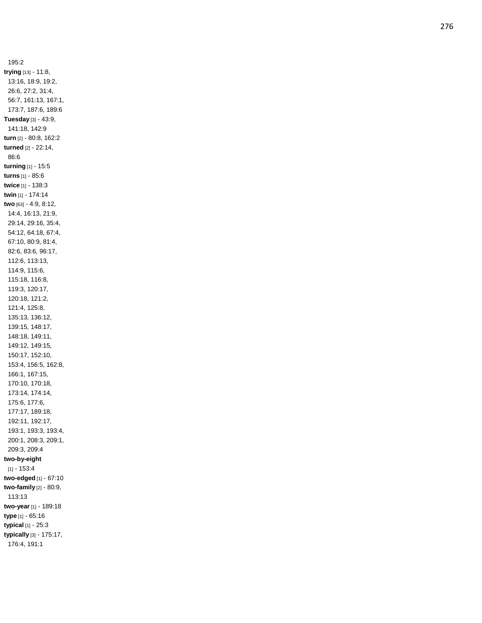195:2 **trying** [13] - 11:8, 13:16, 18:9, 19:2, 26:6, 27:2, 31:4, 56:7, 161:13, 167:1, 173:7, 187:6, 189:6 **Tuesday** [3] - 43:9, 141:18, 142:9 **turn** [2] - 80:8, 162:2 **turned** [2] - 22:14, 86:6 **turning** [1] - 15:5 **turns** [1] - 85:6 **twice** [1] - 138:3 **twin** [1] - 174:14 **two** [63] - 4:9, 8:12, 14:4, 16:13, 21:9, 29:14, 29:16, 35:4, 54:12, 64:18, 67:4, 67:10, 80:9, 81:4, 82:6, 83:6, 96:17, 112:6, 113:13, 114:9, 115:6, 115:18, 116:8, 119:3, 120:17, 120:18, 121:2, 121:4, 125:8, 135:13, 136:12, 139:15, 148:17, 148:18, 149:11, 149:12, 149:15, 150:17, 152:10, 153:4, 156:5, 162:8, 166:1, 167:15, 170:10, 170:18, 173:14, 174:14, 175:6, 177:6, 177:17, 189:18, 192:11, 192:17, 193:1, 193:3, 193:4, 200:1, 208:3, 209:1, 209:3, 209:4 **two -by-eight**  $[1] - 153:4$ **two -edged** [1] - 67:10 **two -family** [2] - 80:9, 113:13 **two -year** [1] - 189:18 **type** [1] - 65:16 **typical** [1] - 25:3 **typically** [3] - 175:17, 176:4, 191:1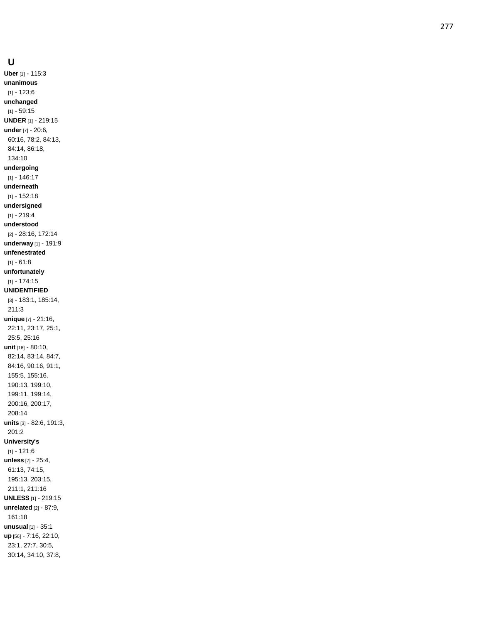**Uber** [1] - 115:3 **unanimous** [1] - 123:6 **unchanged** [1] - 59:15 **UNDER** [1] - 219:15 **under** [7] - 20:6, 60:16, 78:2, 84:13, 84:14, 86:18, 134:10 **undergoing** [1] - 146:17 **underneath** [1] - 152:18 **undersigned** [1] - 219:4 **understood** [2] - 28:16, 172:14 **underway** [1] - 191:9 **unfenestrated** [1] - 61:8 **unfortunately** [1] - 174:15 **UNIDENTIFIED** [3] - 183:1, 185:14, 211:3 **unique** [7] - 21:16, 22:11, 23:17, 25:1, 25:5, 25:16 **unit** [16] - 80:10, 82:14, 83:14, 84:7, 84:16, 90:16, 91:1, 155:5, 155:16, 190:13, 199:10, 199:11, 199:14, 200:16, 200:17, 208:14 **units** [3] - 82:6, 191:3, 201:2 **University's**  $[1] - 121:6$ **unless** [7] - 25:4, 61:13, 74:15, 195:13, 203:15, 211:1, 211:16 **UNLESS** [1] - 219:15 **unrelated** [2] - 87:9, 161:18 **unusual** [1] - 35:1 **up** [56] - 7:16, 22:10, 23:1, 27:7, 30:5, 30:14, 34:10, 37:8,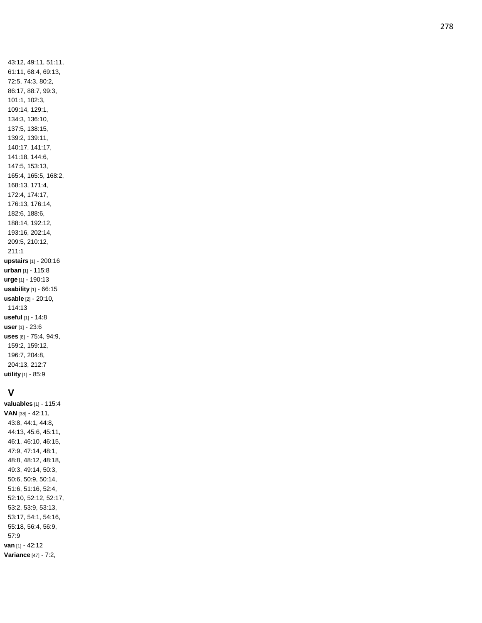43:12, 49:11, 51:11, 61:11, 68:4, 69:13, 72:5, 74:3, 80:2, 86:17, 88:7, 99:3, 101:1, 102:3, 109:14, 129:1, 134:3, 136:10, 137:5, 138:15, 139:2, 139:11, 140:17, 141:17, 141:18, 144:6, 147:5, 153:13, 165:4, 165:5, 168:2, 168:13, 171:4, 172:4, 174:17, 176:13, 176:14, 182:6, 188:6, 188:14, 192:12, 193:16, 202:14, 209:5, 210:12, 211:1 **upstairs** [1] - 200:16 **urban** [1] - 115:8 **urge** [1] - 190:13 **usability** [1] - 66:15 **usable** [2] - 20:10, 114:13 **useful** [1] - 14:8 **user** [1] - 23:6 **uses** [8] - 75:4, 94:9, 159:2, 159:12, 196:7, 204:8, 204:13, 212:7 **utility** [1] - 85:9

#### **V**

**valuables** [1] - 115:4 **VAN** [38] - 42:11, 43:8, 44:1, 44:8, 44:13, 45:6, 45:11, 46:1, 46:10, 46:15, 47:9, 47:14, 48:1, 48:8, 48:12, 48:18, 49:3, 49:14, 50:3, 50:6, 50:9, 50:14, 51:6, 51:16, 52:4, 52:10, 52:12, 52:17, 53:2, 53:9, 53:13, 53:17, 54:1, 54:16, 55:18, 56:4, 56:9, 57:9 **van** [1] - 42:12 **Variance** [47] - 7:2,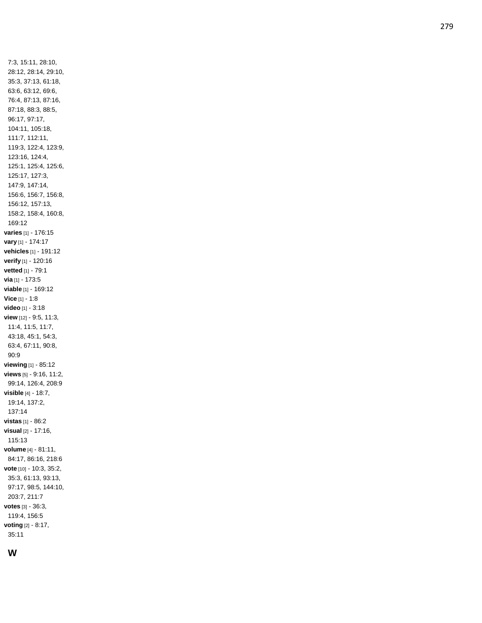7:3, 15:11, 28:10, 28:12, 28:14, 29:10, 35:3, 37:13, 61:18, 63:6, 63:12, 69:6, 76:4, 87:13, 87:16, 87:18, 88:3, 88:5, 96:17, 97:17, 104:11, 105:18, 111:7, 112:11, 119:3, 122:4, 123:9, 123:16, 124:4, 125:1, 125:4, 125:6, 125:17, 127:3, 147:9, 147:14, 156:6, 156:7, 156:8, 156:12, 157:13, 158:2, 158:4, 160:8, 169:12 **varies** [1] - 176:15 **vary** [1] - 174:17 **vehicles** [1] - 191:12 **verify** [1] - 120:16 **vetted** [1] - 79:1 **via** [1] - 173:5 **viable** [1] - 169:12 **Vice** [1] - 1:8 **video** [1] - 3:18 **view** [12] - 9:5, 11:3, 11:4, 11:5, 11:7, 43:18, 45:1, 54:3, 63:4, 67:11, 90:8, 90:9 **viewing** [1] - 85:12 **views** [5] - 9:16, 11:2, 99:14, 126:4, 208:9 **visible** [4] - 18:7, 19:14, 137:2, 137:14 **vistas** [1] - 86:2 **visual** [2] - 17:16, 115:13 **volume** [4] - 81:11, 84:17, 86:16, 218:6 **vote** [10] - 10:3, 35:2, 35:3, 61:13, 93:13, 97:17, 98:5, 144:10, 203:7, 211:7 **votes** [3] - 36:3, 119:4, 156:5 **voting** [2] - 8:17, 35:11

# **W**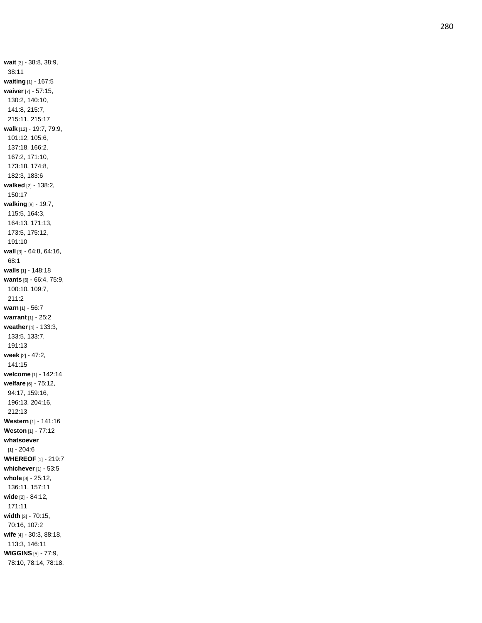**wait** [3] - 38:8, 38:9, 38:11 **waiting** [1] - 167:5 **waiver** [7] - 57:15, 130:2, 140:10, 141:8, 215:7, 215:11, 215:17 **walk** [12] - 19:7, 79:9, 101:12, 105:6, 137:18, 166:2, 167:2, 171:10, 173:18, 174:8, 182:3, 183:6 **walked** [2] - 138:2, 150:17 **walking** [8] - 19:7, 115:5, 164:3, 164:13, 171:13, 173:5, 175:12, 191:10 **wall** [3] - 64:8, 64:16, 68:1 **walls** [1] - 148:18 **wants** [6] - 66:4, 75:9, 100:10, 109:7, 211:2 **warn** [1] - 56:7 **warrant** [1] - 25:2 **weather** [4] - 133:3, 133:5, 133:7, 191:13 **week** [2] - 47:2, 141:15 **welcome** [1] - 142:14 **welfare** [6] - 75:12, 94:17, 159:16, 196:13, 204:16, 212:13 **Western** [1] - 141:16 **Weston** [1] - 77:12 **whatsoever**  $[1] - 204:6$ **WHEREOF** [1] - 219:7 **whichever** [1] - 53:5 **whole** [3] - 25:12, 136:11, 157:11 **wide** [2] - 84:12, 171:11 **width** [3] - 70:15, 70:16, 107:2 **wife** [4] - 30:3, 88:18, 113:3, 146:11 **WIGGINS** [5] - 77:9, 78:10, 78:14, 78:18,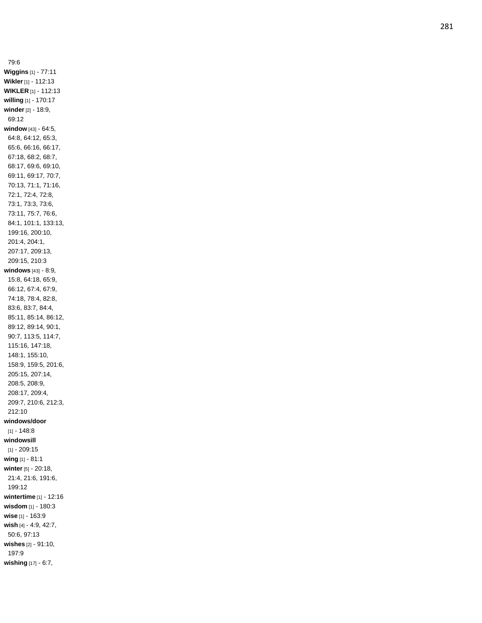79:6 **Wiggins** [1] - 77:11 **Wikler** [1] - 112:13 **WIKLER** [1] - 112:13 **willing** [1] - 170:17 **winder** [2] - 18:9, 69:12 **window** [43] - 64:5, 64:8, 64:12, 65:3, 65:6, 66:16, 66:17, 67:18, 68:2, 68:7, 68:17, 69:6, 69:10, 69:11, 69:17, 70:7, 70:13, 71:1, 71:16, 72:1, 72:4, 72:8, 73:1, 73:3, 73:6, 73:11, 75:7, 76:6, 84:1, 101:1, 133:13, 199:16, 200:10, 201:4, 204:1, 207:17, 209:13, 209:15, 210:3 **windows** [43] - 8:9, 15:8, 64:18, 65:9, 66:12, 67:4, 67:9, 74:18, 78:4, 82:8, 83:6, 83:7, 84:4, 85:11, 85:14, 86:12, 89:12, 89:14, 90:1, 90:7, 113:5, 114:7, 115:16, 147:18, 148:1, 155:10, 158:9, 159:5, 201:6, 205:15, 207:14, 208:5, 208:9, 208:17, 209:4, 209:7, 210:6, 212:3, 212:10 **windows/door**  $[1] - 148.8$ **windowsill** [1] - 209:15 **wing** [1] - 81:1 **winter** [5] - 20:18, 21:4, 21:6, 191:6, 199:12 **wintertime** [1] - 12:16 **wisdom** [1] - 180:3 **wise** [1] - 163:9 **wish** [4] - 4:9, 42:7, 50:6, 97:13 **wishes** [2] - 91:10, 197:9 **wishing** [17] - 6:7,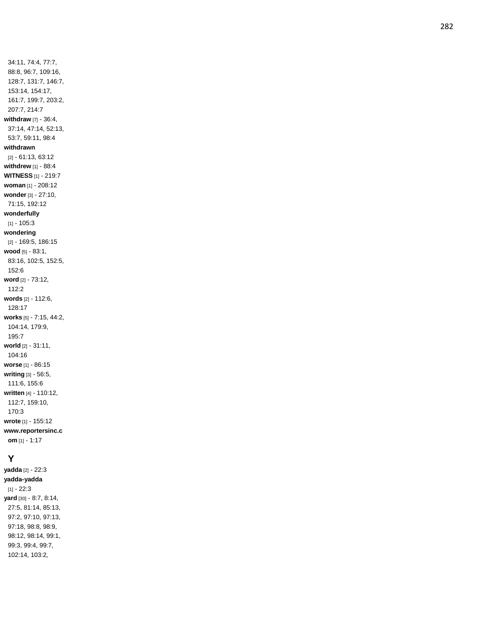34:11, 74:4, 77:7, 88:8, 96:7, 109:16, 128:7, 131:7, 146:7, 153:14, 154:17, 161:7, 199:7, 203:2, 207:7, 214:7 **withdraw** [7] - 36:4, 37:14, 47:14, 52:13, 53:7, 59:11, 98:4 **withdrawn** [2] - 61:13, 63:12 **withdrew** [1] - 88:4 **WITNESS** [1] - 219:7 **woman** [1] - 208:12 **wonder** [3] - 27:10, 71:15, 192:12 **wonderfully**  $[1] - 105:3$ **wondering** [2] - 169:5, 186:15 **wood** [5] - 83:1, 83:16, 102:5, 152:5, 152:6 **word** [2] - 73:12, 112:2 **words** [2] - 112:6, 128:17 **works** [5] - 7:15, 44:2, 104:14, 179:9, 195:7 **world** [2] - 31:11, 104:16 **worse** [1] - 86:15 **writing** [3] - 56:5, 111:6, 155:6 **written** [4] - 110:12, 112:7, 159:10, 170:3 **wrote** [1] - 155:12 **www.reportersinc.c om** [1] - 1:17

#### **Y**

**yadda** [2] - 22:3 **yadda -yadda** [1] - 22:3 **yard** [30] - 8:7, 8:14, 27:5, 81:14, 85:13, 97:2, 97:10, 97:13, 97:18, 98:8, 98:9, 98:12, 98:14, 99:1, 99:3, 99:4, 99:7, 102:14, 103:2,